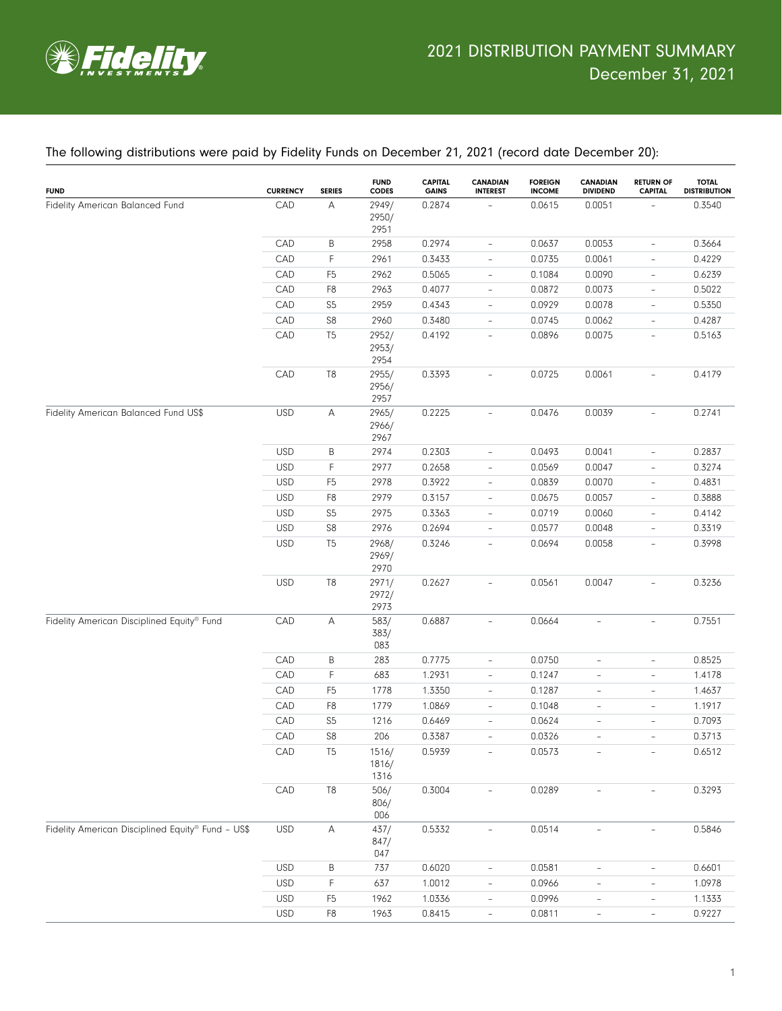

#### The following distributions were paid by Fidelity Funds on December 21, 2021 (record date December 20):

| CAD<br>А<br>2949/<br>0.2874<br>0.0615<br>0.0051<br>Fidelity American Balanced Fund<br>2950/<br>2951<br>$\sf B$<br>CAD<br>2958<br>0.2974<br>0.0637<br>0.0053<br>$\overline{\phantom{a}}$<br>$\mathsf F$<br>CAD<br>0.3433<br>2961<br>0.0735<br>0.0061<br>$\overline{\phantom{a}}$<br>CAD<br>F <sub>5</sub><br>2962<br>0.5065<br>0.1084<br>0.0090<br>$\overline{\phantom{a}}$<br>CAD<br>F <sub>8</sub><br>2963<br>0.4077<br>0.0872<br>0.0073<br>$\overline{\phantom{a}}$<br>S <sub>5</sub><br>CAD<br>2959<br>0.4343<br>0.0929<br>0.0078<br>$\overline{\phantom{a}}$<br>S <sub>8</sub><br>CAD<br>2960<br>0.3480<br>0.0745<br>0.0062<br>$\overline{\phantom{a}}$<br>CAD<br>T <sub>5</sub><br>2952/<br>0.4192<br>0.0896<br>0.0075<br>$\overline{\phantom{a}}$<br>2953/<br>2954<br>T <sub>8</sub><br>CAD<br>2955/<br>0.3393<br>0.0725<br>0.0061<br>$\overline{a}$<br>2956/<br>2957 | <b>TOTAL</b><br><b>DISTRIBUTION</b> | <b>RETURN OF</b><br><b>CAPITAL</b> | <b>CANADIAN</b><br><b>DIVIDEND</b> | <b>FOREIGN</b><br><b>INCOME</b> | <b>CANADIAN</b><br><b>INTEREST</b> | <b>CAPITAL</b><br><b>GAINS</b> | <b>FUND</b><br>CODES | <b>SERIES</b> | <b>CURRENCY</b> | <b>FUND</b> |
|-----------------------------------------------------------------------------------------------------------------------------------------------------------------------------------------------------------------------------------------------------------------------------------------------------------------------------------------------------------------------------------------------------------------------------------------------------------------------------------------------------------------------------------------------------------------------------------------------------------------------------------------------------------------------------------------------------------------------------------------------------------------------------------------------------------------------------------------------------------------------------|-------------------------------------|------------------------------------|------------------------------------|---------------------------------|------------------------------------|--------------------------------|----------------------|---------------|-----------------|-------------|
|                                                                                                                                                                                                                                                                                                                                                                                                                                                                                                                                                                                                                                                                                                                                                                                                                                                                             | 0.3540                              |                                    |                                    |                                 |                                    |                                |                      |               |                 |             |
|                                                                                                                                                                                                                                                                                                                                                                                                                                                                                                                                                                                                                                                                                                                                                                                                                                                                             | 0.3664                              | $\overline{\phantom{a}}$           |                                    |                                 |                                    |                                |                      |               |                 |             |
|                                                                                                                                                                                                                                                                                                                                                                                                                                                                                                                                                                                                                                                                                                                                                                                                                                                                             | 0.4229                              | $\qquad \qquad -$                  |                                    |                                 |                                    |                                |                      |               |                 |             |
|                                                                                                                                                                                                                                                                                                                                                                                                                                                                                                                                                                                                                                                                                                                                                                                                                                                                             | 0.6239                              | $\qquad \qquad -$                  |                                    |                                 |                                    |                                |                      |               |                 |             |
|                                                                                                                                                                                                                                                                                                                                                                                                                                                                                                                                                                                                                                                                                                                                                                                                                                                                             | 0.5022                              | $\overline{\phantom{a}}$           |                                    |                                 |                                    |                                |                      |               |                 |             |
|                                                                                                                                                                                                                                                                                                                                                                                                                                                                                                                                                                                                                                                                                                                                                                                                                                                                             | 0.5350                              | $\overline{\phantom{a}}$           |                                    |                                 |                                    |                                |                      |               |                 |             |
|                                                                                                                                                                                                                                                                                                                                                                                                                                                                                                                                                                                                                                                                                                                                                                                                                                                                             | 0.4287                              | $\overline{\phantom{0}}$           |                                    |                                 |                                    |                                |                      |               |                 |             |
|                                                                                                                                                                                                                                                                                                                                                                                                                                                                                                                                                                                                                                                                                                                                                                                                                                                                             | 0.5163                              | $\overline{\phantom{a}}$           |                                    |                                 |                                    |                                |                      |               |                 |             |
|                                                                                                                                                                                                                                                                                                                                                                                                                                                                                                                                                                                                                                                                                                                                                                                                                                                                             | 0.4179                              | $\overline{\phantom{0}}$           |                                    |                                 |                                    |                                |                      |               |                 |             |
| Α<br>0.2225<br>0.0039<br>Fidelity American Balanced Fund US\$<br><b>USD</b><br>2965/<br>0.0476<br>$\overline{\phantom{a}}$<br>2966/<br>2967                                                                                                                                                                                                                                                                                                                                                                                                                                                                                                                                                                                                                                                                                                                                 | 0.2741                              | $\overline{\phantom{a}}$           |                                    |                                 |                                    |                                |                      |               |                 |             |
| $\sf B$<br>0.2303<br>0.0041<br><b>USD</b><br>2974<br>0.0493<br>$\overline{\phantom{a}}$                                                                                                                                                                                                                                                                                                                                                                                                                                                                                                                                                                                                                                                                                                                                                                                     | 0.2837                              | $\qquad \qquad -$                  |                                    |                                 |                                    |                                |                      |               |                 |             |
| $\mathsf F$<br><b>USD</b><br>2977<br>0.0047<br>0.2658<br>0.0569<br>$\overline{\phantom{a}}$                                                                                                                                                                                                                                                                                                                                                                                                                                                                                                                                                                                                                                                                                                                                                                                 | 0.3274                              | $\qquad \qquad -$                  |                                    |                                 |                                    |                                |                      |               |                 |             |
| 0.0070<br><b>USD</b><br>F <sub>5</sub><br>2978<br>0.3922<br>0.0839<br>$\overline{\phantom{a}}$                                                                                                                                                                                                                                                                                                                                                                                                                                                                                                                                                                                                                                                                                                                                                                              | 0.4831                              | $\qquad \qquad -$                  |                                    |                                 |                                    |                                |                      |               |                 |             |
| F <sub>8</sub><br>2979<br>0.0057<br><b>USD</b><br>0.3157<br>0.0675<br>$\overline{\phantom{a}}$                                                                                                                                                                                                                                                                                                                                                                                                                                                                                                                                                                                                                                                                                                                                                                              | 0.3888                              | $\qquad \qquad -$                  |                                    |                                 |                                    |                                |                      |               |                 |             |
| S <sub>5</sub><br>2975<br>0.0060<br><b>USD</b><br>0.3363<br>0.0719<br>$\overline{\phantom{a}}$                                                                                                                                                                                                                                                                                                                                                                                                                                                                                                                                                                                                                                                                                                                                                                              | 0.4142                              | $\qquad \qquad -$                  |                                    |                                 |                                    |                                |                      |               |                 |             |
| S <sub>8</sub><br>2976<br>0.2694<br>0.0048<br><b>USD</b><br>0.0577<br>$\overline{\phantom{a}}$                                                                                                                                                                                                                                                                                                                                                                                                                                                                                                                                                                                                                                                                                                                                                                              | 0.3319                              | $\frac{1}{2}$                      |                                    |                                 |                                    |                                |                      |               |                 |             |
| T <sub>5</sub><br><b>USD</b><br>2968/<br>0.3246<br>0.0694<br>0.0058<br>$\overline{\phantom{a}}$<br>2969/<br>2970                                                                                                                                                                                                                                                                                                                                                                                                                                                                                                                                                                                                                                                                                                                                                            | 0.3998                              | $\bar{ }$                          |                                    |                                 |                                    |                                |                      |               |                 |             |
| T <sub>8</sub><br><b>USD</b><br>2971/<br>0.2627<br>0.0561<br>0.0047<br>$\overline{\phantom{a}}$<br>2972/<br>2973                                                                                                                                                                                                                                                                                                                                                                                                                                                                                                                                                                                                                                                                                                                                                            | 0.3236                              | $\overline{\phantom{0}}$           |                                    |                                 |                                    |                                |                      |               |                 |             |
| Α<br>583/<br>0.0664<br>Fidelity American Disciplined Equity® Fund<br>CAD<br>0.6887<br>$\overline{\phantom{a}}$<br>Ĭ.<br>383/<br>083                                                                                                                                                                                                                                                                                                                                                                                                                                                                                                                                                                                                                                                                                                                                         | 0.7551                              |                                    |                                    |                                 |                                    |                                |                      |               |                 |             |
| CAD<br>$\sf B$<br>0.7775<br>0.0750<br>283<br>$\overline{\phantom{a}}$<br>$\overline{\phantom{a}}$                                                                                                                                                                                                                                                                                                                                                                                                                                                                                                                                                                                                                                                                                                                                                                           | 0.8525                              | $\overline{\phantom{a}}$           |                                    |                                 |                                    |                                |                      |               |                 |             |
| F<br>CAD<br>683<br>1.2931<br>0.1247<br>$\overline{\phantom{a}}$<br>$\overline{\phantom{a}}$                                                                                                                                                                                                                                                                                                                                                                                                                                                                                                                                                                                                                                                                                                                                                                                 | 1.4178                              | $\overline{\phantom{a}}$           |                                    |                                 |                                    |                                |                      |               |                 |             |
| F <sub>5</sub><br>CAD<br>1778<br>1.3350<br>0.1287<br>$\overline{\phantom{a}}$<br>$\overline{\phantom{a}}$                                                                                                                                                                                                                                                                                                                                                                                                                                                                                                                                                                                                                                                                                                                                                                   | 1.4637                              | $\overline{\phantom{a}}$           |                                    |                                 |                                    |                                |                      |               |                 |             |
| F <sub>8</sub><br>CAD<br>1779<br>1.0869<br>0.1048<br>$\overline{\phantom{a}}$<br>$\overline{\phantom{a}}$                                                                                                                                                                                                                                                                                                                                                                                                                                                                                                                                                                                                                                                                                                                                                                   | 1.1917                              | $\overline{\phantom{a}}$           |                                    |                                 |                                    |                                |                      |               |                 |             |
| S <sub>5</sub><br>CAD<br>0.6469<br>0.0624<br>1216<br>$\overline{\phantom{a}}$<br>$\overline{\phantom{a}}$                                                                                                                                                                                                                                                                                                                                                                                                                                                                                                                                                                                                                                                                                                                                                                   | 0.7093                              | $\overline{\phantom{a}}$           |                                    |                                 |                                    |                                |                      |               |                 |             |
| S <sub>8</sub><br>CAD<br>206<br>0.3387<br>0.0326<br>$\overline{\phantom{a}}$<br>$\overline{\phantom{a}}$                                                                                                                                                                                                                                                                                                                                                                                                                                                                                                                                                                                                                                                                                                                                                                    | 0.3713                              | $\overline{\phantom{a}}$           |                                    |                                 |                                    |                                |                      |               |                 |             |
| T <sub>5</sub><br>CAD<br>1516/<br>0.5939<br>0.0573<br>1816/<br>1316                                                                                                                                                                                                                                                                                                                                                                                                                                                                                                                                                                                                                                                                                                                                                                                                         | 0.6512                              |                                    |                                    |                                 |                                    |                                |                      |               |                 |             |
| CAD<br>$\mathbb{T}8$<br>0.3004<br>506/<br>0.0289<br>$\bar{ }$<br>$\overline{\phantom{0}}$<br>806/<br>006                                                                                                                                                                                                                                                                                                                                                                                                                                                                                                                                                                                                                                                                                                                                                                    | 0.3293                              |                                    |                                    |                                 |                                    |                                |                      |               |                 |             |
| Fidelity American Disciplined Equity® Fund - US\$<br>Α<br>0.5332<br><b>USD</b><br>437/<br>0.0514<br>$\overline{\phantom{a}}$<br>847/<br>047                                                                                                                                                                                                                                                                                                                                                                                                                                                                                                                                                                                                                                                                                                                                 | 0.5846                              |                                    |                                    |                                 |                                    |                                |                      |               |                 |             |
| <b>USD</b><br>$\sf B$<br>737<br>0.6020<br>0.0581<br>$\overline{\phantom{a}}$<br>$\overline{\phantom{a}}$                                                                                                                                                                                                                                                                                                                                                                                                                                                                                                                                                                                                                                                                                                                                                                    | 0.6601                              | $\overline{\phantom{0}}$           |                                    |                                 |                                    |                                |                      |               |                 |             |
| $\mathsf F$<br><b>USD</b><br>637<br>1.0012<br>0.0966<br>$\overline{\phantom{a}}$<br>$\qquad \qquad -$                                                                                                                                                                                                                                                                                                                                                                                                                                                                                                                                                                                                                                                                                                                                                                       | 1.0978                              | $\overline{\phantom{0}}$           |                                    |                                 |                                    |                                |                      |               |                 |             |
| <b>USD</b><br>F <sub>5</sub><br>1962<br>1.0336<br>0.0996<br>$\overline{\phantom{a}}$<br>$\overline{\phantom{a}}$                                                                                                                                                                                                                                                                                                                                                                                                                                                                                                                                                                                                                                                                                                                                                            | 1.1333                              | $\overline{\phantom{a}}$           |                                    |                                 |                                    |                                |                      |               |                 |             |
| <b>USD</b><br>F8<br>1963<br>0.8415<br>0.0811<br>$\overline{\phantom{a}}$<br>$\overline{\phantom{a}}$                                                                                                                                                                                                                                                                                                                                                                                                                                                                                                                                                                                                                                                                                                                                                                        | 0.9227                              | $\overline{\phantom{a}}$           |                                    |                                 |                                    |                                |                      |               |                 |             |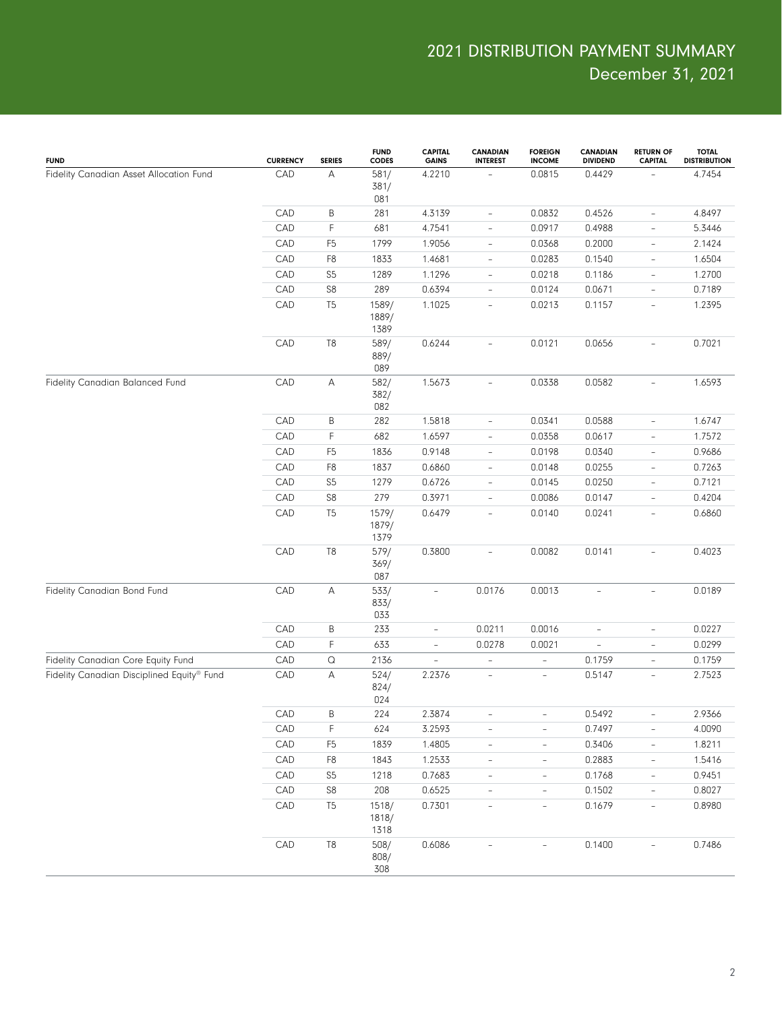| <b>FUND</b>                                | <b>CURRENCY</b> | <b>SERIES</b>         | <b>FUND</b><br><b>CODES</b> | <b>CAPITAL</b><br><b>GAINS</b> | <b>CANADIAN</b><br><b>INTEREST</b> | <b>FOREIGN</b><br><b>INCOME</b> | <b>CANADIAN</b><br><b>DIVIDEND</b> | <b>RETURN OF</b><br><b>CAPITAL</b> | <b>TOTAL</b><br><b>DISTRIBUTION</b> |
|--------------------------------------------|-----------------|-----------------------|-----------------------------|--------------------------------|------------------------------------|---------------------------------|------------------------------------|------------------------------------|-------------------------------------|
| Fidelity Canadian Asset Allocation Fund    | CAD             | А                     | 581/<br>381/<br>081         | 4.2210                         |                                    | 0.0815                          | 0.4429                             |                                    | 4.7454                              |
|                                            | CAD             | В                     | 281                         | 4.3139                         | $\qquad \qquad -$                  | 0.0832                          | 0.4526                             | $\overline{\phantom{a}}$           | 4.8497                              |
|                                            | CAD             | F                     | 681                         | 4.7541                         | $\qquad \qquad -$                  | 0.0917                          | 0.4988                             | $\overline{\phantom{a}}$           | 5.3446                              |
|                                            | CAD             | F <sub>5</sub>        | 1799                        | 1.9056                         | $\qquad \qquad -$                  | 0.0368                          | 0.2000                             | $\overline{\phantom{a}}$           | 2.1424                              |
|                                            | CAD             | F <sub>8</sub>        | 1833                        | 1.4681                         | $\overline{\phantom{a}}$           | 0.0283                          | 0.1540                             | $\overline{\phantom{a}}$           | 1.6504                              |
|                                            | CAD             | S <sub>5</sub>        | 1289                        | 1.1296                         | $\overline{\phantom{a}}$           | 0.0218                          | 0.1186                             | $\overline{\phantom{a}}$           | 1.2700                              |
|                                            | CAD             | $\mathbb{S}8$         | 289                         | 0.6394                         | $\qquad \qquad -$                  | 0.0124                          | 0.0671                             | $\overline{\phantom{a}}$           | 0.7189                              |
|                                            | CAD             | T <sub>5</sub>        | 1589/<br>1889/<br>1389      | 1.1025                         | $\overline{\phantom{a}}$           | 0.0213                          | 0.1157                             | $\overline{\phantom{a}}$           | 1.2395                              |
|                                            | CAD             | T <sub>8</sub>        | 589/<br>889/<br>089         | 0.6244                         | $\overline{\phantom{a}}$           | 0.0121                          | 0.0656                             |                                    | 0.7021                              |
| Fidelity Canadian Balanced Fund            | CAD             | А                     | 582/<br>382/<br>082         | 1.5673                         | $\overline{\phantom{a}}$           | 0.0338                          | 0.0582                             | $\overline{\phantom{a}}$           | 1.6593                              |
|                                            | CAD             | B                     | 282                         | 1.5818                         | $\qquad \qquad -$                  | 0.0341                          | 0.0588                             | $\overline{\phantom{a}}$           | 1.6747                              |
|                                            | CAD             | F                     | 682                         | 1.6597                         | $\qquad \qquad -$                  | 0.0358                          | 0.0617                             | $\overline{\phantom{a}}$           | 1.7572                              |
|                                            | CAD             | F <sub>5</sub>        | 1836                        | 0.9148                         | $\qquad \qquad -$                  | 0.0198                          | 0.0340                             | $\overline{\phantom{a}}$           | 0.9686                              |
|                                            | CAD             | F <sub>8</sub>        | 1837                        | 0.6860                         | $\frac{1}{2}$                      | 0.0148                          | 0.0255                             | $\overline{\phantom{a}}$           | 0.7263                              |
|                                            | CAD             | S <sub>5</sub>        | 1279                        | 0.6726                         | $\qquad \qquad -$                  | 0.0145                          | 0.0250                             | $\overline{\phantom{a}}$           | 0.7121                              |
|                                            | CAD             | S8                    | 279                         | 0.3971                         | $\qquad \qquad -$                  | 0.0086                          | 0.0147                             | $\overline{\phantom{a}}$           | 0.4204                              |
|                                            | CAD             | T <sub>5</sub>        | 1579/<br>1879/<br>1379      | 0.6479                         | $\overline{\phantom{a}}$           | 0.0140                          | 0.0241                             | $\overline{\phantom{a}}$           | 0.6860                              |
|                                            | CAD             | T8                    | 579/<br>369/<br>087         | 0.3800                         | $\overline{\phantom{a}}$           | 0.0082                          | 0.0141                             | $\overline{\phantom{a}}$           | 0.4023                              |
| Fidelity Canadian Bond Fund                | CAD             | А                     | 533/<br>833/<br>033         | $\overline{\phantom{a}}$       | 0.0176                             | 0.0013                          | $\overline{\phantom{0}}$           | $\overline{\phantom{a}}$           | 0.0189                              |
|                                            | CAD             | Β                     | 233                         | $\overline{\phantom{a}}$       | 0.0211                             | 0.0016                          | ÷,                                 | $\overline{\phantom{a}}$           | 0.0227                              |
|                                            | CAD             | F                     | 633                         | $\overline{\phantom{a}}$       | 0.0278                             | 0.0021                          | $\overline{\phantom{0}}$           | $\overline{\phantom{a}}$           | 0.0299                              |
| Fidelity Canadian Core Equity Fund         | CAD             | $\hbox{\large \it Q}$ | 2136                        | $\overline{a}$                 | $\frac{1}{2}$                      | $\overline{\phantom{a}}$        | 0.1759                             | $\overline{\phantom{a}}$           | 0.1759                              |
| Fidelity Canadian Disciplined Equity® Fund | CAD             | А                     | 524/<br>824/<br>024         | 2.2376                         | $\frac{1}{2}$                      | $\overline{\phantom{a}}$        | 0.5147                             | $\overline{\phantom{a}}$           | 2.7523                              |
|                                            | CAD             | B                     | 224                         | 2.3874                         |                                    |                                 | 0.5492                             |                                    | 2.9366                              |
|                                            | CAD             | F                     | 624                         | 3.2593                         | $\overline{\phantom{a}}$           | $\overline{\phantom{a}}$        | 0.7497                             | $\overline{\phantom{a}}$           | 4.0090                              |
|                                            | CAD             | F <sub>5</sub>        | 1839                        | 1.4805                         | $\overline{\phantom{0}}$           | $\overline{\phantom{a}}$        | 0.3406                             | $\overline{\phantom{a}}$           | 1.8211                              |
|                                            | CAD             | F8                    | 1843                        | 1.2533                         | $\qquad \qquad -$                  | $\overline{\phantom{a}}$        | 0.2883                             | $\overline{\phantom{a}}$           | 1.5416                              |
|                                            | CAD             | S <sub>5</sub>        | 1218                        | 0.7683                         | $\overline{\phantom{a}}$           | $\overline{\phantom{a}}$        | 0.1768                             | $\overline{\phantom{a}}$           | 0.9451                              |
|                                            | CAD             | S8                    | 208                         | 0.6525                         | $\overline{\phantom{0}}$           | $\overline{\phantom{a}}$        | 0.1502                             | $\overline{\phantom{a}}$           | 0.8027                              |
|                                            | CAD             | T <sub>5</sub>        | 1518/<br>1818/<br>1318      | 0.7301                         | $\frac{1}{2}$                      | $\overline{\phantom{a}}$        | 0.1679                             | $\overline{\phantom{a}}$           | 0.8980                              |
|                                            | CAD             | $\mathbb{T}8$         | 508/<br>808/<br>308         | 0.6086                         |                                    |                                 | 0.1400                             |                                    | 0.7486                              |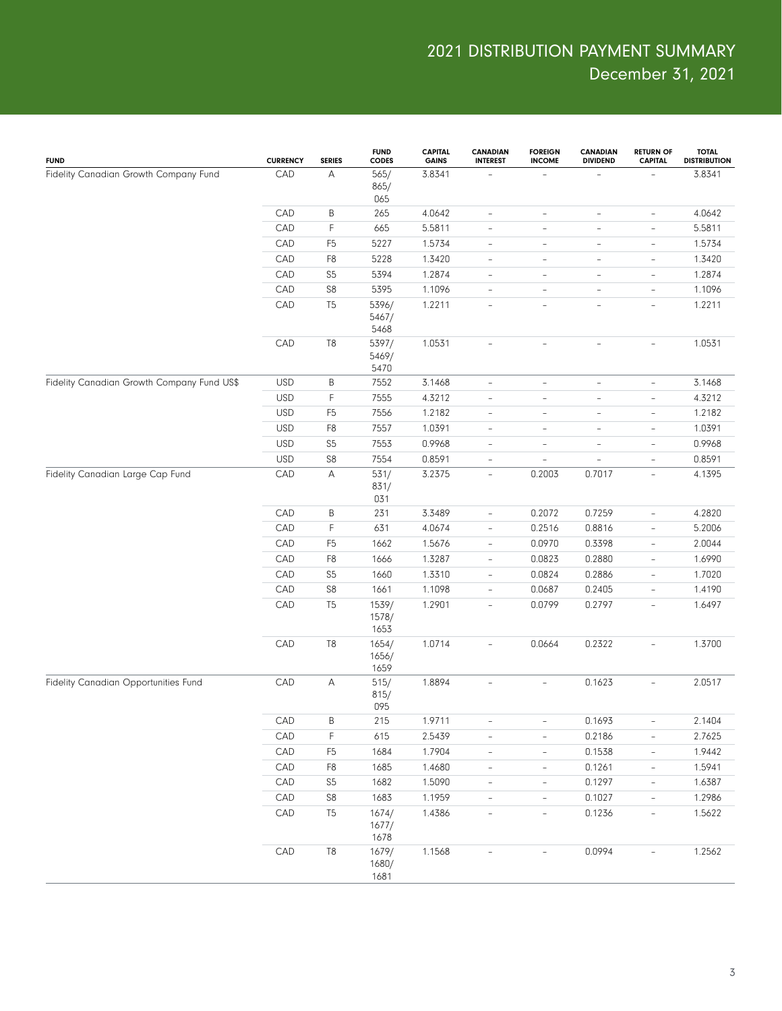| <b>FUND</b>                                | <b>CURRENCY</b> | <b>SERIES</b>  | <b>FUND</b><br><b>CODES</b> | <b>CAPITAL</b><br><b>GAINS</b> | <b>CANADIAN</b><br><b>INTEREST</b> | <b>FOREIGN</b><br><b>INCOME</b> | <b>CANADIAN</b><br><b>DIVIDEND</b> | <b>RETURN OF</b><br><b>CAPITAL</b> | <b>TOTAL</b><br><b>DISTRIBUTION</b> |
|--------------------------------------------|-----------------|----------------|-----------------------------|--------------------------------|------------------------------------|---------------------------------|------------------------------------|------------------------------------|-------------------------------------|
| Fidelity Canadian Growth Company Fund      | CAD             | A              | 565/<br>865/<br>065         | 3.8341                         |                                    | ÷                               |                                    |                                    | 3.8341                              |
|                                            | CAD             | B              | 265                         | 4.0642                         | $\overline{\phantom{0}}$           | $\overline{\phantom{a}}$        | $\overline{\phantom{0}}$           | $\overline{\phantom{a}}$           | 4.0642                              |
|                                            | CAD             | F              | 665                         | 5.5811                         | $\qquad \qquad -$                  | $\overline{\phantom{a}}$        | ÷,                                 | $\overline{\phantom{a}}$           | 5.5811                              |
|                                            | CAD             | F <sub>5</sub> | 5227                        | 1.5734                         | $\overline{\phantom{a}}$           | $\overline{\phantom{a}}$        | $\qquad \qquad -$                  | $\overline{\phantom{a}}$           | 1.5734                              |
|                                            | CAD             | F8             | 5228                        | 1.3420                         | $\overline{\phantom{a}}$           | $\overline{\phantom{a}}$        | $\overline{\phantom{0}}$           | $\overline{\phantom{a}}$           | 1.3420                              |
|                                            | CAD             | S <sub>5</sub> | 5394                        | 1.2874                         | $\overline{\phantom{a}}$           | $\overline{\phantom{a}}$        | $\qquad \qquad -$                  | $\overline{\phantom{a}}$           | 1.2874                              |
|                                            | CAD             | ${\sf S8}$     | 5395                        | 1.1096                         | $\overline{\phantom{a}}$           | $\overline{\phantom{a}}$        | $\overline{a}$                     | $\overline{\phantom{a}}$           | 1.1096                              |
|                                            | CAD             | T <sub>5</sub> | 5396/<br>5467/<br>5468      | 1.2211                         | $\overline{\phantom{a}}$           | $\overline{\phantom{a}}$        | $\overline{\phantom{0}}$           | $\overline{\phantom{a}}$           | 1.2211                              |
|                                            | CAD             | T <sub>8</sub> | 5397/<br>5469/<br>5470      | 1.0531                         | $\overline{\phantom{a}}$           | $\overline{\phantom{a}}$        | $\overline{\phantom{0}}$           | $\overline{\phantom{a}}$           | 1.0531                              |
| Fidelity Canadian Growth Company Fund US\$ | <b>USD</b>      | B              | 7552                        | 3.1468                         | $\overline{\phantom{a}}$           | $\overline{\phantom{a}}$        | $\bar{ }$                          | $\overline{\phantom{a}}$           | 3.1468                              |
|                                            | <b>USD</b>      | F              | 7555                        | 4.3212                         | $\overline{\phantom{a}}$           | $\overline{\phantom{a}}$        | $\qquad \qquad -$                  | $\qquad \qquad -$                  | 4.3212                              |
|                                            | <b>USD</b>      | F <sub>5</sub> | 7556                        | 1.2182                         | $\overline{\phantom{a}}$           | $\overline{\phantom{a}}$        | ÷                                  | $\overline{\phantom{a}}$           | 1.2182                              |
|                                            | <b>USD</b>      | F8             | 7557                        | 1.0391                         | $\overline{\phantom{a}}$           | $\overline{\phantom{a}}$        | $\overline{\phantom{0}}$           | $\overline{\phantom{a}}$           | 1.0391                              |
|                                            | <b>USD</b>      | S <sub>5</sub> | 7553                        | 0.9968                         | $\overline{\phantom{a}}$           | $\overline{\phantom{a}}$        | $\overline{\phantom{0}}$           | $\overline{\phantom{a}}$           | 0.9968                              |
|                                            | <b>USD</b>      | S8             | 7554                        | 0.8591                         | $\qquad \qquad -$                  | $\overline{a}$                  | ÷,                                 | $\overline{\phantom{a}}$           | 0.8591                              |
| Fidelity Canadian Large Cap Fund           | CAD             | Α              | 531/<br>831/<br>031         | 3.2375                         | $\overline{\phantom{a}}$           | 0.2003                          | 0.7017                             | $\overline{\phantom{a}}$           | 4.1395                              |
|                                            | CAD             | B              | 231                         | 3.3489                         | $\overline{\phantom{a}}$           | 0.2072                          | 0.7259                             | $\overline{\phantom{a}}$           | 4.2820                              |
|                                            | CAD             | F              | 631                         | 4.0674                         | $\overline{\phantom{a}}$           | 0.2516                          | 0.8816                             | $\overline{\phantom{a}}$           | 5.2006                              |
|                                            | CAD             | F <sub>5</sub> | 1662                        | 1.5676                         | $\overline{\phantom{a}}$           | 0.0970                          | 0.3398                             | $\overline{\phantom{a}}$           | 2.0044                              |
|                                            | CAD             | F8             | 1666                        | 1.3287                         | $\overline{\phantom{a}}$           | 0.0823                          | 0.2880                             | $\overline{\phantom{a}}$           | 1.6990                              |
|                                            | CAD             | S <sub>5</sub> | 1660                        | 1.3310                         | $\overline{\phantom{a}}$           | 0.0824                          | 0.2886                             | $\overline{\phantom{a}}$           | 1.7020                              |
|                                            | CAD             | ${\sf S8}$     | 1661                        | 1.1098                         | $\overline{\phantom{a}}$           | 0.0687                          | 0.2405                             | $\overline{\phantom{a}}$           | 1.4190                              |
|                                            | CAD             | T <sub>5</sub> | 1539/<br>1578/<br>1653      | 1.2901                         | $\overline{\phantom{a}}$           | 0.0799                          | 0.2797                             | $\overline{\phantom{a}}$           | 1.6497                              |
|                                            | CAD             | T <sub>8</sub> | 1654/<br>1656/<br>1659      | 1.0714                         | $\overline{a}$                     | 0.0664                          | 0.2322                             | $\overline{\phantom{a}}$           | 1.3700                              |
| Fidelity Canadian Opportunities Fund       | CAD             | А              | 515/<br>815/<br>095         | 1.8894                         | $\overline{\phantom{a}}$           | $\overline{\phantom{a}}$        | 0.1623                             | $\overline{\phantom{a}}$           | 2.0517                              |
|                                            | CAD             | $\sf B$        | 215                         | 1.9711                         | $\qquad \qquad -$                  | $\overline{\phantom{a}}$        | 0.1693                             | $\overline{\phantom{a}}$           | 2.1404                              |
|                                            | CAD             | $\mathsf F$    | 615                         | 2.5439                         | $\qquad \qquad -$                  | $\qquad \qquad -$               | 0.2186                             | $\overline{\phantom{0}}$           | 2.7625                              |
|                                            | CAD             | F <sub>5</sub> | 1684                        | 1.7904                         | $\blacksquare$                     | $\overline{\phantom{a}}$        | 0.1538                             | $\overline{\phantom{a}}$           | 1.9442                              |
|                                            | CAD             | F8             | 1685                        | 1.4680                         | $\qquad \qquad -$                  | $\overline{\phantom{a}}$        | 0.1261                             | $\overline{\phantom{a}}$           | 1.5941                              |
|                                            | CAD             | $S5\,$         | 1682                        | 1.5090                         | $\blacksquare$                     | $\overline{\phantom{a}}$        | 0.1297                             | $\overline{\phantom{a}}$           | 1.6387                              |
|                                            | CAD             | $\mathbb{S}8$  | 1683                        | 1.1959                         | $\qquad \qquad -$                  | $\overline{\phantom{a}}$        | 0.1027                             | $\overline{\phantom{a}}$           | 1.2986                              |
|                                            | CAD             | T <sub>5</sub> | 1674/<br>1677/<br>1678      | 1.4386                         | $\overline{\phantom{0}}$           | $\overline{\phantom{a}}$        | 0.1236                             | $\overline{\phantom{a}}$           | 1.5622                              |
|                                            | CAD             | T <sub>8</sub> | 1679/<br>1680/<br>1681      | 1.1568                         |                                    |                                 | 0.0994                             | $\overline{\phantom{0}}$           | 1.2562                              |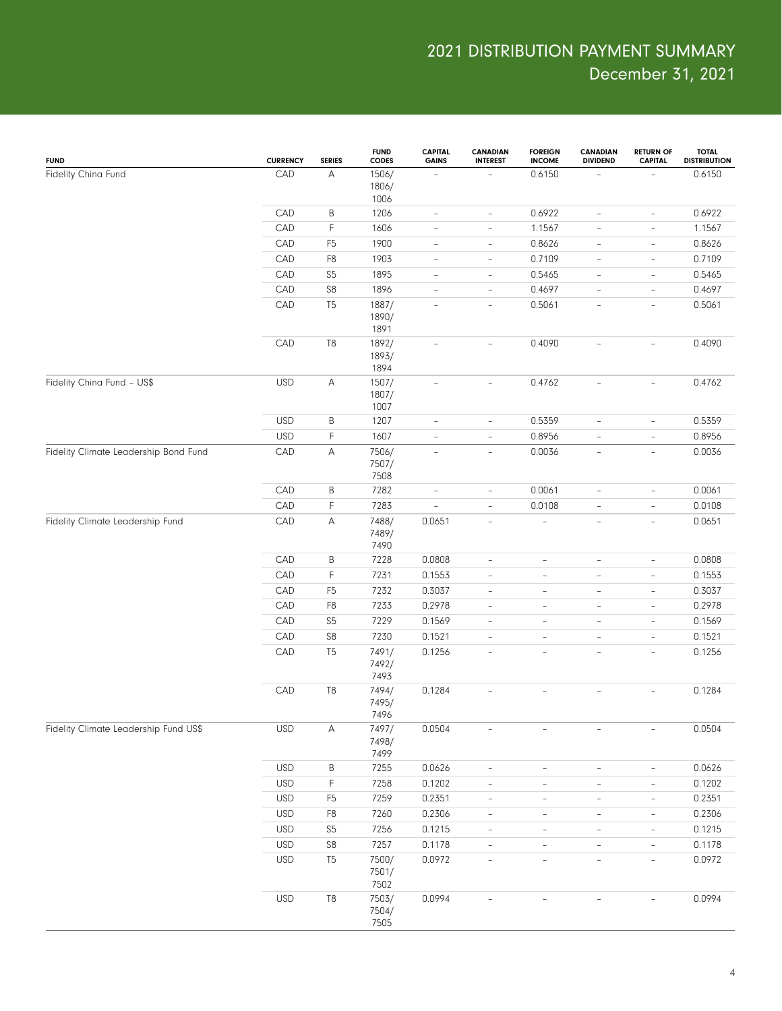| <b>FUND</b>                           | <b>CURRENCY</b> | <b>SERIES</b>             | <b>FUND</b><br><b>CODES</b> | <b>CAPITAL</b><br><b>GAINS</b> | <b>CANADIAN</b><br><b>INTEREST</b> | <b>FOREIGN</b><br><b>INCOME</b> | <b>CANADIAN</b><br><b>DIVIDEND</b> | <b>RETURN OF</b><br><b>CAPITAL</b> | <b>TOTAL</b><br><b>DISTRIBUTION</b> |
|---------------------------------------|-----------------|---------------------------|-----------------------------|--------------------------------|------------------------------------|---------------------------------|------------------------------------|------------------------------------|-------------------------------------|
| Fidelity China Fund                   | CAD             | Α                         | 1506/<br>1806/<br>1006      | $\qquad \qquad -$              |                                    | 0.6150                          |                                    |                                    | 0.6150                              |
|                                       | CAD             | Β                         | 1206                        | $\overline{\phantom{0}}$       | $\overline{\phantom{a}}$           | 0.6922                          | $\overline{\phantom{a}}$           | $\overline{\phantom{0}}$           | 0.6922                              |
|                                       | CAD             | F                         | 1606                        | $\qquad \qquad -$              | $\overline{\phantom{a}}$           | 1.1567                          | $\overline{\phantom{0}}$           | $\overline{\phantom{0}}$           | 1.1567                              |
|                                       | CAD             | F <sub>5</sub>            | 1900                        | $\overline{\phantom{a}}$       | $\overline{\phantom{a}}$           | 0.8626                          | $\overline{\phantom{a}}$           | $\overline{\phantom{a}}$           | 0.8626                              |
|                                       | CAD             | F <sub>8</sub>            | 1903                        | $\overline{\phantom{a}}$       | $\overline{\phantom{a}}$           | 0.7109                          | $\overline{\phantom{a}}$           | $\overline{\phantom{a}}$           | 0.7109                              |
|                                       | CAD             | S <sub>5</sub>            | 1895                        | $\overline{\phantom{a}}$       | $\overline{\phantom{a}}$           | 0.5465                          | $\overline{\phantom{a}}$           | $\qquad \qquad -$                  | 0.5465                              |
|                                       | CAD             | ${\sf S8}$                | 1896                        | $\qquad \qquad -$              | $\overline{\phantom{a}}$           | 0.4697                          | $\overline{\phantom{0}}$           | $\overline{\phantom{a}}$           | 0.4697                              |
|                                       | CAD             | T <sub>5</sub>            | 1887/<br>1890/<br>1891      | $\overline{\phantom{a}}$       | $\overline{\phantom{a}}$           | 0.5061                          | $\overline{\phantom{0}}$           | $\qquad \qquad -$                  | 0.5061                              |
|                                       | CAD             | T <sub>8</sub>            | 1892/<br>1893/<br>1894      | $\qquad \qquad -$              | $\overline{\phantom{a}}$           | 0.4090                          | $\overline{\phantom{0}}$           | $\overline{\phantom{a}}$           | 0.4090                              |
| Fidelity China Fund - US\$            | <b>USD</b>      | $\mathsf{A}$              | 1507/<br>1807/<br>1007      | $\qquad \qquad -$              | $\overline{\phantom{a}}$           | 0.4762                          | $\overline{\phantom{0}}$           | $\overline{\phantom{a}}$           | 0.4762                              |
|                                       | <b>USD</b>      | B                         | 1207                        | $\overline{\phantom{0}}$       | $\qquad \qquad -$                  | 0.5359                          | $\overline{\phantom{a}}$           | $\overline{\phantom{0}}$           | 0.5359                              |
|                                       | <b>USD</b>      | F                         | 1607                        | $\frac{1}{2}$                  | $\overline{\phantom{a}}$           | 0.8956                          | $\overline{\phantom{0}}$           | $\overline{\phantom{a}}$           | 0.8956                              |
| Fidelity Climate Leadership Bond Fund | CAD             | Α                         | 7506/<br>7507/<br>7508      | $\qquad \qquad \blacksquare$   | $\overline{\phantom{a}}$           | 0.0036                          | $\overline{\phantom{a}}$           | $\overline{\phantom{0}}$           | 0.0036                              |
|                                       | CAD             | Β                         | 7282                        | $\overline{\phantom{0}}$       | $\overline{\phantom{a}}$           | 0.0061                          | $\overline{\phantom{0}}$           | $\qquad \qquad -$                  | 0.0061                              |
|                                       | CAD             | F                         | 7283                        | Ē,                             | $\overline{\phantom{a}}$           | 0.0108                          | $\overline{\phantom{0}}$           | $\overline{\phantom{a}}$           | 0.0108                              |
| Fidelity Climate Leadership Fund      | CAD             | Α                         | 7488/<br>7489/<br>7490      | 0.0651                         | $\overline{\phantom{a}}$           | ÷,                              | $\overline{\phantom{a}}$           | $\overline{\phantom{a}}$           | 0.0651                              |
|                                       | CAD             | Β                         | 7228                        | 0.0808                         | $\qquad \qquad -$                  | $\qquad \qquad -$               | $\overline{\phantom{0}}$           | $\overline{\phantom{0}}$           | 0.0808                              |
|                                       | CAD             | F                         | 7231                        | 0.1553                         | $\overline{\phantom{a}}$           | $\overline{\phantom{0}}$        | $\overline{\phantom{0}}$           | $\qquad \qquad -$                  | 0.1553                              |
|                                       | CAD             | F <sub>5</sub>            | 7232                        | 0.3037                         | $\qquad \qquad -$                  | $\qquad \qquad -$               | $\overline{\phantom{0}}$           | $\overline{\phantom{0}}$           | 0.3037                              |
|                                       | CAD             | F <sub>8</sub>            | 7233                        | 0.2978                         | $\qquad \qquad -$                  | $\overline{\phantom{0}}$        | $\overline{\phantom{0}}$           | $\qquad \qquad -$                  | 0.2978                              |
|                                       | CAD             | S <sub>5</sub>            | 7229                        | 0.1569                         | $\overline{\phantom{0}}$           | $\qquad \qquad -$               | $\overline{\phantom{0}}$           | $\qquad \qquad -$                  | 0.1569                              |
|                                       | CAD             | S <sub>8</sub>            | 7230                        | 0.1521                         | $\overline{\phantom{0}}$           | $\qquad \qquad -$               | $\overline{\phantom{0}}$           | $\qquad \qquad -$                  | 0.1521                              |
|                                       | CAD             | T <sub>5</sub>            | 7491/<br>7492/<br>7493      | 0.1256                         | $\overline{\phantom{a}}$           | $\bar{ }$                       | $\overline{\phantom{0}}$           | $\overline{\phantom{a}}$           | 0.1256                              |
|                                       | CAD             | T <sub>8</sub>            | 7494/<br>7495/<br>7496      | 0.1284                         | $\overline{\phantom{a}}$           |                                 |                                    | ÷,                                 | 0.1284                              |
| Fidelity Climate Leadership Fund US\$ | <b>USD</b>      | $\boldsymbol{\mathsf{A}}$ | 7497/<br>7498/<br>7499      | 0.0504                         |                                    |                                 |                                    |                                    | 0.0504                              |
|                                       | <b>USD</b>      | B                         | 7255                        | 0.0626                         | $\overline{\phantom{a}}$           | $\overline{\phantom{0}}$        | $\overline{\phantom{0}}$           | $\overline{\phantom{0}}$           | 0.0626                              |
|                                       | <b>USD</b>      | F                         | 7258                        | 0.1202                         | $\overline{\phantom{a}}$           | $\overline{\phantom{0}}$        | $\overline{\phantom{a}}$           | $\overline{\phantom{a}}$           | 0.1202                              |
|                                       | <b>USD</b>      | F <sub>5</sub>            | 7259                        | 0.2351                         | $\overline{\phantom{a}}$           | $\overline{\phantom{a}}$        | $\overline{\phantom{a}}$           | $\overline{\phantom{0}}$           | 0.2351                              |
|                                       | <b>USD</b>      | F <sub>8</sub>            | 7260                        | 0.2306                         | $\overline{\phantom{a}}$           | $\qquad \qquad -$               | $\overline{\phantom{a}}$           | $\qquad \qquad -$                  | 0.2306                              |
|                                       | <b>USD</b>      | $S5\,$                    | 7256                        | 0.1215                         | $\overline{\phantom{a}}$           | $\overline{\phantom{0}}$        | $\overline{\phantom{a}}$           | $\overline{\phantom{0}}$           | 0.1215                              |
|                                       | USD             | ${\sf S8}$                | 7257                        | 0.1178                         | $\overline{\phantom{a}}$           | $\overline{\phantom{0}}$        | $\overline{\phantom{a}}$           | $\overline{\phantom{0}}$           | 0.1178                              |
|                                       | <b>USD</b>      | T <sub>5</sub>            | 7500/<br>7501/<br>7502      | 0.0972                         | $\overline{\phantom{a}}$           | $\qquad \qquad -$               | $\overline{\phantom{0}}$           | $\overline{\phantom{0}}$           | 0.0972                              |
|                                       | <b>USD</b>      | $\mathsf{T}8$             | 7503/<br>7504/<br>7505      | 0.0994                         |                                    |                                 |                                    |                                    | 0.0994                              |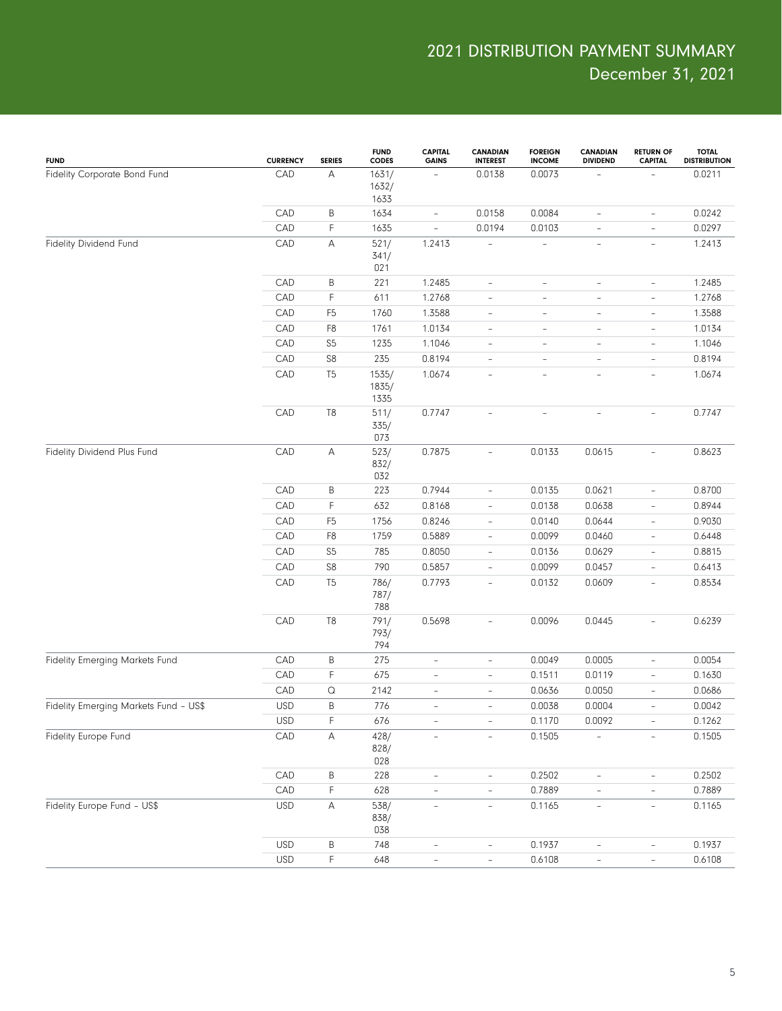| Α<br>CAD<br>0.0073<br>0.0211<br>Fidelity Corporate Bond Fund<br>1631/<br>0.0138<br>$\overline{\phantom{a}}$<br>1632/<br>1633<br>B<br>0.0158<br>0.0084<br>0.0242<br>CAD<br>1634<br>$\overline{\phantom{a}}$<br>$\overline{\phantom{a}}$<br>$\qquad \qquad -$<br>F<br>CAD<br>0.0297<br>1635<br>0.0194<br>0.0103<br>$\overline{\phantom{a}}$<br>$\overline{\phantom{a}}$<br>$\qquad \qquad -$<br>CAD<br>Α<br>Fidelity Dividend Fund<br>521/<br>1.2413<br>1.2413<br>$\overline{\phantom{a}}$<br>$\overline{\phantom{a}}$<br>$\overline{\phantom{a}}$<br>341/<br>021<br>B<br>CAD<br>221<br>1.2485<br>1.2485<br>$\overline{\phantom{0}}$<br>$\overline{\phantom{a}}$<br>$\overline{\phantom{0}}$<br>$\overline{\phantom{a}}$<br>F<br>CAD<br>611<br>1.2768<br>1.2768<br>$\overline{\phantom{0}}$<br>$\overline{\phantom{a}}$<br>$\overline{\phantom{0}}$<br>$\overline{\phantom{a}}$<br>1.3588<br>CAD<br>F <sub>5</sub><br>1760<br>1.3588<br>$\overline{\phantom{a}}$<br>$\qquad \qquad -$<br>$\overline{\phantom{a}}$<br>$\qquad \qquad -$<br>CAD<br>F <sub>8</sub><br>1761<br>1.0134<br>1.0134<br>$\overline{\phantom{a}}$<br>$\qquad \qquad -$<br>$\overline{\phantom{a}}$<br>$\qquad \qquad -$<br>S <sub>5</sub><br>1.1046<br>CAD<br>1235<br>1.1046<br>$\overline{\phantom{a}}$<br>$\qquad \qquad -$<br>$\overline{\phantom{a}}$<br>$\qquad \qquad -$<br>S8<br>235<br>0.8194<br>CAD<br>0.8194<br>$\overline{\phantom{a}}$<br>$\overline{\phantom{a}}$<br>$\overline{\phantom{a}}$<br>$\overline{a}$<br>T <sub>5</sub><br>1.0674<br>CAD<br>1535/<br>1.0674<br>$\qquad \qquad -$<br>$\overline{a}$<br>÷,<br>$\overline{\phantom{a}}$<br>1835/<br>1335<br>T8<br>0.7747<br>CAD<br>511/<br>0.7747<br>$\overline{\phantom{a}}$<br>Ē,<br>$\overline{\phantom{0}}$<br>$\overline{\phantom{a}}$<br>335/<br>073<br>А<br>0.8623<br>Fidelity Dividend Plus Fund<br>CAD<br>523/<br>0.7875<br>0.0133<br>0.0615<br>$\frac{1}{2}$<br>$\overline{\phantom{a}}$<br>832/<br>032<br>CAD<br>В<br>223<br>0.7944<br>0.0135<br>0.0621<br>0.8700<br>$\overline{\phantom{a}}$<br>$\qquad \qquad -$<br>F<br>632<br>0.0638<br>0.8944<br>CAD<br>0.8168<br>0.0138<br>$\overline{\phantom{a}}$<br>$\overline{\phantom{a}}$<br>0.9030<br>CAD<br>F <sub>5</sub><br>1756<br>0.8246<br>0.0140<br>0.0644<br>$\qquad \qquad -$<br>$\overline{\phantom{a}}$<br>0.6448<br>CAD<br>F <sub>8</sub><br>1759<br>0.5889<br>0.0099<br>0.0460<br>$\overline{\phantom{a}}$<br>$\overline{\phantom{a}}$<br>0.8815<br>CAD<br>S <sub>5</sub><br>785<br>0.8050<br>0.0629<br>0.0136<br>$\qquad \qquad -$<br>$\overline{\phantom{a}}$<br>S8<br>790<br>0.6413<br>CAD<br>0.5857<br>0.0099<br>0.0457<br>$\qquad \qquad -$<br>$\overline{\phantom{a}}$<br>CAD<br>T <sub>5</sub><br>0.8534<br>786/<br>0.7793<br>0.0132<br>0.0609<br>$\frac{1}{2}$<br>$\overline{\phantom{a}}$<br>787/<br>788<br>T <sub>8</sub><br>CAD<br>791/<br>0.5698<br>0.0096<br>0.0445<br>0.6239<br>$\overline{\phantom{a}}$<br>$\overline{\phantom{a}}$<br>793/<br>794<br>0.0005<br>CAD<br>В<br>275<br>0.0049<br>0.0054<br>Fidelity Emerging Markets Fund<br>$\overline{\phantom{a}}$<br>$\overline{\phantom{a}}$<br>$\overline{\phantom{0}}$<br>F<br>675<br>0.0119<br>CAD<br>0.1511<br>0.1630<br>$\overline{\phantom{a}}$<br>$\overline{\phantom{0}}$<br>$\overline{\phantom{a}}$<br>2142<br>CAD<br>Q<br>0.0636<br>0.0050<br>0.0686<br>$\bar{ }$<br>$\overline{\phantom{a}}$<br>$\overline{a}$<br>B<br><b>USD</b><br>776<br>0.0038<br>0.0004<br>0.0042<br>Fidelity Emerging Markets Fund - US\$<br>$\overline{\phantom{a}}$<br>$\overline{\phantom{a}}$<br>$\overline{\phantom{a}}$<br><b>USD</b><br>F<br>676<br>0.1170<br>0.0092<br>0.1262<br>$\overline{\phantom{a}}$<br>CAD<br>А<br>428/<br>0.1505<br>0.1505<br>Fidelity Europe Fund<br>$\overline{\phantom{a}}$<br>$\overline{a}$<br>$\overline{\phantom{a}}$<br>828/<br>028<br>CAD<br>B<br>228<br>0.2502<br>0.2502<br>$\qquad \qquad -$<br>$\overline{\phantom{0}}$<br>$\overline{\phantom{a}}$<br>$\overline{\phantom{0}}$<br>F<br>CAD<br>628<br>0.7889<br>0.7889<br>$\blacksquare$<br>$\overline{\phantom{0}}$<br>$\overline{\phantom{0}}$<br>$\overline{\phantom{a}}$<br>A<br>538/<br>Fidelity Europe Fund - US\$<br><b>USD</b><br>0.1165<br>0.1165<br>$\overline{\phantom{a}}$<br>$\equiv$<br>$\overline{\phantom{a}}$<br>$\frac{1}{2}$<br>838/<br>038<br>B<br><b>USD</b><br>748<br>0.1937<br>0.1937<br>$\overline{\phantom{a}}$<br>$\qquad \qquad -$<br>$\overline{\phantom{0}}$<br>$\overline{\phantom{0}}$<br>F<br><b>USD</b><br>648<br>0.6108<br>0.6108<br>$\overline{\phantom{0}}$<br>$\overline{\phantom{a}}$<br>$\overline{a}$<br>$\overline{\phantom{0}}$ | <b>FUND</b> | <b>CURRENCY</b> | <b>SERIES</b> | <b>FUND</b><br>CODES | <b>CAPITAL</b><br><b>GAINS</b> | CANADIAN<br><b>INTEREST</b> | <b>FOREIGN</b><br><b>INCOME</b> | <b>CANADIAN</b><br><b>DIVIDEND</b> | <b>RETURN OF</b><br><b>CAPITAL</b> | <b>TOTAL</b><br><b>DISTRIBUTION</b> |
|-------------------------------------------------------------------------------------------------------------------------------------------------------------------------------------------------------------------------------------------------------------------------------------------------------------------------------------------------------------------------------------------------------------------------------------------------------------------------------------------------------------------------------------------------------------------------------------------------------------------------------------------------------------------------------------------------------------------------------------------------------------------------------------------------------------------------------------------------------------------------------------------------------------------------------------------------------------------------------------------------------------------------------------------------------------------------------------------------------------------------------------------------------------------------------------------------------------------------------------------------------------------------------------------------------------------------------------------------------------------------------------------------------------------------------------------------------------------------------------------------------------------------------------------------------------------------------------------------------------------------------------------------------------------------------------------------------------------------------------------------------------------------------------------------------------------------------------------------------------------------------------------------------------------------------------------------------------------------------------------------------------------------------------------------------------------------------------------------------------------------------------------------------------------------------------------------------------------------------------------------------------------------------------------------------------------------------------------------------------------------------------------------------------------------------------------------------------------------------------------------------------------------------------------------------------------------------------------------------------------------------------------------------------------------------------------------------------------------------------------------------------------------------------------------------------------------------------------------------------------------------------------------------------------------------------------------------------------------------------------------------------------------------------------------------------------------------------------------------------------------------------------------------------------------------------------------------------------------------------------------------------------------------------------------------------------------------------------------------------------------------------------------------------------------------------------------------------------------------------------------------------------------------------------------------------------------------------------------------------------------------------------------------------------------------------------------------------------------------------------------------------------------------------------------------------------------------------------------------------------------------------------------------------------------------------------------------------------------------------------------------------------------------------------------------------------------------------------------------------------------------------------------------------------------------------------------------------------------------------------------------------------------------------------------------------------------------------------------------------------------------------------------------------------------------------------------------------------------------------------------------------------------------------------------------------------------------------------------------------------------------------|-------------|-----------------|---------------|----------------------|--------------------------------|-----------------------------|---------------------------------|------------------------------------|------------------------------------|-------------------------------------|
|                                                                                                                                                                                                                                                                                                                                                                                                                                                                                                                                                                                                                                                                                                                                                                                                                                                                                                                                                                                                                                                                                                                                                                                                                                                                                                                                                                                                                                                                                                                                                                                                                                                                                                                                                                                                                                                                                                                                                                                                                                                                                                                                                                                                                                                                                                                                                                                                                                                                                                                                                                                                                                                                                                                                                                                                                                                                                                                                                                                                                                                                                                                                                                                                                                                                                                                                                                                                                                                                                                                                                                                                                                                                                                                                                                                                                                                                                                                                                                                                                                                                                                                                                                                                                                                                                                                                                                                                                                                                                                                                                                                                                                     |             |                 |               |                      |                                |                             |                                 |                                    |                                    |                                     |
|                                                                                                                                                                                                                                                                                                                                                                                                                                                                                                                                                                                                                                                                                                                                                                                                                                                                                                                                                                                                                                                                                                                                                                                                                                                                                                                                                                                                                                                                                                                                                                                                                                                                                                                                                                                                                                                                                                                                                                                                                                                                                                                                                                                                                                                                                                                                                                                                                                                                                                                                                                                                                                                                                                                                                                                                                                                                                                                                                                                                                                                                                                                                                                                                                                                                                                                                                                                                                                                                                                                                                                                                                                                                                                                                                                                                                                                                                                                                                                                                                                                                                                                                                                                                                                                                                                                                                                                                                                                                                                                                                                                                                                     |             |                 |               |                      |                                |                             |                                 |                                    |                                    |                                     |
|                                                                                                                                                                                                                                                                                                                                                                                                                                                                                                                                                                                                                                                                                                                                                                                                                                                                                                                                                                                                                                                                                                                                                                                                                                                                                                                                                                                                                                                                                                                                                                                                                                                                                                                                                                                                                                                                                                                                                                                                                                                                                                                                                                                                                                                                                                                                                                                                                                                                                                                                                                                                                                                                                                                                                                                                                                                                                                                                                                                                                                                                                                                                                                                                                                                                                                                                                                                                                                                                                                                                                                                                                                                                                                                                                                                                                                                                                                                                                                                                                                                                                                                                                                                                                                                                                                                                                                                                                                                                                                                                                                                                                                     |             |                 |               |                      |                                |                             |                                 |                                    |                                    |                                     |
|                                                                                                                                                                                                                                                                                                                                                                                                                                                                                                                                                                                                                                                                                                                                                                                                                                                                                                                                                                                                                                                                                                                                                                                                                                                                                                                                                                                                                                                                                                                                                                                                                                                                                                                                                                                                                                                                                                                                                                                                                                                                                                                                                                                                                                                                                                                                                                                                                                                                                                                                                                                                                                                                                                                                                                                                                                                                                                                                                                                                                                                                                                                                                                                                                                                                                                                                                                                                                                                                                                                                                                                                                                                                                                                                                                                                                                                                                                                                                                                                                                                                                                                                                                                                                                                                                                                                                                                                                                                                                                                                                                                                                                     |             |                 |               |                      |                                |                             |                                 |                                    |                                    |                                     |
|                                                                                                                                                                                                                                                                                                                                                                                                                                                                                                                                                                                                                                                                                                                                                                                                                                                                                                                                                                                                                                                                                                                                                                                                                                                                                                                                                                                                                                                                                                                                                                                                                                                                                                                                                                                                                                                                                                                                                                                                                                                                                                                                                                                                                                                                                                                                                                                                                                                                                                                                                                                                                                                                                                                                                                                                                                                                                                                                                                                                                                                                                                                                                                                                                                                                                                                                                                                                                                                                                                                                                                                                                                                                                                                                                                                                                                                                                                                                                                                                                                                                                                                                                                                                                                                                                                                                                                                                                                                                                                                                                                                                                                     |             |                 |               |                      |                                |                             |                                 |                                    |                                    |                                     |
|                                                                                                                                                                                                                                                                                                                                                                                                                                                                                                                                                                                                                                                                                                                                                                                                                                                                                                                                                                                                                                                                                                                                                                                                                                                                                                                                                                                                                                                                                                                                                                                                                                                                                                                                                                                                                                                                                                                                                                                                                                                                                                                                                                                                                                                                                                                                                                                                                                                                                                                                                                                                                                                                                                                                                                                                                                                                                                                                                                                                                                                                                                                                                                                                                                                                                                                                                                                                                                                                                                                                                                                                                                                                                                                                                                                                                                                                                                                                                                                                                                                                                                                                                                                                                                                                                                                                                                                                                                                                                                                                                                                                                                     |             |                 |               |                      |                                |                             |                                 |                                    |                                    |                                     |
|                                                                                                                                                                                                                                                                                                                                                                                                                                                                                                                                                                                                                                                                                                                                                                                                                                                                                                                                                                                                                                                                                                                                                                                                                                                                                                                                                                                                                                                                                                                                                                                                                                                                                                                                                                                                                                                                                                                                                                                                                                                                                                                                                                                                                                                                                                                                                                                                                                                                                                                                                                                                                                                                                                                                                                                                                                                                                                                                                                                                                                                                                                                                                                                                                                                                                                                                                                                                                                                                                                                                                                                                                                                                                                                                                                                                                                                                                                                                                                                                                                                                                                                                                                                                                                                                                                                                                                                                                                                                                                                                                                                                                                     |             |                 |               |                      |                                |                             |                                 |                                    |                                    |                                     |
|                                                                                                                                                                                                                                                                                                                                                                                                                                                                                                                                                                                                                                                                                                                                                                                                                                                                                                                                                                                                                                                                                                                                                                                                                                                                                                                                                                                                                                                                                                                                                                                                                                                                                                                                                                                                                                                                                                                                                                                                                                                                                                                                                                                                                                                                                                                                                                                                                                                                                                                                                                                                                                                                                                                                                                                                                                                                                                                                                                                                                                                                                                                                                                                                                                                                                                                                                                                                                                                                                                                                                                                                                                                                                                                                                                                                                                                                                                                                                                                                                                                                                                                                                                                                                                                                                                                                                                                                                                                                                                                                                                                                                                     |             |                 |               |                      |                                |                             |                                 |                                    |                                    |                                     |
|                                                                                                                                                                                                                                                                                                                                                                                                                                                                                                                                                                                                                                                                                                                                                                                                                                                                                                                                                                                                                                                                                                                                                                                                                                                                                                                                                                                                                                                                                                                                                                                                                                                                                                                                                                                                                                                                                                                                                                                                                                                                                                                                                                                                                                                                                                                                                                                                                                                                                                                                                                                                                                                                                                                                                                                                                                                                                                                                                                                                                                                                                                                                                                                                                                                                                                                                                                                                                                                                                                                                                                                                                                                                                                                                                                                                                                                                                                                                                                                                                                                                                                                                                                                                                                                                                                                                                                                                                                                                                                                                                                                                                                     |             |                 |               |                      |                                |                             |                                 |                                    |                                    |                                     |
|                                                                                                                                                                                                                                                                                                                                                                                                                                                                                                                                                                                                                                                                                                                                                                                                                                                                                                                                                                                                                                                                                                                                                                                                                                                                                                                                                                                                                                                                                                                                                                                                                                                                                                                                                                                                                                                                                                                                                                                                                                                                                                                                                                                                                                                                                                                                                                                                                                                                                                                                                                                                                                                                                                                                                                                                                                                                                                                                                                                                                                                                                                                                                                                                                                                                                                                                                                                                                                                                                                                                                                                                                                                                                                                                                                                                                                                                                                                                                                                                                                                                                                                                                                                                                                                                                                                                                                                                                                                                                                                                                                                                                                     |             |                 |               |                      |                                |                             |                                 |                                    |                                    |                                     |
|                                                                                                                                                                                                                                                                                                                                                                                                                                                                                                                                                                                                                                                                                                                                                                                                                                                                                                                                                                                                                                                                                                                                                                                                                                                                                                                                                                                                                                                                                                                                                                                                                                                                                                                                                                                                                                                                                                                                                                                                                                                                                                                                                                                                                                                                                                                                                                                                                                                                                                                                                                                                                                                                                                                                                                                                                                                                                                                                                                                                                                                                                                                                                                                                                                                                                                                                                                                                                                                                                                                                                                                                                                                                                                                                                                                                                                                                                                                                                                                                                                                                                                                                                                                                                                                                                                                                                                                                                                                                                                                                                                                                                                     |             |                 |               |                      |                                |                             |                                 |                                    |                                    |                                     |
|                                                                                                                                                                                                                                                                                                                                                                                                                                                                                                                                                                                                                                                                                                                                                                                                                                                                                                                                                                                                                                                                                                                                                                                                                                                                                                                                                                                                                                                                                                                                                                                                                                                                                                                                                                                                                                                                                                                                                                                                                                                                                                                                                                                                                                                                                                                                                                                                                                                                                                                                                                                                                                                                                                                                                                                                                                                                                                                                                                                                                                                                                                                                                                                                                                                                                                                                                                                                                                                                                                                                                                                                                                                                                                                                                                                                                                                                                                                                                                                                                                                                                                                                                                                                                                                                                                                                                                                                                                                                                                                                                                                                                                     |             |                 |               |                      |                                |                             |                                 |                                    |                                    |                                     |
|                                                                                                                                                                                                                                                                                                                                                                                                                                                                                                                                                                                                                                                                                                                                                                                                                                                                                                                                                                                                                                                                                                                                                                                                                                                                                                                                                                                                                                                                                                                                                                                                                                                                                                                                                                                                                                                                                                                                                                                                                                                                                                                                                                                                                                                                                                                                                                                                                                                                                                                                                                                                                                                                                                                                                                                                                                                                                                                                                                                                                                                                                                                                                                                                                                                                                                                                                                                                                                                                                                                                                                                                                                                                                                                                                                                                                                                                                                                                                                                                                                                                                                                                                                                                                                                                                                                                                                                                                                                                                                                                                                                                                                     |             |                 |               |                      |                                |                             |                                 |                                    |                                    |                                     |
|                                                                                                                                                                                                                                                                                                                                                                                                                                                                                                                                                                                                                                                                                                                                                                                                                                                                                                                                                                                                                                                                                                                                                                                                                                                                                                                                                                                                                                                                                                                                                                                                                                                                                                                                                                                                                                                                                                                                                                                                                                                                                                                                                                                                                                                                                                                                                                                                                                                                                                                                                                                                                                                                                                                                                                                                                                                                                                                                                                                                                                                                                                                                                                                                                                                                                                                                                                                                                                                                                                                                                                                                                                                                                                                                                                                                                                                                                                                                                                                                                                                                                                                                                                                                                                                                                                                                                                                                                                                                                                                                                                                                                                     |             |                 |               |                      |                                |                             |                                 |                                    |                                    |                                     |
|                                                                                                                                                                                                                                                                                                                                                                                                                                                                                                                                                                                                                                                                                                                                                                                                                                                                                                                                                                                                                                                                                                                                                                                                                                                                                                                                                                                                                                                                                                                                                                                                                                                                                                                                                                                                                                                                                                                                                                                                                                                                                                                                                                                                                                                                                                                                                                                                                                                                                                                                                                                                                                                                                                                                                                                                                                                                                                                                                                                                                                                                                                                                                                                                                                                                                                                                                                                                                                                                                                                                                                                                                                                                                                                                                                                                                                                                                                                                                                                                                                                                                                                                                                                                                                                                                                                                                                                                                                                                                                                                                                                                                                     |             |                 |               |                      |                                |                             |                                 |                                    |                                    |                                     |
|                                                                                                                                                                                                                                                                                                                                                                                                                                                                                                                                                                                                                                                                                                                                                                                                                                                                                                                                                                                                                                                                                                                                                                                                                                                                                                                                                                                                                                                                                                                                                                                                                                                                                                                                                                                                                                                                                                                                                                                                                                                                                                                                                                                                                                                                                                                                                                                                                                                                                                                                                                                                                                                                                                                                                                                                                                                                                                                                                                                                                                                                                                                                                                                                                                                                                                                                                                                                                                                                                                                                                                                                                                                                                                                                                                                                                                                                                                                                                                                                                                                                                                                                                                                                                                                                                                                                                                                                                                                                                                                                                                                                                                     |             |                 |               |                      |                                |                             |                                 |                                    |                                    |                                     |
|                                                                                                                                                                                                                                                                                                                                                                                                                                                                                                                                                                                                                                                                                                                                                                                                                                                                                                                                                                                                                                                                                                                                                                                                                                                                                                                                                                                                                                                                                                                                                                                                                                                                                                                                                                                                                                                                                                                                                                                                                                                                                                                                                                                                                                                                                                                                                                                                                                                                                                                                                                                                                                                                                                                                                                                                                                                                                                                                                                                                                                                                                                                                                                                                                                                                                                                                                                                                                                                                                                                                                                                                                                                                                                                                                                                                                                                                                                                                                                                                                                                                                                                                                                                                                                                                                                                                                                                                                                                                                                                                                                                                                                     |             |                 |               |                      |                                |                             |                                 |                                    |                                    |                                     |
|                                                                                                                                                                                                                                                                                                                                                                                                                                                                                                                                                                                                                                                                                                                                                                                                                                                                                                                                                                                                                                                                                                                                                                                                                                                                                                                                                                                                                                                                                                                                                                                                                                                                                                                                                                                                                                                                                                                                                                                                                                                                                                                                                                                                                                                                                                                                                                                                                                                                                                                                                                                                                                                                                                                                                                                                                                                                                                                                                                                                                                                                                                                                                                                                                                                                                                                                                                                                                                                                                                                                                                                                                                                                                                                                                                                                                                                                                                                                                                                                                                                                                                                                                                                                                                                                                                                                                                                                                                                                                                                                                                                                                                     |             |                 |               |                      |                                |                             |                                 |                                    |                                    |                                     |
|                                                                                                                                                                                                                                                                                                                                                                                                                                                                                                                                                                                                                                                                                                                                                                                                                                                                                                                                                                                                                                                                                                                                                                                                                                                                                                                                                                                                                                                                                                                                                                                                                                                                                                                                                                                                                                                                                                                                                                                                                                                                                                                                                                                                                                                                                                                                                                                                                                                                                                                                                                                                                                                                                                                                                                                                                                                                                                                                                                                                                                                                                                                                                                                                                                                                                                                                                                                                                                                                                                                                                                                                                                                                                                                                                                                                                                                                                                                                                                                                                                                                                                                                                                                                                                                                                                                                                                                                                                                                                                                                                                                                                                     |             |                 |               |                      |                                |                             |                                 |                                    |                                    |                                     |
|                                                                                                                                                                                                                                                                                                                                                                                                                                                                                                                                                                                                                                                                                                                                                                                                                                                                                                                                                                                                                                                                                                                                                                                                                                                                                                                                                                                                                                                                                                                                                                                                                                                                                                                                                                                                                                                                                                                                                                                                                                                                                                                                                                                                                                                                                                                                                                                                                                                                                                                                                                                                                                                                                                                                                                                                                                                                                                                                                                                                                                                                                                                                                                                                                                                                                                                                                                                                                                                                                                                                                                                                                                                                                                                                                                                                                                                                                                                                                                                                                                                                                                                                                                                                                                                                                                                                                                                                                                                                                                                                                                                                                                     |             |                 |               |                      |                                |                             |                                 |                                    |                                    |                                     |
|                                                                                                                                                                                                                                                                                                                                                                                                                                                                                                                                                                                                                                                                                                                                                                                                                                                                                                                                                                                                                                                                                                                                                                                                                                                                                                                                                                                                                                                                                                                                                                                                                                                                                                                                                                                                                                                                                                                                                                                                                                                                                                                                                                                                                                                                                                                                                                                                                                                                                                                                                                                                                                                                                                                                                                                                                                                                                                                                                                                                                                                                                                                                                                                                                                                                                                                                                                                                                                                                                                                                                                                                                                                                                                                                                                                                                                                                                                                                                                                                                                                                                                                                                                                                                                                                                                                                                                                                                                                                                                                                                                                                                                     |             |                 |               |                      |                                |                             |                                 |                                    |                                    |                                     |
|                                                                                                                                                                                                                                                                                                                                                                                                                                                                                                                                                                                                                                                                                                                                                                                                                                                                                                                                                                                                                                                                                                                                                                                                                                                                                                                                                                                                                                                                                                                                                                                                                                                                                                                                                                                                                                                                                                                                                                                                                                                                                                                                                                                                                                                                                                                                                                                                                                                                                                                                                                                                                                                                                                                                                                                                                                                                                                                                                                                                                                                                                                                                                                                                                                                                                                                                                                                                                                                                                                                                                                                                                                                                                                                                                                                                                                                                                                                                                                                                                                                                                                                                                                                                                                                                                                                                                                                                                                                                                                                                                                                                                                     |             |                 |               |                      |                                |                             |                                 |                                    |                                    |                                     |
|                                                                                                                                                                                                                                                                                                                                                                                                                                                                                                                                                                                                                                                                                                                                                                                                                                                                                                                                                                                                                                                                                                                                                                                                                                                                                                                                                                                                                                                                                                                                                                                                                                                                                                                                                                                                                                                                                                                                                                                                                                                                                                                                                                                                                                                                                                                                                                                                                                                                                                                                                                                                                                                                                                                                                                                                                                                                                                                                                                                                                                                                                                                                                                                                                                                                                                                                                                                                                                                                                                                                                                                                                                                                                                                                                                                                                                                                                                                                                                                                                                                                                                                                                                                                                                                                                                                                                                                                                                                                                                                                                                                                                                     |             |                 |               |                      |                                |                             |                                 |                                    |                                    |                                     |
|                                                                                                                                                                                                                                                                                                                                                                                                                                                                                                                                                                                                                                                                                                                                                                                                                                                                                                                                                                                                                                                                                                                                                                                                                                                                                                                                                                                                                                                                                                                                                                                                                                                                                                                                                                                                                                                                                                                                                                                                                                                                                                                                                                                                                                                                                                                                                                                                                                                                                                                                                                                                                                                                                                                                                                                                                                                                                                                                                                                                                                                                                                                                                                                                                                                                                                                                                                                                                                                                                                                                                                                                                                                                                                                                                                                                                                                                                                                                                                                                                                                                                                                                                                                                                                                                                                                                                                                                                                                                                                                                                                                                                                     |             |                 |               |                      |                                |                             |                                 |                                    |                                    |                                     |
|                                                                                                                                                                                                                                                                                                                                                                                                                                                                                                                                                                                                                                                                                                                                                                                                                                                                                                                                                                                                                                                                                                                                                                                                                                                                                                                                                                                                                                                                                                                                                                                                                                                                                                                                                                                                                                                                                                                                                                                                                                                                                                                                                                                                                                                                                                                                                                                                                                                                                                                                                                                                                                                                                                                                                                                                                                                                                                                                                                                                                                                                                                                                                                                                                                                                                                                                                                                                                                                                                                                                                                                                                                                                                                                                                                                                                                                                                                                                                                                                                                                                                                                                                                                                                                                                                                                                                                                                                                                                                                                                                                                                                                     |             |                 |               |                      |                                |                             |                                 |                                    |                                    |                                     |
|                                                                                                                                                                                                                                                                                                                                                                                                                                                                                                                                                                                                                                                                                                                                                                                                                                                                                                                                                                                                                                                                                                                                                                                                                                                                                                                                                                                                                                                                                                                                                                                                                                                                                                                                                                                                                                                                                                                                                                                                                                                                                                                                                                                                                                                                                                                                                                                                                                                                                                                                                                                                                                                                                                                                                                                                                                                                                                                                                                                                                                                                                                                                                                                                                                                                                                                                                                                                                                                                                                                                                                                                                                                                                                                                                                                                                                                                                                                                                                                                                                                                                                                                                                                                                                                                                                                                                                                                                                                                                                                                                                                                                                     |             |                 |               |                      |                                |                             |                                 |                                    |                                    |                                     |
|                                                                                                                                                                                                                                                                                                                                                                                                                                                                                                                                                                                                                                                                                                                                                                                                                                                                                                                                                                                                                                                                                                                                                                                                                                                                                                                                                                                                                                                                                                                                                                                                                                                                                                                                                                                                                                                                                                                                                                                                                                                                                                                                                                                                                                                                                                                                                                                                                                                                                                                                                                                                                                                                                                                                                                                                                                                                                                                                                                                                                                                                                                                                                                                                                                                                                                                                                                                                                                                                                                                                                                                                                                                                                                                                                                                                                                                                                                                                                                                                                                                                                                                                                                                                                                                                                                                                                                                                                                                                                                                                                                                                                                     |             |                 |               |                      |                                |                             |                                 |                                    |                                    |                                     |
|                                                                                                                                                                                                                                                                                                                                                                                                                                                                                                                                                                                                                                                                                                                                                                                                                                                                                                                                                                                                                                                                                                                                                                                                                                                                                                                                                                                                                                                                                                                                                                                                                                                                                                                                                                                                                                                                                                                                                                                                                                                                                                                                                                                                                                                                                                                                                                                                                                                                                                                                                                                                                                                                                                                                                                                                                                                                                                                                                                                                                                                                                                                                                                                                                                                                                                                                                                                                                                                                                                                                                                                                                                                                                                                                                                                                                                                                                                                                                                                                                                                                                                                                                                                                                                                                                                                                                                                                                                                                                                                                                                                                                                     |             |                 |               |                      |                                |                             |                                 |                                    |                                    |                                     |
|                                                                                                                                                                                                                                                                                                                                                                                                                                                                                                                                                                                                                                                                                                                                                                                                                                                                                                                                                                                                                                                                                                                                                                                                                                                                                                                                                                                                                                                                                                                                                                                                                                                                                                                                                                                                                                                                                                                                                                                                                                                                                                                                                                                                                                                                                                                                                                                                                                                                                                                                                                                                                                                                                                                                                                                                                                                                                                                                                                                                                                                                                                                                                                                                                                                                                                                                                                                                                                                                                                                                                                                                                                                                                                                                                                                                                                                                                                                                                                                                                                                                                                                                                                                                                                                                                                                                                                                                                                                                                                                                                                                                                                     |             |                 |               |                      |                                |                             |                                 |                                    |                                    |                                     |
|                                                                                                                                                                                                                                                                                                                                                                                                                                                                                                                                                                                                                                                                                                                                                                                                                                                                                                                                                                                                                                                                                                                                                                                                                                                                                                                                                                                                                                                                                                                                                                                                                                                                                                                                                                                                                                                                                                                                                                                                                                                                                                                                                                                                                                                                                                                                                                                                                                                                                                                                                                                                                                                                                                                                                                                                                                                                                                                                                                                                                                                                                                                                                                                                                                                                                                                                                                                                                                                                                                                                                                                                                                                                                                                                                                                                                                                                                                                                                                                                                                                                                                                                                                                                                                                                                                                                                                                                                                                                                                                                                                                                                                     |             |                 |               |                      |                                |                             |                                 |                                    |                                    |                                     |
|                                                                                                                                                                                                                                                                                                                                                                                                                                                                                                                                                                                                                                                                                                                                                                                                                                                                                                                                                                                                                                                                                                                                                                                                                                                                                                                                                                                                                                                                                                                                                                                                                                                                                                                                                                                                                                                                                                                                                                                                                                                                                                                                                                                                                                                                                                                                                                                                                                                                                                                                                                                                                                                                                                                                                                                                                                                                                                                                                                                                                                                                                                                                                                                                                                                                                                                                                                                                                                                                                                                                                                                                                                                                                                                                                                                                                                                                                                                                                                                                                                                                                                                                                                                                                                                                                                                                                                                                                                                                                                                                                                                                                                     |             |                 |               |                      |                                |                             |                                 |                                    |                                    |                                     |
|                                                                                                                                                                                                                                                                                                                                                                                                                                                                                                                                                                                                                                                                                                                                                                                                                                                                                                                                                                                                                                                                                                                                                                                                                                                                                                                                                                                                                                                                                                                                                                                                                                                                                                                                                                                                                                                                                                                                                                                                                                                                                                                                                                                                                                                                                                                                                                                                                                                                                                                                                                                                                                                                                                                                                                                                                                                                                                                                                                                                                                                                                                                                                                                                                                                                                                                                                                                                                                                                                                                                                                                                                                                                                                                                                                                                                                                                                                                                                                                                                                                                                                                                                                                                                                                                                                                                                                                                                                                                                                                                                                                                                                     |             |                 |               |                      |                                |                             |                                 |                                    |                                    |                                     |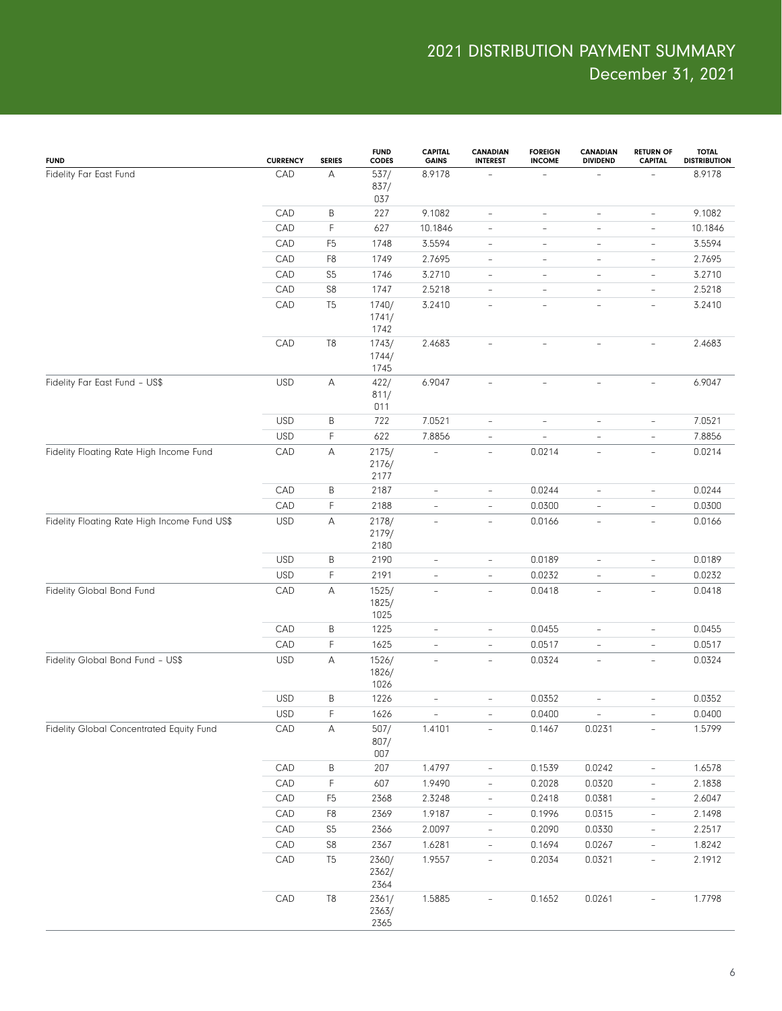| <b>FUND</b>                                  | <b>CURRENCY</b> | <b>SERIES</b>  | <b>FUND</b><br><b>CODES</b> | <b>CAPITAL</b><br><b>GAINS</b> | <b>CANADIAN</b><br><b>INTEREST</b> | <b>FOREIGN</b><br><b>INCOME</b> | CANADIAN<br><b>DIVIDEND</b> | <b>RETURN OF</b><br><b>CAPITAL</b> | <b>TOTAL</b><br><b>DISTRIBUTION</b> |
|----------------------------------------------|-----------------|----------------|-----------------------------|--------------------------------|------------------------------------|---------------------------------|-----------------------------|------------------------------------|-------------------------------------|
| Fidelity Far East Fund                       | CAD             | A              | 537/<br>837/<br>037         | 8.9178                         |                                    |                                 |                             |                                    | 8.9178                              |
|                                              | CAD             | B              | 227                         | 9.1082                         | $\qquad \qquad -$                  | $\qquad \qquad -$               | $\overline{\phantom{0}}$    | $\overline{\phantom{a}}$           | 9.1082                              |
|                                              | CAD             | F              | 627                         | 10.1846                        | $\qquad \qquad -$                  | $\overline{\phantom{a}}$        | $\overline{\phantom{a}}$    | $\overline{\phantom{a}}$           | 10.1846                             |
|                                              | CAD             | F <sub>5</sub> | 1748                        | 3.5594                         | $\qquad \qquad -$                  | $\overline{\phantom{a}}$        | $\overline{\phantom{a}}$    | $\overline{\phantom{a}}$           | 3.5594                              |
|                                              | CAD             | F <sub>8</sub> | 1749                        | 2.7695                         | $\overline{\phantom{a}}$           | $\overline{\phantom{a}}$        | $\overline{\phantom{a}}$    | $\overline{\phantom{a}}$           | 2.7695                              |
|                                              | CAD             | S <sub>5</sub> | 1746                        | 3.2710                         | $\qquad \qquad -$                  | $\overline{\phantom{a}}$        | $\overline{\phantom{a}}$    | $\overline{\phantom{a}}$           | 3.2710                              |
|                                              | CAD             | S8             | 1747                        | 2.5218                         | $\overline{\phantom{a}}$           | $\overline{\phantom{a}}$        | $\overline{\phantom{a}}$    | $\qquad \qquad -$                  | 2.5218                              |
|                                              | CAD             | T <sub>5</sub> | 1740/<br>1741/<br>1742      | 3.2410                         | $\overline{\phantom{a}}$           | $\overline{\phantom{0}}$        | $\overline{\phantom{a}}$    | $\qquad \qquad -$                  | 3.2410                              |
|                                              | CAD             | T <sub>8</sub> | 1743/<br>1744/<br>1745      | 2.4683                         | $\qquad \qquad -$                  | $\overline{\phantom{a}}$        | -                           | $\overline{\phantom{a}}$           | 2.4683                              |
| Fidelity Far East Fund - US\$                | <b>USD</b>      | A              | 422/<br>811/<br>011         | 6.9047                         | $\overline{\phantom{a}}$           | $\bar{ }$                       | $\overline{\phantom{a}}$    | $\overline{\phantom{a}}$           | 6.9047                              |
|                                              | <b>USD</b>      | B              | 722                         | 7.0521                         | $\overline{\phantom{a}}$           | $\overline{\phantom{a}}$        | $\overline{\phantom{a}}$    | $\overline{\phantom{a}}$           | 7.0521                              |
|                                              | <b>USD</b>      | F              | 622                         | 7.8856                         | $\overline{\phantom{a}}$           | $\overline{\phantom{a}}$        | $\overline{\phantom{0}}$    | $\overline{\phantom{a}}$           | 7.8856                              |
| Fidelity Floating Rate High Income Fund      | CAD             | A              | 2175/<br>2176/<br>2177      | ÷,                             | $\overline{\phantom{a}}$           | 0.0214                          | $\overline{\phantom{a}}$    | $\overline{\phantom{a}}$           | 0.0214                              |
|                                              | CAD             | Β              | 2187                        | $\qquad \qquad -$              | $\qquad \qquad -$                  | 0.0244                          | $\overline{\phantom{a}}$    | $\overline{\phantom{a}}$           | 0.0244                              |
|                                              | CAD             | F              | 2188                        | $\overline{\phantom{m}}$       | $\overline{\phantom{a}}$           | 0.0300                          | $\overline{\phantom{a}}$    | $\overline{\phantom{a}}$           | 0.0300                              |
| Fidelity Floating Rate High Income Fund US\$ | <b>USD</b>      | A              | 2178/<br>2179/<br>2180      | $\qquad \qquad -$              | $\overline{\phantom{a}}$           | 0.0166                          | $\overline{\phantom{a}}$    | $\overline{\phantom{a}}$           | 0.0166                              |
|                                              | <b>USD</b>      | B              | 2190                        | $\overline{\phantom{m}}$       | $\qquad \qquad -$                  | 0.0189                          | $\overline{\phantom{0}}$    | $\overline{\phantom{a}}$           | 0.0189                              |
|                                              | <b>USD</b>      | F              | 2191                        | $\bar{ }$                      | $\overline{a}$                     | 0.0232                          | $\overline{\phantom{0}}$    | $\overline{\phantom{a}}$           | 0.0232                              |
| Fidelity Global Bond Fund                    | CAD             | A              | 1525/<br>1825/<br>1025      | $\overline{\phantom{a}}$       | $\overline{\phantom{a}}$           | 0.0418                          | $\overline{\phantom{a}}$    | $\overline{\phantom{a}}$           | 0.0418                              |
|                                              | CAD             | $\sf B$        | 1225                        | $\overline{\phantom{0}}$       | $\qquad \qquad -$                  | 0.0455                          | $\overline{\phantom{0}}$    | $\qquad \qquad -$                  | 0.0455                              |
|                                              | CAD             | F              | 1625                        | $\bar{ }$                      | $\overline{\phantom{a}}$           | 0.0517                          | $\qquad \qquad -$           | $\overline{\phantom{a}}$           | 0.0517                              |
| Fidelity Global Bond Fund - US\$             | <b>USD</b>      | Α              | 1526/<br>1826/<br>1026      | $\bar{ }$                      | $\overline{\phantom{a}}$           | 0.0324                          | $\qquad \qquad -$           | $\overline{\phantom{a}}$           | 0.0324                              |
|                                              | <b>USD</b>      | B              | 1226                        | $\overline{\phantom{0}}$       | $\qquad \qquad -$                  | 0.0352                          | $\qquad \qquad -$           | $\qquad \qquad -$                  | 0.0352                              |
|                                              | <b>USD</b>      | F              | 1626                        |                                |                                    | 0.0400                          |                             |                                    | 0.0400                              |
| Fidelity Global Concentrated Equity Fund     | CAD             | Α              | 507/<br>807/<br>007         | 1.4101                         | $\overline{\phantom{a}}$           | 0.1467                          | 0.0231                      | $\overline{\phantom{a}}$           | 1.5799                              |
|                                              | CAD             | Β              | 207                         | 1.4797                         | $\overline{\phantom{0}}$           | 0.1539                          | 0.0242                      | $\overline{\phantom{a}}$           | 1.6578                              |
|                                              | CAD             | F              | 607                         | 1.9490                         | $\overline{\phantom{a}}$           | 0.2028                          | 0.0320                      | $\overline{\phantom{a}}$           | 2.1838                              |
|                                              | CAD             | F <sub>5</sub> | 2368                        | 2.3248                         | $\overline{\phantom{0}}$           | 0.2418                          | 0.0381                      | $\qquad \qquad -$                  | 2.6047                              |
|                                              | ${\sf CAD}$     | F8             | 2369                        | 1.9187                         | $\overline{\phantom{0}}$           | 0.1996                          | 0.0315                      | $\overline{\phantom{a}}$           | 2.1498                              |
|                                              | CAD             | S <sub>5</sub> | 2366                        | 2.0097                         | $\overline{\phantom{0}}$           | 0.2090                          | 0.0330                      | $\qquad \qquad -$                  | 2.2517                              |
|                                              | ${\sf CAD}$     | $\mathbb{S}8$  | 2367                        | 1.6281                         | $\overline{\phantom{a}}$           | 0.1694                          | 0.0267                      | $\overline{\phantom{a}}$           | 1.8242                              |
|                                              | CAD             | T <sub>5</sub> | 2360/<br>2362/<br>2364      | 1.9557                         | $\overline{\phantom{0}}$           | 0.2034                          | 0.0321                      | $\overline{\phantom{0}}$           | 2.1912                              |
|                                              | CAD             | T <sub>8</sub> | 2361/<br>2363/<br>2365      | 1.5885                         | $\overline{\phantom{a}}$           | 0.1652                          | 0.0261                      | $\overline{\phantom{a}}$           | 1.7798                              |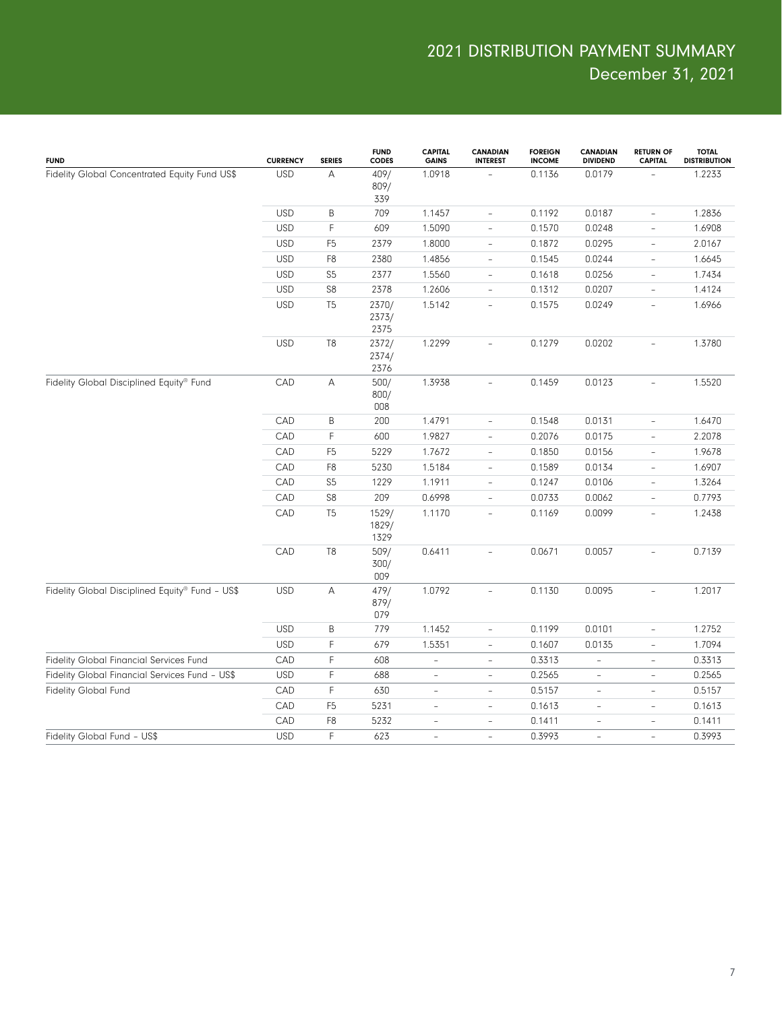| <b>FUND</b>                                     | <b>CURRENCY</b> | <b>SERIES</b>  | <b>FUND</b><br>CODES   | <b>CAPITAL</b><br><b>GAINS</b> | <b>CANADIAN</b><br><b>INTEREST</b> | <b>FOREIGN</b><br><b>INCOME</b> | <b>CANADIAN</b><br><b>DIVIDEND</b> | <b>RETURN OF</b><br><b>CAPITAL</b> | <b>TOTAL</b><br><b>DISTRIBUTION</b> |
|-------------------------------------------------|-----------------|----------------|------------------------|--------------------------------|------------------------------------|---------------------------------|------------------------------------|------------------------------------|-------------------------------------|
| Fidelity Global Concentrated Equity Fund US\$   | <b>USD</b>      | А              | 409/<br>809/<br>339    | 1.0918                         |                                    | 0.1136                          | 0.0179                             |                                    | 1.2233                              |
|                                                 | <b>USD</b>      | B              | 709                    | 1.1457                         | $\overline{\phantom{a}}$           | 0.1192                          | 0.0187                             | $\overline{\phantom{a}}$           | 1.2836                              |
|                                                 | <b>USD</b>      | F              | 609                    | 1.5090                         | $\overline{\phantom{a}}$           | 0.1570                          | 0.0248                             | $\overline{\phantom{a}}$           | 1.6908                              |
|                                                 | <b>USD</b>      | F <sub>5</sub> | 2379                   | 1.8000                         | $\overline{\phantom{a}}$           | 0.1872                          | 0.0295                             | $\overline{\phantom{a}}$           | 2.0167                              |
|                                                 | <b>USD</b>      | F8             | 2380                   | 1.4856                         | $\overline{\phantom{a}}$           | 0.1545                          | 0.0244                             | $\overline{\phantom{a}}$           | 1.6645                              |
|                                                 | <b>USD</b>      | S <sub>5</sub> | 2377                   | 1.5560                         | $\overline{\phantom{a}}$           | 0.1618                          | 0.0256                             | $\overline{\phantom{a}}$           | 1.7434                              |
|                                                 | <b>USD</b>      | ${\sf S8}$     | 2378                   | 1.2606                         | $\qquad \qquad -$                  | 0.1312                          | 0.0207                             | $\overline{\phantom{a}}$           | 1.4124                              |
|                                                 | <b>USD</b>      | T <sub>5</sub> | 2370/<br>2373/<br>2375 | 1.5142                         | $\overline{\phantom{a}}$           | 0.1575                          | 0.0249                             | $\overline{\phantom{a}}$           | 1.6966                              |
|                                                 | <b>USD</b>      | T <sub>8</sub> | 2372/<br>2374/<br>2376 | 1.2299                         | $\overline{\phantom{a}}$           | 0.1279                          | 0.0202                             | $\overline{\phantom{a}}$           | 1.3780                              |
| Fidelity Global Disciplined Equity® Fund        | CAD             | A              | 500/<br>800/<br>008    | 1.3938                         | $\overline{\phantom{a}}$           | 0.1459                          | 0.0123                             |                                    | 1.5520                              |
|                                                 | CAD             | B              | 200                    | 1.4791                         | $\overline{\phantom{a}}$           | 0.1548                          | 0.0131                             | $\overline{\phantom{a}}$           | 1.6470                              |
|                                                 | CAD             | F              | 600                    | 1.9827                         | $\overline{a}$                     | 0.2076                          | 0.0175                             | $\overline{\phantom{a}}$           | 2.2078                              |
|                                                 | CAD             | F <sub>5</sub> | 5229                   | 1.7672                         | $\overline{\phantom{a}}$           | 0.1850                          | 0.0156                             | $\overline{\phantom{a}}$           | 1.9678                              |
|                                                 | CAD             | F8             | 5230                   | 1.5184                         | $\overline{\phantom{a}}$           | 0.1589                          | 0.0134                             | $\overline{\phantom{a}}$           | 1.6907                              |
|                                                 | CAD             | S <sub>5</sub> | 1229                   | 1.1911                         | $\overline{\phantom{a}}$           | 0.1247                          | 0.0106                             | $\overline{\phantom{a}}$           | 1.3264                              |
|                                                 | CAD             | ${\sf S8}$     | 209                    | 0.6998                         | $\frac{1}{2}$                      | 0.0733                          | 0.0062                             | $\overline{\phantom{a}}$           | 0.7793                              |
|                                                 | CAD             | T <sub>5</sub> | 1529/<br>1829/<br>1329 | 1.1170                         | $\overline{\phantom{0}}$           | 0.1169                          | 0.0099                             | $\overline{\phantom{a}}$           | 1.2438                              |
|                                                 | CAD             | T <sub>8</sub> | 509/<br>300/<br>009    | 0.6411                         | $\overline{a}$                     | 0.0671                          | 0.0057                             |                                    | 0.7139                              |
| Fidelity Global Disciplined Equity® Fund - US\$ | <b>USD</b>      | $\mathsf A$    | 479/<br>879/<br>079    | 1.0792                         | $\overline{\phantom{a}}$           | 0.1130                          | 0.0095                             | $\overline{\phantom{a}}$           | 1.2017                              |
|                                                 | <b>USD</b>      | $\sf B$        | 779                    | 1.1452                         | $\overline{\phantom{a}}$           | 0.1199                          | 0.0101                             | $\overline{\phantom{a}}$           | 1.2752                              |
|                                                 | <b>USD</b>      | F              | 679                    | 1.5351                         | $\overline{\phantom{a}}$           | 0.1607                          | 0.0135                             | $\overline{\phantom{a}}$           | 1.7094                              |
| Fidelity Global Financial Services Fund         | CAD             | F              | 608                    | $\overline{\phantom{a}}$       | $\overline{\phantom{a}}$           | 0.3313                          | $\qquad \qquad -$                  | $\overline{\phantom{a}}$           | 0.3313                              |
| Fidelity Global Financial Services Fund - US\$  | <b>USD</b>      | F              | 688                    | $\overline{\phantom{a}}$       | $\overline{\phantom{a}}$           | 0.2565                          | $\qquad \qquad -$                  | $\overline{\phantom{a}}$           | 0.2565                              |
| <b>Fidelity Global Fund</b>                     | CAD             | F              | 630                    | $\overline{\phantom{a}}$       | $\overline{\phantom{a}}$           | 0.5157                          | $\qquad \qquad -$                  | $\overline{\phantom{a}}$           | 0.5157                              |
|                                                 | CAD             | F <sub>5</sub> | 5231                   | $\overline{\phantom{a}}$       | L,                                 | 0.1613                          | ÷,                                 | $\overline{\phantom{a}}$           | 0.1613                              |
|                                                 | CAD             | F8             | 5232                   | $\overline{\phantom{a}}$       | $\equiv$                           | 0.1411                          | $\overline{\phantom{0}}$           | $\overline{\phantom{a}}$           | 0.1411                              |
| Fidelity Global Fund - US\$                     | <b>USD</b>      | F              | 623                    | $\overline{\phantom{a}}$       | $\bar{ }$                          | 0.3993                          | $\bar{ }$                          | $\overline{\phantom{a}}$           | 0.3993                              |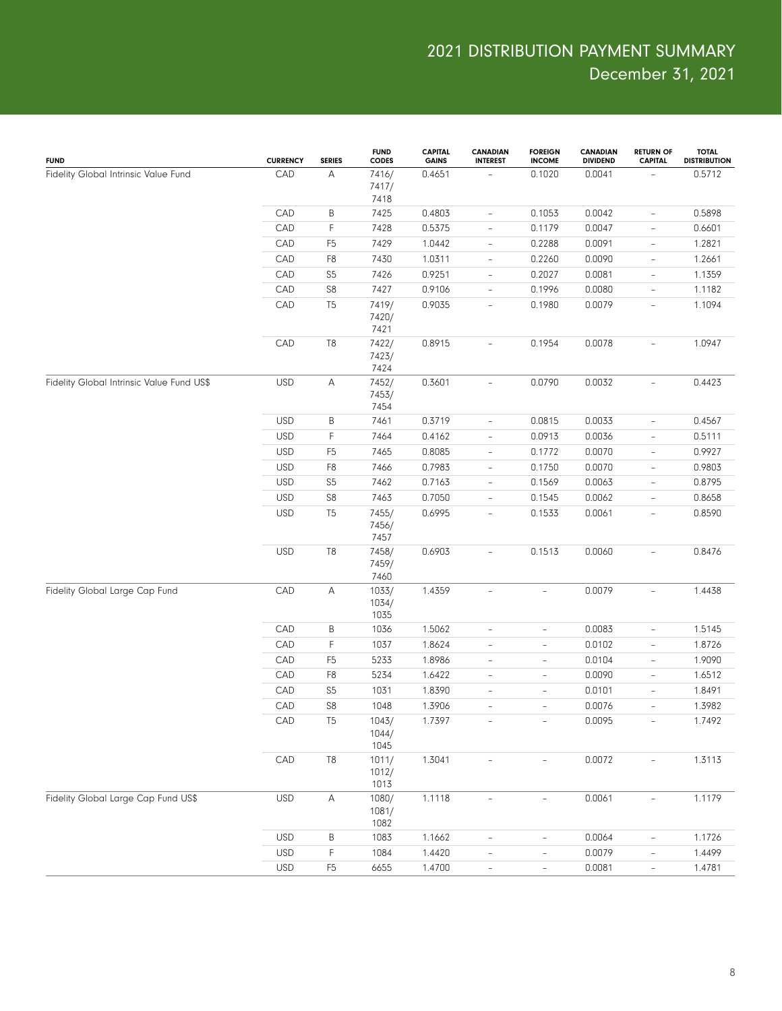| <b>FUND</b>                               | <b>CURRENCY</b> | <b>SERIES</b>  | <b>FUND</b><br><b>CODES</b> | <b>CAPITAL</b><br><b>GAINS</b> | CANADIAN<br><b>INTEREST</b> | <b>FOREIGN</b><br><b>INCOME</b> | CANADIAN<br><b>DIVIDEND</b> | <b>RETURN OF</b><br><b>CAPITAL</b> | <b>TOTAL</b><br><b>DISTRIBUTION</b> |
|-------------------------------------------|-----------------|----------------|-----------------------------|--------------------------------|-----------------------------|---------------------------------|-----------------------------|------------------------------------|-------------------------------------|
| Fidelity Global Intrinsic Value Fund      | CAD             | A              | 7416/<br>7417/<br>7418      | 0.4651                         |                             | 0.1020                          | 0.0041                      |                                    | 0.5712                              |
|                                           | CAD             | B              | 7425                        | 0.4803                         | $\overline{\phantom{a}}$    | 0.1053                          | 0.0042                      | $\overline{\phantom{a}}$           | 0.5898                              |
|                                           | CAD             | F              | 7428                        | 0.5375                         | $\overline{\phantom{a}}$    | 0.1179                          | 0.0047                      | $\overline{\phantom{a}}$           | 0.6601                              |
|                                           | CAD             | F <sub>5</sub> | 7429                        | 1.0442                         | $\overline{\phantom{a}}$    | 0.2288                          | 0.0091                      | $\overline{\phantom{a}}$           | 1.2821                              |
|                                           | CAD             | F8             | 7430                        | 1.0311                         | $\overline{\phantom{a}}$    | 0.2260                          | 0.0090                      | $\overline{\phantom{a}}$           | 1.2661                              |
|                                           | CAD             | S <sub>5</sub> | 7426                        | 0.9251                         | $\overline{\phantom{a}}$    | 0.2027                          | 0.0081                      | $\overline{\phantom{a}}$           | 1.1359                              |
|                                           | CAD             | ${\sf S8}$     | 7427                        | 0.9106                         | $\overline{\phantom{a}}$    | 0.1996                          | 0.0080                      | $\overline{\phantom{a}}$           | 1.1182                              |
|                                           | CAD             | T <sub>5</sub> | 7419/<br>7420/<br>7421      | 0.9035                         | $\overline{\phantom{a}}$    | 0.1980                          | 0.0079                      | $\overline{\phantom{a}}$           | 1.1094                              |
|                                           | CAD             | $\mathsf{T}8$  | 7422/<br>7423/<br>7424      | 0.8915                         | $\overline{\phantom{a}}$    | 0.1954                          | 0.0078                      | $\overline{\phantom{a}}$           | 1.0947                              |
| Fidelity Global Intrinsic Value Fund US\$ | <b>USD</b>      | Α              | 7452/<br>7453/<br>7454      | 0.3601                         | $\overline{\phantom{a}}$    | 0.0790                          | 0.0032                      | $\overline{\phantom{a}}$           | 0.4423                              |
|                                           | <b>USD</b>      | B              | 7461                        | 0.3719                         | $\overline{\phantom{a}}$    | 0.0815                          | 0.0033                      | $\qquad \qquad -$                  | 0.4567                              |
|                                           | <b>USD</b>      | F              | 7464                        | 0.4162                         | $\overline{\phantom{a}}$    | 0.0913                          | 0.0036                      | $\overline{\phantom{a}}$           | 0.5111                              |
|                                           | <b>USD</b>      | F <sub>5</sub> | 7465                        | 0.8085                         | $\qquad \qquad -$           | 0.1772                          | 0.0070                      | $\qquad \qquad -$                  | 0.9927                              |
|                                           | <b>USD</b>      | ${\sf F8}$     | 7466                        | 0.7983                         | $\qquad \qquad -$           | 0.1750                          | 0.0070                      | $\qquad \qquad -$                  | 0.9803                              |
|                                           | <b>USD</b>      | S <sub>5</sub> | 7462                        | 0.7163                         | $\qquad \qquad -$           | 0.1569                          | 0.0063                      | $\qquad \qquad -$                  | 0.8795                              |
|                                           | <b>USD</b>      | ${\sf S8}$     | 7463                        | 0.7050                         | $\overline{\phantom{a}}$    | 0.1545                          | 0.0062                      | $\qquad \qquad -$                  | 0.8658                              |
|                                           | <b>USD</b>      | T <sub>5</sub> | 7455/<br>7456/<br>7457      | 0.6995                         | $\overline{\phantom{a}}$    | 0.1533                          | 0.0061                      | $\overline{\phantom{a}}$           | 0.8590                              |
|                                           | <b>USD</b>      | $\mathsf{T}8$  | 7458/<br>7459/<br>7460      | 0.6903                         | $\overline{\phantom{a}}$    | 0.1513                          | 0.0060                      | $\overline{\phantom{a}}$           | 0.8476                              |
| Fidelity Global Large Cap Fund            | CAD             | $\mathsf A$    | 1033/<br>1034/<br>1035      | 1.4359                         | $\overline{\phantom{a}}$    | $\overline{\phantom{a}}$        | 0.0079                      | $\overline{\phantom{a}}$           | 1.4438                              |
|                                           | CAD             | B              | 1036                        | 1.5062                         | $\overline{\phantom{a}}$    | $\overline{\phantom{a}}$        | 0.0083                      | $\overline{\phantom{a}}$           | 1.5145                              |
|                                           | CAD             | F              | 1037                        | 1.8624                         | $\overline{\phantom{a}}$    | $\overline{\phantom{a}}$        | 0.0102                      | $\overline{\phantom{a}}$           | 1.8726                              |
|                                           | CAD             | F <sub>5</sub> | 5233                        | 1.8986                         | $\overline{\phantom{a}}$    | $\overline{\phantom{a}}$        | 0.0104                      | $\overline{\phantom{a}}$           | 1.9090                              |
|                                           | CAD             | F8             | 5234                        | 1.6422                         | $\overline{\phantom{a}}$    | $\overline{\phantom{a}}$        | 0.0090                      | $\overline{\phantom{a}}$           | 1.6512                              |
|                                           | CAD             | S <sub>5</sub> | 1031                        | 1.8390                         | $\overline{\phantom{a}}$    | $\overline{\phantom{a}}$        | 0.0101                      | $\overline{\phantom{a}}$           | 1.8491                              |
|                                           | CAD             | ${\sf S8}$     | 1048                        | 1.3906                         | $\overline{\phantom{a}}$    | $\qquad \qquad -$               | 0.0076                      | $\qquad \qquad -$                  | 1.3982                              |
|                                           | CAD             | T <sub>5</sub> | 1043/<br>1044/<br>1045      | 1.7397                         |                             |                                 | 0.0095                      |                                    | 1.7492                              |
|                                           | CAD             | $\mathsf{T}8$  | 1011/<br>1012/<br>1013      | 1.3041                         | $\overline{\phantom{a}}$    | $\overline{\phantom{a}}$        | 0.0072                      | $\overline{\phantom{a}}$           | 1.3113                              |
| Fidelity Global Large Cap Fund US\$       | <b>USD</b>      | $\mathsf A$    | 1080/<br>1081/<br>1082      | 1.1118                         | $\overline{\phantom{a}}$    | $\overline{\phantom{a}}$        | 0.0061                      | $\overline{\phantom{a}}$           | 1.1179                              |
|                                           | <b>USD</b>      | B              | 1083                        | 1.1662                         | $\overline{\phantom{a}}$    | $\overline{\phantom{a}}$        | 0.0064                      | $\overline{\phantom{a}}$           | 1.1726                              |
|                                           | <b>USD</b>      | F              | 1084                        | 1.4420                         | $\qquad \qquad -$           | $\qquad \qquad -$               | 0.0079                      | $\qquad \qquad -$                  | 1.4499                              |
|                                           | <b>USD</b>      | F <sub>5</sub> | 6655                        | 1.4700                         | $\overline{\phantom{a}}$    | $\overline{\phantom{a}}$        | 0.0081                      | $\overline{\phantom{a}}$           | 1.4781                              |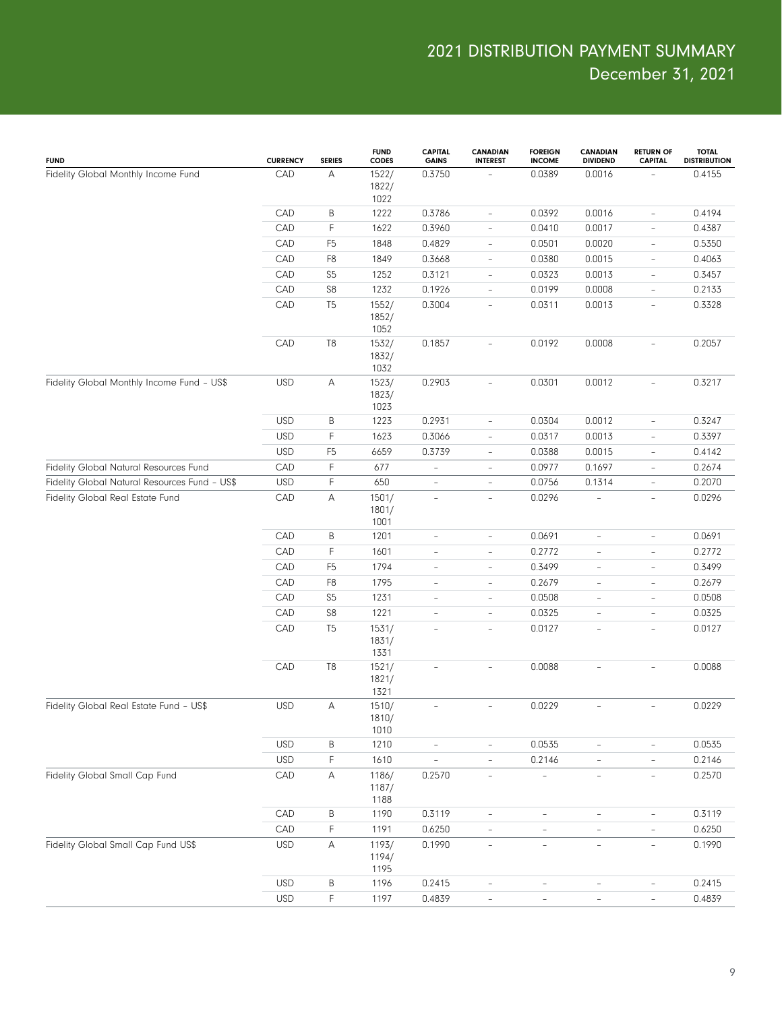| <b>FUND</b>                                   | <b>CURRENCY</b> | <b>SERIES</b>  | <b>FUND</b><br><b>CODES</b> | <b>CAPITAL</b><br><b>GAINS</b> | CANADIAN<br><b>INTEREST</b> | <b>FOREIGN</b><br><b>INCOME</b> | <b>CANADIAN</b><br><b>DIVIDEND</b> | <b>RETURN OF</b><br><b>CAPITAL</b> | <b>TOTAL</b><br><b>DISTRIBUTION</b> |
|-----------------------------------------------|-----------------|----------------|-----------------------------|--------------------------------|-----------------------------|---------------------------------|------------------------------------|------------------------------------|-------------------------------------|
| Fidelity Global Monthly Income Fund           | CAD             | Α              | 1522/<br>1822/<br>1022      | 0.3750                         |                             | 0.0389                          | 0.0016                             |                                    | 0.4155                              |
|                                               | CAD             | В              | 1222                        | 0.3786                         | $\overline{\phantom{a}}$    | 0.0392                          | 0.0016                             | $\overline{\phantom{a}}$           | 0.4194                              |
|                                               | CAD             | F              | 1622                        | 0.3960                         | $\overline{\phantom{a}}$    | 0.0410                          | 0.0017                             | $\overline{\phantom{a}}$           | 0.4387                              |
|                                               | CAD             | F <sub>5</sub> | 1848                        | 0.4829                         | $\overline{\phantom{a}}$    | 0.0501                          | 0.0020                             | $\overline{\phantom{a}}$           | 0.5350                              |
|                                               | CAD             | F <sub>8</sub> | 1849                        | 0.3668                         | $\overline{\phantom{a}}$    | 0.0380                          | 0.0015                             | $\overline{\phantom{a}}$           | 0.4063                              |
|                                               | CAD             | S <sub>5</sub> | 1252                        | 0.3121                         | $\overline{\phantom{a}}$    | 0.0323                          | 0.0013                             | $\overline{\phantom{a}}$           | 0.3457                              |
|                                               | CAD             | S8             | 1232                        | 0.1926                         | $\overline{\phantom{a}}$    | 0.0199                          | 0.0008                             | $\overline{\phantom{a}}$           | 0.2133                              |
|                                               | CAD             | T <sub>5</sub> | 1552/<br>1852/<br>1052      | 0.3004                         | $\overline{\phantom{a}}$    | 0.0311                          | 0.0013                             | $\overline{\phantom{a}}$           | 0.3328                              |
|                                               | CAD             | T <sub>8</sub> | 1532/<br>1832/<br>1032      | 0.1857                         | L.                          | 0.0192                          | 0.0008                             | $\overline{\phantom{a}}$           | 0.2057                              |
| Fidelity Global Monthly Income Fund - US\$    | <b>USD</b>      | $\mathsf A$    | 1523/<br>1823/<br>1023      | 0.2903                         | $\overline{\phantom{a}}$    | 0.0301                          | 0.0012                             | $\overline{\phantom{a}}$           | 0.3217                              |
|                                               | <b>USD</b>      | B              | 1223                        | 0.2931                         | $\overline{\phantom{a}}$    | 0.0304                          | 0.0012                             | $\overline{\phantom{a}}$           | 0.3247                              |
|                                               | <b>USD</b>      | F              | 1623                        | 0.3066                         | $\overline{a}$              | 0.0317                          | 0.0013                             | $\overline{\phantom{a}}$           | 0.3397                              |
|                                               | <b>USD</b>      | F <sub>5</sub> | 6659                        | 0.3739                         | $\overline{\phantom{a}}$    | 0.0388                          | 0.0015                             | $\overline{\phantom{a}}$           | 0.4142                              |
| Fidelity Global Natural Resources Fund        | CAD             | F              | 677                         | ÷,                             | $\overline{\phantom{a}}$    | 0.0977                          | 0.1697                             | $\overline{\phantom{a}}$           | 0.2674                              |
| Fidelity Global Natural Resources Fund - US\$ | <b>USD</b>      | F              | 650                         | ÷,                             | $\overline{\phantom{0}}$    | 0.0756                          | 0.1314                             | $\overline{\phantom{a}}$           | 0.2070                              |
| Fidelity Global Real Estate Fund              | CAD             | Α              | 1501/<br>1801/<br>1001      | $\overline{\phantom{a}}$       | $\overline{\phantom{0}}$    | 0.0296                          |                                    | $\overline{\phantom{a}}$           | 0.0296                              |
|                                               | CAD             | B              | 1201                        | $\overline{\phantom{0}}$       | $\overline{\phantom{a}}$    | 0.0691                          | $\overline{\phantom{0}}$           | $\overline{\phantom{a}}$           | 0.0691                              |
|                                               | CAD             | F              | 1601                        | $\overline{\phantom{m}}$       | $\overline{\phantom{a}}$    | 0.2772                          | $\overline{a}$                     | $\overline{\phantom{a}}$           | 0.2772                              |
|                                               | CAD             | F <sub>5</sub> | 1794                        | $\overline{\phantom{m}}$       | $\overline{\phantom{a}}$    | 0.3499                          | $\overline{\phantom{0}}$           | $\overline{\phantom{a}}$           | 0.3499                              |
|                                               | CAD             | F <sub>8</sub> | 1795                        | $\overline{\phantom{m}}$       | $\overline{\phantom{a}}$    | 0.2679                          | $\overline{\phantom{0}}$           | $\overline{\phantom{a}}$           | 0.2679                              |
|                                               | CAD             | S <sub>5</sub> | 1231                        | $\overline{\phantom{0}}$       | $\overline{\phantom{a}}$    | 0.0508                          | $\overline{\phantom{0}}$           | $\overline{\phantom{a}}$           | 0.0508                              |
|                                               | CAD             | S <sub>8</sub> | 1221                        | $\overline{\phantom{a}}$       | $\overline{a}$              | 0.0325                          | $\overline{\phantom{0}}$           | $\overline{\phantom{a}}$           | 0.0325                              |
|                                               | CAD             | T <sub>5</sub> | 1531/<br>1831/<br>1331      | $\bar{ }$                      | $\overline{\phantom{a}}$    | 0.0127                          | $\overline{\phantom{0}}$           | $\overline{\phantom{a}}$           | 0.0127                              |
|                                               | CAD             | T <sub>8</sub> | 1521/<br>1821/<br>1321      | $\overline{\phantom{a}}$       | L.                          | 0.0088                          | $\overline{a}$                     | $\overline{\phantom{a}}$           | 0.0088                              |
| Fidelity Global Real Estate Fund - US\$       | <b>USD</b>      | А              | 1510/<br>1810/<br>1010      | $\qquad \qquad -$              | $\overline{\phantom{0}}$    | 0.0229                          | $\overline{\phantom{0}}$           | $\overline{\phantom{a}}$           | 0.0229                              |
|                                               | <b>USD</b>      | B              | 1210                        | $\overline{\phantom{a}}$       | $\overline{\phantom{a}}$    | 0.0535                          | $\overline{\phantom{0}}$           | $\overline{\phantom{a}}$           | 0.0535                              |
|                                               | <b>USD</b>      | F              | 1610                        | $\overline{\phantom{a}}$       | $\qquad \qquad -$           | 0.2146                          | $\overline{\phantom{0}}$           | $\overline{\phantom{a}}$           | 0.2146                              |
| Fidelity Global Small Cap Fund                | CAD             | $\mathsf A$    | 1186/<br>1187/<br>1188      | 0.2570                         | $\overline{\phantom{a}}$    | $\frac{1}{2}$                   | $\overline{\phantom{0}}$           | $\overline{\phantom{a}}$           | 0.2570                              |
|                                               | CAD             | $\sf B$        | 1190                        | 0.3119                         | $\overline{\phantom{a}}$    | $\overline{\phantom{a}}$        | $\overline{\phantom{0}}$           | $\overline{\phantom{a}}$           | 0.3119                              |
|                                               | CAD             | F              | 1191                        | 0.6250                         | $\overline{\phantom{0}}$    | $\qquad \qquad -$               | $\overline{\phantom{0}}$           | $\overline{\phantom{0}}$           | 0.6250                              |
| Fidelity Global Small Cap Fund US\$           | <b>USD</b>      | $\mathsf A$    | 1193/<br>1194/<br>1195      | 0.1990                         | $\overline{a}$              | $\overline{\phantom{a}}$        |                                    | $\overline{\phantom{a}}$           | 0.1990                              |
|                                               | <b>USD</b>      | $\sf B$        | 1196                        | 0.2415                         | $\overline{\phantom{a}}$    | $\overline{\phantom{a}}$        | ÷,                                 | $\overline{\phantom{a}}$           | 0.2415                              |
|                                               | <b>USD</b>      | F              | 1197                        | 0.4839                         | $\overline{\phantom{a}}$    | $\overline{\phantom{a}}$        | $\qquad \qquad -$                  | $\overline{\phantom{a}}$           | 0.4839                              |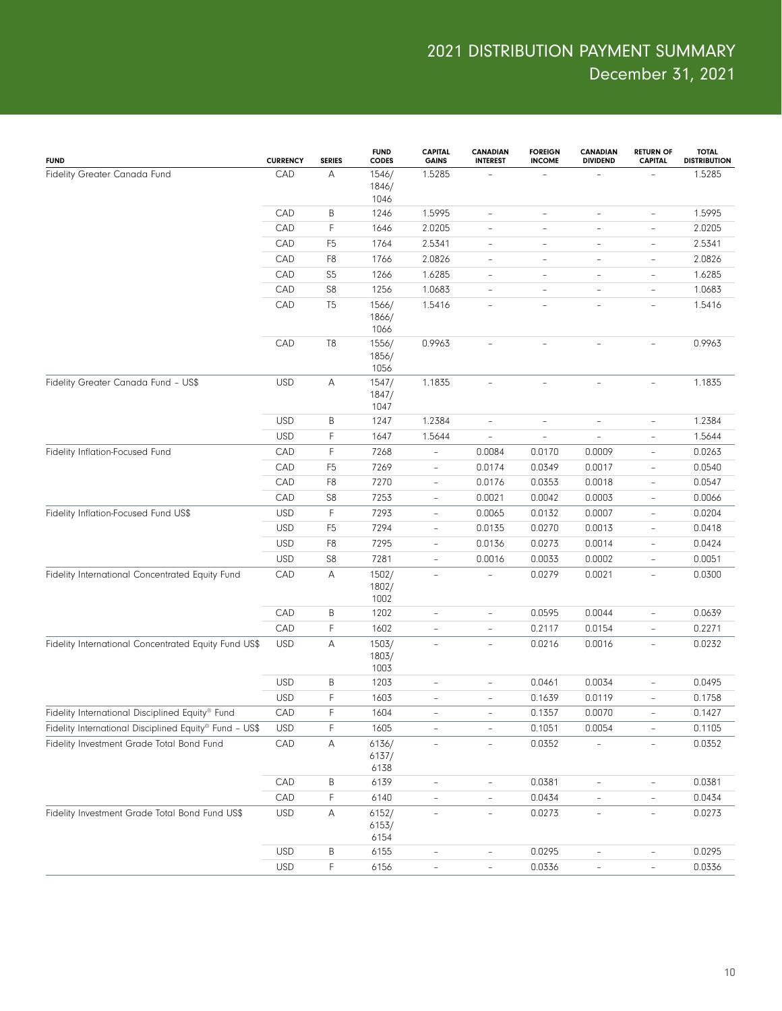| <b>FUND</b>                                            | <b>CURRENCY</b>   | <b>SERIES</b>       | <b>FUND</b><br>CODES           | <b>CAPITAL</b><br><b>GAINS</b>                | CANADIAN<br><b>INTEREST</b> | <b>FOREIGN</b><br><b>INCOME</b> | <b>CANADIAN</b><br><b>DIVIDEND</b> | <b>RETURN OF</b><br><b>CAPITAL</b>                   | <b>TOTAL</b><br><b>DISTRIBUTION</b> |
|--------------------------------------------------------|-------------------|---------------------|--------------------------------|-----------------------------------------------|-----------------------------|---------------------------------|------------------------------------|------------------------------------------------------|-------------------------------------|
| Fidelity Greater Canada Fund                           | CAD               | Α                   | 1546/<br>1846/<br>1046         | 1.5285                                        |                             |                                 |                                    |                                                      | 1.5285                              |
|                                                        | CAD               | Β                   | 1246                           | 1.5995                                        | $\overline{\phantom{a}}$    | $\overline{\phantom{a}}$        | $\overline{\phantom{a}}$           | $\overline{\phantom{a}}$                             | 1.5995                              |
|                                                        | CAD               | F                   | 1646                           | 2.0205                                        | $\overline{\phantom{0}}$    | $\qquad \qquad -$               | $\overline{\phantom{0}}$           | $\overline{\phantom{a}}$                             | 2.0205                              |
|                                                        | CAD               | F <sub>5</sub>      | 1764                           | 2.5341                                        | $\overline{\phantom{a}}$    | $\overline{\phantom{a}}$        | $\qquad \qquad -$                  | $\overline{\phantom{a}}$                             | 2.5341                              |
|                                                        | CAD               | F <sub>8</sub>      | 1766                           | 2.0826                                        | $\overline{\phantom{a}}$    | $\overline{\phantom{a}}$        | $\qquad \qquad -$                  | $\overline{\phantom{a}}$                             | 2.0826                              |
|                                                        | CAD               | S <sub>5</sub>      | 1266                           | 1.6285                                        | -                           | $\overline{\phantom{a}}$        | $\qquad \qquad -$                  | $\overline{\phantom{a}}$                             | 1.6285                              |
|                                                        | CAD               | S <sub>8</sub>      | 1256                           | 1.0683                                        | $\overline{\phantom{0}}$    | $\overline{\phantom{a}}$        | $\overline{\phantom{0}}$           | $\overline{\phantom{a}}$                             | 1.0683                              |
|                                                        | CAD               | T <sub>5</sub>      | 1566/<br>1866/<br>1066         | 1.5416                                        | $\overline{\phantom{0}}$    | $\overline{\phantom{a}}$        | $\qquad \qquad -$                  | $\overline{\phantom{a}}$                             | 1.5416                              |
|                                                        | CAD               | T <sub>8</sub>      | 1556/<br>1856/<br>1056         | 0.9963                                        |                             |                                 |                                    |                                                      | 0.9963                              |
| Fidelity Greater Canada Fund - US\$                    | <b>USD</b>        | Α                   | 1547/<br>1847/<br>1047         | 1.1835                                        | $\overline{\phantom{a}}$    | $\overline{\phantom{a}}$        | $\overline{\phantom{0}}$           | $\overline{\phantom{a}}$                             | 1.1835                              |
|                                                        | <b>USD</b>        | B                   | 1247                           | 1.2384                                        | $\overline{\phantom{0}}$    | $\overline{\phantom{a}}$        | L,                                 | $\overline{\phantom{a}}$                             | 1.2384                              |
|                                                        | <b>USD</b>        | F                   | 1647                           | 1.5644                                        | L.                          | Ē,                              | $\overline{\phantom{0}}$           | $\overline{\phantom{a}}$                             | 1.5644                              |
| Fidelity Inflation-Focused Fund                        | CAD               | F                   | 7268                           | $\overline{\phantom{a}}$                      | 0.0084                      | 0.0170                          | 0.0009                             | $\overline{\phantom{a}}$                             | 0.0263                              |
|                                                        | CAD               | F <sub>5</sub>      | 7269                           | $\overline{\phantom{a}}$                      | 0.0174                      | 0.0349                          | 0.0017                             | $\overline{\phantom{a}}$                             | 0.0540                              |
|                                                        | CAD               | F <sub>8</sub>      | 7270                           | $\overline{\phantom{a}}$                      | 0.0176                      | 0.0353                          | 0.0018                             | $\overline{\phantom{a}}$                             | 0.0547                              |
|                                                        | CAD               | S <sub>8</sub>      | 7253                           | $\qquad \qquad -$                             | 0.0021                      | 0.0042                          | 0.0003                             | $\overline{\phantom{a}}$                             | 0.0066                              |
| Fidelity Inflation-Focused Fund US\$                   | <b>USD</b>        | F                   | 7293                           | $\overline{\phantom{a}}$                      | 0.0065                      | 0.0132                          | 0.0007                             | $\overline{\phantom{a}}$                             | 0.0204                              |
|                                                        | <b>USD</b>        | F <sub>5</sub>      | 7294                           | $\overline{\phantom{a}}$                      | 0.0135                      | 0.0270                          | 0.0013                             | $\overline{\phantom{a}}$                             | 0.0418                              |
|                                                        | <b>USD</b>        | F <sub>8</sub>      | 7295                           | $\overline{\phantom{a}}$                      | 0.0136                      | 0.0273                          | 0.0014                             | $\overline{\phantom{a}}$                             | 0.0424                              |
| Fidelity International Concentrated Equity Fund        | <b>USD</b><br>CAD | S <sub>8</sub><br>A | 7281<br>1502/<br>1802/<br>1002 | $\qquad \qquad -$<br>$\overline{\phantom{a}}$ | 0.0016                      | 0.0033<br>0.0279                | 0.0002<br>0.0021                   | $\overline{\phantom{a}}$<br>$\overline{\phantom{a}}$ | 0.0051<br>0.0300                    |
|                                                        | CAD               | B                   | 1202                           | $\overline{\phantom{m}}$                      | -                           | 0.0595                          | 0.0044                             | $\overline{\phantom{a}}$                             | 0.0639                              |
|                                                        | CAD               | F                   | 1602                           | $\overline{\phantom{a}}$                      | $\overline{\phantom{0}}$    | 0.2117                          | 0.0154                             | $\overline{\phantom{a}}$                             | 0.2271                              |
| Fidelity International Concentrated Equity Fund US\$   | <b>USD</b>        | Α                   | 1503/<br>1803/<br>1003         | $\overline{\phantom{a}}$                      | $\overline{\phantom{a}}$    | 0.0216                          | 0.0016                             | $\overline{\phantom{a}}$                             | 0.0232                              |
|                                                        | <b>USD</b>        | B                   | 1203                           | $\overline{\phantom{a}}$                      | $\overline{a}$              | 0.0461                          | 0.0034                             | $\overline{\phantom{a}}$                             | 0.0495                              |
|                                                        | <b>USD</b>        | F                   | 1603                           | $\overline{\phantom{a}}$                      | $\overline{\phantom{0}}$    | 0.1639                          | 0.0119                             | $\overline{\phantom{a}}$                             | 0.1758                              |
| Fidelity International Disciplined Equity® Fund        | CAD               | F                   | 1604                           |                                               |                             | 0.1357                          | 0.0070                             |                                                      | 0.1427                              |
| Fidelity International Disciplined Equity® Fund - US\$ | <b>USD</b>        | F                   | 1605                           | $\overline{\phantom{a}}$                      | $\overline{\phantom{a}}$    | 0.1051                          | 0.0054                             | $\overline{\phantom{a}}$                             | 0.1105                              |
| Fidelity Investment Grade Total Bond Fund              | CAD               | Α                   | 6136/<br>6137/<br>6138         |                                               |                             | 0.0352                          |                                    |                                                      | 0.0352                              |
|                                                        | CAD               | B                   | 6139                           | $\qquad \qquad -$                             | $\overline{\phantom{0}}$    | 0.0381                          | $\overline{\phantom{0}}$           | $\overline{\phantom{a}}$                             | 0.0381                              |
|                                                        | CAD               | F                   | 6140                           | L,                                            | $\overline{a}$              | 0.0434                          | $\equiv$                           | $\overline{\phantom{a}}$                             | 0.0434                              |
| Fidelity Investment Grade Total Bond Fund US\$         | <b>USD</b>        | Α                   | 6152/<br>6153/<br>6154         | $\qquad \qquad -$                             | $\overline{\phantom{a}}$    | 0.0273                          | $\overline{\phantom{0}}$           | $\overline{\phantom{a}}$                             | 0.0273                              |
|                                                        | <b>USD</b>        | Β                   | 6155                           | $\qquad \qquad -$                             | $\overline{\phantom{a}}$    | 0.0295                          | ÷,                                 | $\overline{\phantom{a}}$                             | 0.0295                              |
|                                                        | <b>USD</b>        | F                   | 6156                           | $\overline{\phantom{a}}$                      | $\qquad \qquad -$           | 0.0336                          | $\overline{\phantom{0}}$           | $\overline{\phantom{a}}$                             | 0.0336                              |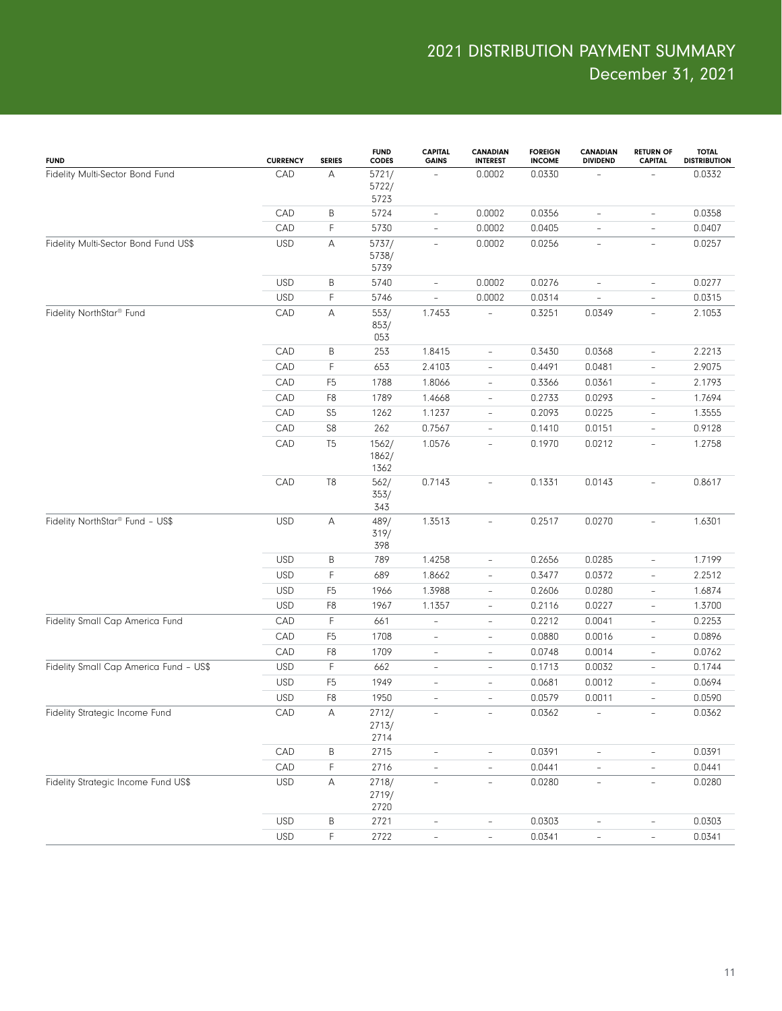| <b>FUND</b>                                 | <b>CURRENCY</b> | <b>SERIES</b>  | <b>FUND</b><br><b>CODES</b> | <b>CAPITAL</b><br><b>GAINS</b> | CANADIAN<br><b>INTEREST</b> | <b>FOREIGN</b><br><b>INCOME</b> | <b>CANADIAN</b><br><b>DIVIDEND</b> | <b>RETURN OF</b><br><b>CAPITAL</b> | <b>TOTAL</b><br><b>DISTRIBUTION</b> |
|---------------------------------------------|-----------------|----------------|-----------------------------|--------------------------------|-----------------------------|---------------------------------|------------------------------------|------------------------------------|-------------------------------------|
| Fidelity Multi-Sector Bond Fund             | CAD             | А              | 5721/<br>5722/<br>5723      |                                | 0.0002                      | 0.0330                          |                                    |                                    | 0.0332                              |
|                                             | CAD             | В              | 5724                        | $\overline{\phantom{a}}$       | 0.0002                      | 0.0356                          | $\qquad \qquad -$                  | $\overline{\phantom{a}}$           | 0.0358                              |
|                                             | CAD             | F              | 5730                        | $\overline{\phantom{a}}$       | 0.0002                      | 0.0405                          | $\qquad \qquad -$                  | $\overline{\phantom{a}}$           | 0.0407                              |
| Fidelity Multi-Sector Bond Fund US\$        | <b>USD</b>      | А              | 5737/<br>5738/<br>5739      | $\overline{\phantom{a}}$       | 0.0002                      | 0.0256                          | $\overline{a}$                     | $\qquad \qquad -$                  | 0.0257                              |
|                                             | <b>USD</b>      | B              | 5740                        | $\overline{\phantom{a}}$       | 0.0002                      | 0.0276                          | $\overline{\phantom{0}}$           | $\overline{\phantom{a}}$           | 0.0277                              |
|                                             | <b>USD</b>      | F              | 5746                        | $\overline{\phantom{a}}$       | 0.0002                      | 0.0314                          | L,                                 | $\overline{\phantom{a}}$           | 0.0315                              |
| Fidelity NorthStar <sup>®</sup> Fund        | CAD             | А              | 553/<br>853/<br>053         | 1.7453                         |                             | 0.3251                          | 0.0349                             | $\overline{\phantom{a}}$           | 2.1053                              |
|                                             | CAD             | В              | 253                         | 1.8415                         | $\qquad \qquad -$           | 0.3430                          | 0.0368                             | $\overline{\phantom{a}}$           | 2.2213                              |
|                                             | CAD             | F              | 653                         | 2.4103                         | $\overline{\phantom{a}}$    | 0.4491                          | 0.0481                             | $\overline{\phantom{a}}$           | 2.9075                              |
|                                             | CAD             | F <sub>5</sub> | 1788                        | 1.8066                         | $\overline{\phantom{a}}$    | 0.3366                          | 0.0361                             | $\overline{\phantom{a}}$           | 2.1793                              |
|                                             | CAD             | F <sub>8</sub> | 1789                        | 1.4668                         | $\qquad \qquad -$           | 0.2733                          | 0.0293                             | $\overline{\phantom{a}}$           | 1.7694                              |
|                                             | CAD             | S <sub>5</sub> | 1262                        | 1.1237                         | $\overline{\phantom{a}}$    | 0.2093                          | 0.0225                             | $\overline{\phantom{a}}$           | 1.3555                              |
|                                             | CAD             | S8             | 262                         | 0.7567                         | $\overline{\phantom{a}}$    | 0.1410                          | 0.0151                             | $\overline{\phantom{a}}$           | 0.9128                              |
|                                             | CAD             | T <sub>5</sub> | 1562/<br>1862/<br>1362      | 1.0576                         | $\overline{\phantom{a}}$    | 0.1970                          | 0.0212                             | $\overline{\phantom{a}}$           | 1.2758                              |
|                                             | CAD             | T <sub>8</sub> | 562/<br>353/<br>343         | 0.7143                         | $\qquad \qquad -$           | 0.1331                          | 0.0143                             | $\overline{\phantom{a}}$           | 0.8617                              |
| Fidelity NorthStar <sup>®</sup> Fund - US\$ | <b>USD</b>      | А              | 489/<br>319/<br>398         | 1.3513                         | $\qquad \qquad -$           | 0.2517                          | 0.0270                             | $\overline{\phantom{a}}$           | 1.6301                              |
|                                             | <b>USD</b>      | Β              | 789                         | 1.4258                         | $\qquad \qquad -$           | 0.2656                          | 0.0285                             | $\overline{\phantom{a}}$           | 1.7199                              |
|                                             | <b>USD</b>      | F              | 689                         | 1.8662                         | $\qquad \qquad -$           | 0.3477                          | 0.0372                             | $\overline{\phantom{a}}$           | 2.2512                              |
|                                             | <b>USD</b>      | F <sub>5</sub> | 1966                        | 1.3988                         | $\qquad \qquad -$           | 0.2606                          | 0.0280                             | $\overline{\phantom{a}}$           | 1.6874                              |
|                                             | <b>USD</b>      | F <sub>8</sub> | 1967                        | 1.1357                         | $\bar{ }$                   | 0.2116                          | 0.0227                             | $\overline{\phantom{a}}$           | 1.3700                              |
| Fidelity Small Cap America Fund             | CAD             | F              | 661                         | $\qquad \qquad -$              | $\qquad \qquad -$           | 0.2212                          | 0.0041                             | $\overline{\phantom{a}}$           | 0.2253                              |
|                                             | CAD             | F <sub>5</sub> | 1708                        | $\overline{\phantom{m}}$       | $\qquad \qquad -$           | 0.0880                          | 0.0016                             | $\qquad \qquad -$                  | 0.0896                              |
|                                             | CAD             | F <sub>8</sub> | 1709                        | $\overline{\phantom{a}}$       | $\overline{\phantom{a}}$    | 0.0748                          | 0.0014                             | $\overline{\phantom{a}}$           | 0.0762                              |
| Fidelity Small Cap America Fund - US\$      | <b>USD</b>      | F              | 662                         | $\overline{\phantom{a}}$       | $\qquad \qquad -$           | 0.1713                          | 0.0032                             | $\overline{\phantom{a}}$           | 0.1744                              |
|                                             | <b>USD</b>      | F <sub>5</sub> | 1949                        | $\overline{\phantom{a}}$       | $\qquad \qquad -$           | 0.0681                          | 0.0012                             | $\qquad \qquad -$                  | 0.0694                              |
|                                             | <b>USD</b>      | F <sub>8</sub> | 1950                        | $\bar{ }$                      | $\overline{\phantom{a}}$    | 0.0579                          | 0.0011                             | $\overline{\phantom{a}}$           | 0.0590                              |
| Fidelity Strategic Income Fund              | CAD             | Α              | 2712/<br>2713/<br>2714      |                                |                             | 0.0362                          |                                    |                                    | 0.0362                              |
|                                             | CAD             | B              | 2715                        | $\overline{\phantom{a}}$       | $\bar{ }$                   | 0.0391                          |                                    | $\overline{\phantom{a}}$           | 0.0391                              |
|                                             | CAD             | F              | 2716                        |                                | $\overline{\phantom{0}}$    | 0.0441                          |                                    | $\frac{1}{2}$                      | 0.0441                              |
| Fidelity Strategic Income Fund US\$         | <b>USD</b>      | А              | 2718/<br>2719/<br>2720      | $\equiv$                       | $\frac{1}{2}$               | 0.0280                          | $\frac{1}{2}$                      | $\equiv$                           | 0.0280                              |
|                                             | <b>USD</b>      | Β              | 2721                        | $\qquad \qquad -$              | $\overline{a}$              | 0.0303                          |                                    | $\qquad \qquad -$                  | 0.0303                              |
|                                             | <b>USD</b>      | F              | 2722                        | $\overline{\phantom{a}}$       | $\overline{\phantom{0}}$    | 0.0341                          | $\overline{\phantom{0}}$           | $\overline{\phantom{a}}$           | 0.0341                              |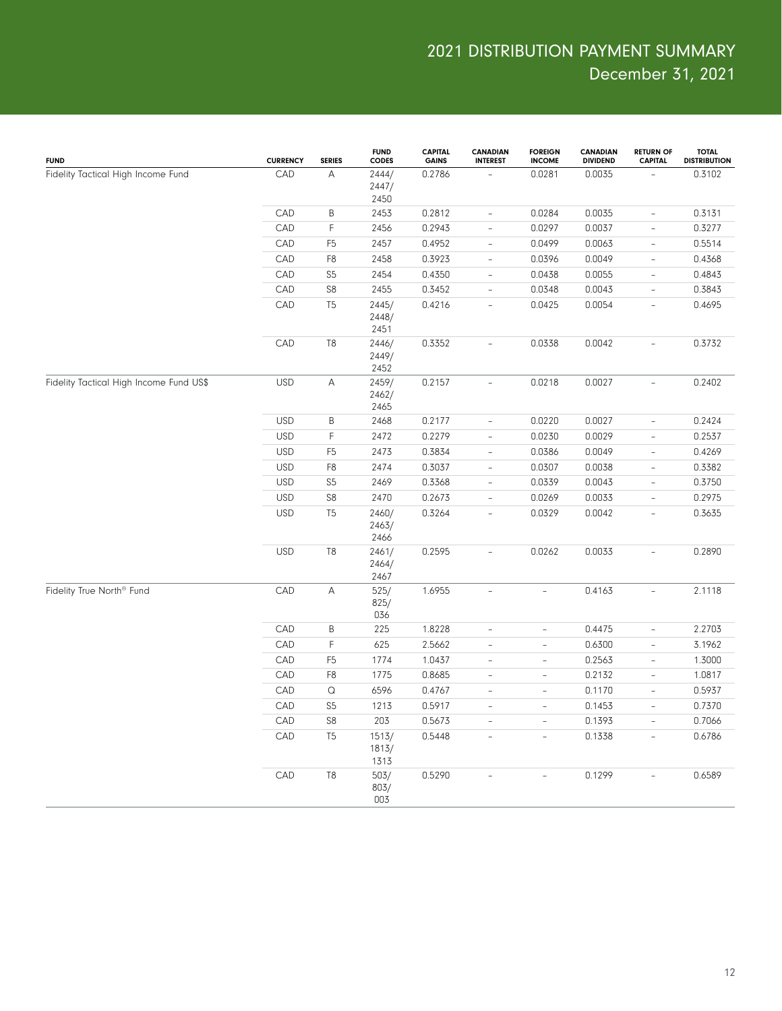| <b>FUND</b>                             | <b>CURRENCY</b> | <b>SERIES</b>             | <b>FUND</b><br><b>CODES</b> | <b>CAPITAL</b><br><b>GAINS</b> | <b>CANADIAN</b><br><b>INTEREST</b> | <b>FOREIGN</b><br><b>INCOME</b> | <b>CANADIAN</b><br><b>DIVIDEND</b> | <b>RETURN OF</b><br><b>CAPITAL</b> | <b>TOTAL</b><br><b>DISTRIBUTION</b> |
|-----------------------------------------|-----------------|---------------------------|-----------------------------|--------------------------------|------------------------------------|---------------------------------|------------------------------------|------------------------------------|-------------------------------------|
| Fidelity Tactical High Income Fund      | CAD             | А                         | 2444/<br>2447/<br>2450      | 0.2786                         |                                    | 0.0281                          | 0.0035                             |                                    | 0.3102                              |
|                                         | CAD             | B                         | 2453                        | 0.2812                         | $\overline{\phantom{a}}$           | 0.0284                          | 0.0035                             | $\overline{\phantom{a}}$           | 0.3131                              |
|                                         | CAD             | F                         | 2456                        | 0.2943                         | $\overline{\phantom{a}}$           | 0.0297                          | 0.0037                             | $\overline{\phantom{a}}$           | 0.3277                              |
|                                         | CAD             | F <sub>5</sub>            | 2457                        | 0.4952                         | $\overline{\phantom{a}}$           | 0.0499                          | 0.0063                             | $\overline{\phantom{a}}$           | 0.5514                              |
|                                         | CAD             | F <sub>8</sub>            | 2458                        | 0.3923                         | $\overline{\phantom{a}}$           | 0.0396                          | 0.0049                             | $\overline{\phantom{a}}$           | 0.4368                              |
|                                         | CAD             | S <sub>5</sub>            | 2454                        | 0.4350                         | $\overline{\phantom{a}}$           | 0.0438                          | 0.0055                             | $\overline{\phantom{a}}$           | 0.4843                              |
|                                         | CAD             | S <sub>8</sub>            | 2455                        | 0.3452                         | $\overline{\phantom{a}}$           | 0.0348                          | 0.0043                             | $\overline{\phantom{a}}$           | 0.3843                              |
| Fidelity Tactical High Income Fund US\$ | CAD             | T <sub>5</sub>            | 2445/<br>2448/<br>2451      | 0.4216                         | $\overline{a}$                     | 0.0425                          | 0.0054                             | $\overline{\phantom{a}}$           | 0.4695                              |
|                                         | CAD             | T <sub>8</sub>            | 2446/<br>2449/<br>2452      | 0.3352                         | $\equiv$                           | 0.0338                          | 0.0042                             | $\equiv$                           | 0.3732                              |
|                                         | <b>USD</b>      | $\boldsymbol{\mathsf{A}}$ | 2459/<br>2462/<br>2465      | 0.2157                         | $\overline{\phantom{0}}$           | 0.0218                          | 0.0027                             | $\overline{\phantom{a}}$           | 0.2402                              |
|                                         | <b>USD</b>      | B                         | 2468                        | 0.2177                         | $\overline{\phantom{a}}$           | 0.0220                          | 0.0027                             | $\overline{\phantom{a}}$           | 0.2424                              |
|                                         | <b>USD</b>      | F                         | 2472                        | 0.2279                         | $\overline{\phantom{a}}$           | 0.0230                          | 0.0029                             | $\overline{\phantom{a}}$           | 0.2537                              |
|                                         | <b>USD</b>      | F <sub>5</sub>            | 2473                        | 0.3834                         | $\overline{\phantom{a}}$           | 0.0386                          | 0.0049                             | $\overline{\phantom{a}}$           | 0.4269                              |
|                                         | <b>USD</b>      | F <sub>8</sub>            | 2474                        | 0.3037                         | $\overline{\phantom{0}}$           | 0.0307                          | 0.0038                             | $\overline{\phantom{a}}$           | 0.3382                              |
|                                         | <b>USD</b>      | S <sub>5</sub>            | 2469                        | 0.3368                         | $\qquad \qquad -$                  | 0.0339                          | 0.0043                             | $\overline{\phantom{a}}$           | 0.3750                              |
|                                         | <b>USD</b>      | S8                        | 2470                        | 0.2673                         | $\overline{\phantom{a}}$           | 0.0269                          | 0.0033                             | $\overline{\phantom{a}}$           | 0.2975                              |
|                                         | <b>USD</b>      | T <sub>5</sub>            | 2460/<br>2463/<br>2466      | 0.3264                         | $\overline{\phantom{a}}$           | 0.0329                          | 0.0042                             | $\overline{\phantom{a}}$           | 0.3635                              |
|                                         | <b>USD</b>      | T <sub>8</sub>            | 2461/<br>2464/<br>2467      | 0.2595                         | $\overline{a}$                     | 0.0262                          | 0.0033                             | $\overline{\phantom{a}}$           | 0.2890                              |
| Fidelity True North <sup>®</sup> Fund   | CAD             | A                         | 525/<br>825/<br>036         | 1.6955                         | $\overline{\phantom{a}}$           | $\equiv$                        | 0.4163                             | $\overline{\phantom{a}}$           | 2.1118                              |
|                                         | CAD             | B                         | 225                         | 1.8228                         | $\frac{1}{2}$                      | $\overline{\phantom{a}}$        | 0.4475                             | $\overline{\phantom{a}}$           | 2.2703                              |
|                                         | CAD             | F                         | 625                         | 2.5662                         | $\bar{ }$                          | $\overline{\phantom{a}}$        | 0.6300                             | $\overline{\phantom{a}}$           | 3.1962                              |
|                                         | CAD             | F <sub>5</sub>            | 1774                        | 1.0437                         | $\frac{1}{2}$                      | $\overline{\phantom{a}}$        | 0.2563                             | $\overline{\phantom{a}}$           | 1.3000                              |
|                                         | CAD             | F <sub>8</sub>            | 1775                        | 0.8685                         | $\overline{\phantom{a}}$           | $\overline{\phantom{a}}$        | 0.2132                             | $\overline{\phantom{a}}$           | 1.0817                              |
|                                         | CAD             | $\Omega$                  | 6596                        | 0.4767                         | $\overline{\phantom{a}}$           | $\overline{\phantom{a}}$        | 0.1170                             | $\overline{\phantom{a}}$           | 0.5937                              |
|                                         | CAD             | S <sub>5</sub>            | 1213                        | 0.5917                         | $\overline{a}$                     | $\sim$                          | 0.1453                             | $\overline{\phantom{a}}$           | 0.7370                              |
|                                         | CAD             | S8                        | 203                         | 0.5673                         | $\overline{\phantom{a}}$           | $\overline{\phantom{a}}$        | 0.1393                             | $\overline{\phantom{a}}$           | 0.7066                              |
|                                         | CAD             | T <sub>5</sub>            | 1513/<br>1813/<br>1313      | 0.5448                         | $\overline{\phantom{0}}$           | $\overline{\phantom{a}}$        | 0.1338                             | $\overline{\phantom{a}}$           | 0.6786                              |
|                                         | CAD             | T <sub>8</sub>            | 503/<br>803/<br>003         | 0.5290                         | $\overline{a}$                     | $\overline{a}$                  | 0.1299                             | $\sim$                             | 0.6589                              |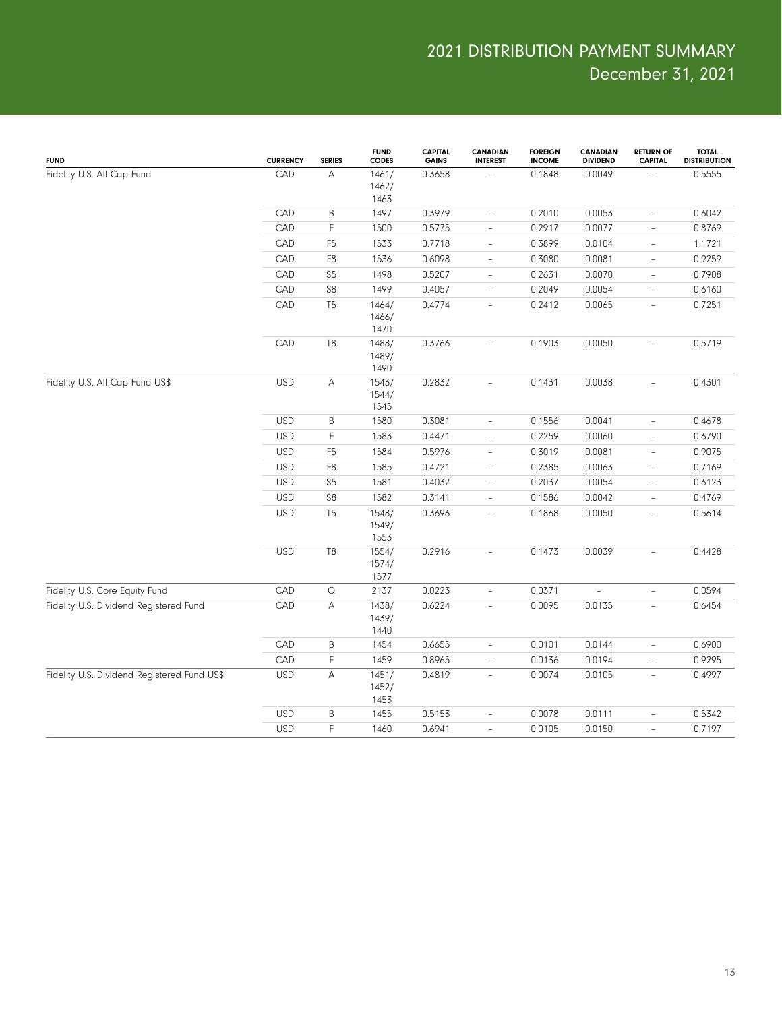| <b>FUND</b>                                 | <b>CURRENCY</b> | <b>SERIES</b>         | <b>FUND</b><br><b>CODES</b> | <b>CAPITAL</b><br><b>GAINS</b> | <b>CANADIAN</b><br><b>INTEREST</b> | <b>FOREIGN</b><br><b>INCOME</b> | <b>CANADIAN</b><br><b>DIVIDEND</b> | <b>RETURN OF</b><br><b>CAPITAL</b> | <b>TOTAL</b><br><b>DISTRIBUTION</b> |
|---------------------------------------------|-----------------|-----------------------|-----------------------------|--------------------------------|------------------------------------|---------------------------------|------------------------------------|------------------------------------|-------------------------------------|
| Fidelity U.S. All Cap Fund                  | CAD             | А                     | 1461/<br>1462/<br>1463      | 0.3658                         |                                    | 0.1848                          | 0.0049                             |                                    | 0.5555                              |
|                                             | CAD             | B                     | 1497                        | 0.3979                         | $\overline{\phantom{a}}$           | 0.2010                          | 0.0053                             | $\overline{\phantom{a}}$           | 0.6042                              |
|                                             | CAD             | F                     | 1500                        | 0.5775                         | $\overline{\phantom{a}}$           | 0.2917                          | 0.0077                             | $\overline{\phantom{a}}$           | 0.8769                              |
|                                             | CAD             | F <sub>5</sub>        | 1533                        | 0.7718                         | $\overline{\phantom{a}}$           | 0.3899                          | 0.0104                             | $\overline{\phantom{a}}$           | 1.1721                              |
|                                             | CAD             | F <sub>8</sub>        | 1536                        | 0.6098                         | $\qquad \qquad -$                  | 0.3080                          | 0.0081                             | $\overline{\phantom{a}}$           | 0.9259                              |
|                                             | CAD             | S <sub>5</sub>        | 1498                        | 0.5207                         | $\qquad \qquad -$                  | 0.2631                          | 0.0070                             | $\overline{\phantom{a}}$           | 0.7908                              |
|                                             | CAD             | S8                    | 1499                        | 0.4057                         | $\overline{\phantom{0}}$           | 0.2049                          | 0.0054                             | $\overline{\phantom{a}}$           | 0.6160                              |
|                                             | CAD             | T <sub>5</sub>        | 1464/<br>1466/<br>1470      | 0.4774                         | $\bar{ }$                          | 0.2412                          | 0.0065                             | $\overline{\phantom{a}}$           | 0.7251                              |
|                                             | CAD             | T8                    | 1488/<br>1489/<br>1490      | 0.3766                         | $\overline{\phantom{a}}$           | 0.1903                          | 0.0050                             | $\overline{\phantom{a}}$           | 0.5719                              |
| Fidelity U.S. All Cap Fund US\$             | <b>USD</b>      | А                     | 1543/<br>1544/<br>1545      | 0.2832                         | $\overline{\phantom{a}}$           | 0.1431                          | 0.0038                             | $\overline{\phantom{a}}$           | 0.4301                              |
|                                             | <b>USD</b>      | B                     | 1580                        | 0.3081                         | $\qquad \qquad -$                  | 0.1556                          | 0.0041                             | $\overline{\phantom{a}}$           | 0.4678                              |
|                                             | <b>USD</b>      | F                     | 1583                        | 0.4471                         | $\overline{\phantom{a}}$           | 0.2259                          | 0.0060                             | $\overline{\phantom{a}}$           | 0.6790                              |
|                                             | <b>USD</b>      | F <sub>5</sub>        | 1584                        | 0.5976                         | $\overline{\phantom{a}}$           | 0.3019                          | 0.0081                             | $\bar{a}$                          | 0.9075                              |
|                                             | <b>USD</b>      | F <sub>8</sub>        | 1585                        | 0.4721                         | $\overline{\phantom{a}}$           | 0.2385                          | 0.0063                             | $\overline{\phantom{a}}$           | 0.7169                              |
|                                             | <b>USD</b>      | S <sub>5</sub>        | 1581                        | 0.4032                         | $\overline{\phantom{a}}$           | 0.2037                          | 0.0054                             | $\overline{\phantom{a}}$           | 0.6123                              |
|                                             | <b>USD</b>      | S8                    | 1582                        | 0.3141                         | $\overline{a}$                     | 0.1586                          | 0.0042                             | $\overline{\phantom{a}}$           | 0.4769                              |
|                                             | <b>USD</b>      | T <sub>5</sub>        | 1548/<br>1549/<br>1553      | 0.3696                         | $\overline{\phantom{0}}$           | 0.1868                          | 0.0050                             | $\overline{\phantom{a}}$           | 0.5614                              |
|                                             | <b>USD</b>      | T <sub>8</sub>        | 1554/<br>1574/<br>1577      | 0.2916                         | $\qquad \qquad -$                  | 0.1473                          | 0.0039                             | $\overline{\phantom{a}}$           | 0.4428                              |
| Fidelity U.S. Core Equity Fund              | CAD             | $\hbox{\large \it Q}$ | 2137                        | 0.0223                         | $\blacksquare$                     | 0.0371                          | $\blacksquare$                     | $\overline{\phantom{a}}$           | 0.0594                              |
| Fidelity U.S. Dividend Registered Fund      | CAD             | А                     | 1438/<br>1439/<br>1440      | 0.6224                         | $\overline{\phantom{a}}$           | 0.0095                          | 0.0135                             | $\bar{ }$                          | 0.6454                              |
|                                             | CAD             | B                     | 1454                        | 0.6655                         | $\overline{\phantom{0}}$           | 0.0101                          | 0.0144                             | $\overline{\phantom{a}}$           | 0.6900                              |
|                                             | CAD             | F                     | 1459                        | 0.8965                         | $\overline{a}$                     | 0.0136                          | 0.0194                             | $\overline{\phantom{a}}$           | 0.9295                              |
| Fidelity U.S. Dividend Registered Fund US\$ | <b>USD</b>      | А                     | 1451/<br>1452/<br>1453      | 0.4819                         | $\overline{\phantom{a}}$           | 0.0074                          | 0.0105                             | $\overline{\phantom{a}}$           | 0.4997                              |
|                                             | <b>USD</b>      | B                     | 1455                        | 0.5153                         | $\overline{\phantom{a}}$           | 0.0078                          | 0.0111                             | $\overline{\phantom{a}}$           | 0.5342                              |
|                                             | <b>USD</b>      | F                     | 1460                        | 0.6941                         | $\overline{\phantom{a}}$           | 0.0105                          | 0.0150                             | $\overline{\phantom{a}}$           | 0.7197                              |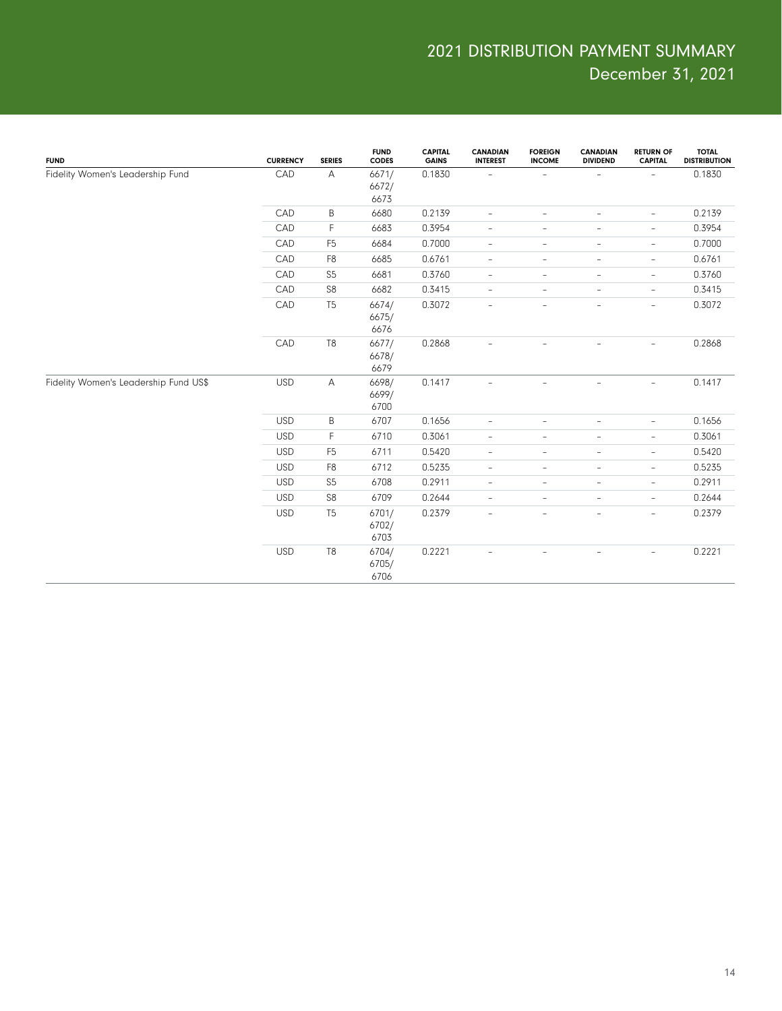| <b>FUND</b>                           | <b>CURRENCY</b> | <b>SERIES</b>  | <b>FUND</b><br><b>CODES</b> | <b>CAPITAL</b><br><b>GAINS</b> | <b>CANADIAN</b><br><b>INTEREST</b> | <b>FOREIGN</b><br><b>INCOME</b> | <b>CANADIAN</b><br><b>DIVIDEND</b> | <b>RETURN OF</b><br><b>CAPITAL</b> | <b>TOTAL</b><br><b>DISTRIBUTION</b> |
|---------------------------------------|-----------------|----------------|-----------------------------|--------------------------------|------------------------------------|---------------------------------|------------------------------------|------------------------------------|-------------------------------------|
| Fidelity Women's Leadership Fund      | CAD             | A              | 6671/<br>6672/<br>6673      | 0.1830                         |                                    | $\overline{\phantom{a}}$        | $\overline{\phantom{0}}$           | $\overline{\phantom{a}}$           | 0.1830                              |
|                                       | CAD             | B              | 6680                        | 0.2139                         | $\overline{\phantom{a}}$           | $\overline{\phantom{a}}$        | ÷,                                 | $\overline{\phantom{a}}$           | 0.2139                              |
|                                       | CAD             | F              | 6683                        | 0.3954                         | $\overline{\phantom{a}}$           | $\overline{\phantom{a}}$        | $\qquad \qquad -$                  | $\overline{\phantom{a}}$           | 0.3954                              |
|                                       | CAD             | F <sub>5</sub> | 6684                        | 0.7000                         | $\overline{\phantom{a}}$           | $\overline{\phantom{a}}$        | $\overline{\phantom{0}}$           | $\overline{\phantom{a}}$           | 0.7000                              |
|                                       | CAD             | F <sub>8</sub> | 6685                        | 0.6761                         | $\overline{\phantom{a}}$           | $\overline{\phantom{a}}$        | $\overline{\phantom{0}}$           | $\overline{\phantom{a}}$           | 0.6761                              |
|                                       | CAD             | S <sub>5</sub> | 6681                        | 0.3760                         | $\overline{\phantom{a}}$           | $\overline{\phantom{a}}$        | $\overline{\phantom{a}}$           | $\overline{\phantom{a}}$           | 0.3760                              |
|                                       | CAD             | S <sub>8</sub> | 6682                        | 0.3415                         | $\overline{\phantom{a}}$           | $\overline{\phantom{a}}$        | $\overline{\phantom{0}}$           | $\overline{\phantom{a}}$           | 0.3415                              |
|                                       | CAD             | T <sub>5</sub> | 6674/<br>6675/<br>6676      | 0.3072                         | $\overline{\phantom{a}}$           | $\overline{\phantom{a}}$        | $\qquad \qquad -$                  | $\overline{\phantom{a}}$           | 0.3072                              |
|                                       | CAD             | T <sub>8</sub> | 6677/<br>6678/<br>6679      | 0.2868                         |                                    |                                 |                                    | $\overline{\phantom{0}}$           | 0.2868                              |
| Fidelity Women's Leadership Fund US\$ | <b>USD</b>      | $\overline{A}$ | 6698/<br>6699/<br>6700      | 0.1417                         | $\overline{\phantom{a}}$           | $\overline{\phantom{a}}$        | ÷                                  | $\overline{\phantom{a}}$           | 0.1417                              |
|                                       | <b>USD</b>      | B              | 6707                        | 0.1656                         | $\overline{\phantom{a}}$           | $\qquad \qquad -$               | $\overline{\phantom{0}}$           | $\overline{\phantom{a}}$           | 0.1656                              |
|                                       | <b>USD</b>      | F              | 6710                        | 0.3061                         | $\overline{\phantom{a}}$           | $\overline{\phantom{a}}$        | $\qquad \qquad -$                  | $\overline{\phantom{a}}$           | 0.3061                              |
|                                       | <b>USD</b>      | F <sub>5</sub> | 6711                        | 0.5420                         | $\overline{\phantom{a}}$           | $\overline{\phantom{a}}$        | $\qquad \qquad -$                  | $\overline{\phantom{a}}$           | 0.5420                              |
|                                       | <b>USD</b>      | F <sub>8</sub> | 6712                        | 0.5235                         | $\overline{\phantom{a}}$           | $\overline{\phantom{a}}$        | $\overline{\phantom{0}}$           | $\overline{\phantom{a}}$           | 0.5235                              |
|                                       | <b>USD</b>      | S <sub>5</sub> | 6708                        | 0.2911                         | $\overline{\phantom{a}}$           | $\overline{\phantom{a}}$        | $\overline{\phantom{0}}$           | $\overline{\phantom{a}}$           | 0.2911                              |
|                                       | <b>USD</b>      | S8             | 6709                        | 0.2644                         | $\overline{\phantom{a}}$           | $\overline{\phantom{a}}$        | $\overline{\phantom{a}}$           | $\overline{\phantom{a}}$           | 0.2644                              |
|                                       | <b>USD</b>      | T <sub>5</sub> | 6701/<br>6702/<br>6703      | 0.2379                         | $\overline{\phantom{a}}$           | $\overline{\phantom{a}}$        | $\qquad \qquad -$                  | $\overline{\phantom{a}}$           | 0.2379                              |
|                                       | <b>USD</b>      | T <sub>8</sub> | 6704/<br>6705/<br>6706      | 0.2221                         | $\overline{\phantom{0}}$           | $\overline{\phantom{0}}$        | $\qquad \qquad -$                  | $\overline{\phantom{a}}$           | 0.2221                              |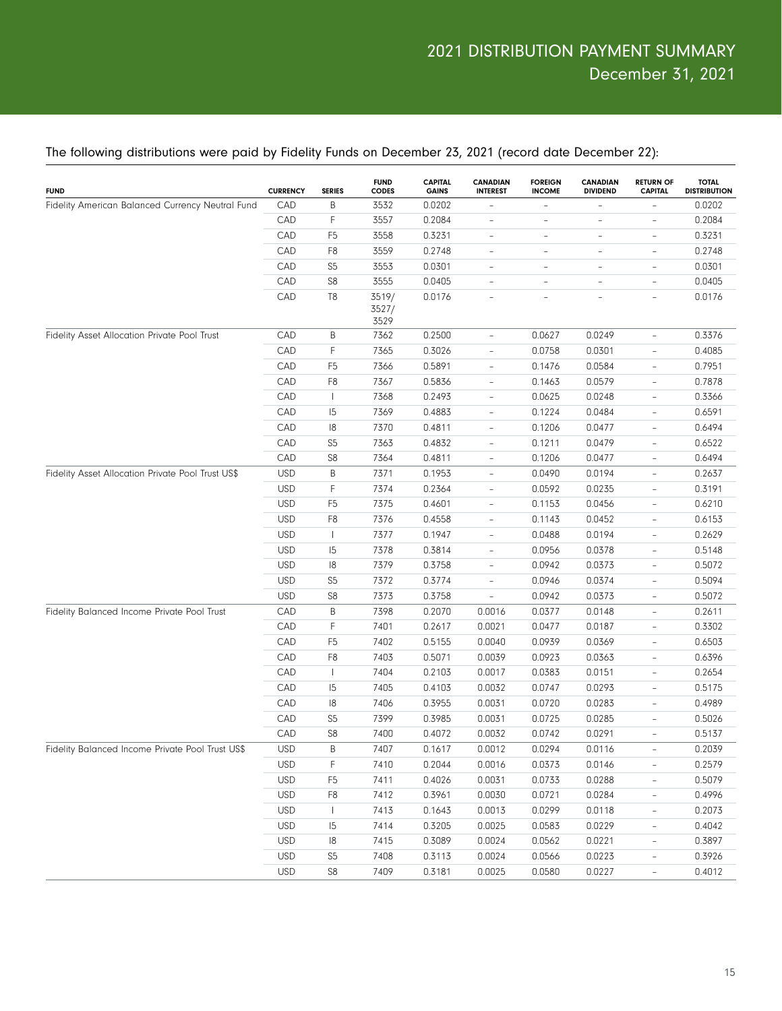| B<br>0.0202<br>CAD<br>3532<br>0.0202<br>-<br>CAD<br>F<br>3557<br>0.2084<br>0.2084<br>$\overline{\phantom{a}}$<br>$\qquad \qquad -$<br>$\overline{\phantom{0}}$<br>$\overline{\phantom{0}}$<br>CAD<br>F <sub>5</sub><br>3558<br>0.3231<br>0.3231<br>$\overline{\phantom{a}}$<br>$\overline{\phantom{0}}$<br>$\overline{\phantom{a}}$<br>$\overline{\phantom{0}}$<br>CAD<br>F <sub>8</sub><br>3559<br>0.2748<br>0.2748<br>$\overline{\phantom{a}}$<br>$\overline{\phantom{0}}$<br>$\overline{\phantom{a}}$<br>$\overline{\phantom{0}}$<br>S <sub>5</sub><br>3553<br>0.0301<br>CAD<br>0.0301<br>$\overline{\phantom{a}}$<br>$\overline{\phantom{0}}$<br>$\overline{\phantom{a}}$<br>$\overline{\phantom{0}}$<br>S8<br>CAD<br>3555<br>0.0405<br>0.0405<br>$\overline{\phantom{0}}$<br>$\overline{\phantom{0}}$<br>$\overline{a}$<br>$\overline{\phantom{a}}$<br>CAD<br>T <sub>8</sub><br>3519/<br>0.0176<br>0.0176<br>$\overline{\phantom{a}}$<br>L.<br>$\sim$<br>$\overline{\phantom{0}}$<br>3527/<br>3529<br>0.2500<br>0.0627<br>0.0249<br>0.3376<br>CAD<br>Β<br>7362<br>$\overline{\phantom{a}}$<br>$\overline{\phantom{0}}$<br>CAD<br>F<br>0.3026<br>0.0758<br>0.0301<br>0.4085<br>7365<br>$\overline{\phantom{a}}$<br>$\overline{\phantom{0}}$<br>CAD<br>7366<br>0.5891<br>0.1476<br>0.0584<br>0.7951<br>F <sub>5</sub><br>$\overline{\phantom{a}}$<br>$\overline{\phantom{0}}$<br>CAD<br>F <sub>8</sub><br>0.5836<br>0.1463<br>0.0579<br>0.7878<br>7367<br>$\overline{\phantom{a}}$<br>$\overline{\phantom{0}}$<br>CAD<br>0.2493<br>0.0625<br>0.0248<br>0.3366<br>$\mathbf{I}$<br>7368<br>$\overline{\phantom{a}}$<br>$\overline{\phantom{0}}$<br>CAD<br>0.4883<br>0.1224<br>0.0484<br>0.6591<br>15<br>7369<br>$\overline{\phantom{a}}$<br>$\overline{\phantom{0}}$<br>CAD<br>18<br>7370<br>0.4811<br>0.1206<br>0.0477<br>0.6494<br>$\overline{\phantom{a}}$<br>$\overline{\phantom{0}}$<br>CAD<br>S <sub>5</sub><br>7363<br>0.4832<br>0.1211<br>0.0479<br>0.6522<br>$\overline{\phantom{a}}$<br>$\overline{\phantom{0}}$<br>CAD<br>S8<br>0.4811<br>0.1206<br>0.0477<br>0.6494<br>7364<br>$\overline{\phantom{a}}$<br>$\qquad \qquad -$<br><b>USD</b><br>Β<br>7371<br>0.1953<br>0.0194<br>0.2637<br>0.0490<br>$\overline{\phantom{a}}$<br>$\qquad \qquad -$<br><b>USD</b><br>F<br>0.2364<br>0.0235<br>0.3191<br>7374<br>0.0592<br>$\overline{\phantom{a}}$<br>$\overline{\phantom{0}}$<br><b>USD</b><br>7375<br>0.4601<br>0.1153<br>0.0456<br>0.6210<br>F <sub>5</sub><br>$\overline{\phantom{a}}$<br>$\overline{\phantom{0}}$<br><b>USD</b><br>F <sub>8</sub><br>7376<br>0.4558<br>0.1143<br>0.0452<br>0.6153<br>$\overline{\phantom{a}}$<br>$\overline{\phantom{0}}$<br><b>USD</b><br>7377<br>0.1947<br>0.0488<br>0.0194<br>0.2629<br>$\mathbf{I}$<br>$\overline{\phantom{a}}$<br>$\overline{\phantom{0}}$<br><b>USD</b><br>15<br>7378<br>0.3814<br>0.0956<br>0.0378<br>0.5148<br>$\overline{\phantom{a}}$<br>$\overline{\phantom{0}}$<br><b>USD</b><br>18<br>7379<br>0.3758<br>0.0942<br>0.0373<br>0.5072<br>$\overline{\phantom{a}}$<br>$\overline{\phantom{0}}$<br><b>USD</b><br>S <sub>5</sub><br>7372<br>0.3774<br>0.0946<br>0.0374<br>0.5094<br>$\overline{\phantom{a}}$<br>$\overline{\phantom{0}}$<br><b>USD</b><br>S8<br>7373<br>0.3758<br>0.0942<br>0.0373<br>0.5072<br>$\overline{\phantom{0}}$<br>$\qquad \qquad -$<br>CAD<br>Β<br>0.2070<br>0.0377<br>0.0148<br>0.2611<br>7398<br>0.0016<br>$\qquad \qquad -$<br>CAD<br>F<br>0.2617<br>0.0021<br>0.0187<br>0.3302<br>7401<br>0.0477<br>$\overline{\phantom{0}}$<br>CAD<br>0.5155<br>0.0939<br>0.0369<br>0.6503<br>F <sub>5</sub><br>7402<br>0.0040<br>$\overline{\phantom{0}}$<br>CAD<br>F <sub>8</sub><br>7403<br>0.5071<br>0.0039<br>0.0923<br>0.0363<br>0.6396<br>$\overline{\phantom{0}}$<br>CAD<br>0.2103<br>0.0383<br>0.0151<br>0.2654<br>$\overline{1}$<br>7404<br>0.0017<br>$\overline{\phantom{0}}$<br>CAD<br>0.0747<br>0.0293<br>0.5175<br>15<br>7405<br>0.4103<br>0.0032<br>$\overline{\phantom{0}}$<br>CAD<br>0.3955<br>0.0720<br>0.0283<br>0.4989<br>18<br>7406<br>0.0031<br>$\overline{a}$<br>CAD<br>S <sub>5</sub><br>7399<br>0.3985<br>0.0725<br>0.0285<br>0.5026<br>0.0031<br>$\qquad \qquad -$<br>CAD<br>S8<br>0.4072<br>0.0742<br>0.0291<br>0.5137<br>7400<br>0.0032<br>$\overline{a}$<br><b>USD</b><br>Β<br>7407<br>0.1617<br>0.0012<br>0.0294<br>0.0116<br>0.2039<br>$\overline{\phantom{0}}$<br>F<br><b>USD</b><br>7410<br>0.2044<br>0.0016<br>0.0373<br>0.0146<br>0.2579<br>$\overline{\phantom{0}}$<br><b>USD</b><br>F <sub>5</sub><br>7411<br>0.4026<br>0.0031<br>0.0733<br>0.0288<br>0.5079<br>$\overline{\phantom{0}}$<br><b>USD</b><br>F8<br>7412<br>0.3961<br>0.0030<br>0.0721<br>0.0284<br>0.4996<br>$\overline{\phantom{a}}$<br><b>USD</b><br>7413<br>0.1643<br>0.0013<br>0.0299<br>0.0118<br>0.2073<br>$\mathbf{I}$<br>$\qquad \qquad -$<br><b>USD</b><br>0.3205<br>0.0025<br>0.0583<br>0.0229<br>0.4042<br> 5<br>7414<br>$\overline{\phantom{a}}$<br><b>USD</b><br> 8<br>7415<br>0.3089<br>0.0024<br>0.0562<br>0.0221<br>0.3897<br>$\overline{\phantom{a}}$<br><b>USD</b><br>S <sub>5</sub><br>0.3113<br>0.0024<br>0.0566<br>0.0223<br>0.3926<br>7408<br>$\overline{\phantom{a}}$<br><b>USD</b><br>S8<br>7409<br>0.3181<br>0.0025<br>0.0580<br>0.0227<br>0.4012<br>$\overline{\phantom{a}}$ | <b>FUND</b>                                       | <b>CURRENCY</b> | <b>SERIES</b> | <b>FUND</b><br>CODES | <b>CAPITAL</b><br><b>GAINS</b> | <b>CANADIAN</b><br><b>INTEREST</b> | <b>FOREIGN</b><br><b>INCOME</b> | <b>CANADIAN</b><br><b>DIVIDEND</b> | <b>RETURN OF</b><br><b>CAPITAL</b> | <b>TOTAL</b><br><b>DISTRIBUTION</b> |
|-----------------------------------------------------------------------------------------------------------------------------------------------------------------------------------------------------------------------------------------------------------------------------------------------------------------------------------------------------------------------------------------------------------------------------------------------------------------------------------------------------------------------------------------------------------------------------------------------------------------------------------------------------------------------------------------------------------------------------------------------------------------------------------------------------------------------------------------------------------------------------------------------------------------------------------------------------------------------------------------------------------------------------------------------------------------------------------------------------------------------------------------------------------------------------------------------------------------------------------------------------------------------------------------------------------------------------------------------------------------------------------------------------------------------------------------------------------------------------------------------------------------------------------------------------------------------------------------------------------------------------------------------------------------------------------------------------------------------------------------------------------------------------------------------------------------------------------------------------------------------------------------------------------------------------------------------------------------------------------------------------------------------------------------------------------------------------------------------------------------------------------------------------------------------------------------------------------------------------------------------------------------------------------------------------------------------------------------------------------------------------------------------------------------------------------------------------------------------------------------------------------------------------------------------------------------------------------------------------------------------------------------------------------------------------------------------------------------------------------------------------------------------------------------------------------------------------------------------------------------------------------------------------------------------------------------------------------------------------------------------------------------------------------------------------------------------------------------------------------------------------------------------------------------------------------------------------------------------------------------------------------------------------------------------------------------------------------------------------------------------------------------------------------------------------------------------------------------------------------------------------------------------------------------------------------------------------------------------------------------------------------------------------------------------------------------------------------------------------------------------------------------------------------------------------------------------------------------------------------------------------------------------------------------------------------------------------------------------------------------------------------------------------------------------------------------------------------------------------------------------------------------------------------------------------------------------------------------------------------------------------------------------------------------------------------------------------------------------------------------------------------------------------------------------------------------------------------------------------------------------------------------------------------------------------------------------------------------------------------------------------------------------------------------------------------------------------------------------------------------------------------------------------------------------------------------------------------------------------------------------------------------------------------------------------------------------------------------------------------------------------------------------------------------------------------------------------------------------------------------------------------------------------------------------------------------------------------------------------------------------------------------------------------------------|---------------------------------------------------|-----------------|---------------|----------------------|--------------------------------|------------------------------------|---------------------------------|------------------------------------|------------------------------------|-------------------------------------|
|                                                                                                                                                                                                                                                                                                                                                                                                                                                                                                                                                                                                                                                                                                                                                                                                                                                                                                                                                                                                                                                                                                                                                                                                                                                                                                                                                                                                                                                                                                                                                                                                                                                                                                                                                                                                                                                                                                                                                                                                                                                                                                                                                                                                                                                                                                                                                                                                                                                                                                                                                                                                                                                                                                                                                                                                                                                                                                                                                                                                                                                                                                                                                                                                                                                                                                                                                                                                                                                                                                                                                                                                                                                                                                                                                                                                                                                                                                                                                                                                                                                                                                                                                                                                                                                                                                                                                                                                                                                                                                                                                                                                                                                                                                                                                                                                                                                                                                                                                                                                                                                                                                                                                                                                                                                                                               | Fidelity American Balanced Currency Neutral Fund  |                 |               |                      |                                |                                    |                                 |                                    |                                    |                                     |
|                                                                                                                                                                                                                                                                                                                                                                                                                                                                                                                                                                                                                                                                                                                                                                                                                                                                                                                                                                                                                                                                                                                                                                                                                                                                                                                                                                                                                                                                                                                                                                                                                                                                                                                                                                                                                                                                                                                                                                                                                                                                                                                                                                                                                                                                                                                                                                                                                                                                                                                                                                                                                                                                                                                                                                                                                                                                                                                                                                                                                                                                                                                                                                                                                                                                                                                                                                                                                                                                                                                                                                                                                                                                                                                                                                                                                                                                                                                                                                                                                                                                                                                                                                                                                                                                                                                                                                                                                                                                                                                                                                                                                                                                                                                                                                                                                                                                                                                                                                                                                                                                                                                                                                                                                                                                                               |                                                   |                 |               |                      |                                |                                    |                                 |                                    |                                    |                                     |
|                                                                                                                                                                                                                                                                                                                                                                                                                                                                                                                                                                                                                                                                                                                                                                                                                                                                                                                                                                                                                                                                                                                                                                                                                                                                                                                                                                                                                                                                                                                                                                                                                                                                                                                                                                                                                                                                                                                                                                                                                                                                                                                                                                                                                                                                                                                                                                                                                                                                                                                                                                                                                                                                                                                                                                                                                                                                                                                                                                                                                                                                                                                                                                                                                                                                                                                                                                                                                                                                                                                                                                                                                                                                                                                                                                                                                                                                                                                                                                                                                                                                                                                                                                                                                                                                                                                                                                                                                                                                                                                                                                                                                                                                                                                                                                                                                                                                                                                                                                                                                                                                                                                                                                                                                                                                                               |                                                   |                 |               |                      |                                |                                    |                                 |                                    |                                    |                                     |
|                                                                                                                                                                                                                                                                                                                                                                                                                                                                                                                                                                                                                                                                                                                                                                                                                                                                                                                                                                                                                                                                                                                                                                                                                                                                                                                                                                                                                                                                                                                                                                                                                                                                                                                                                                                                                                                                                                                                                                                                                                                                                                                                                                                                                                                                                                                                                                                                                                                                                                                                                                                                                                                                                                                                                                                                                                                                                                                                                                                                                                                                                                                                                                                                                                                                                                                                                                                                                                                                                                                                                                                                                                                                                                                                                                                                                                                                                                                                                                                                                                                                                                                                                                                                                                                                                                                                                                                                                                                                                                                                                                                                                                                                                                                                                                                                                                                                                                                                                                                                                                                                                                                                                                                                                                                                                               |                                                   |                 |               |                      |                                |                                    |                                 |                                    |                                    |                                     |
|                                                                                                                                                                                                                                                                                                                                                                                                                                                                                                                                                                                                                                                                                                                                                                                                                                                                                                                                                                                                                                                                                                                                                                                                                                                                                                                                                                                                                                                                                                                                                                                                                                                                                                                                                                                                                                                                                                                                                                                                                                                                                                                                                                                                                                                                                                                                                                                                                                                                                                                                                                                                                                                                                                                                                                                                                                                                                                                                                                                                                                                                                                                                                                                                                                                                                                                                                                                                                                                                                                                                                                                                                                                                                                                                                                                                                                                                                                                                                                                                                                                                                                                                                                                                                                                                                                                                                                                                                                                                                                                                                                                                                                                                                                                                                                                                                                                                                                                                                                                                                                                                                                                                                                                                                                                                                               |                                                   |                 |               |                      |                                |                                    |                                 |                                    |                                    |                                     |
|                                                                                                                                                                                                                                                                                                                                                                                                                                                                                                                                                                                                                                                                                                                                                                                                                                                                                                                                                                                                                                                                                                                                                                                                                                                                                                                                                                                                                                                                                                                                                                                                                                                                                                                                                                                                                                                                                                                                                                                                                                                                                                                                                                                                                                                                                                                                                                                                                                                                                                                                                                                                                                                                                                                                                                                                                                                                                                                                                                                                                                                                                                                                                                                                                                                                                                                                                                                                                                                                                                                                                                                                                                                                                                                                                                                                                                                                                                                                                                                                                                                                                                                                                                                                                                                                                                                                                                                                                                                                                                                                                                                                                                                                                                                                                                                                                                                                                                                                                                                                                                                                                                                                                                                                                                                                                               |                                                   |                 |               |                      |                                |                                    |                                 |                                    |                                    |                                     |
|                                                                                                                                                                                                                                                                                                                                                                                                                                                                                                                                                                                                                                                                                                                                                                                                                                                                                                                                                                                                                                                                                                                                                                                                                                                                                                                                                                                                                                                                                                                                                                                                                                                                                                                                                                                                                                                                                                                                                                                                                                                                                                                                                                                                                                                                                                                                                                                                                                                                                                                                                                                                                                                                                                                                                                                                                                                                                                                                                                                                                                                                                                                                                                                                                                                                                                                                                                                                                                                                                                                                                                                                                                                                                                                                                                                                                                                                                                                                                                                                                                                                                                                                                                                                                                                                                                                                                                                                                                                                                                                                                                                                                                                                                                                                                                                                                                                                                                                                                                                                                                                                                                                                                                                                                                                                                               |                                                   |                 |               |                      |                                |                                    |                                 |                                    |                                    |                                     |
|                                                                                                                                                                                                                                                                                                                                                                                                                                                                                                                                                                                                                                                                                                                                                                                                                                                                                                                                                                                                                                                                                                                                                                                                                                                                                                                                                                                                                                                                                                                                                                                                                                                                                                                                                                                                                                                                                                                                                                                                                                                                                                                                                                                                                                                                                                                                                                                                                                                                                                                                                                                                                                                                                                                                                                                                                                                                                                                                                                                                                                                                                                                                                                                                                                                                                                                                                                                                                                                                                                                                                                                                                                                                                                                                                                                                                                                                                                                                                                                                                                                                                                                                                                                                                                                                                                                                                                                                                                                                                                                                                                                                                                                                                                                                                                                                                                                                                                                                                                                                                                                                                                                                                                                                                                                                                               | Fidelity Asset Allocation Private Pool Trust      |                 |               |                      |                                |                                    |                                 |                                    |                                    |                                     |
|                                                                                                                                                                                                                                                                                                                                                                                                                                                                                                                                                                                                                                                                                                                                                                                                                                                                                                                                                                                                                                                                                                                                                                                                                                                                                                                                                                                                                                                                                                                                                                                                                                                                                                                                                                                                                                                                                                                                                                                                                                                                                                                                                                                                                                                                                                                                                                                                                                                                                                                                                                                                                                                                                                                                                                                                                                                                                                                                                                                                                                                                                                                                                                                                                                                                                                                                                                                                                                                                                                                                                                                                                                                                                                                                                                                                                                                                                                                                                                                                                                                                                                                                                                                                                                                                                                                                                                                                                                                                                                                                                                                                                                                                                                                                                                                                                                                                                                                                                                                                                                                                                                                                                                                                                                                                                               |                                                   |                 |               |                      |                                |                                    |                                 |                                    |                                    |                                     |
|                                                                                                                                                                                                                                                                                                                                                                                                                                                                                                                                                                                                                                                                                                                                                                                                                                                                                                                                                                                                                                                                                                                                                                                                                                                                                                                                                                                                                                                                                                                                                                                                                                                                                                                                                                                                                                                                                                                                                                                                                                                                                                                                                                                                                                                                                                                                                                                                                                                                                                                                                                                                                                                                                                                                                                                                                                                                                                                                                                                                                                                                                                                                                                                                                                                                                                                                                                                                                                                                                                                                                                                                                                                                                                                                                                                                                                                                                                                                                                                                                                                                                                                                                                                                                                                                                                                                                                                                                                                                                                                                                                                                                                                                                                                                                                                                                                                                                                                                                                                                                                                                                                                                                                                                                                                                                               |                                                   |                 |               |                      |                                |                                    |                                 |                                    |                                    |                                     |
|                                                                                                                                                                                                                                                                                                                                                                                                                                                                                                                                                                                                                                                                                                                                                                                                                                                                                                                                                                                                                                                                                                                                                                                                                                                                                                                                                                                                                                                                                                                                                                                                                                                                                                                                                                                                                                                                                                                                                                                                                                                                                                                                                                                                                                                                                                                                                                                                                                                                                                                                                                                                                                                                                                                                                                                                                                                                                                                                                                                                                                                                                                                                                                                                                                                                                                                                                                                                                                                                                                                                                                                                                                                                                                                                                                                                                                                                                                                                                                                                                                                                                                                                                                                                                                                                                                                                                                                                                                                                                                                                                                                                                                                                                                                                                                                                                                                                                                                                                                                                                                                                                                                                                                                                                                                                                               |                                                   |                 |               |                      |                                |                                    |                                 |                                    |                                    |                                     |
|                                                                                                                                                                                                                                                                                                                                                                                                                                                                                                                                                                                                                                                                                                                                                                                                                                                                                                                                                                                                                                                                                                                                                                                                                                                                                                                                                                                                                                                                                                                                                                                                                                                                                                                                                                                                                                                                                                                                                                                                                                                                                                                                                                                                                                                                                                                                                                                                                                                                                                                                                                                                                                                                                                                                                                                                                                                                                                                                                                                                                                                                                                                                                                                                                                                                                                                                                                                                                                                                                                                                                                                                                                                                                                                                                                                                                                                                                                                                                                                                                                                                                                                                                                                                                                                                                                                                                                                                                                                                                                                                                                                                                                                                                                                                                                                                                                                                                                                                                                                                                                                                                                                                                                                                                                                                                               |                                                   |                 |               |                      |                                |                                    |                                 |                                    |                                    |                                     |
|                                                                                                                                                                                                                                                                                                                                                                                                                                                                                                                                                                                                                                                                                                                                                                                                                                                                                                                                                                                                                                                                                                                                                                                                                                                                                                                                                                                                                                                                                                                                                                                                                                                                                                                                                                                                                                                                                                                                                                                                                                                                                                                                                                                                                                                                                                                                                                                                                                                                                                                                                                                                                                                                                                                                                                                                                                                                                                                                                                                                                                                                                                                                                                                                                                                                                                                                                                                                                                                                                                                                                                                                                                                                                                                                                                                                                                                                                                                                                                                                                                                                                                                                                                                                                                                                                                                                                                                                                                                                                                                                                                                                                                                                                                                                                                                                                                                                                                                                                                                                                                                                                                                                                                                                                                                                                               |                                                   |                 |               |                      |                                |                                    |                                 |                                    |                                    |                                     |
|                                                                                                                                                                                                                                                                                                                                                                                                                                                                                                                                                                                                                                                                                                                                                                                                                                                                                                                                                                                                                                                                                                                                                                                                                                                                                                                                                                                                                                                                                                                                                                                                                                                                                                                                                                                                                                                                                                                                                                                                                                                                                                                                                                                                                                                                                                                                                                                                                                                                                                                                                                                                                                                                                                                                                                                                                                                                                                                                                                                                                                                                                                                                                                                                                                                                                                                                                                                                                                                                                                                                                                                                                                                                                                                                                                                                                                                                                                                                                                                                                                                                                                                                                                                                                                                                                                                                                                                                                                                                                                                                                                                                                                                                                                                                                                                                                                                                                                                                                                                                                                                                                                                                                                                                                                                                                               |                                                   |                 |               |                      |                                |                                    |                                 |                                    |                                    |                                     |
|                                                                                                                                                                                                                                                                                                                                                                                                                                                                                                                                                                                                                                                                                                                                                                                                                                                                                                                                                                                                                                                                                                                                                                                                                                                                                                                                                                                                                                                                                                                                                                                                                                                                                                                                                                                                                                                                                                                                                                                                                                                                                                                                                                                                                                                                                                                                                                                                                                                                                                                                                                                                                                                                                                                                                                                                                                                                                                                                                                                                                                                                                                                                                                                                                                                                                                                                                                                                                                                                                                                                                                                                                                                                                                                                                                                                                                                                                                                                                                                                                                                                                                                                                                                                                                                                                                                                                                                                                                                                                                                                                                                                                                                                                                                                                                                                                                                                                                                                                                                                                                                                                                                                                                                                                                                                                               |                                                   |                 |               |                      |                                |                                    |                                 |                                    |                                    |                                     |
|                                                                                                                                                                                                                                                                                                                                                                                                                                                                                                                                                                                                                                                                                                                                                                                                                                                                                                                                                                                                                                                                                                                                                                                                                                                                                                                                                                                                                                                                                                                                                                                                                                                                                                                                                                                                                                                                                                                                                                                                                                                                                                                                                                                                                                                                                                                                                                                                                                                                                                                                                                                                                                                                                                                                                                                                                                                                                                                                                                                                                                                                                                                                                                                                                                                                                                                                                                                                                                                                                                                                                                                                                                                                                                                                                                                                                                                                                                                                                                                                                                                                                                                                                                                                                                                                                                                                                                                                                                                                                                                                                                                                                                                                                                                                                                                                                                                                                                                                                                                                                                                                                                                                                                                                                                                                                               |                                                   |                 |               |                      |                                |                                    |                                 |                                    |                                    |                                     |
|                                                                                                                                                                                                                                                                                                                                                                                                                                                                                                                                                                                                                                                                                                                                                                                                                                                                                                                                                                                                                                                                                                                                                                                                                                                                                                                                                                                                                                                                                                                                                                                                                                                                                                                                                                                                                                                                                                                                                                                                                                                                                                                                                                                                                                                                                                                                                                                                                                                                                                                                                                                                                                                                                                                                                                                                                                                                                                                                                                                                                                                                                                                                                                                                                                                                                                                                                                                                                                                                                                                                                                                                                                                                                                                                                                                                                                                                                                                                                                                                                                                                                                                                                                                                                                                                                                                                                                                                                                                                                                                                                                                                                                                                                                                                                                                                                                                                                                                                                                                                                                                                                                                                                                                                                                                                                               | Fidelity Asset Allocation Private Pool Trust US\$ |                 |               |                      |                                |                                    |                                 |                                    |                                    |                                     |
|                                                                                                                                                                                                                                                                                                                                                                                                                                                                                                                                                                                                                                                                                                                                                                                                                                                                                                                                                                                                                                                                                                                                                                                                                                                                                                                                                                                                                                                                                                                                                                                                                                                                                                                                                                                                                                                                                                                                                                                                                                                                                                                                                                                                                                                                                                                                                                                                                                                                                                                                                                                                                                                                                                                                                                                                                                                                                                                                                                                                                                                                                                                                                                                                                                                                                                                                                                                                                                                                                                                                                                                                                                                                                                                                                                                                                                                                                                                                                                                                                                                                                                                                                                                                                                                                                                                                                                                                                                                                                                                                                                                                                                                                                                                                                                                                                                                                                                                                                                                                                                                                                                                                                                                                                                                                                               |                                                   |                 |               |                      |                                |                                    |                                 |                                    |                                    |                                     |
|                                                                                                                                                                                                                                                                                                                                                                                                                                                                                                                                                                                                                                                                                                                                                                                                                                                                                                                                                                                                                                                                                                                                                                                                                                                                                                                                                                                                                                                                                                                                                                                                                                                                                                                                                                                                                                                                                                                                                                                                                                                                                                                                                                                                                                                                                                                                                                                                                                                                                                                                                                                                                                                                                                                                                                                                                                                                                                                                                                                                                                                                                                                                                                                                                                                                                                                                                                                                                                                                                                                                                                                                                                                                                                                                                                                                                                                                                                                                                                                                                                                                                                                                                                                                                                                                                                                                                                                                                                                                                                                                                                                                                                                                                                                                                                                                                                                                                                                                                                                                                                                                                                                                                                                                                                                                                               |                                                   |                 |               |                      |                                |                                    |                                 |                                    |                                    |                                     |
|                                                                                                                                                                                                                                                                                                                                                                                                                                                                                                                                                                                                                                                                                                                                                                                                                                                                                                                                                                                                                                                                                                                                                                                                                                                                                                                                                                                                                                                                                                                                                                                                                                                                                                                                                                                                                                                                                                                                                                                                                                                                                                                                                                                                                                                                                                                                                                                                                                                                                                                                                                                                                                                                                                                                                                                                                                                                                                                                                                                                                                                                                                                                                                                                                                                                                                                                                                                                                                                                                                                                                                                                                                                                                                                                                                                                                                                                                                                                                                                                                                                                                                                                                                                                                                                                                                                                                                                                                                                                                                                                                                                                                                                                                                                                                                                                                                                                                                                                                                                                                                                                                                                                                                                                                                                                                               |                                                   |                 |               |                      |                                |                                    |                                 |                                    |                                    |                                     |
|                                                                                                                                                                                                                                                                                                                                                                                                                                                                                                                                                                                                                                                                                                                                                                                                                                                                                                                                                                                                                                                                                                                                                                                                                                                                                                                                                                                                                                                                                                                                                                                                                                                                                                                                                                                                                                                                                                                                                                                                                                                                                                                                                                                                                                                                                                                                                                                                                                                                                                                                                                                                                                                                                                                                                                                                                                                                                                                                                                                                                                                                                                                                                                                                                                                                                                                                                                                                                                                                                                                                                                                                                                                                                                                                                                                                                                                                                                                                                                                                                                                                                                                                                                                                                                                                                                                                                                                                                                                                                                                                                                                                                                                                                                                                                                                                                                                                                                                                                                                                                                                                                                                                                                                                                                                                                               |                                                   |                 |               |                      |                                |                                    |                                 |                                    |                                    |                                     |
|                                                                                                                                                                                                                                                                                                                                                                                                                                                                                                                                                                                                                                                                                                                                                                                                                                                                                                                                                                                                                                                                                                                                                                                                                                                                                                                                                                                                                                                                                                                                                                                                                                                                                                                                                                                                                                                                                                                                                                                                                                                                                                                                                                                                                                                                                                                                                                                                                                                                                                                                                                                                                                                                                                                                                                                                                                                                                                                                                                                                                                                                                                                                                                                                                                                                                                                                                                                                                                                                                                                                                                                                                                                                                                                                                                                                                                                                                                                                                                                                                                                                                                                                                                                                                                                                                                                                                                                                                                                                                                                                                                                                                                                                                                                                                                                                                                                                                                                                                                                                                                                                                                                                                                                                                                                                                               |                                                   |                 |               |                      |                                |                                    |                                 |                                    |                                    |                                     |
|                                                                                                                                                                                                                                                                                                                                                                                                                                                                                                                                                                                                                                                                                                                                                                                                                                                                                                                                                                                                                                                                                                                                                                                                                                                                                                                                                                                                                                                                                                                                                                                                                                                                                                                                                                                                                                                                                                                                                                                                                                                                                                                                                                                                                                                                                                                                                                                                                                                                                                                                                                                                                                                                                                                                                                                                                                                                                                                                                                                                                                                                                                                                                                                                                                                                                                                                                                                                                                                                                                                                                                                                                                                                                                                                                                                                                                                                                                                                                                                                                                                                                                                                                                                                                                                                                                                                                                                                                                                                                                                                                                                                                                                                                                                                                                                                                                                                                                                                                                                                                                                                                                                                                                                                                                                                                               |                                                   |                 |               |                      |                                |                                    |                                 |                                    |                                    |                                     |
|                                                                                                                                                                                                                                                                                                                                                                                                                                                                                                                                                                                                                                                                                                                                                                                                                                                                                                                                                                                                                                                                                                                                                                                                                                                                                                                                                                                                                                                                                                                                                                                                                                                                                                                                                                                                                                                                                                                                                                                                                                                                                                                                                                                                                                                                                                                                                                                                                                                                                                                                                                                                                                                                                                                                                                                                                                                                                                                                                                                                                                                                                                                                                                                                                                                                                                                                                                                                                                                                                                                                                                                                                                                                                                                                                                                                                                                                                                                                                                                                                                                                                                                                                                                                                                                                                                                                                                                                                                                                                                                                                                                                                                                                                                                                                                                                                                                                                                                                                                                                                                                                                                                                                                                                                                                                                               |                                                   |                 |               |                      |                                |                                    |                                 |                                    |                                    |                                     |
|                                                                                                                                                                                                                                                                                                                                                                                                                                                                                                                                                                                                                                                                                                                                                                                                                                                                                                                                                                                                                                                                                                                                                                                                                                                                                                                                                                                                                                                                                                                                                                                                                                                                                                                                                                                                                                                                                                                                                                                                                                                                                                                                                                                                                                                                                                                                                                                                                                                                                                                                                                                                                                                                                                                                                                                                                                                                                                                                                                                                                                                                                                                                                                                                                                                                                                                                                                                                                                                                                                                                                                                                                                                                                                                                                                                                                                                                                                                                                                                                                                                                                                                                                                                                                                                                                                                                                                                                                                                                                                                                                                                                                                                                                                                                                                                                                                                                                                                                                                                                                                                                                                                                                                                                                                                                                               |                                                   |                 |               |                      |                                |                                    |                                 |                                    |                                    |                                     |
|                                                                                                                                                                                                                                                                                                                                                                                                                                                                                                                                                                                                                                                                                                                                                                                                                                                                                                                                                                                                                                                                                                                                                                                                                                                                                                                                                                                                                                                                                                                                                                                                                                                                                                                                                                                                                                                                                                                                                                                                                                                                                                                                                                                                                                                                                                                                                                                                                                                                                                                                                                                                                                                                                                                                                                                                                                                                                                                                                                                                                                                                                                                                                                                                                                                                                                                                                                                                                                                                                                                                                                                                                                                                                                                                                                                                                                                                                                                                                                                                                                                                                                                                                                                                                                                                                                                                                                                                                                                                                                                                                                                                                                                                                                                                                                                                                                                                                                                                                                                                                                                                                                                                                                                                                                                                                               | Fidelity Balanced Income Private Pool Trust       |                 |               |                      |                                |                                    |                                 |                                    |                                    |                                     |
|                                                                                                                                                                                                                                                                                                                                                                                                                                                                                                                                                                                                                                                                                                                                                                                                                                                                                                                                                                                                                                                                                                                                                                                                                                                                                                                                                                                                                                                                                                                                                                                                                                                                                                                                                                                                                                                                                                                                                                                                                                                                                                                                                                                                                                                                                                                                                                                                                                                                                                                                                                                                                                                                                                                                                                                                                                                                                                                                                                                                                                                                                                                                                                                                                                                                                                                                                                                                                                                                                                                                                                                                                                                                                                                                                                                                                                                                                                                                                                                                                                                                                                                                                                                                                                                                                                                                                                                                                                                                                                                                                                                                                                                                                                                                                                                                                                                                                                                                                                                                                                                                                                                                                                                                                                                                                               |                                                   |                 |               |                      |                                |                                    |                                 |                                    |                                    |                                     |
|                                                                                                                                                                                                                                                                                                                                                                                                                                                                                                                                                                                                                                                                                                                                                                                                                                                                                                                                                                                                                                                                                                                                                                                                                                                                                                                                                                                                                                                                                                                                                                                                                                                                                                                                                                                                                                                                                                                                                                                                                                                                                                                                                                                                                                                                                                                                                                                                                                                                                                                                                                                                                                                                                                                                                                                                                                                                                                                                                                                                                                                                                                                                                                                                                                                                                                                                                                                                                                                                                                                                                                                                                                                                                                                                                                                                                                                                                                                                                                                                                                                                                                                                                                                                                                                                                                                                                                                                                                                                                                                                                                                                                                                                                                                                                                                                                                                                                                                                                                                                                                                                                                                                                                                                                                                                                               |                                                   |                 |               |                      |                                |                                    |                                 |                                    |                                    |                                     |
|                                                                                                                                                                                                                                                                                                                                                                                                                                                                                                                                                                                                                                                                                                                                                                                                                                                                                                                                                                                                                                                                                                                                                                                                                                                                                                                                                                                                                                                                                                                                                                                                                                                                                                                                                                                                                                                                                                                                                                                                                                                                                                                                                                                                                                                                                                                                                                                                                                                                                                                                                                                                                                                                                                                                                                                                                                                                                                                                                                                                                                                                                                                                                                                                                                                                                                                                                                                                                                                                                                                                                                                                                                                                                                                                                                                                                                                                                                                                                                                                                                                                                                                                                                                                                                                                                                                                                                                                                                                                                                                                                                                                                                                                                                                                                                                                                                                                                                                                                                                                                                                                                                                                                                                                                                                                                               |                                                   |                 |               |                      |                                |                                    |                                 |                                    |                                    |                                     |
|                                                                                                                                                                                                                                                                                                                                                                                                                                                                                                                                                                                                                                                                                                                                                                                                                                                                                                                                                                                                                                                                                                                                                                                                                                                                                                                                                                                                                                                                                                                                                                                                                                                                                                                                                                                                                                                                                                                                                                                                                                                                                                                                                                                                                                                                                                                                                                                                                                                                                                                                                                                                                                                                                                                                                                                                                                                                                                                                                                                                                                                                                                                                                                                                                                                                                                                                                                                                                                                                                                                                                                                                                                                                                                                                                                                                                                                                                                                                                                                                                                                                                                                                                                                                                                                                                                                                                                                                                                                                                                                                                                                                                                                                                                                                                                                                                                                                                                                                                                                                                                                                                                                                                                                                                                                                                               |                                                   |                 |               |                      |                                |                                    |                                 |                                    |                                    |                                     |
|                                                                                                                                                                                                                                                                                                                                                                                                                                                                                                                                                                                                                                                                                                                                                                                                                                                                                                                                                                                                                                                                                                                                                                                                                                                                                                                                                                                                                                                                                                                                                                                                                                                                                                                                                                                                                                                                                                                                                                                                                                                                                                                                                                                                                                                                                                                                                                                                                                                                                                                                                                                                                                                                                                                                                                                                                                                                                                                                                                                                                                                                                                                                                                                                                                                                                                                                                                                                                                                                                                                                                                                                                                                                                                                                                                                                                                                                                                                                                                                                                                                                                                                                                                                                                                                                                                                                                                                                                                                                                                                                                                                                                                                                                                                                                                                                                                                                                                                                                                                                                                                                                                                                                                                                                                                                                               |                                                   |                 |               |                      |                                |                                    |                                 |                                    |                                    |                                     |
|                                                                                                                                                                                                                                                                                                                                                                                                                                                                                                                                                                                                                                                                                                                                                                                                                                                                                                                                                                                                                                                                                                                                                                                                                                                                                                                                                                                                                                                                                                                                                                                                                                                                                                                                                                                                                                                                                                                                                                                                                                                                                                                                                                                                                                                                                                                                                                                                                                                                                                                                                                                                                                                                                                                                                                                                                                                                                                                                                                                                                                                                                                                                                                                                                                                                                                                                                                                                                                                                                                                                                                                                                                                                                                                                                                                                                                                                                                                                                                                                                                                                                                                                                                                                                                                                                                                                                                                                                                                                                                                                                                                                                                                                                                                                                                                                                                                                                                                                                                                                                                                                                                                                                                                                                                                                                               |                                                   |                 |               |                      |                                |                                    |                                 |                                    |                                    |                                     |
|                                                                                                                                                                                                                                                                                                                                                                                                                                                                                                                                                                                                                                                                                                                                                                                                                                                                                                                                                                                                                                                                                                                                                                                                                                                                                                                                                                                                                                                                                                                                                                                                                                                                                                                                                                                                                                                                                                                                                                                                                                                                                                                                                                                                                                                                                                                                                                                                                                                                                                                                                                                                                                                                                                                                                                                                                                                                                                                                                                                                                                                                                                                                                                                                                                                                                                                                                                                                                                                                                                                                                                                                                                                                                                                                                                                                                                                                                                                                                                                                                                                                                                                                                                                                                                                                                                                                                                                                                                                                                                                                                                                                                                                                                                                                                                                                                                                                                                                                                                                                                                                                                                                                                                                                                                                                                               |                                                   |                 |               |                      |                                |                                    |                                 |                                    |                                    |                                     |
|                                                                                                                                                                                                                                                                                                                                                                                                                                                                                                                                                                                                                                                                                                                                                                                                                                                                                                                                                                                                                                                                                                                                                                                                                                                                                                                                                                                                                                                                                                                                                                                                                                                                                                                                                                                                                                                                                                                                                                                                                                                                                                                                                                                                                                                                                                                                                                                                                                                                                                                                                                                                                                                                                                                                                                                                                                                                                                                                                                                                                                                                                                                                                                                                                                                                                                                                                                                                                                                                                                                                                                                                                                                                                                                                                                                                                                                                                                                                                                                                                                                                                                                                                                                                                                                                                                                                                                                                                                                                                                                                                                                                                                                                                                                                                                                                                                                                                                                                                                                                                                                                                                                                                                                                                                                                                               |                                                   |                 |               |                      |                                |                                    |                                 |                                    |                                    |                                     |
|                                                                                                                                                                                                                                                                                                                                                                                                                                                                                                                                                                                                                                                                                                                                                                                                                                                                                                                                                                                                                                                                                                                                                                                                                                                                                                                                                                                                                                                                                                                                                                                                                                                                                                                                                                                                                                                                                                                                                                                                                                                                                                                                                                                                                                                                                                                                                                                                                                                                                                                                                                                                                                                                                                                                                                                                                                                                                                                                                                                                                                                                                                                                                                                                                                                                                                                                                                                                                                                                                                                                                                                                                                                                                                                                                                                                                                                                                                                                                                                                                                                                                                                                                                                                                                                                                                                                                                                                                                                                                                                                                                                                                                                                                                                                                                                                                                                                                                                                                                                                                                                                                                                                                                                                                                                                                               | Fidelity Balanced Income Private Pool Trust US\$  |                 |               |                      |                                |                                    |                                 |                                    |                                    |                                     |
|                                                                                                                                                                                                                                                                                                                                                                                                                                                                                                                                                                                                                                                                                                                                                                                                                                                                                                                                                                                                                                                                                                                                                                                                                                                                                                                                                                                                                                                                                                                                                                                                                                                                                                                                                                                                                                                                                                                                                                                                                                                                                                                                                                                                                                                                                                                                                                                                                                                                                                                                                                                                                                                                                                                                                                                                                                                                                                                                                                                                                                                                                                                                                                                                                                                                                                                                                                                                                                                                                                                                                                                                                                                                                                                                                                                                                                                                                                                                                                                                                                                                                                                                                                                                                                                                                                                                                                                                                                                                                                                                                                                                                                                                                                                                                                                                                                                                                                                                                                                                                                                                                                                                                                                                                                                                                               |                                                   |                 |               |                      |                                |                                    |                                 |                                    |                                    |                                     |
|                                                                                                                                                                                                                                                                                                                                                                                                                                                                                                                                                                                                                                                                                                                                                                                                                                                                                                                                                                                                                                                                                                                                                                                                                                                                                                                                                                                                                                                                                                                                                                                                                                                                                                                                                                                                                                                                                                                                                                                                                                                                                                                                                                                                                                                                                                                                                                                                                                                                                                                                                                                                                                                                                                                                                                                                                                                                                                                                                                                                                                                                                                                                                                                                                                                                                                                                                                                                                                                                                                                                                                                                                                                                                                                                                                                                                                                                                                                                                                                                                                                                                                                                                                                                                                                                                                                                                                                                                                                                                                                                                                                                                                                                                                                                                                                                                                                                                                                                                                                                                                                                                                                                                                                                                                                                                               |                                                   |                 |               |                      |                                |                                    |                                 |                                    |                                    |                                     |
|                                                                                                                                                                                                                                                                                                                                                                                                                                                                                                                                                                                                                                                                                                                                                                                                                                                                                                                                                                                                                                                                                                                                                                                                                                                                                                                                                                                                                                                                                                                                                                                                                                                                                                                                                                                                                                                                                                                                                                                                                                                                                                                                                                                                                                                                                                                                                                                                                                                                                                                                                                                                                                                                                                                                                                                                                                                                                                                                                                                                                                                                                                                                                                                                                                                                                                                                                                                                                                                                                                                                                                                                                                                                                                                                                                                                                                                                                                                                                                                                                                                                                                                                                                                                                                                                                                                                                                                                                                                                                                                                                                                                                                                                                                                                                                                                                                                                                                                                                                                                                                                                                                                                                                                                                                                                                               |                                                   |                 |               |                      |                                |                                    |                                 |                                    |                                    |                                     |
|                                                                                                                                                                                                                                                                                                                                                                                                                                                                                                                                                                                                                                                                                                                                                                                                                                                                                                                                                                                                                                                                                                                                                                                                                                                                                                                                                                                                                                                                                                                                                                                                                                                                                                                                                                                                                                                                                                                                                                                                                                                                                                                                                                                                                                                                                                                                                                                                                                                                                                                                                                                                                                                                                                                                                                                                                                                                                                                                                                                                                                                                                                                                                                                                                                                                                                                                                                                                                                                                                                                                                                                                                                                                                                                                                                                                                                                                                                                                                                                                                                                                                                                                                                                                                                                                                                                                                                                                                                                                                                                                                                                                                                                                                                                                                                                                                                                                                                                                                                                                                                                                                                                                                                                                                                                                                               |                                                   |                 |               |                      |                                |                                    |                                 |                                    |                                    |                                     |
|                                                                                                                                                                                                                                                                                                                                                                                                                                                                                                                                                                                                                                                                                                                                                                                                                                                                                                                                                                                                                                                                                                                                                                                                                                                                                                                                                                                                                                                                                                                                                                                                                                                                                                                                                                                                                                                                                                                                                                                                                                                                                                                                                                                                                                                                                                                                                                                                                                                                                                                                                                                                                                                                                                                                                                                                                                                                                                                                                                                                                                                                                                                                                                                                                                                                                                                                                                                                                                                                                                                                                                                                                                                                                                                                                                                                                                                                                                                                                                                                                                                                                                                                                                                                                                                                                                                                                                                                                                                                                                                                                                                                                                                                                                                                                                                                                                                                                                                                                                                                                                                                                                                                                                                                                                                                                               |                                                   |                 |               |                      |                                |                                    |                                 |                                    |                                    |                                     |
|                                                                                                                                                                                                                                                                                                                                                                                                                                                                                                                                                                                                                                                                                                                                                                                                                                                                                                                                                                                                                                                                                                                                                                                                                                                                                                                                                                                                                                                                                                                                                                                                                                                                                                                                                                                                                                                                                                                                                                                                                                                                                                                                                                                                                                                                                                                                                                                                                                                                                                                                                                                                                                                                                                                                                                                                                                                                                                                                                                                                                                                                                                                                                                                                                                                                                                                                                                                                                                                                                                                                                                                                                                                                                                                                                                                                                                                                                                                                                                                                                                                                                                                                                                                                                                                                                                                                                                                                                                                                                                                                                                                                                                                                                                                                                                                                                                                                                                                                                                                                                                                                                                                                                                                                                                                                                               |                                                   |                 |               |                      |                                |                                    |                                 |                                    |                                    |                                     |
|                                                                                                                                                                                                                                                                                                                                                                                                                                                                                                                                                                                                                                                                                                                                                                                                                                                                                                                                                                                                                                                                                                                                                                                                                                                                                                                                                                                                                                                                                                                                                                                                                                                                                                                                                                                                                                                                                                                                                                                                                                                                                                                                                                                                                                                                                                                                                                                                                                                                                                                                                                                                                                                                                                                                                                                                                                                                                                                                                                                                                                                                                                                                                                                                                                                                                                                                                                                                                                                                                                                                                                                                                                                                                                                                                                                                                                                                                                                                                                                                                                                                                                                                                                                                                                                                                                                                                                                                                                                                                                                                                                                                                                                                                                                                                                                                                                                                                                                                                                                                                                                                                                                                                                                                                                                                                               |                                                   |                 |               |                      |                                |                                    |                                 |                                    |                                    |                                     |
|                                                                                                                                                                                                                                                                                                                                                                                                                                                                                                                                                                                                                                                                                                                                                                                                                                                                                                                                                                                                                                                                                                                                                                                                                                                                                                                                                                                                                                                                                                                                                                                                                                                                                                                                                                                                                                                                                                                                                                                                                                                                                                                                                                                                                                                                                                                                                                                                                                                                                                                                                                                                                                                                                                                                                                                                                                                                                                                                                                                                                                                                                                                                                                                                                                                                                                                                                                                                                                                                                                                                                                                                                                                                                                                                                                                                                                                                                                                                                                                                                                                                                                                                                                                                                                                                                                                                                                                                                                                                                                                                                                                                                                                                                                                                                                                                                                                                                                                                                                                                                                                                                                                                                                                                                                                                                               |                                                   |                 |               |                      |                                |                                    |                                 |                                    |                                    |                                     |

#### The following distributions were paid by Fidelity Funds on December 23, 2021 (record date December 22):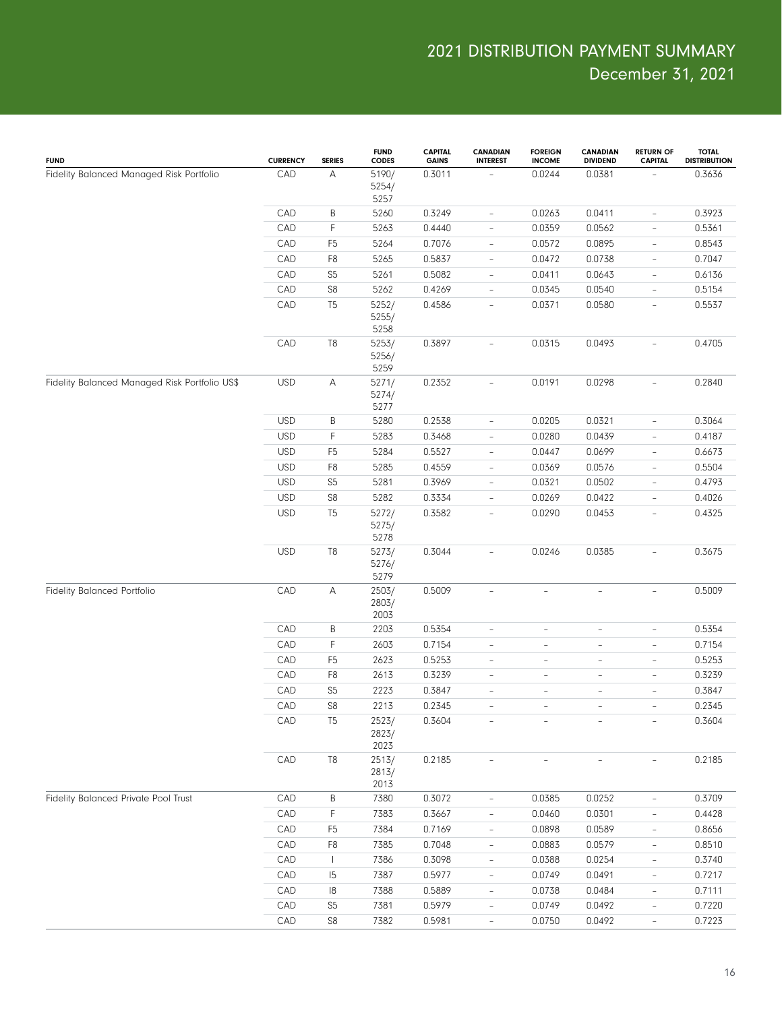| <b>FUND</b>                                   | <b>CURRENCY</b> | <b>SERIES</b>  | <b>FUND</b><br>CODES   | <b>CAPITAL</b><br><b>GAINS</b> | <b>CANADIAN</b><br><b>INTEREST</b> | <b>FOREIGN</b><br><b>INCOME</b> | <b>CANADIAN</b><br><b>DIVIDEND</b> | <b>RETURN OF</b><br><b>CAPITAL</b> | <b>TOTAL</b><br><b>DISTRIBUTION</b> |
|-----------------------------------------------|-----------------|----------------|------------------------|--------------------------------|------------------------------------|---------------------------------|------------------------------------|------------------------------------|-------------------------------------|
| Fidelity Balanced Managed Risk Portfolio      | CAD             | Α              | 5190/<br>5254/         | 0.3011                         |                                    | 0.0244                          | 0.0381                             |                                    | 0.3636                              |
|                                               | CAD             | $\sf B$        | 5257<br>5260           | 0.3249                         | $\qquad \qquad -$                  | 0.0263                          | 0.0411                             | $\overline{\phantom{0}}$           | 0.3923                              |
|                                               | CAD             | $\mathsf F$    | 5263                   | 0.4440                         | $\qquad \qquad -$                  | 0.0359                          | 0.0562                             | $\overline{\phantom{0}}$           | 0.5361                              |
|                                               | CAD             | F <sub>5</sub> | 5264                   | 0.7076                         | $\overline{\phantom{a}}$           | 0.0572                          | 0.0895                             | $\overline{\phantom{0}}$           | 0.8543                              |
|                                               | CAD             | F <sub>8</sub> | 5265                   | 0.5837                         | $\overline{\phantom{a}}$           | 0.0472                          | 0.0738                             | $\overline{\phantom{0}}$           | 0.7047                              |
|                                               | CAD             | S <sub>5</sub> | 5261                   | 0.5082                         | $\overline{\phantom{a}}$           | 0.0411                          | 0.0643                             | $\overline{\phantom{0}}$           | 0.6136                              |
|                                               | CAD             | S8             | 5262                   | 0.4269                         | $\qquad \qquad -$                  | 0.0345                          | 0.0540                             | $\overline{\phantom{0}}$           | 0.5154                              |
|                                               | CAD             | T <sub>5</sub> | 5252/<br>5255/<br>5258 | 0.4586                         | $\overline{\phantom{a}}$           | 0.0371                          | 0.0580                             | $\overline{\phantom{0}}$           | 0.5537                              |
|                                               | CAD             | T <sub>8</sub> | 5253/<br>5256/<br>5259 | 0.3897                         | $\overline{\phantom{a}}$           | 0.0315                          | 0.0493                             | $\overline{\phantom{0}}$           | 0.4705                              |
| Fidelity Balanced Managed Risk Portfolio US\$ | <b>USD</b>      | Α              | 5271/<br>5274/<br>5277 | 0.2352                         | $\overline{\phantom{a}}$           | 0.0191                          | 0.0298                             | $\overline{\phantom{a}}$           | 0.2840                              |
|                                               | <b>USD</b>      | $\sf B$        | 5280                   | 0.2538                         | $\qquad \qquad -$                  | 0.0205                          | 0.0321                             | $\overline{\phantom{0}}$           | 0.3064                              |
|                                               | <b>USD</b>      | F              | 5283                   | 0.3468                         | $\overline{\phantom{a}}$           | 0.0280                          | 0.0439                             | $\overline{\phantom{0}}$           | 0.4187                              |
|                                               | <b>USD</b>      | F <sub>5</sub> | 5284                   | 0.5527                         | $\qquad \qquad -$                  | 0.0447                          | 0.0699                             | $\overline{\phantom{0}}$           | 0.6673                              |
|                                               | <b>USD</b>      | F <sub>8</sub> | 5285                   | 0.4559                         | $\qquad \qquad -$                  | 0.0369                          | 0.0576                             | $\overline{\phantom{0}}$           | 0.5504                              |
|                                               | <b>USD</b>      | S <sub>5</sub> | 5281                   | 0.3969                         | $\qquad \qquad -$                  | 0.0321                          | 0.0502                             | $\overline{\phantom{0}}$           | 0.4793                              |
|                                               | <b>USD</b>      | S8             | 5282                   | 0.3334                         | $\qquad \qquad -$                  | 0.0269                          | 0.0422                             | $\overline{\phantom{0}}$           | 0.4026                              |
|                                               | <b>USD</b>      | T <sub>5</sub> | 5272/<br>5275/<br>5278 | 0.3582                         | $\overline{\phantom{a}}$           | 0.0290                          | 0.0453                             | $\overline{\phantom{0}}$           | 0.4325                              |
|                                               | <b>USD</b>      | T8             | 5273/<br>5276/<br>5279 | 0.3044                         | $\overline{\phantom{a}}$           | 0.0246                          | 0.0385                             | $\overline{\phantom{0}}$           | 0.3675                              |
| Fidelity Balanced Portfolio                   | CAD             | Α              | 2503/<br>2803/<br>2003 | 0.5009                         | $\overline{\phantom{a}}$           | $\overline{\phantom{0}}$        | $\overline{\phantom{a}}$           | $\overline{\phantom{0}}$           | 0.5009                              |
|                                               | CAD             | $\sf B$        | 2203                   | 0.5354                         | $\overline{\phantom{a}}$           | $\overline{\phantom{0}}$        | $\overline{\phantom{m}}$           | $\overline{\phantom{0}}$           | 0.5354                              |
|                                               | CAD             | F              | 2603                   | 0.7154                         | $\overline{\phantom{a}}$           | $\overline{\phantom{0}}$        | $\overline{\phantom{m}}$           | $\overline{\phantom{0}}$           | 0.7154                              |
|                                               | CAD             | F <sub>5</sub> | 2623                   | 0.5253                         | $\overline{\phantom{a}}$           | $\overline{\phantom{0}}$        | $\overline{\phantom{a}}$           | $\overline{\phantom{0}}$           | 0.5253                              |
|                                               | CAD             | ${\sf F8}$     | 2613                   | 0.3239                         | $\overline{\phantom{a}}$           | $\overline{\phantom{0}}$        | $\overline{\phantom{a}}$           | $\overline{\phantom{0}}$           | 0.3239                              |
|                                               | CAD             | S <sub>5</sub> | 2223                   | 0.3847                         | $\overline{\phantom{a}}$           | $\overline{\phantom{0}}$        | $\overline{\phantom{m}}$           | $\overline{\phantom{0}}$           | 0.3847                              |
|                                               | CAD             | S8             | 2213                   | 0.2345                         | $\bar{ }$                          | $\overline{\phantom{0}}$        | $\overline{\phantom{a}}$           | $\overline{\phantom{0}}$           | 0.2345                              |
|                                               | CAD             | T <sub>5</sub> | 2523/<br>2823/<br>2023 | 0.3604                         |                                    |                                 |                                    |                                    | 0.3604                              |
|                                               | CAD             | T <sub>8</sub> | 2513/<br>2813/<br>2013 | 0.2185                         | $\overline{\phantom{a}}$           | $\overline{\phantom{0}}$        |                                    |                                    | 0.2185                              |
| Fidelity Balanced Private Pool Trust          | CAD             | $\sf B$        | 7380                   | 0.3072                         | $\overline{\phantom{a}}$           | 0.0385                          | 0.0252                             | $\overline{\phantom{0}}$           | 0.3709                              |
|                                               | CAD             | F              | 7383                   | 0.3667                         | $\overline{\phantom{a}}$           | 0.0460                          | 0.0301                             |                                    | 0.4428                              |
|                                               | CAD             | F <sub>5</sub> | 7384                   | 0.7169                         | $\overline{\phantom{a}}$           | 0.0898                          | 0.0589                             | $\qquad \qquad -$                  | 0.8656                              |
|                                               | CAD             | F <sub>8</sub> | 7385                   | 0.7048                         | $\overline{\phantom{a}}$           | 0.0883                          | 0.0579                             | $\overline{\phantom{0}}$           | 0.8510                              |
|                                               | CAD             | $\mathbf{I}$   | 7386                   | 0.3098                         | $\overline{\phantom{a}}$           | 0.0388                          | 0.0254                             | $\qquad \qquad -$                  | 0.3740                              |
|                                               | CAD             | 15             | 7387                   | 0.5977                         | $\overline{\phantom{a}}$           | 0.0749                          | 0.0491                             | $\overline{\phantom{0}}$           | 0.7217                              |
|                                               | CAD             | $\vert 8$      | 7388                   | 0.5889                         | $\overline{\phantom{a}}$           | 0.0738                          | 0.0484                             | $\qquad \qquad -$                  | 0.7111                              |
|                                               | CAD             | S <sub>5</sub> | 7381                   | 0.5979                         | $\overline{\phantom{a}}$           | 0.0749                          | 0.0492                             | $\overline{\phantom{0}}$           | 0.7220                              |
|                                               | CAD             | S <sub>8</sub> | 7382                   | 0.5981                         | $\overline{\phantom{a}}$           | 0.0750                          | 0.0492                             | $\overline{\phantom{a}}$           | 0.7223                              |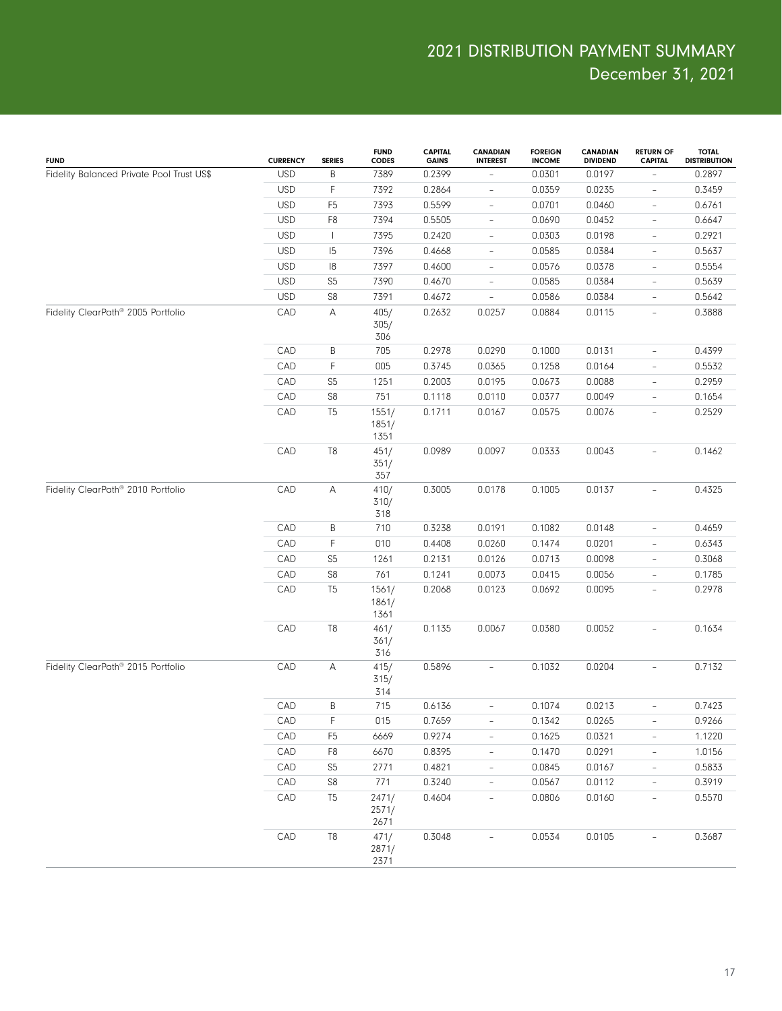| <b>FUND</b>                                    | <b>CURRENCY</b> | <b>SERIES</b>  | <b>FUND</b><br><b>CODES</b> | <b>CAPITAL</b><br><b>GAINS</b> | <b>CANADIAN</b><br><b>INTEREST</b> | <b>FOREIGN</b><br><b>INCOME</b> | <b>CANADIAN</b><br><b>DIVIDEND</b> | <b>RETURN OF</b><br><b>CAPITAL</b> | <b>TOTAL</b><br><b>DISTRIBUTION</b> |
|------------------------------------------------|-----------------|----------------|-----------------------------|--------------------------------|------------------------------------|---------------------------------|------------------------------------|------------------------------------|-------------------------------------|
| Fidelity Balanced Private Pool Trust US\$      | <b>USD</b>      | $\sf B$        | 7389                        | 0.2399                         | $\overline{\phantom{a}}$           | 0.0301                          | 0.0197                             |                                    | 0.2897                              |
|                                                | <b>USD</b>      | $\mathsf F$    | 7392                        | 0.2864                         | $\overline{\phantom{a}}$           | 0.0359                          | 0.0235                             | $\qquad \qquad -$                  | 0.3459                              |
|                                                | <b>USD</b>      | F <sub>5</sub> | 7393                        | 0.5599                         | $\overline{\phantom{a}}$           | 0.0701                          | 0.0460                             | $\overline{\phantom{0}}$           | 0.6761                              |
|                                                | <b>USD</b>      | F <sub>8</sub> | 7394                        | 0.5505                         | $\overline{\phantom{a}}$           | 0.0690                          | 0.0452                             | $\qquad \qquad -$                  | 0.6647                              |
|                                                | <b>USD</b>      | $\mathbf{I}$   | 7395                        | 0.2420                         | $\overline{\phantom{a}}$           | 0.0303                          | 0.0198                             | $\overline{\phantom{0}}$           | 0.2921                              |
|                                                | <b>USD</b>      | 5              | 7396                        | 0.4668                         | $\overline{\phantom{a}}$           | 0.0585                          | 0.0384                             | $\qquad \qquad -$                  | 0.5637                              |
|                                                | <b>USD</b>      | 18             | 7397                        | 0.4600                         | $\overline{\phantom{a}}$           | 0.0576                          | 0.0378                             | $\overline{\phantom{0}}$           | 0.5554                              |
|                                                | <b>USD</b>      | S <sub>5</sub> | 7390                        | 0.4670                         | $\overline{\phantom{a}}$           | 0.0585                          | 0.0384                             | $\overline{\phantom{a}}$           | 0.5639                              |
|                                                | <b>USD</b>      | S8             | 7391                        | 0.4672                         | $\overline{\phantom{a}}$           | 0.0586                          | 0.0384                             | $\overline{\phantom{a}}$           | 0.5642                              |
| Fidelity ClearPath <sup>®</sup> 2005 Portfolio | CAD             | А              | 405/<br>305/<br>306         | 0.2632                         | 0.0257                             | 0.0884                          | 0.0115                             | $\overline{\phantom{0}}$           | 0.3888                              |
|                                                | CAD             | B              | 705                         | 0.2978                         | 0.0290                             | 0.1000                          | 0.0131                             | $\overline{\phantom{0}}$           | 0.4399                              |
|                                                | CAD             | F              | 005                         | 0.3745                         | 0.0365                             | 0.1258                          | 0.0164                             | $\overline{\phantom{0}}$           | 0.5532                              |
|                                                | CAD             | S <sub>5</sub> | 1251                        | 0.2003                         | 0.0195                             | 0.0673                          | 0.0088                             | $\overline{\phantom{0}}$           | 0.2959                              |
|                                                | CAD             | S8             | 751                         | 0.1118                         | 0.0110                             | 0.0377                          | 0.0049                             | $\overline{\phantom{0}}$           | 0.1654                              |
|                                                | CAD             | T <sub>5</sub> | 1551/<br>1851/<br>1351      | 0.1711                         | 0.0167                             | 0.0575                          | 0.0076                             | $\overline{\phantom{a}}$           | 0.2529                              |
|                                                | CAD             | T <sub>8</sub> | 451/<br>351/<br>357         | 0.0989                         | 0.0097                             | 0.0333                          | 0.0043                             | $\overline{\phantom{0}}$           | 0.1462                              |
| Fidelity ClearPath <sup>®</sup> 2010 Portfolio | CAD             | Α              | 410/<br>310/<br>318         | 0.3005                         | 0.0178                             | 0.1005                          | 0.0137                             | $\overline{\phantom{a}}$           | 0.4325                              |
|                                                | CAD             | B              | 710                         | 0.3238                         | 0.0191                             | 0.1082                          | 0.0148                             | $\overline{\phantom{0}}$           | 0.4659                              |
|                                                | CAD             | $\mathsf F$    | 010                         | 0.4408                         | 0.0260                             | 0.1474                          | 0.0201                             | $\overline{\phantom{0}}$           | 0.6343                              |
|                                                | CAD             | S <sub>5</sub> | 1261                        | 0.2131                         | 0.0126                             | 0.0713                          | 0.0098                             | $\overline{\phantom{0}}$           | 0.3068                              |
|                                                | CAD             | S8             | 761                         | 0.1241                         | 0.0073                             | 0.0415                          | 0.0056                             | $\overline{\phantom{0}}$           | 0.1785                              |
|                                                | CAD             | T <sub>5</sub> | 1561/<br>1861/<br>1361      | 0.2068                         | 0.0123                             | 0.0692                          | 0.0095                             | $\overline{\phantom{0}}$           | 0.2978                              |
|                                                | CAD             | T <sub>8</sub> | 461/<br>361/<br>316         | 0.1135                         | 0.0067                             | 0.0380                          | 0.0052                             | $\overline{\phantom{0}}$           | 0.1634                              |
| Fidelity ClearPath® 2015 Portfolio             | CAD             | А              | 415/<br>315/<br>314         | 0.5896                         | $\overline{\phantom{a}}$           | 0.1032                          | 0.0204                             | $\overline{\phantom{a}}$           | 0.7132                              |
|                                                | CAD             | $\sf B$        | 715                         | 0.6136                         | $\overline{\phantom{a}}$           | 0.1074                          | 0.0213                             | $\overline{\phantom{0}}$           | 0.7423                              |
|                                                | CAD             | $\mathsf F$    | 015                         | 0.7659                         | $\overline{\phantom{a}}$           | 0.1342                          | 0.0265                             | $\overline{\phantom{0}}$           | 0.9266                              |
|                                                | CAD             | F <sub>5</sub> | 6669                        | 0.9274                         | $\qquad \qquad -$                  | 0.1625                          | 0.0321                             | $\overline{\phantom{a}}$           | 1.1220                              |
|                                                | CAD             | F8             | 6670                        | 0.8395                         | $\overline{\phantom{a}}$           | 0.1470                          | 0.0291                             | $\overline{\phantom{a}}$           | 1.0156                              |
|                                                | CAD             | S <sub>5</sub> | 2771                        | 0.4821                         | $\overline{\phantom{a}}$           | 0.0845                          | 0.0167                             | $\overline{\phantom{a}}$           | 0.5833                              |
|                                                | CAD             | ${\sf S8}$     | 771                         | 0.3240                         | $\overline{\phantom{a}}$           | 0.0567                          | 0.0112                             | $\overline{\phantom{0}}$           | 0.3919                              |
|                                                | CAD             | T <sub>5</sub> | 2471/<br>2571/<br>2671      | 0.4604                         | $\overline{\phantom{a}}$           | 0.0806                          | 0.0160                             | $\blacksquare$                     | 0.5570                              |
|                                                | CAD             | $\mathsf{T}8$  | 471/<br>2871/<br>2371       | 0.3048                         | $\overline{\phantom{0}}$           | 0.0534                          | 0.0105                             | $\overline{\phantom{0}}$           | 0.3687                              |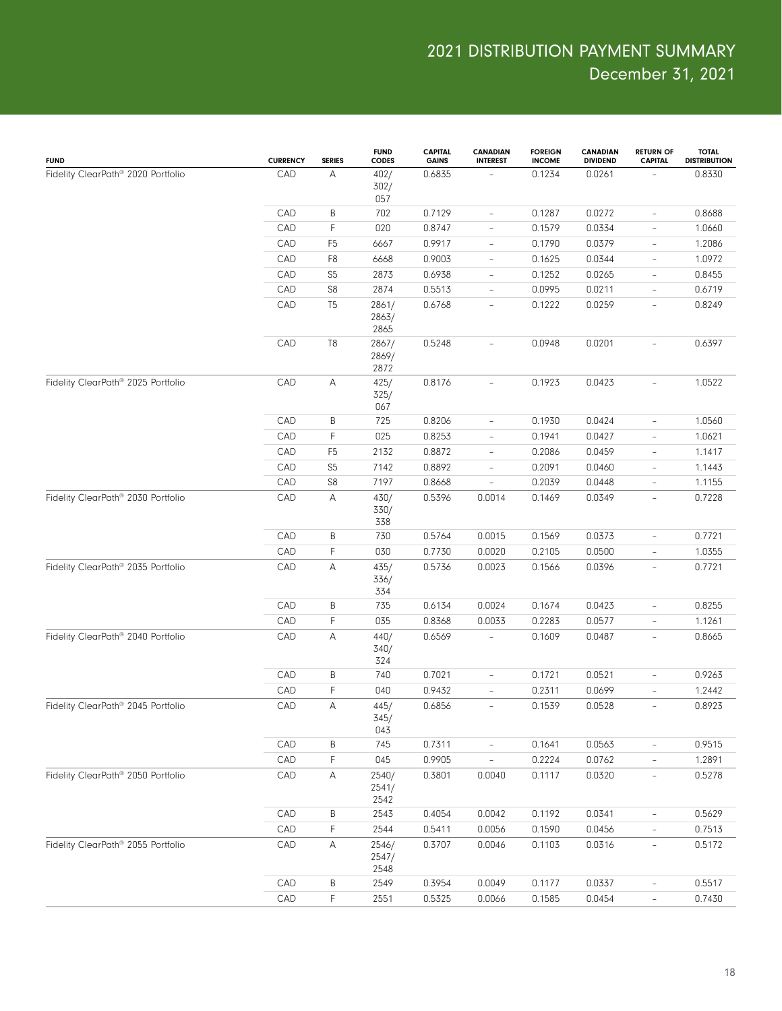| <b>FUND</b>                                    | <b>CURRENCY</b> | <b>SERIES</b>  | <b>FUND</b><br>CODES   | <b>CAPITAL</b><br><b>GAINS</b> | <b>CANADIAN</b><br><b>INTEREST</b> | <b>FOREIGN</b><br><b>INCOME</b> | <b>CANADIAN</b><br><b>DIVIDEND</b> | <b>RETURN OF</b><br><b>CAPITAL</b> | <b>TOTAL</b><br><b>DISTRIBUTION</b> |
|------------------------------------------------|-----------------|----------------|------------------------|--------------------------------|------------------------------------|---------------------------------|------------------------------------|------------------------------------|-------------------------------------|
| Fidelity ClearPath® 2020 Portfolio             | CAD             | А              | 402/<br>302/<br>057    | 0.6835                         |                                    | 0.1234                          | 0.0261                             |                                    | 0.8330                              |
|                                                | CAD             | Β              | 702                    | 0.7129                         | $\overline{\phantom{a}}$           | 0.1287                          | 0.0272                             | $\overline{\phantom{a}}$           | 0.8688                              |
|                                                | CAD             | F              | 020                    | 0.8747                         | $\overline{\phantom{a}}$           | 0.1579                          | 0.0334                             | $\overline{\phantom{a}}$           | 1.0660                              |
|                                                | CAD             | F <sub>5</sub> | 6667                   | 0.9917                         | $\overline{\phantom{a}}$           | 0.1790                          | 0.0379                             | $\overline{\phantom{a}}$           | 1.2086                              |
|                                                | CAD             | F <sub>8</sub> | 6668                   | 0.9003                         | $\overline{\phantom{a}}$           | 0.1625                          | 0.0344                             | $\overline{\phantom{a}}$           | 1.0972                              |
|                                                | CAD             | S <sub>5</sub> | 2873                   | 0.6938                         | $\overline{\phantom{a}}$           | 0.1252                          | 0.0265                             | $\overline{\phantom{a}}$           | 0.8455                              |
|                                                | CAD             | S8             | 2874                   | 0.5513                         | $\qquad \qquad -$                  | 0.0995                          | 0.0211                             | $\overline{\phantom{a}}$           | 0.6719                              |
|                                                | CAD             | T <sub>5</sub> | 2861/<br>2863/<br>2865 | 0.6768                         | $\overline{\phantom{a}}$           | 0.1222                          | 0.0259                             | $\overline{\phantom{a}}$           | 0.8249                              |
|                                                | CAD             | T8             | 2867/<br>2869/<br>2872 | 0.5248                         | $\overline{\phantom{a}}$           | 0.0948                          | 0.0201                             | ÷                                  | 0.6397                              |
| Fidelity ClearPath® 2025 Portfolio             | CAD             | A              | 425/<br>325/<br>067    | 0.8176                         | $\qquad \qquad -$                  | 0.1923                          | 0.0423                             | $\overline{\phantom{a}}$           | 1.0522                              |
|                                                | CAD             | Β              | 725                    | 0.8206                         | $\qquad \qquad -$                  | 0.1930                          | 0.0424                             | $\overline{\phantom{a}}$           | 1.0560                              |
|                                                | CAD             | F              | 025                    | 0.8253                         | $\overline{\phantom{0}}$           | 0.1941                          | 0.0427                             | $\overline{\phantom{0}}$           | 1.0621                              |
|                                                | CAD             | F <sub>5</sub> | 2132                   | 0.8872                         | $\qquad \qquad -$                  | 0.2086                          | 0.0459                             | $\overline{\phantom{0}}$           | 1.1417                              |
|                                                | CAD             | S <sub>5</sub> | 7142                   | 0.8892                         | $\overline{a}$                     | 0.2091                          | 0.0460                             | $\overline{\phantom{0}}$           | 1.1443                              |
|                                                | CAD             | S8             | 7197                   | 0.8668                         | $\overline{a}$                     | 0.2039                          | 0.0448                             | $\overline{\phantom{0}}$           | 1.1155                              |
| Fidelity ClearPath® 2030 Portfolio             | CAD             | Α              | 430/<br>330/<br>338    | 0.5396                         | 0.0014                             | 0.1469                          | 0.0349                             | $\overline{\phantom{0}}$           | 0.7228                              |
|                                                | CAD             | B              | 730                    | 0.5764                         | 0.0015                             | 0.1569                          | 0.0373                             | $\qquad \qquad -$                  | 0.7721                              |
|                                                | CAD             | F              | 030                    | 0.7730                         | 0.0020                             | 0.2105                          | 0.0500                             | $\overline{\phantom{a}}$           | 1.0355                              |
| Fidelity ClearPath® 2035 Portfolio             | CAD             | Α              | 435/<br>336/<br>334    | 0.5736                         | 0.0023                             | 0.1566                          | 0.0396                             | $\overline{\phantom{a}}$           | 0.7721                              |
|                                                | CAD             | B              | 735                    | 0.6134                         | 0.0024                             | 0.1674                          | 0.0423                             | $\overline{\phantom{0}}$           | 0.8255                              |
|                                                | CAD             | F              | 035                    | 0.8368                         | 0.0033                             | 0.2283                          | 0.0577                             | $\bar{ }$                          | 1.1261                              |
| Fidelity ClearPath® 2040 Portfolio             | CAD             | A              | 440/<br>340/<br>324    | 0.6569                         | $\overline{\phantom{a}}$           | 0.1609                          | 0.0487                             | $\overline{\phantom{a}}$           | 0.8665                              |
|                                                | CAD             | B              | 740                    | 0.7021                         | $\overline{\phantom{a}}$           | 0.1721                          | 0.0521                             | $\overline{\phantom{a}}$           | 0.9263                              |
|                                                | CAD             | F              | 040                    | 0.9432                         | $\overline{\phantom{0}}$           | 0.2311                          | 0.0699                             | $\overline{\phantom{0}}$           | 1.2442                              |
| Fidelity ClearPath <sup>®</sup> 2045 Portfolio | CAD             | Α              | 445/<br>345/<br>043    | 0.6856                         | $\qquad \qquad \blacksquare$       | 0.1539                          | 0.0528                             | $\qquad \qquad -$                  | 0.8923                              |
|                                                | CAD             | B              | 745                    | 0.7311                         | $\overline{\phantom{a}}$           | 0.1641                          | 0.0563                             | $\qquad \qquad -$                  | 0.9515                              |
|                                                | CAD             | F              | 045                    | 0.9905                         | $\overline{\phantom{a}}$           | 0.2224                          | 0.0762                             | $\qquad \qquad -$                  | 1.2891                              |
| Fidelity ClearPath <sup>®</sup> 2050 Portfolio | CAD             | Α              | 2540/<br>2541/<br>2542 | 0.3801                         | 0.0040                             | 0.1117                          | 0.0320                             | $\overline{\phantom{a}}$           | 0.5278                              |
|                                                | CAD             | B              | 2543                   | 0.4054                         | 0.0042                             | 0.1192                          | 0.0341                             | $\qquad \qquad -$                  | 0.5629                              |
|                                                | CAD             | F              | 2544                   | 0.5411                         | 0.0056                             | 0.1590                          | 0.0456                             |                                    | 0.7513                              |
| Fidelity ClearPath® 2055 Portfolio             | CAD             | A              | 2546/<br>2547/<br>2548 | 0.3707                         | 0.0046                             | 0.1103                          | 0.0316                             | $\overline{\phantom{a}}$           | 0.5172                              |
|                                                | CAD             | B              | 2549                   | 0.3954                         | 0.0049                             | 0.1177                          | 0.0337                             | $\overline{\phantom{a}}$           | 0.5517                              |
|                                                | CAD             | F              | 2551                   | 0.5325                         | 0.0066                             | 0.1585                          | 0.0454                             | $\overline{\phantom{a}}$           | 0.7430                              |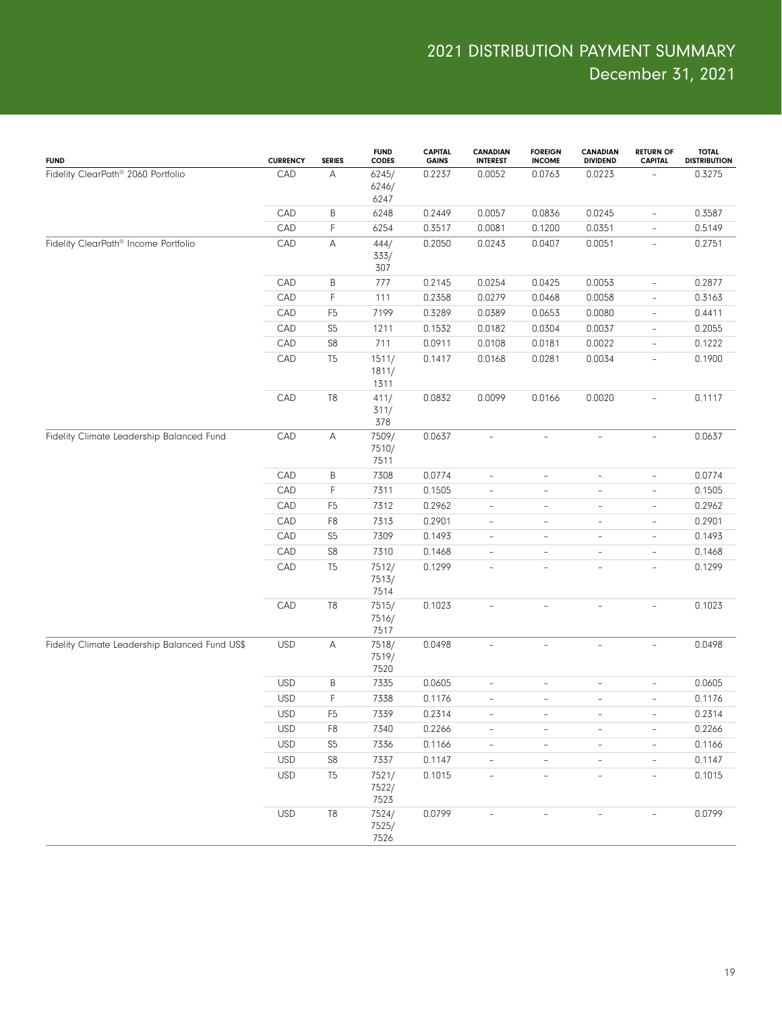| <b>FUND</b>                                    | <b>CURRENCY</b> | <b>SERIES</b>  | <b>FUND</b><br><b>CODES</b> | <b>CAPITAL</b><br><b>GAINS</b> | <b>CANADIAN</b><br><b>INTEREST</b> | <b>FOREIGN</b><br><b>INCOME</b> | <b>CANADIAN</b><br><b>DIVIDEND</b> | <b>RETURN OF</b><br><b>CAPITAL</b> | <b>TOTAL</b><br><b>DISTRIBUTION</b> |
|------------------------------------------------|-----------------|----------------|-----------------------------|--------------------------------|------------------------------------|---------------------------------|------------------------------------|------------------------------------|-------------------------------------|
| Fidelity ClearPath® 2060 Portfolio             | CAD             | А              | 6245/<br>6246/<br>6247      | 0.2237                         | 0.0052                             | 0.0763                          | 0.0223                             |                                    | 0.3275                              |
|                                                | CAD             | B              | 6248                        | 0.2449                         | 0.0057                             | 0.0836                          | 0.0245                             | $\overline{\phantom{a}}$           | 0.3587                              |
|                                                | CAD             | F              | 6254                        | 0.3517                         | 0.0081                             | 0.1200                          | 0.0351                             | $\overline{\phantom{a}}$           | 0.5149                              |
| Fidelity ClearPath® Income Portfolio           | CAD             | А              | 444/<br>333/<br>307         | 0.2050                         | 0.0243                             | 0.0407                          | 0.0051                             | $\overline{\phantom{a}}$           | 0.2751                              |
|                                                | CAD             | B              | 777                         | 0.2145                         | 0.0254                             | 0.0425                          | 0.0053                             | $\overline{\phantom{a}}$           | 0.2877                              |
|                                                | CAD             | $\mathsf F$    | 111                         | 0.2358                         | 0.0279                             | 0.0468                          | 0.0058                             | $\overline{\phantom{a}}$           | 0.3163                              |
|                                                | CAD             | F <sub>5</sub> | 7199                        | 0.3289                         | 0.0389                             | 0.0653                          | 0.0080                             | $\overline{\phantom{a}}$           | 0.4411                              |
|                                                | CAD             | S <sub>5</sub> | 1211                        | 0.1532                         | 0.0182                             | 0.0304                          | 0.0037                             | $\overline{\phantom{a}}$           | 0.2055                              |
|                                                | CAD             | ${\sf S8}$     | 711                         | 0.0911                         | 0.0108                             | 0.0181                          | 0.0022                             | $\overline{\phantom{a}}$           | 0.1222                              |
|                                                | CAD             | T <sub>5</sub> | 1511/<br>1811/<br>1311      | 0.1417                         | 0.0168                             | 0.0281                          | 0.0034                             | $\overline{\phantom{a}}$           | 0.1900                              |
|                                                | CAD             | $\mathsf{T}8$  | 411/<br>311/<br>378         | 0.0832                         | 0.0099                             | 0.0166                          | 0.0020                             | $\overline{\phantom{a}}$           | 0.1117                              |
| Fidelity Climate Leadership Balanced Fund      | CAD             | Α              | 7509/<br>7510/<br>7511      | 0.0637                         | $\overline{\phantom{a}}$           | $\overline{\phantom{a}}$        | $\overline{a}$                     | $\overline{\phantom{a}}$           | 0.0637                              |
|                                                | CAD             | B              | 7308                        | 0.0774                         | $\qquad \qquad -$                  | $\overline{\phantom{0}}$        | $\overline{\phantom{0}}$           | $\overline{\phantom{a}}$           | 0.0774                              |
|                                                | CAD             | $\mathsf F$    | 7311                        | 0.1505                         | $\qquad \qquad -$                  | $\overline{\phantom{0}}$        | $\overline{\phantom{0}}$           | $\overline{\phantom{a}}$           | 0.1505                              |
|                                                | CAD             | F <sub>5</sub> | 7312                        | 0.2962                         | $\overline{\phantom{0}}$           | $\overline{\phantom{a}}$        | $\overline{\phantom{0}}$           | $\overline{\phantom{a}}$           | 0.2962                              |
|                                                | CAD             | F <sub>8</sub> | 7313                        | 0.2901                         | $\overline{\phantom{0}}$           | $\overline{\phantom{a}}$        | $\overline{\phantom{0}}$           | $\overline{\phantom{a}}$           | 0.2901                              |
|                                                | CAD             | S <sub>5</sub> | 7309                        | 0.1493                         | $\frac{1}{2}$                      | $\overline{\phantom{a}}$        | $\overline{\phantom{0}}$           | $\overline{\phantom{a}}$           | 0.1493                              |
|                                                | CAD             | S8             | 7310                        | 0.1468                         | $\qquad \qquad -$                  | $\overline{\phantom{m}}$        | $\overline{\phantom{0}}$           | $\overline{\phantom{a}}$           | 0.1468                              |
|                                                | CAD             | T <sub>5</sub> | 7512/<br>7513/<br>7514      | 0.1299                         | $\bar{ }$                          | $\overline{\phantom{a}}$        | L,                                 | $\overline{\phantom{a}}$           | 0.1299                              |
|                                                | CAD             | $\mathsf{T}8$  | 7515/<br>7516/<br>7517      | 0.1023                         | $\overline{\phantom{a}}$           | $\overline{a}$                  | $\overline{a}$                     | $\overline{\phantom{a}}$           | 0.1023                              |
| Fidelity Climate Leadership Balanced Fund US\$ | <b>USD</b>      | A              | 7518/<br>7519/<br>7520      | 0.0498                         | $\overline{\phantom{a}}$           | $\qquad \qquad -$               | $\overline{a}$                     | $\overline{\phantom{a}}$           | 0.0498                              |
|                                                | <b>USD</b>      | B              | 7335                        | 0.0605                         | $\qquad \qquad -$                  | $\overline{\phantom{a}}$        | $\overline{\phantom{0}}$           | $\overline{\phantom{a}}$           | 0.0605                              |
|                                                | <b>USD</b>      | $\mathsf F$    | 7338                        | 0.1176                         | $\qquad \qquad -$                  | $\overline{\phantom{a}}$        | $\overline{a}$                     | $\overline{\phantom{a}}$           | 0.1176                              |
|                                                | <b>USD</b>      | F <sub>5</sub> | 7339                        | 0.2314                         |                                    |                                 |                                    |                                    | 0.2314                              |
|                                                | <b>USD</b>      | F8             | 7340                        | 0.2266                         | $\overline{\phantom{a}}$           | $\overline{\phantom{a}}$        | $\qquad \qquad -$                  | $\overline{\phantom{a}}$           | 0.2266                              |
|                                                | <b>USD</b>      | S <sub>5</sub> | 7336                        | 0.1166                         | $\overline{\phantom{a}}$           | $\overline{\phantom{a}}$        | $\overline{\phantom{0}}$           | $\overline{\phantom{a}}$           | 0.1166                              |
|                                                | <b>USD</b>      | S8             | 7337                        | 0.1147                         | $\qquad \qquad -$                  | $\overline{\phantom{a}}$        | $\qquad \qquad -$                  | $\overline{\phantom{a}}$           | 0.1147                              |
|                                                | <b>USD</b>      | T <sub>5</sub> | 7521/<br>7522/<br>7523      | 0.1015                         | $\overline{\phantom{a}}$           | $\overline{\phantom{a}}$        | $\overline{\phantom{0}}$           | $\overline{\phantom{a}}$           | 0.1015                              |
|                                                | <b>USD</b>      | $\mathsf{T}8$  | 7524/<br>7525/<br>7526      | 0.0799                         |                                    |                                 |                                    | $\bar{a}$                          | 0.0799                              |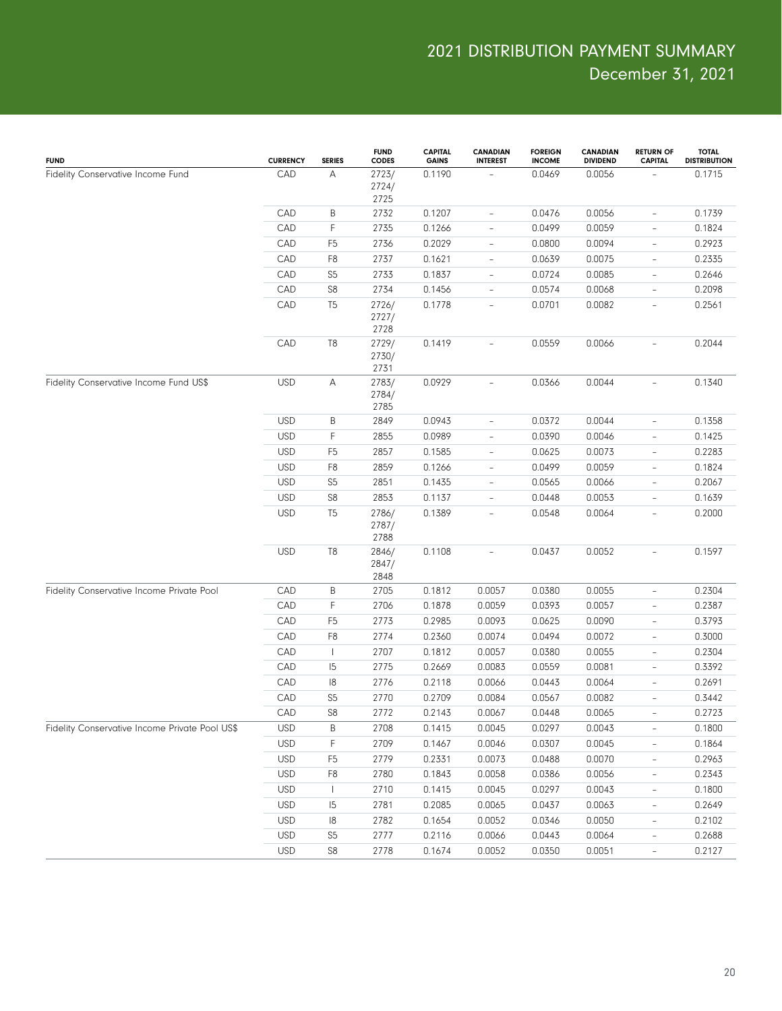| <b>FUND</b>                                    | <b>CURRENCY</b> | <b>SERIES</b>                         | <b>FUND</b><br><b>CODES</b> | CAPITAL<br><b>GAINS</b> | <b>CANADIAN</b><br><b>INTEREST</b> | <b>FOREIGN</b><br><b>INCOME</b> | <b>CANADIAN</b><br><b>DIVIDEND</b> | <b>RETURN OF</b><br><b>CAPITAL</b> | <b>TOTAL</b><br><b>DISTRIBUTION</b> |
|------------------------------------------------|-----------------|---------------------------------------|-----------------------------|-------------------------|------------------------------------|---------------------------------|------------------------------------|------------------------------------|-------------------------------------|
| Fidelity Conservative Income Fund              | CAD             | Α                                     | 2723/<br>2724/<br>2725      | 0.1190                  |                                    | 0.0469                          | 0.0056                             |                                    | 0.1715                              |
|                                                | CAD             | B                                     | 2732                        | 0.1207                  | $\overline{\phantom{a}}$           | 0.0476                          | 0.0056                             | $\overline{\phantom{0}}$           | 0.1739                              |
|                                                | CAD             | $\mathsf F$                           | 2735                        | 0.1266                  | $\overline{\phantom{m}}$           | 0.0499                          | 0.0059                             | $\qquad \qquad -$                  | 0.1824                              |
|                                                | CAD             | F <sub>5</sub>                        | 2736                        | 0.2029                  | $\overline{\phantom{a}}$           | 0.0800                          | 0.0094                             | $\qquad \qquad -$                  | 0.2923                              |
|                                                | CAD             | F <sub>8</sub>                        | 2737                        | 0.1621                  | $\overline{\phantom{a}}$           | 0.0639                          | 0.0075                             | $\qquad \qquad -$                  | 0.2335                              |
|                                                | CAD             | S <sub>5</sub>                        | 2733                        | 0.1837                  | $\overline{\phantom{a}}$           | 0.0724                          | 0.0085                             | $\qquad \qquad -$                  | 0.2646                              |
|                                                | CAD             | S8                                    | 2734                        | 0.1456                  | $\overline{\phantom{a}}$           | 0.0574                          | 0.0068                             | $\qquad \qquad -$                  | 0.2098                              |
|                                                | CAD             | T <sub>5</sub>                        | 2726/<br>2727/<br>2728      | 0.1778                  | $\overline{\phantom{a}}$           | 0.0701                          | 0.0082                             | $\overline{\phantom{0}}$           | 0.2561                              |
|                                                | CAD             | T <sub>8</sub>                        | 2729/<br>2730/<br>2731      | 0.1419                  | $\overline{\phantom{a}}$           | 0.0559                          | 0.0066                             |                                    | 0.2044                              |
| Fidelity Conservative Income Fund US\$         | <b>USD</b>      | А                                     | 2783/<br>2784/<br>2785      | 0.0929                  | $\overline{\phantom{m}}$           | 0.0366                          | 0.0044                             | $\overline{\phantom{0}}$           | 0.1340                              |
|                                                | <b>USD</b>      | B                                     | 2849                        | 0.0943                  | $\overline{\phantom{a}}$           | 0.0372                          | 0.0044                             | $\overline{\phantom{0}}$           | 0.1358                              |
|                                                | <b>USD</b>      | $\mathsf F$                           | 2855                        | 0.0989                  | $\overline{\phantom{m}}$           | 0.0390                          | 0.0046                             | $\qquad \qquad -$                  | 0.1425                              |
|                                                | <b>USD</b>      | F <sub>5</sub>                        | 2857                        | 0.1585                  | $\overline{\phantom{m}}$           | 0.0625                          | 0.0073                             | $\overline{\phantom{0}}$           | 0.2283                              |
|                                                | <b>USD</b>      | F <sub>8</sub>                        | 2859                        | 0.1266                  | $\overline{\phantom{m}}$           | 0.0499                          | 0.0059                             | $\overline{\phantom{0}}$           | 0.1824                              |
|                                                | <b>USD</b>      | S <sub>5</sub>                        | 2851                        | 0.1435                  | $\overline{\phantom{m}}$           | 0.0565                          | 0.0066                             | $\overline{\phantom{0}}$           | 0.2067                              |
|                                                | <b>USD</b>      | S <sub>8</sub>                        | 2853                        | 0.1137                  | $\overline{\phantom{m}}$           | 0.0448                          | 0.0053                             | $\overline{\phantom{0}}$           | 0.1639                              |
|                                                | <b>USD</b>      | T <sub>5</sub>                        | 2786/<br>2787/<br>2788      | 0.1389                  | $\overline{\phantom{a}}$           | 0.0548                          | 0.0064                             | $\overline{\phantom{0}}$           | 0.2000                              |
|                                                | <b>USD</b>      | T <sub>8</sub>                        | 2846/<br>2847/<br>2848      | 0.1108                  | $\overline{a}$                     | 0.0437                          | 0.0052                             | $\overline{\phantom{0}}$           | 0.1597                              |
| Fidelity Conservative Income Private Pool      | CAD             | $\sf B$                               | 2705                        | 0.1812                  | 0.0057                             | 0.0380                          | 0.0055                             | $\overline{\phantom{0}}$           | 0.2304                              |
|                                                | CAD             | F                                     | 2706                        | 0.1878                  | 0.0059                             | 0.0393                          | 0.0057                             | $\overline{\phantom{0}}$           | 0.2387                              |
|                                                | CAD             | F <sub>5</sub>                        | 2773                        | 0.2985                  | 0.0093                             | 0.0625                          | 0.0090                             | $\overline{\phantom{0}}$           | 0.3793                              |
|                                                | CAD             | F <sub>8</sub>                        | 2774                        | 0.2360                  | 0.0074                             | 0.0494                          | 0.0072                             | $\overline{\phantom{0}}$           | 0.3000                              |
|                                                | CAD             | $\begin{array}{c} \hline \end{array}$ | 2707                        | 0.1812                  | 0.0057                             | 0.0380                          | 0.0055                             | $\overline{\phantom{0}}$           | 0.2304                              |
|                                                | CAD             | 5                                     | 2775                        | 0.2669                  | 0.0083                             | 0.0559                          | 0.0081                             | $\overline{\phantom{0}}$           | 0.3392                              |
|                                                | CAD             | 18                                    | 2776                        | 0.2118                  | 0.0066                             | 0.0443                          | 0.0064                             | $\overline{\phantom{0}}$           | 0.2691                              |
|                                                | CAD             | S <sub>5</sub>                        | 2770                        | 0.2709                  | 0.0084                             | 0.0567                          | 0.0082                             | $\overline{\phantom{0}}$           | 0.3442                              |
|                                                | CAD             | S8                                    | 2772                        | 0.2143                  | 0.0067                             | 0.0448                          | 0.0065                             |                                    | 0.2723                              |
| Fidelity Conservative Income Private Pool US\$ | <b>USD</b>      | Β                                     | 2708                        | 0.1415                  | 0.0045                             | 0.0297                          | 0.0043                             | $\overline{\phantom{a}}$           | 0.1800                              |
|                                                | <b>USD</b>      | F                                     | 2709                        | 0.1467                  | 0.0046                             | 0.0307                          | 0.0045                             | $\overline{\phantom{0}}$           | 0.1864                              |
|                                                | <b>USD</b>      | F <sub>5</sub>                        | 2779                        | 0.2331                  | 0.0073                             | 0.0488                          | 0.0070                             | $\overline{\phantom{a}}$           | 0.2963                              |
|                                                | USD             | F <sub>8</sub>                        | 2780                        | 0.1843                  | 0.0058                             | 0.0386                          | 0.0056                             | $\overline{\phantom{a}}$           | 0.2343                              |
|                                                | <b>USD</b>      | $\mathbf{I}$                          | 2710                        | 0.1415                  | 0.0045                             | 0.0297                          | 0.0043                             | -                                  | 0.1800                              |
|                                                | USD             | 15                                    | 2781                        | 0.2085                  | 0.0065                             | 0.0437                          | 0.0063                             | -                                  | 0.2649                              |
|                                                | USD             | 18                                    | 2782                        | 0.1654                  | 0.0052                             | 0.0346                          | 0.0050                             | -                                  | 0.2102                              |
|                                                | <b>USD</b>      | S <sub>5</sub>                        | 2777                        | 0.2116                  | 0.0066                             | 0.0443                          | 0.0064                             | $\overline{\phantom{0}}$           | 0.2688                              |
|                                                | <b>USD</b>      | S <sub>8</sub>                        | 2778                        | 0.1674                  | 0.0052                             | 0.0350                          | 0.0051                             | $\overline{\phantom{a}}$           | 0.2127                              |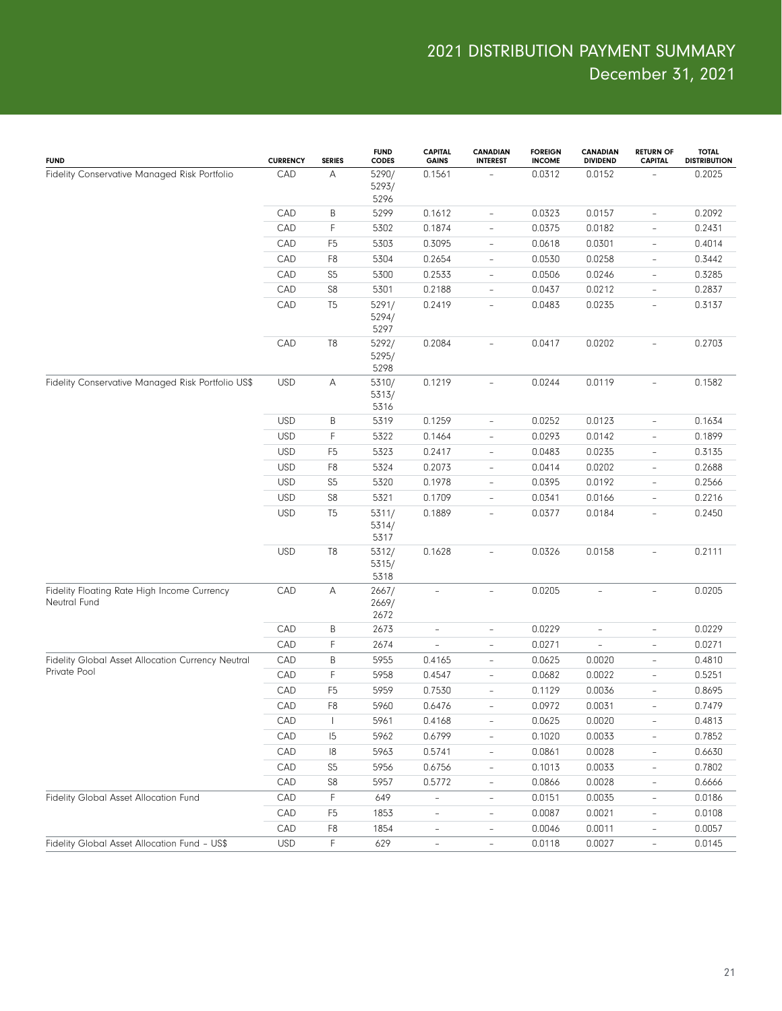| <b>FUND</b>                                                 | <b>CURRENCY</b> | <b>SERIES</b>  | <b>FUND</b><br><b>CODES</b> | <b>CAPITAL</b><br><b>GAINS</b> | <b>CANADIAN</b><br><b>INTEREST</b> | <b>FOREIGN</b><br><b>INCOME</b> | CANADIAN<br><b>DIVIDEND</b> | <b>RETURN OF</b><br><b>CAPITAL</b> | <b>TOTAL</b><br><b>DISTRIBUTION</b> |
|-------------------------------------------------------------|-----------------|----------------|-----------------------------|--------------------------------|------------------------------------|---------------------------------|-----------------------------|------------------------------------|-------------------------------------|
| Fidelity Conservative Managed Risk Portfolio                | CAD             | Α              | 5290/<br>5293/<br>5296      | 0.1561                         |                                    | 0.0312                          | 0.0152                      |                                    | 0.2025                              |
|                                                             | CAD             | B              | 5299                        | 0.1612                         | $\overline{\phantom{a}}$           | 0.0323                          | 0.0157                      | ÷,                                 | 0.2092                              |
|                                                             | CAD             | $\mathsf F$    | 5302                        | 0.1874                         | $\overline{\phantom{a}}$           | 0.0375                          | 0.0182                      | ÷,                                 | 0.2431                              |
|                                                             | CAD             | F <sub>5</sub> | 5303                        | 0.3095                         | $\overline{\phantom{a}}$           | 0.0618                          | 0.0301                      | $\overline{\phantom{0}}$           | 0.4014                              |
|                                                             | CAD             | F <sub>8</sub> | 5304                        | 0.2654                         | $\qquad \qquad -$                  | 0.0530                          | 0.0258                      | $\overline{a}$                     | 0.3442                              |
|                                                             | CAD             | S <sub>5</sub> | 5300                        | 0.2533                         | $\overline{\phantom{a}}$           | 0.0506                          | 0.0246                      | $\overline{\phantom{0}}$           | 0.3285                              |
|                                                             | CAD             | S8             | 5301                        | 0.2188                         | $\qquad \qquad -$                  | 0.0437                          | 0.0212                      | ÷,                                 | 0.2837                              |
|                                                             | CAD             | T <sub>5</sub> | 5291/<br>5294/<br>5297      | 0.2419                         | $\overline{\phantom{a}}$           | 0.0483                          | 0.0235                      | $\overline{a}$                     | 0.3137                              |
|                                                             | CAD             | T8             | 5292/<br>5295/<br>5298      | 0.2084                         | $\overline{\phantom{a}}$           | 0.0417                          | 0.0202                      |                                    | 0.2703                              |
| Fidelity Conservative Managed Risk Portfolio US\$           | <b>USD</b>      | Α              | 5310/<br>5313/<br>5316      | 0.1219                         | $\qquad \qquad -$                  | 0.0244                          | 0.0119                      | $\overline{\phantom{0}}$           | 0.1582                              |
|                                                             | <b>USD</b>      | $\sf B$        | 5319                        | 0.1259                         | $\overline{\phantom{a}}$           | 0.0252                          | 0.0123                      | $\overline{\phantom{0}}$           | 0.1634                              |
|                                                             | <b>USD</b>      | $\mathsf F$    | 5322                        | 0.1464                         | $\overline{\phantom{a}}$           | 0.0293                          | 0.0142                      | $\qquad \qquad -$                  | 0.1899                              |
|                                                             | <b>USD</b>      | F <sub>5</sub> | 5323                        | 0.2417                         | $\overline{\phantom{a}}$           | 0.0483                          | 0.0235                      | $\overline{\phantom{0}}$           | 0.3135                              |
|                                                             | <b>USD</b>      | F <sub>8</sub> | 5324                        | 0.2073                         | $\overline{\phantom{a}}$           | 0.0414                          | 0.0202                      | $\overline{\phantom{0}}$           | 0.2688                              |
|                                                             | <b>USD</b>      | S <sub>5</sub> | 5320                        | 0.1978                         | $\overline{\phantom{a}}$           | 0.0395                          | 0.0192                      | $\overline{\phantom{0}}$           | 0.2566                              |
|                                                             | <b>USD</b>      | S8             | 5321                        | 0.1709                         | $\overline{\phantom{a}}$           | 0.0341                          | 0.0166                      | $\overline{\phantom{0}}$           | 0.2216                              |
|                                                             | <b>USD</b>      | T <sub>5</sub> | 5311/<br>5314/<br>5317      | 0.1889                         | $\bar{ }$                          | 0.0377                          | 0.0184                      | $\overline{\phantom{0}}$           | 0.2450                              |
|                                                             | <b>USD</b>      | T8             | 5312/<br>5315/<br>5318      | 0.1628                         | $\overline{a}$                     | 0.0326                          | 0.0158                      | $\overline{\phantom{0}}$           | 0.2111                              |
| Fidelity Floating Rate High Income Currency<br>Neutral Fund | CAD             | Α              | 2667/<br>2669/<br>2672      | $\overline{\phantom{a}}$       | $\bar{ }$                          | 0.0205                          | $\overline{\phantom{a}}$    | $\overline{\phantom{0}}$           | 0.0205                              |
|                                                             | CAD             | $\sf B$        | 2673                        | $\overline{a}$                 | $\overline{\phantom{a}}$           | 0.0229                          | ÷,                          | ÷,                                 | 0.0229                              |
|                                                             | CAD             | $\mathsf F$    | 2674                        |                                | $\qquad \qquad -$                  | 0.0271                          | $\qquad \qquad -$           | ÷,                                 | 0.0271                              |
| Fidelity Global Asset Allocation Currency Neutral           | CAD             | B              | 5955                        | 0.4165                         | $\overline{\phantom{a}}$           | 0.0625                          | 0.0020                      | $\overline{\phantom{0}}$           | 0.4810                              |
| Private Pool                                                | CAD             | $\mathsf F$    | 5958                        | 0.4547                         | $\overline{\phantom{a}}$           | 0.0682                          | 0.0022                      | ÷,                                 | 0.5251                              |
|                                                             | CAD             | F <sub>5</sub> | 5959                        | 0.7530                         | $\qquad \qquad -$                  | 0.1129                          | 0.0036                      | ÷,                                 | 0.8695                              |
|                                                             | CAD             | F <sub>8</sub> | 5960                        | 0.6476                         | $\bar{\phantom{a}}$                | 0.0972                          | 0.0031                      | ÷,                                 | 0.7479                              |
|                                                             | CAD             | $\mathbf{I}$   | 5961                        | 0.4168                         | $\qquad \qquad -$                  | 0.0625                          | 0.0020                      | $\qquad \qquad -$                  | 0.4813                              |
|                                                             | CAD             | 15             | 5962                        | 0.6799                         |                                    | 0.1020                          | 0.0033                      |                                    | 0.7852                              |
|                                                             | CAD             | 8              | 5963                        | 0.5741                         | $\overline{\phantom{a}}$           | 0.0861                          | 0.0028                      | $\overline{\phantom{0}}$           | 0.6630                              |
|                                                             | CAD             | S <sub>5</sub> | 5956                        | 0.6756                         | $\overline{\phantom{a}}$           | 0.1013                          | 0.0033                      | $\overline{\phantom{0}}$           | 0.7802                              |
|                                                             | CAD             | S8             | 5957                        | 0.5772                         | $\overline{\phantom{a}}$           | 0.0866                          | 0.0028                      | $\overline{\phantom{0}}$           | 0.6666                              |
| Fidelity Global Asset Allocation Fund                       | CAD             | F              | 649                         | $\blacksquare$                 | $\overline{\phantom{a}}$           | 0.0151                          | 0.0035                      | $\frac{1}{2}$                      | 0.0186                              |
|                                                             | CAD             | F <sub>5</sub> | 1853                        | $\overline{a}$                 | $\overline{\phantom{a}}$           | 0.0087                          | 0.0021                      | $\overline{\phantom{0}}$           | 0.0108                              |
|                                                             | CAD             | F <sub>8</sub> | 1854                        | $\overline{a}$                 | $\overline{\phantom{a}}$           | 0.0046                          | 0.0011                      | $\overline{\phantom{0}}$           | 0.0057                              |
| Fidelity Global Asset Allocation Fund - US\$                | <b>USD</b>      | $\mathsf F$    | 629                         | $\overline{\phantom{a}}$       | $\overline{\phantom{a}}$           | 0.0118                          | 0.0027                      | $\overline{\phantom{a}}$           | 0.0145                              |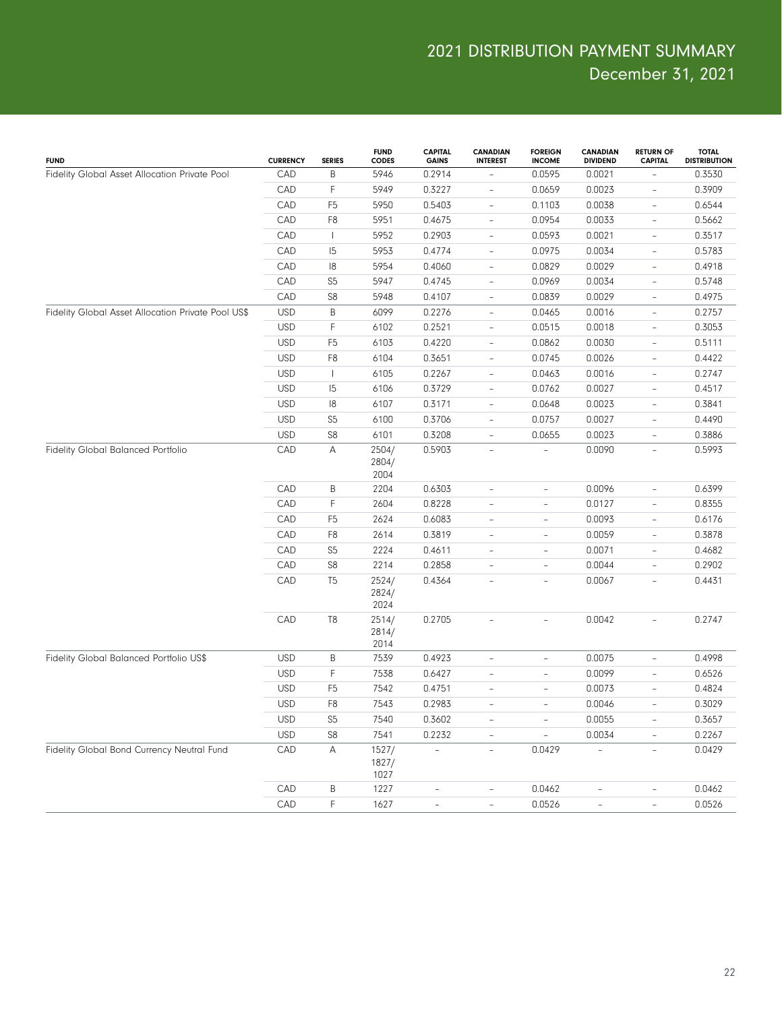| <b>FUND</b>                                        | <b>CURRENCY</b> | <b>SERIES</b>  | <b>FUND</b><br><b>CODES</b> | <b>CAPITAL</b><br><b>GAINS</b> | <b>CANADIAN</b><br><b>INTEREST</b> | <b>FOREIGN</b><br><b>INCOME</b> | <b>CANADIAN</b><br><b>DIVIDEND</b> | <b>RETURN OF</b><br><b>CAPITAL</b> | <b>TOTAL</b><br><b>DISTRIBUTION</b> |
|----------------------------------------------------|-----------------|----------------|-----------------------------|--------------------------------|------------------------------------|---------------------------------|------------------------------------|------------------------------------|-------------------------------------|
| Fidelity Global Asset Allocation Private Pool      | CAD             | $\sf B$        | 5946                        | 0.2914                         |                                    | 0.0595                          | 0.0021                             |                                    | 0.3530                              |
|                                                    | CAD             | $\mathsf F$    | 5949                        | 0.3227                         | $\overline{\phantom{a}}$           | 0.0659                          | 0.0023                             | $\qquad \qquad -$                  | 0.3909                              |
|                                                    | CAD             | F <sub>5</sub> | 5950                        | 0.5403                         | $\overline{\phantom{a}}$           | 0.1103                          | 0.0038                             | $\overline{\phantom{0}}$           | 0.6544                              |
|                                                    | CAD             | F <sub>8</sub> | 5951                        | 0.4675                         | $\overline{\phantom{a}}$           | 0.0954                          | 0.0033                             | $\qquad \qquad -$                  | 0.5662                              |
|                                                    | CAD             | $\mathbf{I}$   | 5952                        | 0.2903                         | $\overline{\phantom{a}}$           | 0.0593                          | 0.0021                             | $\overline{\phantom{0}}$           | 0.3517                              |
|                                                    | CAD             | 15             | 5953                        | 0.4774                         | $\overline{\phantom{a}}$           | 0.0975                          | 0.0034                             | $\qquad \qquad -$                  | 0.5783                              |
|                                                    | CAD             | 8              | 5954                        | 0.4060                         | $\overline{\phantom{a}}$           | 0.0829                          | 0.0029                             | $\overline{\phantom{0}}$           | 0.4918                              |
|                                                    | CAD             | S <sub>5</sub> | 5947                        | 0.4745                         | $\overline{\phantom{a}}$           | 0.0969                          | 0.0034                             | $\qquad \qquad -$                  | 0.5748                              |
|                                                    | CAD             | S <sub>8</sub> | 5948                        | 0.4107                         | $\overline{\phantom{a}}$           | 0.0839                          | 0.0029                             | $\overline{\phantom{a}}$           | 0.4975                              |
| Fidelity Global Asset Allocation Private Pool US\$ | <b>USD</b>      | $\sf B$        | 6099                        | 0.2276                         | $\overline{\phantom{a}}$           | 0.0465                          | 0.0016                             | $\qquad \qquad -$                  | 0.2757                              |
|                                                    | <b>USD</b>      | $\mathsf F$    | 6102                        | 0.2521                         | $\overline{\phantom{a}}$           | 0.0515                          | 0.0018                             | $\qquad \qquad -$                  | 0.3053                              |
|                                                    | <b>USD</b>      | F <sub>5</sub> | 6103                        | 0.4220                         | $\overline{\phantom{a}}$           | 0.0862                          | 0.0030                             | $\overline{\phantom{a}}$           | 0.5111                              |
|                                                    | <b>USD</b>      | F <sub>8</sub> | 6104                        | 0.3651                         | $\overline{\phantom{a}}$           | 0.0745                          | 0.0026                             | $\qquad \qquad -$                  | 0.4422                              |
|                                                    | <b>USD</b>      | $\mathbf{I}$   | 6105                        | 0.2267                         | $\overline{\phantom{a}}$           | 0.0463                          | 0.0016                             | $\qquad \qquad -$                  | 0.2747                              |
|                                                    | <b>USD</b>      | 15             | 6106                        | 0.3729                         | $\overline{\phantom{a}}$           | 0.0762                          | 0.0027                             | $\qquad \qquad -$                  | 0.4517                              |
|                                                    | <b>USD</b>      | 8              | 6107                        | 0.3171                         | $\overline{\phantom{a}}$           | 0.0648                          | 0.0023                             | $\overline{\phantom{a}}$           | 0.3841                              |
|                                                    | <b>USD</b>      | S <sub>5</sub> | 6100                        | 0.3706                         | $\overline{\phantom{a}}$           | 0.0757                          | 0.0027                             | $\qquad \qquad -$                  | 0.4490                              |
|                                                    | <b>USD</b>      | S8             | 6101                        | 0.3208                         | $\overline{\phantom{a}}$           | 0.0655                          | 0.0023                             | $\overline{\phantom{a}}$           | 0.3886                              |
| Fidelity Global Balanced Portfolio                 | CAD             | Α              | 2504/<br>2804/<br>2004      | 0.5903                         | $\overline{\phantom{a}}$           |                                 | 0.0090                             | $\overline{\phantom{a}}$           | 0.5993                              |
|                                                    | CAD             | B              | 2204                        | 0.6303                         | $\overline{\phantom{a}}$           | $\qquad \qquad -$               | 0.0096                             | $\qquad \qquad -$                  | 0.6399                              |
|                                                    | CAD             | $\mathsf F$    | 2604                        | 0.8228                         | $\overline{\phantom{a}}$           | $\qquad \qquad -$               | 0.0127                             | $\overline{\phantom{0}}$           | 0.8355                              |
|                                                    | CAD             | F <sub>5</sub> | 2624                        | 0.6083                         | $\overline{\phantom{0}}$           | $\qquad \qquad -$               | 0.0093                             | $\qquad \qquad -$                  | 0.6176                              |
|                                                    | CAD             | F <sub>8</sub> | 2614                        | 0.3819                         | $\overline{\phantom{a}}$           | $\qquad \qquad -$               | 0.0059                             | $\qquad \qquad -$                  | 0.3878                              |
|                                                    | CAD             | S <sub>5</sub> | 2224                        | 0.4611                         | $\overline{\phantom{0}}$           | $\overline{\phantom{0}}$        | 0.0071                             | $\qquad \qquad -$                  | 0.4682                              |
|                                                    | CAD             | S8             | 2214                        | 0.2858                         | $\overline{\phantom{0}}$           | $\qquad \qquad -$               | 0.0044                             | $\qquad \qquad -$                  | 0.2902                              |
|                                                    | CAD             | T <sub>5</sub> | 2524/<br>2824/<br>2024      | 0.4364                         | $\overline{\phantom{a}}$           | $\overline{\phantom{0}}$        | 0.0067                             | $\overline{\phantom{0}}$           | 0.4431                              |
|                                                    | CAD             | T <sub>8</sub> | 2514/<br>2814/<br>2014      | 0.2705                         | $\overline{\phantom{a}}$           | L,                              | 0.0042                             | $\overline{\phantom{0}}$           | 0.2747                              |
| Fidelity Global Balanced Portfolio US\$            | <b>USD</b>      | B              | 7539                        | 0.4923                         | $\overline{\phantom{a}}$           | $\overline{\phantom{0}}$        | 0.0075                             | $\overline{\phantom{0}}$           | 0.4998                              |
|                                                    | <b>USD</b>      | F              | 7538                        | 0.6427                         | $\overline{\phantom{a}}$           | $\qquad \qquad -$               | 0.0099                             | $\qquad \qquad -$                  | 0.6526                              |
|                                                    | <b>USD</b>      | F <sub>5</sub> | 7542                        | 0.4751                         | $\overline{\phantom{a}}$           | $\overline{\phantom{a}}$        | 0.0073                             | $\qquad \qquad -$                  | 0.4824                              |
|                                                    | <b>USD</b>      | F <sub>8</sub> | 7543                        | 0.2983                         | $\overline{\phantom{a}}$           | ÷                               | 0.0046                             | $\overline{\phantom{0}}$           | 0.3029                              |
|                                                    | <b>USD</b>      | S <sub>5</sub> | 7540                        | 0.3602                         | $\qquad \qquad -$                  | $\overline{\phantom{0}}$        | 0.0055                             | $\overline{\phantom{0}}$           | 0.3657                              |
|                                                    | <b>USD</b>      | S8             | 7541                        | 0.2232                         | L,                                 |                                 | 0.0034                             | $\overline{\phantom{0}}$           | 0.2267                              |
| Fidelity Global Bond Currency Neutral Fund         | CAD             | $\mathsf A$    | 1527/<br>1827/<br>1027      | $\overline{a}$                 | $\overline{\phantom{a}}$           | 0.0429                          | L,                                 | $\overline{\phantom{a}}$           | 0.0429                              |
|                                                    | CAD             | $\sf B$        | 1227                        | $\qquad \qquad -$              | $\qquad \qquad -$                  | 0.0462                          | $\qquad \qquad -$                  | $\qquad \qquad -$                  | 0.0462                              |
|                                                    | CAD             | $\mathsf F$    | 1627                        | ÷,                             | ÷,                                 | 0.0526                          | $\overline{\phantom{a}}$           | $\overline{\phantom{a}}$           | 0.0526                              |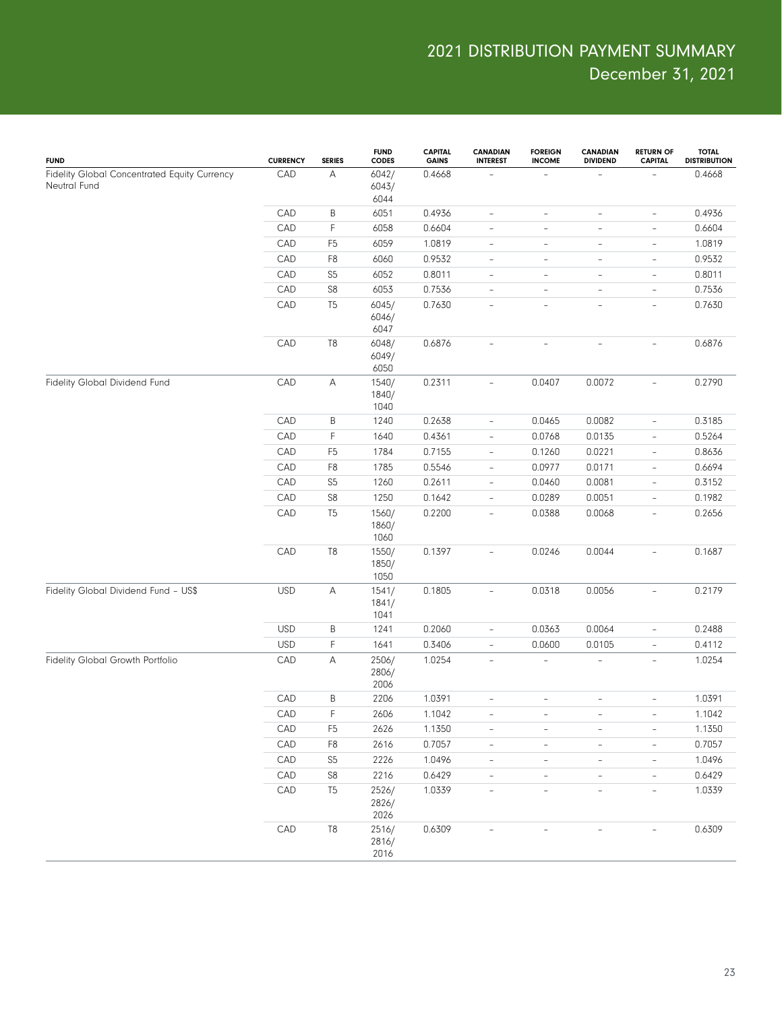| <b>FUND</b>                                                  | <b>CURRENCY</b> | <b>SERIES</b>  | <b>FUND</b><br><b>CODES</b> | <b>CAPITAL</b><br><b>GAINS</b> | <b>CANADIAN</b><br><b>INTEREST</b> | <b>FOREIGN</b><br><b>INCOME</b> | <b>CANADIAN</b><br><b>DIVIDEND</b> | <b>RETURN OF</b><br><b>CAPITAL</b> | <b>TOTAL</b><br><b>DISTRIBUTION</b> |
|--------------------------------------------------------------|-----------------|----------------|-----------------------------|--------------------------------|------------------------------------|---------------------------------|------------------------------------|------------------------------------|-------------------------------------|
| Fidelity Global Concentrated Equity Currency<br>Neutral Fund | CAD             | А              | 6042/<br>6043/<br>6044      | 0.4668                         |                                    |                                 |                                    |                                    | 0.4668                              |
|                                                              | CAD             | Β              | 6051                        | 0.4936                         | $\overline{\phantom{0}}$           | $\overline{\phantom{a}}$        | $\overline{a}$                     | $\overline{\phantom{a}}$           | 0.4936                              |
|                                                              | CAD             | F              | 6058                        | 0.6604                         | $\overline{\phantom{0}}$           | $\overline{\phantom{a}}$        | $\overline{a}$                     | $\overline{\phantom{a}}$           | 0.6604                              |
|                                                              | CAD             | F <sub>5</sub> | 6059                        | 1.0819                         | $\overline{\phantom{0}}$           | $\overline{\phantom{a}}$        | $\overline{a}$                     | $\overline{\phantom{a}}$           | 1.0819                              |
|                                                              | CAD             | F8             | 6060                        | 0.9532                         | $\overline{\phantom{0}}$           | $\overline{\phantom{a}}$        | $\qquad \qquad -$                  | $\overline{\phantom{a}}$           | 0.9532                              |
|                                                              | CAD             | S <sub>5</sub> | 6052                        | 0.8011                         | $\overline{\phantom{0}}$           | $\overline{\phantom{a}}$        | $\overline{\phantom{0}}$           | $\overline{\phantom{a}}$           | 0.8011                              |
|                                                              | CAD             | S8             | 6053                        | 0.7536                         | $\overline{\phantom{0}}$           | $\overline{\phantom{a}}$        | $\overline{a}$                     | $\overline{\phantom{a}}$           | 0.7536                              |
|                                                              | CAD             | T <sub>5</sub> | 6045/<br>6046/<br>6047      | 0.7630                         | $\overline{\phantom{0}}$           | $\overline{\phantom{a}}$        | $\overline{\phantom{0}}$           | $\overline{\phantom{0}}$           | 0.7630                              |
|                                                              | CAD             | T8             | 6048/<br>6049/<br>6050      | 0.6876                         | $\overline{\phantom{0}}$           | $\overline{\phantom{a}}$        | $\overline{\phantom{0}}$           | $\bar{ }$                          | 0.6876                              |
| <b>Fidelity Global Dividend Fund</b>                         | CAD             | А              | 1540/<br>1840/<br>1040      | 0.2311                         | $\qquad \qquad -$                  | 0.0407                          | 0.0072                             | $\overline{\phantom{a}}$           | 0.2790                              |
|                                                              | CAD             | B              | 1240                        | 0.2638                         | $\qquad \qquad -$                  | 0.0465                          | 0.0082                             | $\overline{\phantom{a}}$           | 0.3185                              |
|                                                              | CAD             | F              | 1640                        | 0.4361                         | $\overline{\phantom{a}}$           | 0.0768                          | 0.0135                             | $\overline{\phantom{a}}$           | 0.5264                              |
|                                                              | CAD             | F <sub>5</sub> | 1784                        | 0.7155                         | $\overline{\phantom{a}}$           | 0.1260                          | 0.0221                             | $\overline{\phantom{a}}$           | 0.8636                              |
|                                                              | CAD             | F <sub>8</sub> | 1785                        | 0.5546                         | $\overline{\phantom{a}}$           | 0.0977                          | 0.0171                             | $\overline{\phantom{a}}$           | 0.6694                              |
|                                                              | CAD             | S <sub>5</sub> | 1260                        | 0.2611                         | $\qquad \qquad -$                  | 0.0460                          | 0.0081                             | $\overline{\phantom{a}}$           | 0.3152                              |
|                                                              | CAD             | ${\sf S8}$     | 1250                        | 0.1642                         | $\bar{\phantom{a}}$                | 0.0289                          | 0.0051                             | $\overline{\phantom{a}}$           | 0.1982                              |
|                                                              | CAD             | T <sub>5</sub> | 1560/<br>1860/<br>1060      | 0.2200                         | $\overline{\phantom{a}}$           | 0.0388                          | 0.0068                             | $\overline{\phantom{a}}$           | 0.2656                              |
|                                                              | CAD             | T8             | 1550/<br>1850/<br>1050      | 0.1397                         | $\overline{\phantom{0}}$           | 0.0246                          | 0.0044                             | $\overline{\phantom{0}}$           | 0.1687                              |
| Fidelity Global Dividend Fund - US\$                         | <b>USD</b>      | А              | 1541/<br>1841/<br>1041      | 0.1805                         | $\overline{\phantom{a}}$           | 0.0318                          | 0.0056                             | $\overline{\phantom{a}}$           | 0.2179                              |
|                                                              | <b>USD</b>      | B              | 1241                        | 0.2060                         | $\overline{\phantom{0}}$           | 0.0363                          | 0.0064                             | $\overline{\phantom{0}}$           | 0.2488                              |
|                                                              | <b>USD</b>      | F              | 1641                        | 0.3406                         | $\bar{\phantom{a}}$                | 0.0600                          | 0.0105                             | $\overline{\phantom{a}}$           | 0.4112                              |
| Fidelity Global Growth Portfolio                             | CAD             | А              | 2506/<br>2806/<br>2006      | 1.0254                         | $\overline{\phantom{a}}$           | $\qquad \qquad -$               | $\bar{ }$                          | $\overline{\phantom{a}}$           | 1.0254                              |
|                                                              | CAD             | B              | 2206                        | 1.0391                         | $\overline{a}$                     | $\overline{a}$                  | $\overline{a}$                     | $\overline{\phantom{a}}$           | 1.0391                              |
|                                                              | ${\sf CAD}$     | $\mathsf F$    | 2606                        | 1.1042                         |                                    |                                 |                                    |                                    | 1.1042                              |
|                                                              | CAD             | F <sub>5</sub> | 2626                        | 1.1350                         | $\overline{\phantom{a}}$           | $\overline{\phantom{a}}$        | L,                                 | $\overline{\phantom{a}}$           | 1.1350                              |
|                                                              | CAD             | F8             | 2616                        | 0.7057                         | $\overline{\phantom{0}}$           | $\overline{\phantom{0}}$        | $\overline{a}$                     | $\overline{\phantom{0}}$           | 0.7057                              |
|                                                              | ${\sf CAD}$     | S <sub>5</sub> | 2226                        | 1.0496                         | $\overline{\phantom{0}}$           | $\qquad \qquad -$               | $\overline{a}$                     | $\overline{\phantom{a}}$           | 1.0496                              |
|                                                              | CAD             | S8             | 2216                        | 0.6429                         | $\overline{\phantom{0}}$           | $\qquad \qquad -$               | $\overline{a}$                     | $\overline{\phantom{0}}$           | 0.6429                              |
|                                                              | CAD             | T <sub>5</sub> | 2526/<br>2826/<br>2026      | 1.0339                         | $\overline{\phantom{0}}$           | $\overline{\phantom{a}}$        | $\overline{a}$                     | $\overline{\phantom{0}}$           | 1.0339                              |
|                                                              | CAD             | $\mathsf{T}8$  | 2516/<br>2816/<br>2016      | 0.6309                         | ÷.                                 | $\overline{\phantom{a}}$        |                                    | $\overline{\phantom{0}}$           | 0.6309                              |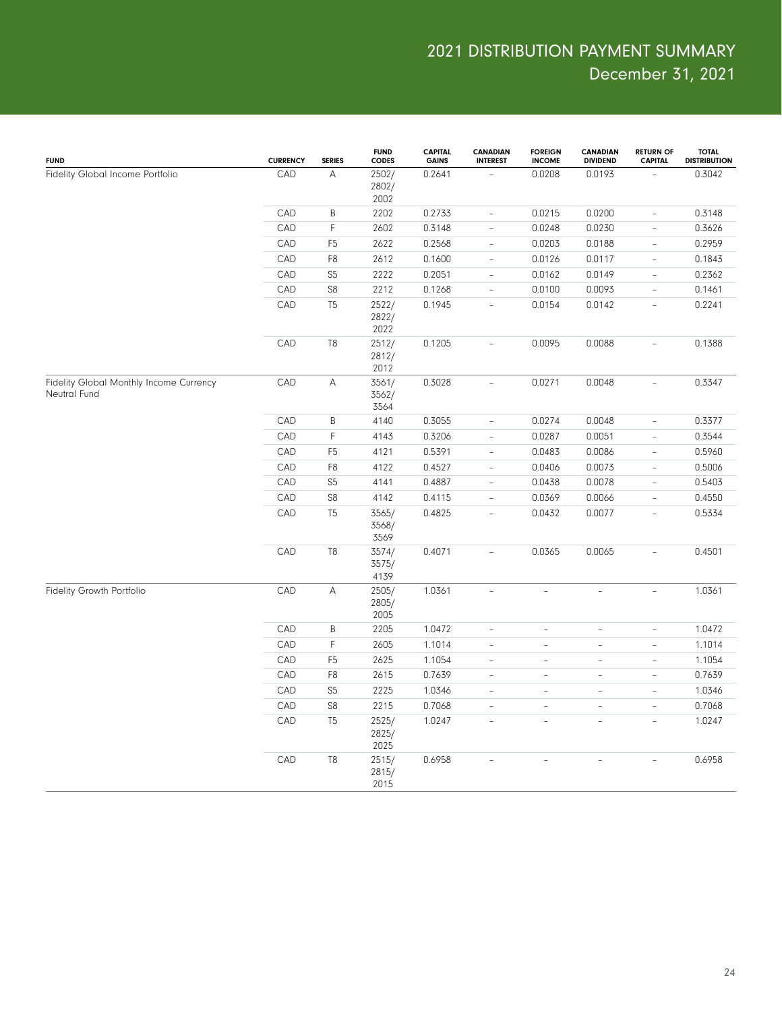| <b>FUND</b>                                             | <b>CURRENCY</b> | <b>SERIES</b>  | <b>FUND</b><br><b>CODES</b> | <b>CAPITAL</b><br><b>GAINS</b> | <b>CANADIAN</b><br><b>INTEREST</b> | <b>FOREIGN</b><br><b>INCOME</b> | <b>CANADIAN</b><br><b>DIVIDEND</b> | <b>RETURN OF</b><br><b>CAPITAL</b> | <b>TOTAL</b><br><b>DISTRIBUTION</b> |
|---------------------------------------------------------|-----------------|----------------|-----------------------------|--------------------------------|------------------------------------|---------------------------------|------------------------------------|------------------------------------|-------------------------------------|
| Fidelity Global Income Portfolio                        | CAD             | А              | 2502/<br>2802/<br>2002      | 0.2641                         |                                    | 0.0208                          | 0.0193                             |                                    | 0.3042                              |
|                                                         | CAD             | B              | 2202                        | 0.2733                         | $\overline{\phantom{a}}$           | 0.0215                          | 0.0200                             | $\overline{\phantom{a}}$           | 0.3148                              |
|                                                         | CAD             | $\mathsf F$    | 2602                        | 0.3148                         | $\equiv$                           | 0.0248                          | 0.0230                             | $\bar{a}$                          | 0.3626                              |
|                                                         | CAD             | F <sub>5</sub> | 2622                        | 0.2568                         | $\bar{\phantom{a}}$                | 0.0203                          | 0.0188                             | $\overline{\phantom{a}}$           | 0.2959                              |
|                                                         | CAD             | F8             | 2612                        | 0.1600                         | $\overline{\phantom{a}}$           | 0.0126                          | 0.0117                             | $\overline{\phantom{a}}$           | 0.1843                              |
|                                                         | CAD             | S <sub>5</sub> | 2222                        | 0.2051                         | $\overline{\phantom{a}}$           | 0.0162                          | 0.0149                             | $\overline{\phantom{a}}$           | 0.2362                              |
|                                                         | CAD             | S8             | 2212                        | 0.1268                         | $\bar{a}$                          | 0.0100                          | 0.0093                             | $\bar{a}$                          | 0.1461                              |
|                                                         | CAD             | T <sub>5</sub> | 2522/<br>2822/<br>2022      | 0.1945                         | $\overline{\phantom{a}}$           | 0.0154                          | 0.0142                             | $\overline{\phantom{a}}$           | 0.2241                              |
|                                                         | CAD             | T8             | 2512/<br>2812/<br>2012      | 0.1205                         | $\overline{a}$                     | 0.0095                          | 0.0088                             | $\overline{\phantom{a}}$           | 0.1388                              |
| Fidelity Global Monthly Income Currency<br>Neutral Fund | CAD             | А              | 3561/<br>3562/<br>3564      | 0.3028                         | $\overline{\phantom{a}}$           | 0.0271                          | 0.0048                             | $\overline{\phantom{a}}$           | 0.3347                              |
|                                                         | CAD             | B              | 4140                        | 0.3055                         | $\overline{\phantom{a}}$           | 0.0274                          | 0.0048                             | $\overline{\phantom{a}}$           | 0.3377                              |
|                                                         | CAD             | F              | 4143                        | 0.3206                         | $\equiv$                           | 0.0287                          | 0.0051                             | $\bar{a}$                          | 0.3544                              |
|                                                         | CAD             | F <sub>5</sub> | 4121                        | 0.5391                         | $\bar{\phantom{a}}$                | 0.0483                          | 0.0086                             | $\overline{\phantom{a}}$           | 0.5960                              |
|                                                         | CAD             | F8             | 4122                        | 0.4527                         | $\overline{\phantom{a}}$           | 0.0406                          | 0.0073                             | $\overline{\phantom{a}}$           | 0.5006                              |
|                                                         | CAD             | S <sub>5</sub> | 4141                        | 0.4887                         | $\overline{\phantom{a}}$           | 0.0438                          | 0.0078                             | $\overline{\phantom{a}}$           | 0.5403                              |
|                                                         | CAD             | S8             | 4142                        | 0.4115                         | $\overline{\phantom{a}}$           | 0.0369                          | 0.0066                             | $\overline{\phantom{a}}$           | 0.4550                              |
|                                                         | CAD             | T <sub>5</sub> | 3565/<br>3568/<br>3569      | 0.4825                         | $\overline{\phantom{a}}$           | 0.0432                          | 0.0077                             | $\overline{\phantom{a}}$           | 0.5334                              |
|                                                         | CAD             | T <sub>8</sub> | 3574/<br>3575/<br>4139      | 0.4071                         | $\overline{a}$                     | 0.0365                          | 0.0065                             | $\overline{\phantom{a}}$           | 0.4501                              |
| Fidelity Growth Portfolio                               | CAD             | А              | 2505/<br>2805/<br>2005      | 1.0361                         | $\overline{\phantom{a}}$           | $\overline{\phantom{a}}$        | L,                                 | $\equiv$                           | 1.0361                              |
|                                                         | CAD             | B              | 2205                        | 1.0472                         | $\frac{1}{2}$                      | $\overline{\phantom{a}}$        | $\frac{1}{2}$                      | $\overline{\phantom{a}}$           | 1.0472                              |
|                                                         | CAD             | $\mathsf F$    | 2605                        | 1.1014                         | $\overline{a}$                     | $\sim$                          | $\overline{\phantom{a}}$           | $\overline{\phantom{0}}$           | 1.1014                              |
|                                                         | CAD             | F <sub>5</sub> | 2625                        | 1.1054                         | $\bar{\phantom{a}}$                | $\overline{\phantom{a}}$        | $\overline{\phantom{a}}$           | $\overline{\phantom{0}}$           | 1.1054                              |
|                                                         | CAD             | F8             | 2615                        | 0.7639                         | $\overline{\phantom{0}}$           | $\sim$                          | $\overline{a}$                     | $\bar{ }$                          | 0.7639                              |
|                                                         | CAD             | S <sub>5</sub> | 2225                        | 1.0346                         | $\bar{ }$                          | $\equiv$                        | $\qquad \qquad \blacksquare$       | $\overline{\phantom{a}}$           | 1.0346                              |
|                                                         | CAD             | S8             | 2215                        | 0.7068                         | $\bar{ }$                          | $\equiv$                        | $\overline{\phantom{a}}$           | $\overline{a}$                     | 0.7068                              |
|                                                         | CAD             | T <sub>5</sub> | 2525/<br>2825/<br>2025      | 1.0247                         | $\overline{\phantom{a}}$           | ÷                               | $\overline{\phantom{a}}$           | $\qquad \qquad -$                  | 1.0247                              |
|                                                         | CAD             | T <sub>8</sub> | 2515/<br>2815/<br>2015      | 0.6958                         | L.                                 | L.                              | $\overline{a}$                     | $\overline{a}$                     | 0.6958                              |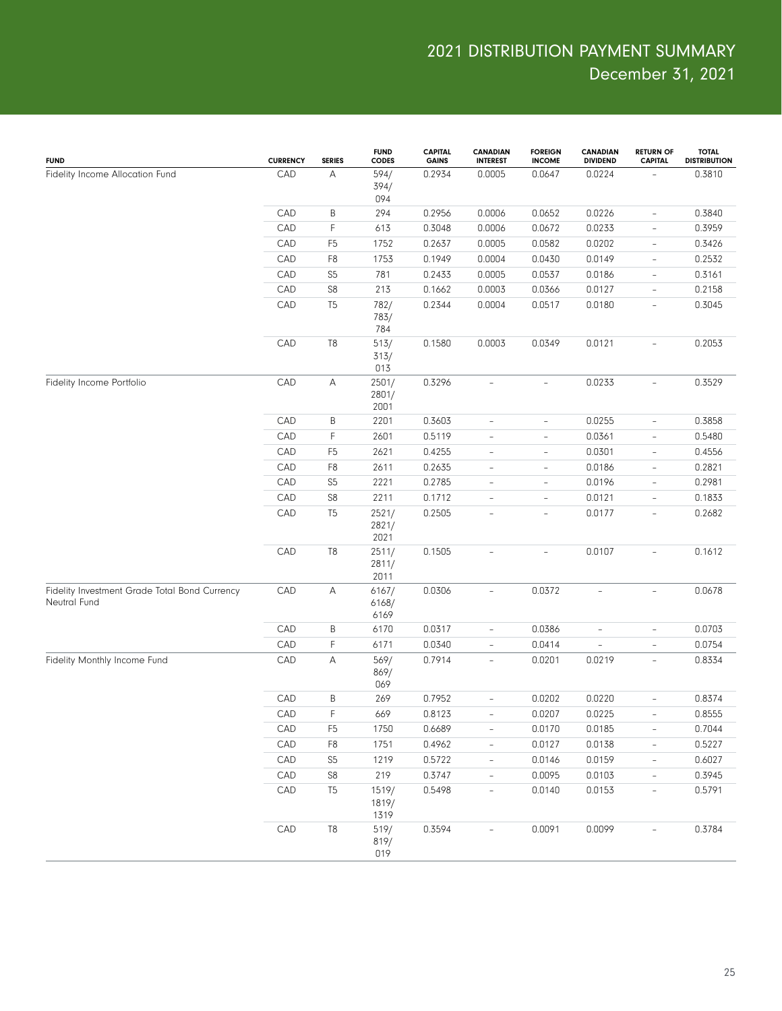| <b>FUND</b>                                                   | <b>CURRENCY</b> | <b>SERIES</b>  | <b>FUND</b><br><b>CODES</b> | <b>CAPITAL</b><br><b>GAINS</b> | CANADIAN<br><b>INTEREST</b> | <b>FOREIGN</b><br><b>INCOME</b> | <b>CANADIAN</b><br><b>DIVIDEND</b> | <b>RETURN OF</b><br><b>CAPITAL</b> | <b>TOTAL</b><br><b>DISTRIBUTION</b> |
|---------------------------------------------------------------|-----------------|----------------|-----------------------------|--------------------------------|-----------------------------|---------------------------------|------------------------------------|------------------------------------|-------------------------------------|
| Fidelity Income Allocation Fund                               | CAD             | Α              | 594/<br>394/<br>094         | 0.2934                         | 0.0005                      | 0.0647                          | 0.0224                             |                                    | 0.3810                              |
|                                                               | CAD             | $\sf B$        | 294                         | 0.2956                         | 0.0006                      | 0.0652                          | 0.0226                             | $\overline{\phantom{a}}$           | 0.3840                              |
|                                                               | CAD             | $\mathsf F$    | 613                         | 0.3048                         | 0.0006                      | 0.0672                          | 0.0233                             | $\overline{\phantom{a}}$           | 0.3959                              |
|                                                               | CAD             | F <sub>5</sub> | 1752                        | 0.2637                         | 0.0005                      | 0.0582                          | 0.0202                             | $\overline{\phantom{a}}$           | 0.3426                              |
|                                                               | CAD             | F <sub>8</sub> | 1753                        | 0.1949                         | 0.0004                      | 0.0430                          | 0.0149                             | $\overline{\phantom{a}}$           | 0.2532                              |
|                                                               | CAD             | S <sub>5</sub> | 781                         | 0.2433                         | 0.0005                      | 0.0537                          | 0.0186                             | $\overline{\phantom{a}}$           | 0.3161                              |
|                                                               | CAD             | S8             | 213                         | 0.1662                         | 0.0003                      | 0.0366                          | 0.0127                             | $\overline{\phantom{a}}$           | 0.2158                              |
|                                                               | CAD             | T <sub>5</sub> | 782/<br>783/<br>784         | 0.2344                         | 0.0004                      | 0.0517                          | 0.0180                             | $\overline{\phantom{a}}$           | 0.3045                              |
|                                                               | CAD             | T8             | 513/<br>313/<br>013         | 0.1580                         | 0.0003                      | 0.0349                          | 0.0121                             | $\overline{\phantom{a}}$           | 0.2053                              |
| Fidelity Income Portfolio                                     | CAD             | Α              | 2501/<br>2801/<br>2001      | 0.3296                         | $\overline{\phantom{0}}$    | $\overline{\phantom{a}}$        | 0.0233                             | $\overline{\phantom{a}}$           | 0.3529                              |
|                                                               | CAD             | B              | 2201                        | 0.3603                         | $\overline{a}$              | $\qquad \qquad -$               | 0.0255                             | $\overline{\phantom{a}}$           | 0.3858                              |
|                                                               | CAD             | $\mathsf F$    | 2601                        | 0.5119                         | $\overline{a}$              | $\qquad \qquad -$               | 0.0361                             | $\overline{\phantom{a}}$           | 0.5480                              |
|                                                               | CAD             | F <sub>5</sub> | 2621                        | 0.4255                         | $\bar{\phantom{a}}$         | $\overline{\phantom{a}}$        | 0.0301                             | $\overline{\phantom{a}}$           | 0.4556                              |
|                                                               | CAD             | F <sub>8</sub> | 2611                        | 0.2635                         | $\bar{\phantom{a}}$         | $\overline{\phantom{a}}$        | 0.0186                             | $\overline{\phantom{a}}$           | 0.2821                              |
|                                                               | CAD             | S <sub>5</sub> | 2221                        | 0.2785                         | $\bar{\phantom{a}}$         | $\overline{\phantom{a}}$        | 0.0196                             | $\overline{\phantom{a}}$           | 0.2981                              |
|                                                               | CAD             | S8             | 2211                        | 0.1712                         | $\bar{\phantom{a}}$         | $\qquad \qquad -$               | 0.0121                             | $\qquad \qquad -$                  | 0.1833                              |
|                                                               | CAD             | T <sub>5</sub> | 2521/<br>2821/<br>2021      | 0.2505                         | L,                          | $\bar{ }$                       | 0.0177                             | $\overline{\phantom{a}}$           | 0.2682                              |
|                                                               | CAD             | T8             | 2511/<br>2811/<br>2011      | 0.1505                         | $\sim$                      | $\overline{\phantom{a}}$        | 0.0107                             | $\bar{a}$                          | 0.1612                              |
| Fidelity Investment Grade Total Bond Currency<br>Neutral Fund | CAD             | Α              | 6167/<br>6168/<br>6169      | 0.0306                         | $\overline{\phantom{a}}$    | 0.0372                          | $\overline{\phantom{a}}$           | $\overline{\phantom{a}}$           | 0.0678                              |
|                                                               | CAD             | $\sf B$        | 6170                        | 0.0317                         | $\overline{\phantom{a}}$    | 0.0386                          | $\overline{\phantom{0}}$           | $\overline{\phantom{a}}$           | 0.0703                              |
|                                                               | CAD             | $\mathsf F$    | 6171                        | 0.0340                         | $\overline{\phantom{a}}$    | 0.0414                          | $\overline{\phantom{0}}$           | $\overline{\phantom{a}}$           | 0.0754                              |
| Fidelity Monthly Income Fund                                  | CAD             | A              | 569/<br>869/<br>069         | 0.7914                         | $\overline{\phantom{a}}$    | 0.0201                          | 0.0219                             | $\overline{\phantom{a}}$           | 0.8334                              |
|                                                               | CAD             | B              | 269                         | 0.7952                         | $\overline{\phantom{a}}$    | 0.0202                          | 0.0220                             | $\overline{\phantom{a}}$           | 0.8374                              |
|                                                               | ${\sf CAD}$     | $\mathsf F$    | 669                         | 0.8123                         |                             | 0.0207                          | 0.0225                             |                                    | 0.8555                              |
|                                                               | CAD             | F <sub>5</sub> | 1750                        | 0.6689                         | $\overline{\phantom{a}}$    | 0.0170                          | 0.0185                             | $\overline{\phantom{a}}$           | 0.7044                              |
|                                                               | CAD             | F <sub>8</sub> | 1751                        | 0.4962                         | $\overline{\phantom{a}}$    | 0.0127                          | 0.0138                             | $\overline{\phantom{a}}$           | 0.5227                              |
|                                                               | CAD             | S <sub>5</sub> | 1219                        | 0.5722                         | $\overline{\phantom{a}}$    | 0.0146                          | 0.0159                             | $\overline{\phantom{a}}$           | 0.6027                              |
|                                                               | CAD             | S8             | 219                         | 0.3747                         | $\overline{\phantom{a}}$    | 0.0095                          | 0.0103                             | $\overline{\phantom{a}}$           | 0.3945                              |
|                                                               | CAD             | T <sub>5</sub> | 1519/<br>1819/<br>1319      | 0.5498                         | $\overline{\phantom{a}}$    | 0.0140                          | 0.0153                             | $\overline{\phantom{a}}$           | 0.5791                              |
|                                                               | CAD             | T <sub>8</sub> | 519/<br>819/<br>019         | 0.3594                         | $\overline{\phantom{a}}$    | 0.0091                          | 0.0099                             |                                    | 0.3784                              |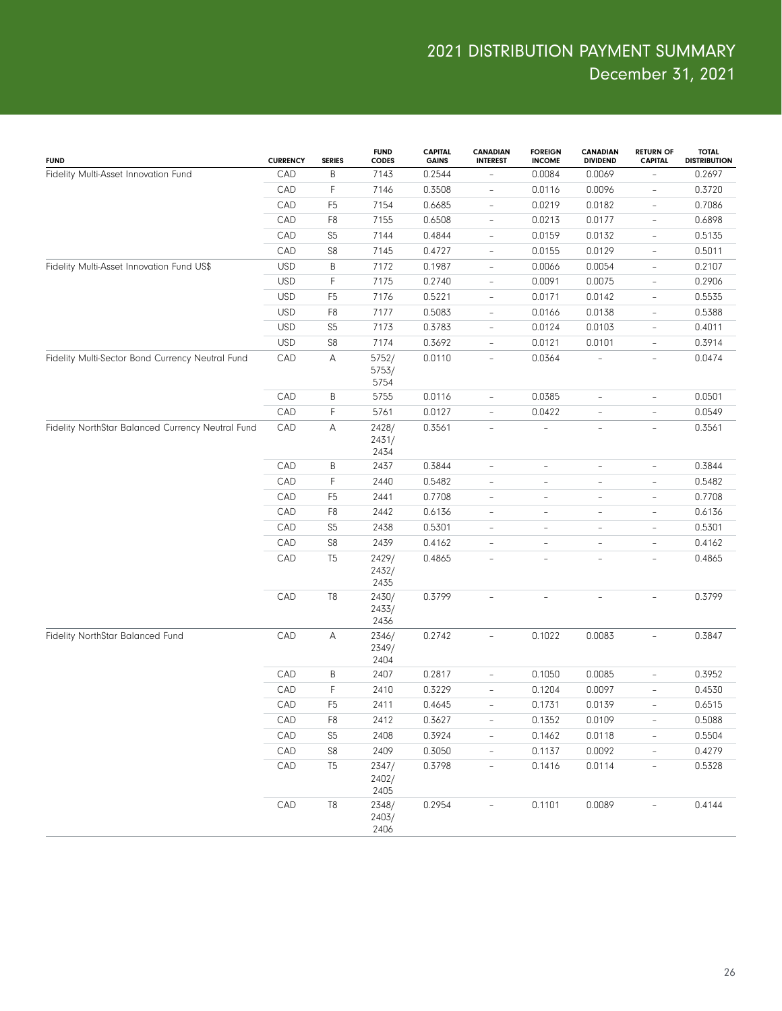| <b>FUND</b>                                       | <b>CURRENCY</b> | <b>SERIES</b>  | <b>FUND</b><br><b>CODES</b> | <b>CAPITAL</b><br><b>GAINS</b> | <b>CANADIAN</b><br><b>INTEREST</b> | <b>FOREIGN</b><br><b>INCOME</b> | <b>CANADIAN</b><br><b>DIVIDEND</b> | <b>RETURN OF</b><br><b>CAPITAL</b> | <b>TOTAL</b><br><b>DISTRIBUTION</b> |
|---------------------------------------------------|-----------------|----------------|-----------------------------|--------------------------------|------------------------------------|---------------------------------|------------------------------------|------------------------------------|-------------------------------------|
| Fidelity Multi-Asset Innovation Fund              | CAD             | B              | 7143                        | 0.2544                         | $\overline{\phantom{a}}$           | 0.0084                          | 0.0069                             |                                    | 0.2697                              |
|                                                   | CAD             | $\mathsf F$    | 7146                        | 0.3508                         | $\overline{\phantom{a}}$           | 0.0116                          | 0.0096                             | $\qquad \qquad -$                  | 0.3720                              |
|                                                   | CAD             | F <sub>5</sub> | 7154                        | 0.6685                         | $\overline{\phantom{a}}$           | 0.0219                          | 0.0182                             | $\overline{\phantom{0}}$           | 0.7086                              |
|                                                   | CAD             | F <sub>8</sub> | 7155                        | 0.6508                         | $\overline{\phantom{a}}$           | 0.0213                          | 0.0177                             | $\qquad \qquad -$                  | 0.6898                              |
|                                                   | CAD             | S <sub>5</sub> | 7144                        | 0.4844                         | $\overline{\phantom{a}}$           | 0.0159                          | 0.0132                             | $\overline{\phantom{0}}$           | 0.5135                              |
|                                                   | CAD             | S8             | 7145                        | 0.4727                         | $\overline{\phantom{a}}$           | 0.0155                          | 0.0129                             | $\overline{\phantom{a}}$           | 0.5011                              |
| Fidelity Multi-Asset Innovation Fund US\$         | <b>USD</b>      | $\sf B$        | 7172                        | 0.1987                         | $\overline{\phantom{a}}$           | 0.0066                          | 0.0054                             | $\overline{\phantom{a}}$           | 0.2107                              |
|                                                   | <b>USD</b>      | $\mathsf F$    | 7175                        | 0.2740                         | $\overline{\phantom{a}}$           | 0.0091                          | 0.0075                             | $\qquad \qquad -$                  | 0.2906                              |
|                                                   | <b>USD</b>      | F <sub>5</sub> | 7176                        | 0.5221                         | $\overline{\phantom{a}}$           | 0.0171                          | 0.0142                             | $\qquad \qquad -$                  | 0.5535                              |
|                                                   | <b>USD</b>      | F <sub>8</sub> | 7177                        | 0.5083                         | $\overline{\phantom{a}}$           | 0.0166                          | 0.0138                             | $\overline{\phantom{0}}$           | 0.5388                              |
|                                                   | <b>USD</b>      | S <sub>5</sub> | 7173                        | 0.3783                         | $\overline{\phantom{a}}$           | 0.0124                          | 0.0103                             | $\qquad \qquad -$                  | 0.4011                              |
|                                                   | <b>USD</b>      | S8             | 7174                        | 0.3692                         | $\overline{\phantom{a}}$           | 0.0121                          | 0.0101                             | $\overline{\phantom{a}}$           | 0.3914                              |
| Fidelity Multi-Sector Bond Currency Neutral Fund  | CAD             | Α              | 5752/<br>5753/<br>5754      | 0.0110                         | $\overline{\phantom{a}}$           | 0.0364                          |                                    | $\qquad \qquad -$                  | 0.0474                              |
|                                                   | CAD             | B              | 5755                        | 0.0116                         | $\overline{\phantom{a}}$           | 0.0385                          | $\overline{\phantom{a}}$           | $\overline{\phantom{0}}$           | 0.0501                              |
|                                                   | CAD             | F              | 5761                        | 0.0127                         | $\overline{\phantom{a}}$           | 0.0422                          | $\overline{\phantom{a}}$           | $\overline{\phantom{0}}$           | 0.0549                              |
| Fidelity NorthStar Balanced Currency Neutral Fund | CAD             | А              | 2428/<br>2431/<br>2434      | 0.3561                         | $\overline{\phantom{a}}$           |                                 | $\overline{\phantom{a}}$           | $\overline{\phantom{0}}$           | 0.3561                              |
|                                                   | CAD             | B              | 2437                        | 0.3844                         | $\bar{ }$                          | $\overline{\phantom{0}}$        | $\overline{\phantom{a}}$           | $\bar{ }$                          | 0.3844                              |
|                                                   | CAD             | F              | 2440                        | 0.5482                         | $\overline{\phantom{a}}$           | $\qquad \qquad -$               | $\overline{\phantom{a}}$           | $\overline{\phantom{0}}$           | 0.5482                              |
|                                                   | CAD             | F <sub>5</sub> | 2441                        | 0.7708                         | $\overline{\phantom{a}}$           | $\overline{\phantom{0}}$        | $\overline{\phantom{a}}$           | $\overline{\phantom{0}}$           | 0.7708                              |
|                                                   | CAD             | F <sub>8</sub> | 2442                        | 0.6136                         | $\overline{\phantom{a}}$           | $\qquad \qquad -$               | $\overline{\phantom{a}}$           | $\qquad \qquad -$                  | 0.6136                              |
|                                                   | CAD             | S <sub>5</sub> | 2438                        | 0.5301                         | $\overline{\phantom{a}}$           | $\overline{\phantom{a}}$        | $\overline{\phantom{a}}$           | ÷                                  | 0.5301                              |
|                                                   | CAD             | S8             | 2439                        | 0.4162                         | $\overline{\phantom{a}}$           | $\qquad \qquad -$               | $\overline{\phantom{a}}$           | $\overline{\phantom{0}}$           | 0.4162                              |
|                                                   | CAD             | T <sub>5</sub> | 2429/<br>2432/<br>2435      | 0.4865                         | $\overline{\phantom{a}}$           | ÷                               | $\overline{\phantom{a}}$           | $\overline{\phantom{0}}$           | 0.4865                              |
|                                                   | CAD             | T <sub>8</sub> | 2430/<br>2433/<br>2436      | 0.3799                         | $\overline{\phantom{a}}$           | $\equiv$                        | ÷,                                 | $\bar{ }$                          | 0.3799                              |
| Fidelity NorthStar Balanced Fund                  | CAD             | Α              | 2346/<br>2349/<br>2404      | 0.2742                         | $\overline{\phantom{a}}$           | 0.1022                          | 0.0083                             | $\overline{\phantom{0}}$           | 0.3847                              |
|                                                   | CAD             | B              | 2407                        | 0.2817                         | $\overline{\phantom{a}}$           | 0.1050                          | 0.0085                             | $\overline{\phantom{0}}$           | 0.3952                              |
|                                                   | CAD             | F              | 2410                        | 0.3229                         | $\overline{\phantom{m}}$           | 0.1204                          | 0.0097                             | $\overline{\phantom{0}}$           | 0.4530                              |
|                                                   | CAD             | F <sub>5</sub> | 2411                        | 0.4645                         | $\overline{\phantom{a}}$           | 0.1731                          | 0.0139                             | $\overline{\phantom{0}}$           | 0.6515                              |
|                                                   | CAD             | F <sub>8</sub> | 2412                        | 0.3627                         | $\qquad \qquad -$                  | 0.1352                          | 0.0109                             | $\overline{\phantom{0}}$           | 0.5088                              |
|                                                   | CAD             | S <sub>5</sub> | 2408                        | 0.3924                         | $\qquad \qquad -$                  | 0.1462                          | 0.0118                             | $\overline{\phantom{0}}$           | 0.5504                              |
|                                                   | CAD             | S <sub>8</sub> | 2409                        | 0.3050                         | $\blacksquare$                     | 0.1137                          | 0.0092                             | $\frac{1}{2}$                      | 0.4279                              |
|                                                   | CAD             | T <sub>5</sub> | 2347/<br>2402/<br>2405      | 0.3798                         | $\qquad \qquad -$                  | 0.1416                          | 0.0114                             | $\frac{1}{2}$                      | 0.5328                              |
|                                                   | CAD             | T <sub>8</sub> | 2348/<br>2403/<br>2406      | 0.2954                         | $\overline{a}$                     | 0.1101                          | 0.0089                             | $\overline{\phantom{0}}$           | 0.4144                              |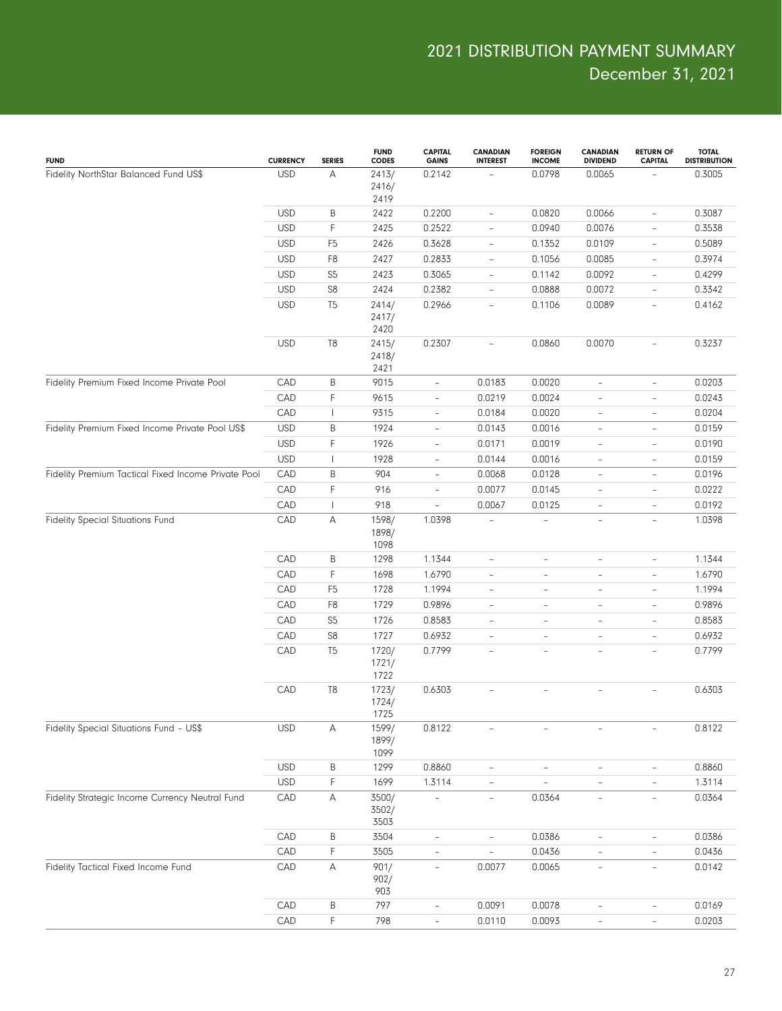| <b>FUND</b>                                         | <b>CURRENCY</b> | <b>SERIES</b>  | <b>FUND</b><br><b>CODES</b> | <b>CAPITAL</b><br><b>GAINS</b> | <b>CANADIAN</b><br><b>INTEREST</b> | <b>FOREIGN</b><br><b>INCOME</b> | CANADIAN<br><b>DIVIDEND</b> | <b>RETURN OF</b><br><b>CAPITAL</b> | <b>TOTAL</b><br><b>DISTRIBUTION</b> |
|-----------------------------------------------------|-----------------|----------------|-----------------------------|--------------------------------|------------------------------------|---------------------------------|-----------------------------|------------------------------------|-------------------------------------|
| Fidelity NorthStar Balanced Fund US\$               | <b>USD</b>      | А              | 2413/<br>2416/<br>2419      | 0.2142                         |                                    | 0.0798                          | 0.0065                      |                                    | 0.3005                              |
|                                                     | <b>USD</b>      | Β              | 2422                        | 0.2200                         | $\overline{\phantom{a}}$           | 0.0820                          | 0.0066                      | $\overline{\phantom{a}}$           | 0.3087                              |
|                                                     | <b>USD</b>      | F              | 2425                        | 0.2522                         | $\overline{\phantom{a}}$           | 0.0940                          | 0.0076                      | $\overline{\phantom{0}}$           | 0.3538                              |
|                                                     | <b>USD</b>      | F <sub>5</sub> | 2426                        | 0.3628                         | $\overline{\phantom{a}}$           | 0.1352                          | 0.0109                      | $\overline{\phantom{a}}$           | 0.5089                              |
|                                                     | <b>USD</b>      | F8             | 2427                        | 0.2833                         | $\overline{\phantom{a}}$           | 0.1056                          | 0.0085                      | $\overline{\phantom{a}}$           | 0.3974                              |
|                                                     | <b>USD</b>      | S <sub>5</sub> | 2423                        | 0.3065                         | $\overline{\phantom{a}}$           | 0.1142                          | 0.0092                      | $\overline{\phantom{a}}$           | 0.4299                              |
|                                                     | <b>USD</b>      | S8             | 2424                        | 0.2382                         | $\overline{\phantom{a}}$           | 0.0888                          | 0.0072                      | $\overline{\phantom{a}}$           | 0.3342                              |
|                                                     | <b>USD</b>      | T <sub>5</sub> | 2414/<br>2417/<br>2420      | 0.2966                         | $\overline{\phantom{a}}$           | 0.1106                          | 0.0089                      | $\overline{\phantom{a}}$           | 0.4162                              |
|                                                     | <b>USD</b>      | T8             | 2415/<br>2418/<br>2421      | 0.2307                         | $\overline{\phantom{a}}$           | 0.0860                          | 0.0070                      | $\overline{\phantom{0}}$           | 0.3237                              |
| Fidelity Premium Fixed Income Private Pool          | CAD             | B              | 9015                        | $\overline{\phantom{a}}$       | 0.0183                             | 0.0020                          | $\overline{\phantom{a}}$    | $\overline{\phantom{a}}$           | 0.0203                              |
|                                                     | CAD             | F              | 9615                        | $\overline{\phantom{a}}$       | 0.0219                             | 0.0024                          | $\overline{\phantom{a}}$    | $\overline{\phantom{0}}$           | 0.0243                              |
|                                                     | CAD             | $\mathbf{I}$   | 9315                        | $\overline{\phantom{a}}$       | 0.0184                             | 0.0020                          | $\overline{\phantom{a}}$    | $\overline{\phantom{0}}$           | 0.0204                              |
| Fidelity Premium Fixed Income Private Pool US\$     | <b>USD</b>      | Β              | 1924                        | $\overline{\phantom{a}}$       | 0.0143                             | 0.0016                          | $\overline{\phantom{a}}$    | $\overline{\phantom{a}}$           | 0.0159                              |
|                                                     | <b>USD</b>      | F              | 1926                        | $\overline{\phantom{a}}$       | 0.0171                             | 0.0019                          | $\overline{\phantom{a}}$    | $\overline{\phantom{0}}$           | 0.0190                              |
|                                                     | <b>USD</b>      | $\mathbf{I}$   | 1928                        | $\overline{\phantom{a}}$       | 0.0144                             | 0.0016                          | $\overline{\phantom{a}}$    | $\overline{\phantom{a}}$           | 0.0159                              |
| Fidelity Premium Tactical Fixed Income Private Pool | CAD             | B              | 904                         | $\overline{\phantom{a}}$       | 0.0068                             | 0.0128                          | $\overline{\phantom{a}}$    | $\overline{\phantom{a}}$           | 0.0196                              |
|                                                     | CAD             | F              | 916                         | $\overline{\phantom{a}}$       | 0.0077                             | 0.0145                          | $\qquad \qquad -$           | $\overline{\phantom{0}}$           | 0.0222                              |
|                                                     | CAD             | $\mathbf{I}$   | 918                         | $\overline{a}$                 | 0.0067                             | 0.0125                          | $\qquad \qquad -$           | $\overline{\phantom{0}}$           | 0.0192                              |
| Fidelity Special Situations Fund                    | CAD             | А              | 1598/<br>1898/<br>1098      | 1.0398                         | $\overline{\phantom{a}}$           | $\overline{\phantom{a}}$        | $\qquad \qquad -$           | $\overline{\phantom{a}}$           | 1.0398                              |
|                                                     | CAD             | Β              | 1298                        | 1.1344                         | $\qquad \qquad -$                  | $\overline{\phantom{a}}$        | $\qquad \qquad -$           | $\overline{\phantom{0}}$           | 1.1344                              |
|                                                     | CAD             | F              | 1698                        | 1.6790                         | $\qquad \qquad -$                  | $\overline{a}$                  | $\overline{a}$              | $\overline{\phantom{0}}$           | 1.6790                              |
|                                                     | CAD             | F <sub>5</sub> | 1728                        | 1.1994                         | $\qquad \qquad -$                  | $\overline{\phantom{a}}$        | $\qquad \qquad -$           | $\overline{\phantom{0}}$           | 1.1994                              |
|                                                     | CAD             | F8             | 1729                        | 0.9896                         | $\qquad \qquad -$                  | $\overline{\phantom{a}}$        | $\qquad \qquad -$           | $\overline{\phantom{0}}$           | 0.9896                              |
|                                                     | CAD             | S <sub>5</sub> | 1726                        | 0.8583                         | $\qquad \qquad -$                  | $\overline{\phantom{a}}$        | $\qquad \qquad -$           | $\overline{\phantom{0}}$           | 0.8583                              |
|                                                     | CAD             | S8             | 1727                        | 0.6932                         | $\qquad \qquad -$                  | ÷,                              | $\qquad \qquad -$           | $\overline{\phantom{0}}$           | 0.6932                              |
|                                                     | CAD             | T <sub>5</sub> | 1720/<br>1721/<br>1722      | 0.7799                         | $\overline{\phantom{a}}$           | ÷,                              | $\overline{\phantom{a}}$    | $\overline{\phantom{0}}$           | 0.7799                              |
|                                                     | CAD             | T8             | 1723/<br>1724/<br>1725      | 0.6303                         |                                    |                                 |                             |                                    | 0.6303                              |
| Fidelity Special Situations Fund - US\$             | <b>USD</b>      | А              | 1599/<br>1899/<br>1099      | 0.8122                         |                                    |                                 |                             |                                    | 0.8122                              |
|                                                     | <b>USD</b>      | B              | 1299                        | 0.8860                         | $\qquad \qquad -$                  | $\overline{\phantom{a}}$        | $\qquad \qquad -$           | $\overline{\phantom{0}}$           | 0.8860                              |
|                                                     | <b>USD</b>      | F              | 1699                        | 1.3114                         |                                    |                                 |                             | $\overline{\phantom{0}}$           | 1.3114                              |
| Fidelity Strategic Income Currency Neutral Fund     | CAD             | A              | 3500/<br>3502/<br>3503      |                                | $\frac{1}{2}$                      | 0.0364                          | $\frac{1}{2}$               | $\overline{\phantom{0}}$           | 0.0364                              |
|                                                     | CAD             | B              | 3504                        | $\overline{\phantom{a}}$       | $\overline{\phantom{0}}$           | 0.0386                          | $\qquad \qquad -$           | $\overline{\phantom{a}}$           | 0.0386                              |
|                                                     | CAD             | F              | 3505                        | $\overline{\phantom{a}}$       | $\overline{a}$                     | 0.0436                          | $\qquad \qquad -$           | $\qquad \qquad -$                  | 0.0436                              |
| Fidelity Tactical Fixed Income Fund                 | CAD             | А              | 901/<br>902/<br>903         | $\overline{\phantom{a}}$       | 0.0077                             | 0.0065                          | $\frac{1}{2}$               | $\overline{\phantom{a}}$           | 0.0142                              |
|                                                     | CAD             | $\sf B$        | 797                         | $\overline{\phantom{a}}$       | 0.0091                             | 0.0078                          | $\qquad \qquad -$           | $\overline{\phantom{0}}$           | 0.0169                              |
|                                                     | CAD             | $\mathsf F$    | 798                         | $\overline{\phantom{a}}$       | 0.0110                             | 0.0093                          | $\overline{\phantom{0}}$    | $\overline{\phantom{a}}$           | 0.0203                              |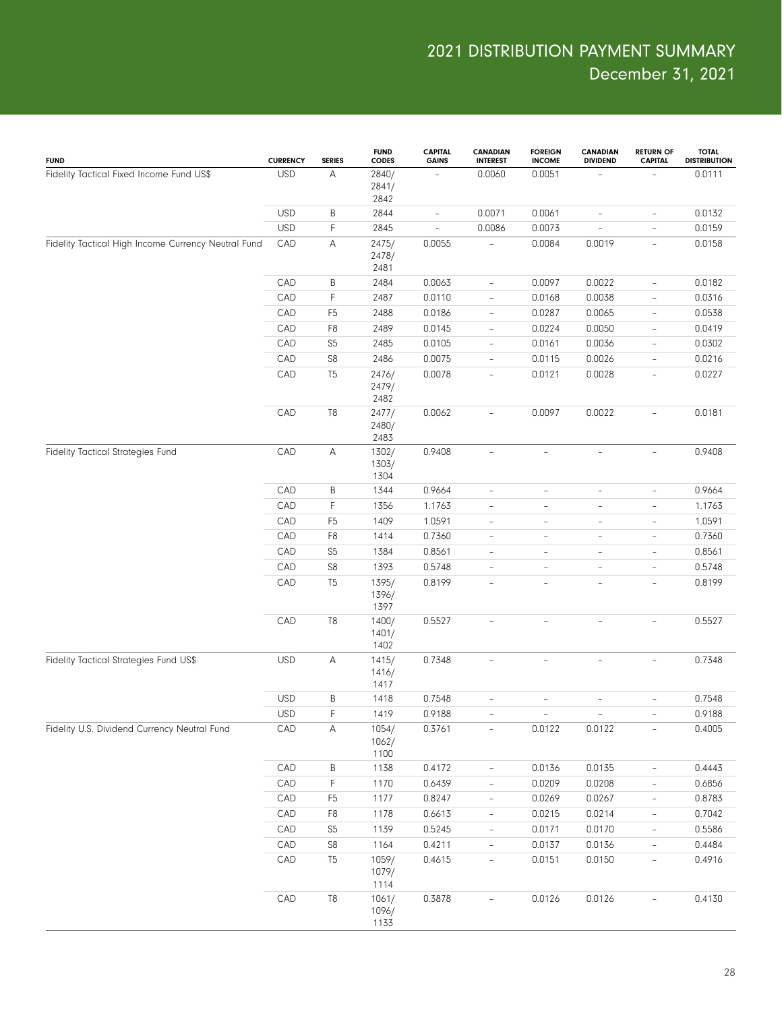| <b>FUND</b>                                         | <b>CURRENCY</b> | <b>SERIES</b>  | <b>FUND</b><br><b>CODES</b> | CAPITAL<br><b>GAINS</b>  | <b>CANADIAN</b><br><b>INTEREST</b> | <b>FOREIGN</b><br><b>INCOME</b> | <b>CANADIAN</b><br><b>DIVIDEND</b> | <b>RETURN OF</b><br><b>CAPITAL</b> | <b>TOTAL</b><br><b>DISTRIBUTION</b> |
|-----------------------------------------------------|-----------------|----------------|-----------------------------|--------------------------|------------------------------------|---------------------------------|------------------------------------|------------------------------------|-------------------------------------|
| Fidelity Tactical Fixed Income Fund US\$            | <b>USD</b>      | А              | 2840/<br>2841/<br>2842      | $\qquad \qquad -$        | 0.0060                             | 0.0051                          |                                    |                                    | 0.0111                              |
|                                                     | <b>USD</b>      | B              | 2844                        | $\overline{\phantom{0}}$ | 0.0071                             | 0.0061                          | $\overline{\phantom{a}}$           | $\overline{\phantom{0}}$           | 0.0132                              |
|                                                     | <b>USD</b>      | $\mathsf F$    | 2845                        | $\overline{a}$           | 0.0086                             | 0.0073                          | $\qquad \qquad -$                  | $\overline{\phantom{0}}$           | 0.0159                              |
| Fidelity Tactical High Income Currency Neutral Fund | CAD             | А              | 2475/<br>2478/<br>2481      | 0.0055                   |                                    | 0.0084                          | 0.0019                             | $\overline{\phantom{0}}$           | 0.0158                              |
|                                                     | CAD             | B              | 2484                        | 0.0063                   | $\overline{\phantom{a}}$           | 0.0097                          | 0.0022                             | $\qquad \qquad -$                  | 0.0182                              |
|                                                     | CAD             | F              | 2487                        | 0.0110                   | $\overline{\phantom{a}}$           | 0.0168                          | 0.0038                             | $\overline{\phantom{0}}$           | 0.0316                              |
|                                                     | CAD             | F <sub>5</sub> | 2488                        | 0.0186                   | $\overline{\phantom{a}}$           | 0.0287                          | 0.0065                             | $\overline{\phantom{a}}$           | 0.0538                              |
|                                                     | CAD             | F <sub>8</sub> | 2489                        | 0.0145                   | $\overline{\phantom{a}}$           | 0.0224                          | 0.0050                             | $\overline{\phantom{0}}$           | 0.0419                              |
|                                                     | CAD             | S <sub>5</sub> | 2485                        | 0.0105                   | $\overline{\phantom{a}}$           | 0.0161                          | 0.0036                             | $\overline{\phantom{a}}$           | 0.0302                              |
|                                                     | CAD             | ${\sf S8}$     | 2486                        | 0.0075                   | $\overline{\phantom{a}}$           | 0.0115                          | 0.0026                             | $\overline{\phantom{a}}$           | 0.0216                              |
|                                                     | CAD             | T <sub>5</sub> | 2476/<br>2479/<br>2482      | 0.0078                   | $\overline{\phantom{a}}$           | 0.0121                          | 0.0028                             | $\overline{\phantom{a}}$           | 0.0227                              |
|                                                     | CAD             | $\mathsf{T}8$  | 2477/<br>2480/<br>2483      | 0.0062                   | $\bar{ }$                          | 0.0097                          | 0.0022                             | $\bar{ }$                          | 0.0181                              |
| Fidelity Tactical Strategies Fund                   | CAD             | А              | 1302/<br>1303/<br>1304      | 0.9408                   | $\overline{\phantom{a}}$           | $\overline{\phantom{a}}$        | $\qquad \qquad -$                  | $\overline{\phantom{0}}$           | 0.9408                              |
|                                                     | CAD             | B              | 1344                        | 0.9664                   | $\overline{\phantom{m}}$           | ÷,                              | $\overline{\phantom{a}}$           | $\overline{\phantom{0}}$           | 0.9664                              |
|                                                     | CAD             | $\mathsf F$    | 1356                        | 1.1763                   | $\overline{\phantom{m}}$           | $\overline{\phantom{0}}$        | $\overline{\phantom{a}}$           | $\overline{\phantom{0}}$           | 1.1763                              |
|                                                     | CAD             | F <sub>5</sub> | 1409                        | 1.0591                   | $\overline{\phantom{m}}$           | $\overline{\phantom{0}}$        | $\overline{\phantom{a}}$           | $\overline{\phantom{0}}$           | 1.0591                              |
|                                                     | CAD             | F <sub>8</sub> | 1414                        | 0.7360                   | $\overline{\phantom{m}}$           | $\overline{\phantom{0}}$        | $\overline{\phantom{a}}$           | $\overline{\phantom{0}}$           | 0.7360                              |
|                                                     | CAD             | S <sub>5</sub> | 1384                        | 0.8561                   | $\overline{\phantom{m}}$           | $\overline{\phantom{0}}$        | $\overline{\phantom{a}}$           | $\overline{\phantom{0}}$           | 0.8561                              |
|                                                     | CAD             | S8             | 1393                        | 0.5748                   | $\overline{\phantom{m}}$           | $\overline{\phantom{0}}$        | $\overline{\phantom{a}}$           | $\overline{\phantom{0}}$           | 0.5748                              |
|                                                     | CAD             | T <sub>5</sub> | 1395/<br>1396/<br>1397      | 0.8199                   | $\bar{ }$                          | $\overline{\phantom{0}}$        | $\overline{\phantom{a}}$           | $\overline{\phantom{0}}$           | 0.8199                              |
|                                                     | CAD             | T <sub>8</sub> | 1400/<br>1401/<br>1402      | 0.5527                   | $\overline{\phantom{a}}$           | $\overline{\phantom{0}}$        | $\overline{\phantom{a}}$           | $\bar{ }$                          | 0.5527                              |
| Fidelity Tactical Strategies Fund US\$              | <b>USD</b>      | А              | 1415/<br>1416/<br>1417      | 0.7348                   | $\overline{\phantom{a}}$           | $\overline{\phantom{a}}$        | ÷,                                 | $\overline{\phantom{0}}$           | 0.7348                              |
|                                                     | <b>USD</b>      | $\sf B$        | 1418                        | 0.7548                   | $\overline{\phantom{m}}$           | ÷,                              | $\overline{\phantom{a}}$           | $\overline{\phantom{0}}$           | 0.7548                              |
|                                                     | <b>USD</b>      | F              | 1419                        | 0.9188                   |                                    |                                 |                                    |                                    | 0.9188                              |
| Fidelity U.S. Dividend Currency Neutral Fund        | CAD             | Α              | 1054/<br>1062/<br>1100      | 0.3761                   | $\overline{\phantom{a}}$           | 0.0122                          | 0.0122                             | $\overline{\phantom{0}}$           | 0.4005                              |
|                                                     | CAD             | B              | 1138                        | 0.4172                   | $\overline{\phantom{a}}$           | 0.0136                          | 0.0135                             | $\overline{\phantom{a}}$           | 0.4443                              |
|                                                     | CAD             | $\mathsf F$    | 1170                        | 0.6439                   | $\overline{\phantom{a}}$           | 0.0209                          | 0.0208                             | $\overline{\phantom{0}}$           | 0.6856                              |
|                                                     | CAD             | F <sub>5</sub> | 1177                        | 0.8247                   | $\overline{\phantom{a}}$           | 0.0269                          | 0.0267                             | $\overline{\phantom{a}}$           | 0.8783                              |
|                                                     | CAD             | F8             | 1178                        | 0.6613                   | $\overline{\phantom{a}}$           | 0.0215                          | 0.0214                             | $\overline{\phantom{a}}$           | 0.7042                              |
|                                                     | CAD             | S <sub>5</sub> | 1139                        | 0.5245                   | $\overline{\phantom{a}}$           | 0.0171                          | 0.0170                             | $\overline{\phantom{a}}$           | 0.5586                              |
|                                                     | CAD             | S8             | 1164                        | 0.4211                   | $\overline{\phantom{a}}$           | 0.0137                          | 0.0136                             | $\overline{\phantom{0}}$           | 0.4484                              |
|                                                     | CAD             | T <sub>5</sub> | 1059/<br>1079/<br>1114      | 0.4615                   | $\overline{\phantom{a}}$           | 0.0151                          | 0.0150                             | $\overline{\phantom{a}}$           | 0.4916                              |
|                                                     | CAD             | $\mathsf{T}8$  | 1061/<br>1096/<br>1133      | 0.3878                   | $\overline{\phantom{a}}$           | 0.0126                          | 0.0126                             |                                    | 0.4130                              |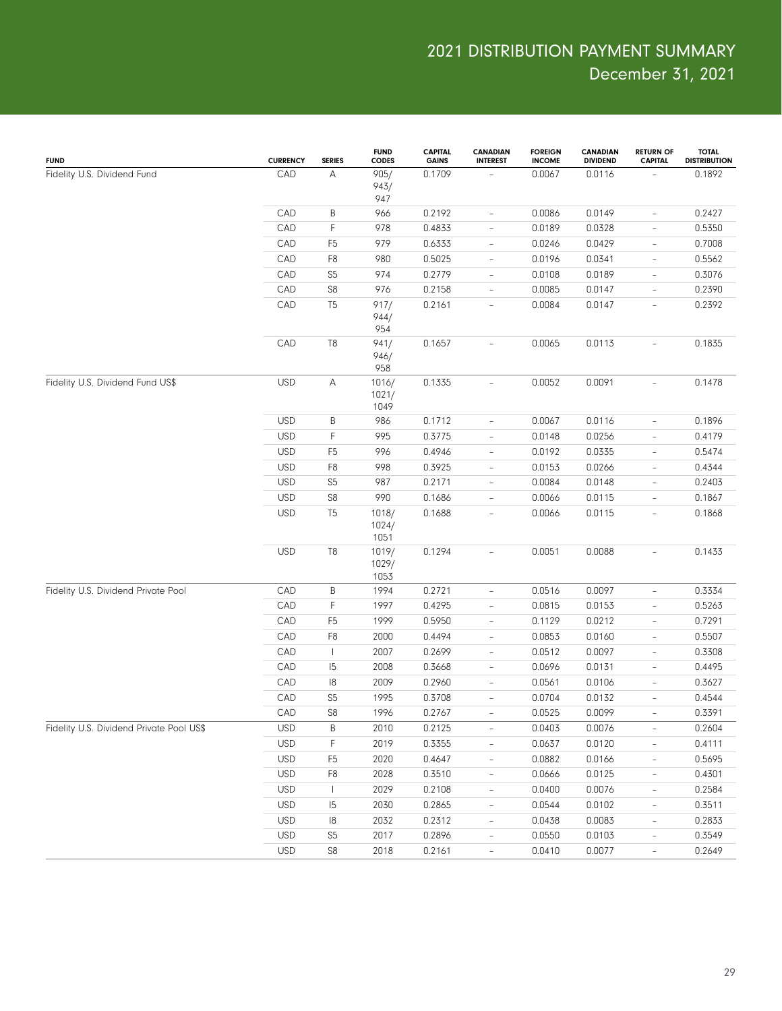| <b>FUND</b>                              | <b>CURRENCY</b> | <b>SERIES</b>             | <b>FUND</b><br><b>CODES</b> | <b>CAPITAL</b><br><b>GAINS</b> | <b>CANADIAN</b><br><b>INTEREST</b> | <b>FOREIGN</b><br><b>INCOME</b> | <b>CANADIAN</b><br><b>DIVIDEND</b> | <b>RETURN OF</b><br><b>CAPITAL</b> | <b>TOTAL</b><br><b>DISTRIBUTION</b> |
|------------------------------------------|-----------------|---------------------------|-----------------------------|--------------------------------|------------------------------------|---------------------------------|------------------------------------|------------------------------------|-------------------------------------|
| Fidelity U.S. Dividend Fund              | CAD             | $\boldsymbol{\mathsf{A}}$ | 905/<br>943/<br>947         | 0.1709                         |                                    | 0.0067                          | 0.0116                             |                                    | 0.1892                              |
|                                          | CAD             | B                         | 966                         | 0.2192                         | $\overline{\phantom{a}}$           | 0.0086                          | 0.0149                             | $\overline{\phantom{0}}$           | 0.2427                              |
|                                          | CAD             | F                         | 978                         | 0.4833                         | $\qquad \qquad -$                  | 0.0189                          | 0.0328                             | $\qquad \qquad -$                  | 0.5350                              |
|                                          | CAD             | F <sub>5</sub>            | 979                         | 0.6333                         | $\overline{\phantom{a}}$           | 0.0246                          | 0.0429                             | $\overline{\phantom{0}}$           | 0.7008                              |
|                                          | CAD             | F <sub>8</sub>            | 980                         | 0.5025                         | $\overline{\phantom{a}}$           | 0.0196                          | 0.0341                             | $\qquad \qquad -$                  | 0.5562                              |
|                                          | CAD             | S <sub>5</sub>            | 974                         | 0.2779                         | $\overline{\phantom{a}}$           | 0.0108                          | 0.0189                             | $\overline{\phantom{0}}$           | 0.3076                              |
|                                          | CAD             | S8                        | 976                         | 0.2158                         | $\overline{\phantom{a}}$           | 0.0085                          | 0.0147                             | $\qquad \qquad -$                  | 0.2390                              |
|                                          | CAD             | T <sub>5</sub>            | 917/<br>944/<br>954         | 0.2161                         | $\qquad \qquad -$                  | 0.0084                          | 0.0147                             | $\overline{\phantom{0}}$           | 0.2392                              |
|                                          | CAD             | T <sub>8</sub>            | 941/<br>946/<br>958         | 0.1657                         | $\overline{\phantom{a}}$           | 0.0065                          | 0.0113                             | $\overline{\phantom{0}}$           | 0.1835                              |
| Fidelity U.S. Dividend Fund US\$         | <b>USD</b>      | Α                         | 1016/<br>1021/<br>1049      | 0.1335                         | $\qquad \qquad -$                  | 0.0052                          | 0.0091                             | $\overline{\phantom{0}}$           | 0.1478                              |
|                                          | <b>USD</b>      | $\sf B$                   | 986                         | 0.1712                         | $\qquad \qquad -$                  | 0.0067                          | 0.0116                             | $\overline{\phantom{0}}$           | 0.1896                              |
|                                          | <b>USD</b>      | $\mathsf F$               | 995                         | 0.3775                         | $\overline{\phantom{a}}$           | 0.0148                          | 0.0256                             | $\overline{\phantom{0}}$           | 0.4179                              |
|                                          | <b>USD</b>      | F <sub>5</sub>            | 996                         | 0.4946                         | $\qquad \qquad -$                  | 0.0192                          | 0.0335                             | $\overline{\phantom{0}}$           | 0.5474                              |
|                                          | <b>USD</b>      | F <sub>8</sub>            | 998                         | 0.3925                         | $\qquad \qquad -$                  | 0.0153                          | 0.0266                             | $\overline{\phantom{0}}$           | 0.4344                              |
|                                          | <b>USD</b>      | S <sub>5</sub>            | 987                         | 0.2171                         | $\overline{\phantom{a}}$           | 0.0084                          | 0.0148                             | $\overline{\phantom{0}}$           | 0.2403                              |
|                                          | <b>USD</b>      | S8                        | 990                         | 0.1686                         | $\qquad \qquad -$                  | 0.0066                          | 0.0115                             | $\overline{\phantom{0}}$           | 0.1867                              |
|                                          | <b>USD</b>      | T <sub>5</sub>            | 1018/<br>1024/<br>1051      | 0.1688                         | $\overline{\phantom{a}}$           | 0.0066                          | 0.0115                             | $\overline{\phantom{0}}$           | 0.1868                              |
|                                          | <b>USD</b>      | T8                        | 1019/<br>1029/<br>1053      | 0.1294                         | $\qquad \qquad -$                  | 0.0051                          | 0.0088                             | $\overline{\phantom{0}}$           | 0.1433                              |
| Fidelity U.S. Dividend Private Pool      | CAD             | $\sf B$                   | 1994                        | 0.2721                         | $\qquad \qquad -$                  | 0.0516                          | 0.0097                             | $\overline{\phantom{0}}$           | 0.3334                              |
|                                          | CAD             | F                         | 1997                        | 0.4295                         | $\overline{\phantom{a}}$           | 0.0815                          | 0.0153                             | $\overline{\phantom{0}}$           | 0.5263                              |
|                                          | CAD             | F <sub>5</sub>            | 1999                        | 0.5950                         | $\qquad \qquad -$                  | 0.1129                          | 0.0212                             | $\overline{\phantom{0}}$           | 0.7291                              |
|                                          | CAD             | F <sub>8</sub>            | 2000                        | 0.4494                         | $\qquad \qquad -$                  | 0.0853                          | 0.0160                             | $\overline{\phantom{0}}$           | 0.5507                              |
|                                          | CAD             | $\overline{\phantom{a}}$  | 2007                        | 0.2699                         | $\qquad \qquad -$                  | 0.0512                          | 0.0097                             | $\overline{\phantom{0}}$           | 0.3308                              |
|                                          | CAD             | 5                         | 2008                        | 0.3668                         | $\qquad \qquad -$                  | 0.0696                          | 0.0131                             | $\overline{\phantom{0}}$           | 0.4495                              |
|                                          | CAD             | 8                         | 2009                        | 0.2960                         | $\qquad \qquad -$                  | 0.0561                          | 0.0106                             | $\overline{\phantom{0}}$           | 0.3627                              |
|                                          | CAD             | S <sub>5</sub>            | 1995                        | 0.3708                         | $\qquad \qquad -$                  | 0.0704                          | 0.0132                             | $\overline{\phantom{0}}$           | 0.4544                              |
|                                          | CAD             | S8                        | 1996                        | 0.2767                         |                                    | 0.0525                          | 0.0099                             |                                    | 0.3391                              |
| Fidelity U.S. Dividend Private Pool US\$ | <b>USD</b>      | Β                         | 2010                        | 0.2125                         | $\overline{\phantom{a}}$           | 0.0403                          | 0.0076                             | $\overline{\phantom{a}}$           | 0.2604                              |
|                                          | <b>USD</b>      | F                         | 2019                        | 0.3355                         | $\qquad \qquad -$                  | 0.0637                          | 0.0120                             | $\overline{\phantom{0}}$           | 0.4111                              |
|                                          | <b>USD</b>      | F <sub>5</sub>            | 2020                        | 0.4647                         | $\overline{\phantom{a}}$           | 0.0882                          | 0.0166                             | $\overline{\phantom{0}}$           | 0.5695                              |
|                                          | <b>USD</b>      | F <sub>8</sub>            | 2028                        | 0.3510                         | $\overline{\phantom{a}}$           | 0.0666                          | 0.0125                             | $\overline{\phantom{0}}$           | 0.4301                              |
|                                          | <b>USD</b>      | $\mathbf{I}$              | 2029                        | 0.2108                         | $\overline{\phantom{a}}$           | 0.0400                          | 0.0076                             | $\overline{\phantom{0}}$           | 0.2584                              |
|                                          | <b>USD</b>      | 15                        | 2030                        | 0.2865                         | $\overline{\phantom{a}}$           | 0.0544                          | 0.0102                             | $\overline{\phantom{0}}$           | 0.3511                              |
|                                          | <b>USD</b>      | 8                         | 2032                        | 0.2312                         | $\overline{\phantom{a}}$           | 0.0438                          | 0.0083                             | $\overline{\phantom{0}}$           | 0.2833                              |
|                                          | <b>USD</b>      | S <sub>5</sub>            | 2017                        | 0.2896                         | $\overline{\phantom{a}}$           | 0.0550                          | 0.0103                             | $\overline{\phantom{0}}$           | 0.3549                              |
|                                          | <b>USD</b>      | S8                        | 2018                        | 0.2161                         | $\qquad \qquad -$                  | 0.0410                          | 0.0077                             | $\overline{\phantom{0}}$           | 0.2649                              |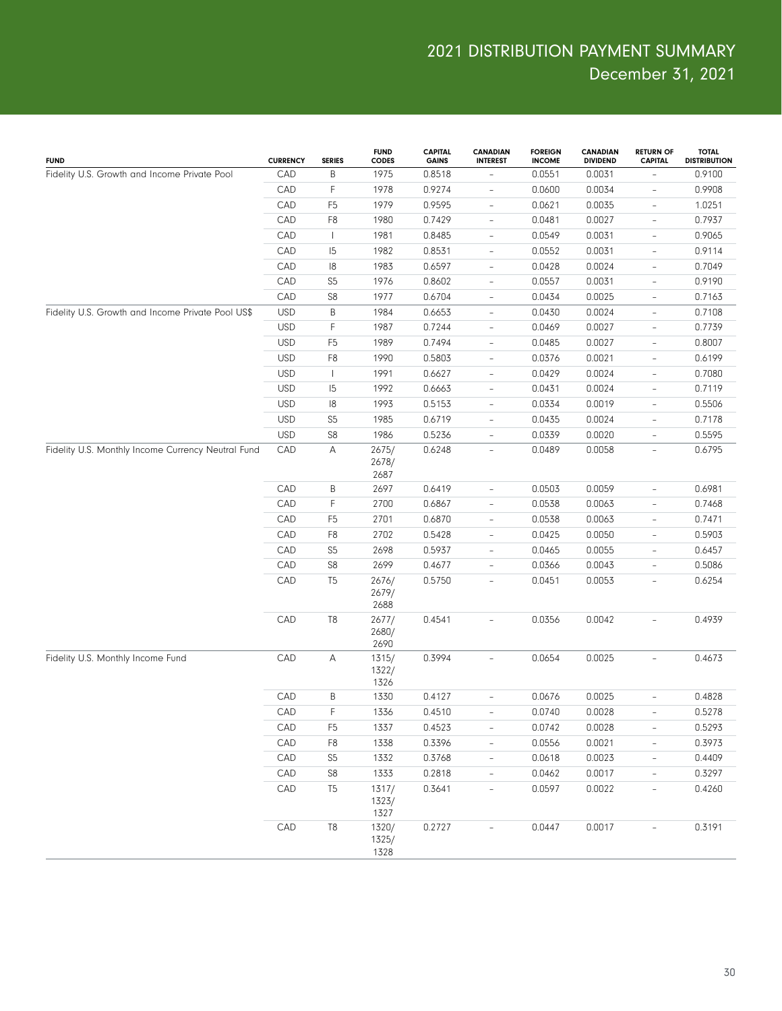| <b>FUND</b>                                        | <b>CURRENCY</b> | <b>SERIES</b>  | <b>FUND</b><br><b>CODES</b> | <b>CAPITAL</b><br><b>GAINS</b> | <b>CANADIAN</b><br><b>INTEREST</b> | <b>FOREIGN</b><br><b>INCOME</b> | <b>CANADIAN</b><br><b>DIVIDEND</b> | <b>RETURN OF</b><br><b>CAPITAL</b> | <b>TOTAL</b><br><b>DISTRIBUTION</b> |
|----------------------------------------------------|-----------------|----------------|-----------------------------|--------------------------------|------------------------------------|---------------------------------|------------------------------------|------------------------------------|-------------------------------------|
| Fidelity U.S. Growth and Income Private Pool       | CAD             | $\sf B$        | 1975                        | 0.8518                         |                                    | 0.0551                          | 0.0031                             |                                    | 0.9100                              |
|                                                    | CAD             | $\mathsf{F}$   | 1978                        | 0.9274                         | $\overline{\phantom{a}}$           | 0.0600                          | 0.0034                             | $\overline{\phantom{0}}$           | 0.9908                              |
|                                                    | CAD             | F <sub>5</sub> | 1979                        | 0.9595                         | $\overline{\phantom{a}}$           | 0.0621                          | 0.0035                             | $\overline{\phantom{a}}$           | 1.0251                              |
|                                                    | CAD             | F <sub>8</sub> | 1980                        | 0.7429                         | $\overline{\phantom{a}}$           | 0.0481                          | 0.0027                             | $\overline{\phantom{a}}$           | 0.7937                              |
|                                                    | CAD             | $\mathbf{I}$   | 1981                        | 0.8485                         | $\overline{\phantom{a}}$           | 0.0549                          | 0.0031                             | $\overline{\phantom{a}}$           | 0.9065                              |
|                                                    | CAD             | 15             | 1982                        | 0.8531                         | $\overline{\phantom{a}}$           | 0.0552                          | 0.0031                             | $\overline{\phantom{a}}$           | 0.9114                              |
|                                                    | CAD             | 18             | 1983                        | 0.6597                         | $\overline{\phantom{a}}$           | 0.0428                          | 0.0024                             | $\overline{\phantom{a}}$           | 0.7049                              |
|                                                    | CAD             | S <sub>5</sub> | 1976                        | 0.8602                         | $\overline{\phantom{a}}$           | 0.0557                          | 0.0031                             | $\overline{\phantom{a}}$           | 0.9190                              |
|                                                    | CAD             | S8             | 1977                        | 0.6704                         | $\overline{\phantom{a}}$           | 0.0434                          | 0.0025                             | $\overline{\phantom{a}}$           | 0.7163                              |
| Fidelity U.S. Growth and Income Private Pool US\$  | <b>USD</b>      | $\sf B$        | 1984                        | 0.6653                         | $\overline{\phantom{a}}$           | 0.0430                          | 0.0024                             | $\overline{\phantom{a}}$           | 0.7108                              |
|                                                    | <b>USD</b>      | $\mathsf{F}$   | 1987                        | 0.7244                         | $\overline{\phantom{a}}$           | 0.0469                          | 0.0027                             | $\overline{\phantom{a}}$           | 0.7739                              |
|                                                    | <b>USD</b>      | F <sub>5</sub> | 1989                        | 0.7494                         | $\overline{\phantom{a}}$           | 0.0485                          | 0.0027                             | $\overline{\phantom{a}}$           | 0.8007                              |
|                                                    | <b>USD</b>      | F <sub>8</sub> | 1990                        | 0.5803                         | $\overline{\phantom{a}}$           | 0.0376                          | 0.0021                             | $\overline{\phantom{a}}$           | 0.6199                              |
|                                                    | <b>USD</b>      | $\mathbf{I}$   | 1991                        | 0.6627                         | $\overline{\phantom{a}}$           | 0.0429                          | 0.0024                             | $\overline{\phantom{a}}$           | 0.7080                              |
|                                                    | <b>USD</b>      | 15             | 1992                        | 0.6663                         | $\overline{\phantom{a}}$           | 0.0431                          | 0.0024                             | $\overline{\phantom{a}}$           | 0.7119                              |
|                                                    | <b>USD</b>      | 18             | 1993                        | 0.5153                         | $\overline{\phantom{a}}$           | 0.0334                          | 0.0019                             | $\overline{\phantom{a}}$           | 0.5506                              |
|                                                    | <b>USD</b>      | S <sub>5</sub> | 1985                        | 0.6719                         | $\overline{\phantom{a}}$           | 0.0435                          | 0.0024                             | $\overline{\phantom{a}}$           | 0.7178                              |
|                                                    | <b>USD</b>      | S8             | 1986                        | 0.5236                         | $\overline{\phantom{a}}$           | 0.0339                          | 0.0020                             | $\overline{\phantom{a}}$           | 0.5595                              |
| Fidelity U.S. Monthly Income Currency Neutral Fund | CAD             | Α              | 2675/<br>2678/<br>2687      | 0.6248                         | $\overline{\phantom{a}}$           | 0.0489                          | 0.0058                             | $\overline{\phantom{a}}$           | 0.6795                              |
|                                                    | CAD             | B              | 2697                        | 0.6419                         | $\overline{\phantom{a}}$           | 0.0503                          | 0.0059                             | ÷.                                 | 0.6981                              |
|                                                    | CAD             | $\mathsf{F}$   | 2700                        | 0.6867                         | $\overline{\phantom{a}}$           | 0.0538                          | 0.0063                             | $\qquad \qquad -$                  | 0.7468                              |
|                                                    | CAD             | F <sub>5</sub> | 2701                        | 0.6870                         | $\overline{\phantom{a}}$           | 0.0538                          | 0.0063                             | $\overline{\phantom{0}}$           | 0.7471                              |
|                                                    | CAD             | F <sub>8</sub> | 2702                        | 0.5428                         | $\overline{\phantom{a}}$           | 0.0425                          | 0.0050                             | $\qquad \qquad -$                  | 0.5903                              |
|                                                    | CAD             | S <sub>5</sub> | 2698                        | 0.5937                         | $\overline{\phantom{a}}$           | 0.0465                          | 0.0055                             | $\overline{\phantom{0}}$           | 0.6457                              |
|                                                    | CAD             | S <sub>8</sub> | 2699                        | 0.4677                         | $\overline{\phantom{a}}$           | 0.0366                          | 0.0043                             | $\overline{\phantom{0}}$           | 0.5086                              |
|                                                    | CAD             | T <sub>5</sub> | 2676/<br>2679/<br>2688      | 0.5750                         | $\qquad \qquad -$                  | 0.0451                          | 0.0053                             | $\overline{\phantom{0}}$           | 0.6254                              |
|                                                    | CAD             | T <sub>8</sub> | 2677/<br>2680/<br>2690      | 0.4541                         | $\overline{\phantom{a}}$           | 0.0356                          | 0.0042                             | $\overline{\phantom{0}}$           | 0.4939                              |
| Fidelity U.S. Monthly Income Fund                  | CAD             | Α              | 1315/<br>1322/<br>1326      | 0.3994                         | $\overline{\phantom{a}}$           | 0.0654                          | 0.0025                             | $\overline{\phantom{0}}$           | 0.4673                              |
|                                                    | CAD             | $\sf B$        | 1330                        | 0.4127                         | $\overline{\phantom{a}}$           | 0.0676                          | 0.0025                             | $\overline{\phantom{0}}$           | 0.4828                              |
|                                                    | CAD             | $\mathsf F$    | 1336                        | 0.4510                         |                                    | 0.0740                          | 0.0028                             |                                    | 0.5278                              |
|                                                    | CAD             | F <sub>5</sub> | 1337                        | 0.4523                         | $\overline{\phantom{a}}$           | 0.0742                          | 0.0028                             | $\overline{\phantom{0}}$           | 0.5293                              |
|                                                    | CAD             | F <sub>8</sub> | 1338                        | 0.3396                         | $\qquad \qquad -$                  | 0.0556                          | 0.0021                             | $\overline{\phantom{0}}$           | 0.3973                              |
|                                                    | CAD             | S <sub>5</sub> | 1332                        | 0.3768                         | $\overline{\phantom{a}}$           | 0.0618                          | 0.0023                             | $\overline{\phantom{0}}$           | 0.4409                              |
|                                                    | CAD             | S8             | 1333                        | 0.2818                         | $\qquad \qquad -$                  | 0.0462                          | 0.0017                             | $\overline{\phantom{0}}$           | 0.3297                              |
|                                                    | CAD             | T <sub>5</sub> | 1317/<br>1323/<br>1327      | 0.3641                         | $\overline{\phantom{a}}$           | 0.0597                          | 0.0022                             | $\overline{\phantom{0}}$           | 0.4260                              |
|                                                    | CAD             | T <sub>8</sub> | 1320/<br>1325/<br>1328      | 0.2727                         | $\overline{\phantom{0}}$           | 0.0447                          | 0.0017                             |                                    | 0.3191                              |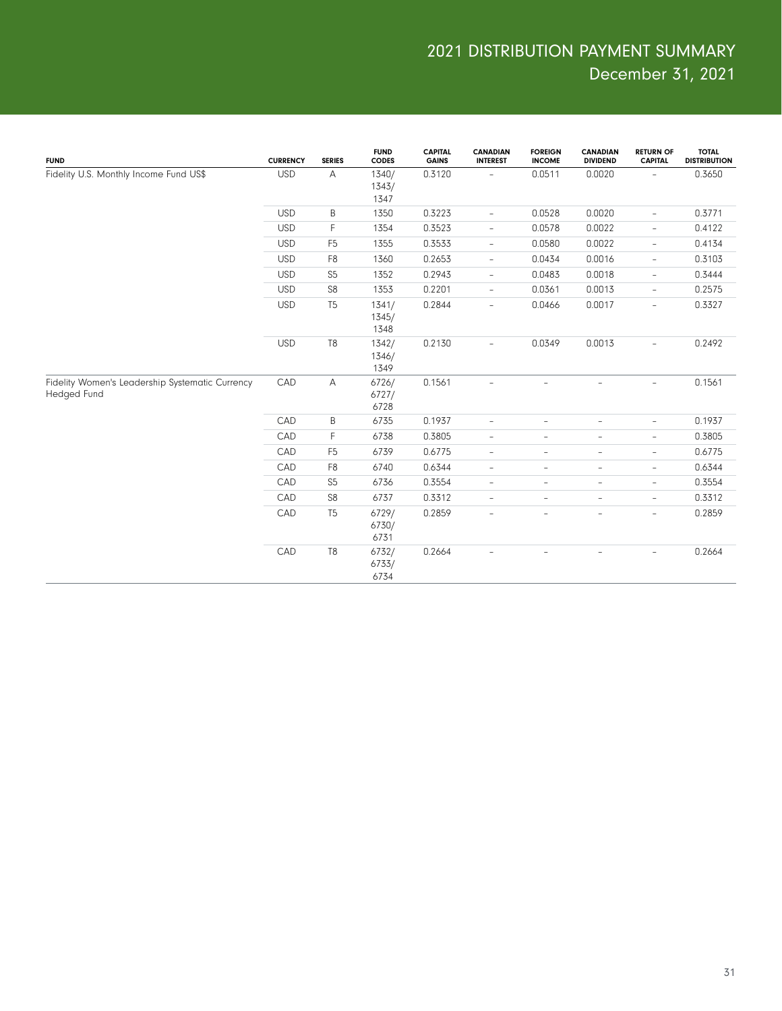| <b>FUND</b>                                                    | <b>CURRENCY</b> | <b>SERIES</b>  | <b>FUND</b><br><b>CODES</b> | <b>CAPITAL</b><br><b>GAINS</b> | <b>CANADIAN</b><br><b>INTEREST</b> | <b>FOREIGN</b><br><b>INCOME</b> | <b>CANADIAN</b><br><b>DIVIDEND</b> | <b>RETURN OF</b><br><b>CAPITAL</b> | <b>TOTAL</b><br><b>DISTRIBUTION</b> |
|----------------------------------------------------------------|-----------------|----------------|-----------------------------|--------------------------------|------------------------------------|---------------------------------|------------------------------------|------------------------------------|-------------------------------------|
| Fidelity U.S. Monthly Income Fund US\$                         | <b>USD</b>      | Α              | 1340/<br>1343/<br>1347      | 0.3120                         | $\qquad \qquad -$                  | 0.0511                          | 0.0020                             | $\overline{\phantom{0}}$           | 0.3650                              |
|                                                                | <b>USD</b>      | B              | 1350                        | 0.3223                         | $\overline{\phantom{a}}$           | 0.0528                          | 0.0020                             | $\overline{\phantom{0}}$           | 0.3771                              |
|                                                                | <b>USD</b>      | F              | 1354                        | 0.3523                         | $\overline{\phantom{a}}$           | 0.0578                          | 0.0022                             | $\overline{\phantom{0}}$           | 0.4122                              |
|                                                                | <b>USD</b>      | F <sub>5</sub> | 1355                        | 0.3533                         | $\overline{\phantom{a}}$           | 0.0580                          | 0.0022                             | $\overline{\phantom{a}}$           | 0.4134                              |
|                                                                | <b>USD</b>      | F <sub>8</sub> | 1360                        | 0.2653                         | $\overline{\phantom{a}}$           | 0.0434                          | 0.0016                             | $\overline{\phantom{0}}$           | 0.3103                              |
|                                                                | <b>USD</b>      | S <sub>5</sub> | 1352                        | 0.2943                         | $\overline{\phantom{a}}$           | 0.0483                          | 0.0018                             | $\overline{\phantom{a}}$           | 0.3444                              |
|                                                                | <b>USD</b>      | S8             | 1353                        | 0.2201                         | $\overline{\phantom{a}}$           | 0.0361                          | 0.0013                             | $\overline{\phantom{a}}$           | 0.2575                              |
|                                                                | <b>USD</b>      | T <sub>5</sub> | 1341/<br>1345/<br>1348      | 0.2844                         | $\qquad \qquad -$                  | 0.0466                          | 0.0017                             | $\overline{\phantom{0}}$           | 0.3327                              |
|                                                                | <b>USD</b>      | T8             | 1342/<br>1346/<br>1349      | 0.2130                         | $\overline{\phantom{0}}$           | 0.0349                          | 0.0013                             |                                    | 0.2492                              |
| Fidelity Women's Leadership Systematic Currency<br>Hedged Fund | CAD             | А              | 6726/<br>6727/<br>6728      | 0.1561                         | $\overline{\phantom{a}}$           | $\overline{\phantom{a}}$        | $\overline{\phantom{a}}$           | $\overline{\phantom{0}}$           | 0.1561                              |
|                                                                | CAD             | B              | 6735                        | 0.1937                         | $\qquad \qquad -$                  | $\overline{\phantom{0}}$        | $\overline{\phantom{a}}$           | $\overline{\phantom{0}}$           | 0.1937                              |
|                                                                | CAD             | F              | 6738                        | 0.3805                         | $\qquad \qquad -$                  | $\overline{\phantom{0}}$        | $\overline{\phantom{a}}$           | $\overline{\phantom{0}}$           | 0.3805                              |
|                                                                | CAD             | F <sub>5</sub> | 6739                        | 0.6775                         | $\overline{\phantom{a}}$           | $\overline{\phantom{a}}$        | $\qquad \qquad -$                  | $\overline{\phantom{0}}$           | 0.6775                              |
|                                                                | CAD             | F8             | 6740                        | 0.6344                         | $\qquad \qquad -$                  | $\overline{\phantom{a}}$        | $\overline{\phantom{a}}$           | $\overline{\phantom{0}}$           | 0.6344                              |
|                                                                | CAD             | S <sub>5</sub> | 6736                        | 0.3554                         | $\overline{\phantom{a}}$           | $\overline{\phantom{a}}$        | $\qquad \qquad -$                  | $\overline{\phantom{0}}$           | 0.3554                              |
|                                                                | CAD             | S8             | 6737                        | 0.3312                         | $\overline{\phantom{a}}$           | $\overline{\phantom{a}}$        | $\overline{\phantom{a}}$           | $\overline{\phantom{0}}$           | 0.3312                              |
|                                                                | CAD             | T <sub>5</sub> | 6729/<br>6730/<br>6731      | 0.2859                         | $\overline{\phantom{a}}$           | ÷                               | $\overline{\phantom{a}}$           | $\overline{\phantom{0}}$           | 0.2859                              |
|                                                                | CAD             | T <sub>8</sub> | 6732/<br>6733/<br>6734      | 0.2664                         | $\overline{\phantom{0}}$           |                                 |                                    | $\overline{\phantom{0}}$           | 0.2664                              |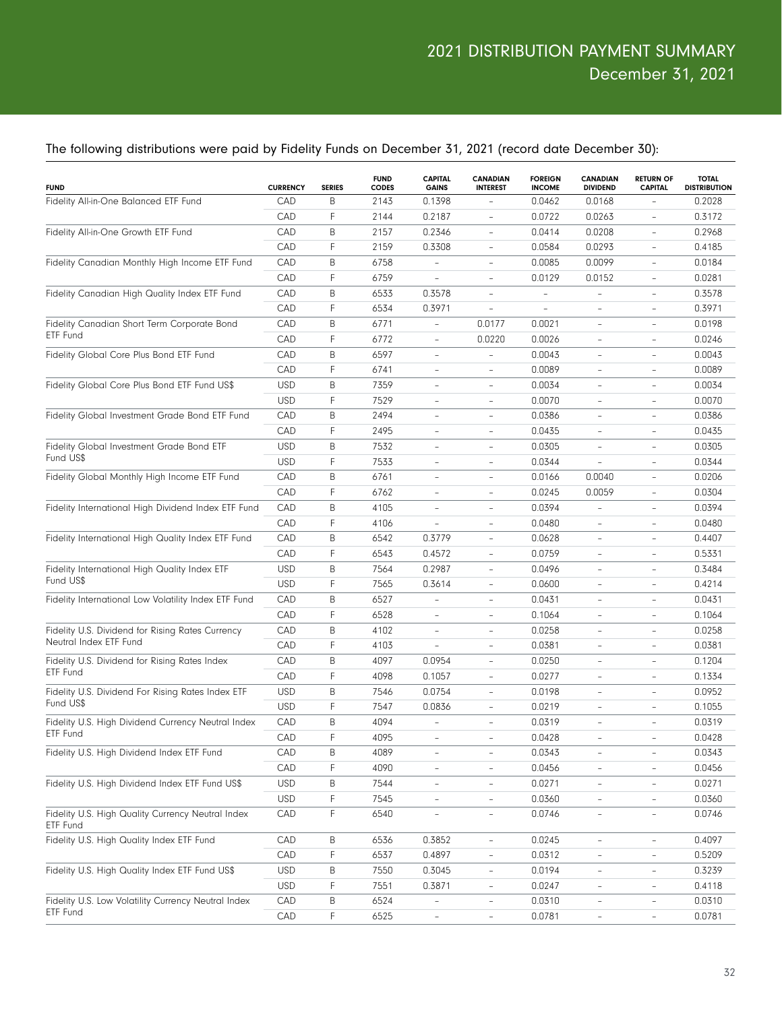#### The following distributions were paid by Fidelity Funds on December 31, 2021 (record date December 30):

| <b>FUND</b>                                                   | <b>CURRENCY</b> | <b>SERIES</b> | <b>FUND</b><br><b>CODES</b> | <b>CAPITAL</b><br><b>GAINS</b> | <b>CANADIAN</b><br><b>INTEREST</b> | <b>FOREIGN</b><br><b>INCOME</b> | <b>CANADIAN</b><br><b>DIVIDEND</b> | <b>RETURN OF</b><br><b>CAPITAL</b> | <b>TOTAL</b><br><b>DISTRIBUTION</b> |
|---------------------------------------------------------------|-----------------|---------------|-----------------------------|--------------------------------|------------------------------------|---------------------------------|------------------------------------|------------------------------------|-------------------------------------|
| Fidelity All-in-One Balanced ETF Fund                         | CAD             | B             | 2143                        | 0.1398                         |                                    | 0.0462                          | 0.0168                             |                                    | 0.2028                              |
|                                                               | CAD             | F             | 2144                        | 0.2187                         | $\qquad \qquad -$                  | 0.0722                          | 0.0263                             | $\overline{\phantom{a}}$           | 0.3172                              |
| Fidelity All-in-One Growth ETF Fund                           | CAD             | B             | 2157                        | 0.2346                         | $\overline{\phantom{a}}$           | 0.0414                          | 0.0208                             | $\qquad \qquad -$                  | 0.2968                              |
|                                                               | CAD             | F             | 2159                        | 0.3308                         | $\overline{\phantom{a}}$           | 0.0584                          | 0.0293                             | $\qquad \qquad -$                  | 0.4185                              |
| Fidelity Canadian Monthly High Income ETF Fund                | CAD             | B             | 6758                        | $\qquad \qquad -$              | $\overline{\phantom{a}}$           | 0.0085                          | 0.0099                             | $\qquad \qquad -$                  | 0.0184                              |
|                                                               | CAD             | F             | 6759                        | $\overline{\phantom{0}}$       | $\overline{\phantom{a}}$           | 0.0129                          | 0.0152                             | $\qquad \qquad -$                  | 0.0281                              |
| Fidelity Canadian High Quality Index ETF Fund                 | CAD             | B             | 6533                        | 0.3578                         | $\overline{\phantom{a}}$           | $\qquad \qquad -$               | ÷                                  | $\qquad \qquad -$                  | 0.3578                              |
|                                                               | CAD             | F             | 6534                        | 0.3971                         | ÷                                  | $\overline{\phantom{0}}$        | $\overline{\phantom{a}}$           | $\qquad \qquad -$                  | 0.3971                              |
| Fidelity Canadian Short Term Corporate Bond                   | CAD             | B             | 6771                        | $\overline{\phantom{a}}$       | 0.0177                             | 0.0021                          | $\overline{\phantom{a}}$           |                                    | 0.0198                              |
| ETF Fund                                                      | CAD             | F             | 6772                        | $\overline{\phantom{a}}$       | 0.0220                             | 0.0026                          | $\overline{\phantom{a}}$           | $\qquad \qquad -$                  | 0.0246                              |
| Fidelity Global Core Plus Bond ETF Fund                       | CAD             | B             | 6597                        | $\qquad \qquad -$              | $\qquad \qquad -$                  | 0.0043                          | $\overline{\phantom{a}}$           |                                    | 0.0043                              |
|                                                               | CAD             | F             | 6741                        | $\qquad \qquad -$              | $\overline{\phantom{a}}$           | 0.0089                          | $\overline{\phantom{a}}$           | $\qquad \qquad -$                  | 0.0089                              |
| Fidelity Global Core Plus Bond ETF Fund US\$                  | <b>USD</b>      | B             | 7359                        | $\qquad \qquad -$              | $\overline{\phantom{a}}$           | 0.0034                          | $\overline{\phantom{a}}$           |                                    | 0.0034                              |
|                                                               | <b>USD</b>      | F             | 7529                        | $\qquad \qquad -$              | $\overline{\phantom{a}}$           | 0.0070                          | $\overline{\phantom{a}}$           | $\qquad \qquad -$                  | 0.0070                              |
| Fidelity Global Investment Grade Bond ETF Fund                | CAD             | B             | 2494                        | $\qquad \qquad -$              | $\overline{\phantom{a}}$           | 0.0386                          | $\overline{\phantom{a}}$           |                                    | 0.0386                              |
|                                                               | CAD             | F             | 2495                        | $\qquad \qquad -$              | $\overline{\phantom{a}}$           | 0.0435                          | $\overline{\phantom{a}}$           | $\qquad \qquad -$                  | 0.0435                              |
| Fidelity Global Investment Grade Bond ETF                     | <b>USD</b>      | B             | 7532                        | $\qquad \qquad -$              | $\overline{\phantom{a}}$           | 0.0305                          | $\overline{\phantom{a}}$           |                                    | 0.0305                              |
| Fund US\$                                                     | <b>USD</b>      | F             | 7533                        | $\qquad \qquad -$              | $\overline{\phantom{a}}$           | 0.0344                          | ÷                                  | $\qquad \qquad -$                  | 0.0344                              |
| Fidelity Global Monthly High Income ETF Fund                  | CAD             | B             | 6761                        | $\qquad \qquad -$              | $\overline{\phantom{a}}$           | 0.0166                          | 0.0040                             | $\qquad \qquad -$                  | 0.0206                              |
|                                                               | CAD             | F             | 6762                        | $\qquad \qquad -$              | $\overline{\phantom{a}}$           | 0.0245                          | 0.0059                             | $\qquad \qquad -$                  | 0.0304                              |
| Fidelity International High Dividend Index ETF Fund           | CAD             | B             | 4105                        | $\qquad \qquad -$              | $\overline{\phantom{a}}$           | 0.0394                          | ÷                                  | $\qquad \qquad -$                  | 0.0394                              |
|                                                               | CAD             | F             | 4106                        | $\overline{\phantom{0}}$       | $\overline{\phantom{a}}$           | 0.0480                          | $\overline{\phantom{a}}$           | $\qquad \qquad -$                  | 0.0480                              |
| Fidelity International High Quality Index ETF Fund            | CAD             | B             | 6542                        | 0.3779                         | $\overline{\phantom{a}}$           | 0.0628                          | $\overline{\phantom{a}}$           |                                    | 0.4407                              |
|                                                               | CAD             | F             | 6543                        | 0.4572                         | $\overline{\phantom{a}}$           | 0.0759                          | $\overline{\phantom{a}}$           | $\qquad \qquad -$                  | 0.5331                              |
| Fidelity International High Quality Index ETF<br>Fund US\$    | <b>USD</b>      | B             | 7564                        | 0.2987                         | $\overline{\phantom{a}}$           | 0.0496                          | $\overline{\phantom{a}}$           | $\qquad \qquad -$                  | 0.3484                              |
|                                                               | <b>USD</b>      | F             | 7565                        | 0.3614                         | $\overline{\phantom{a}}$           | 0.0600                          | $\overline{\phantom{a}}$           | $\qquad \qquad -$                  | 0.4214                              |
| Fidelity International Low Volatility Index ETF Fund          | CAD             | B             | 6527                        | $\qquad \qquad -$              | $\overline{\phantom{a}}$           | 0.0431                          | $\overline{\phantom{a}}$           | $\qquad \qquad -$                  | 0.0431                              |
|                                                               | CAD             | F             | 6528                        | $\qquad \qquad -$              | $\overline{\phantom{a}}$           | 0.1064                          | $\overline{\phantom{a}}$           | $\qquad \qquad -$                  | 0.1064                              |
| Fidelity U.S. Dividend for Rising Rates Currency              | CAD             | B             | 4102                        | $\qquad \qquad -$              | $\overline{\phantom{a}}$           | 0.0258                          | $\overline{\phantom{a}}$           | $\qquad \qquad -$                  | 0.0258                              |
| Neutral Index ETF Fund                                        | CAD             | F             | 4103                        | $\overline{\phantom{0}}$       | $\overline{\phantom{a}}$           | 0.0381                          | $\overline{\phantom{a}}$           | $\qquad \qquad -$                  | 0.0381                              |
| Fidelity U.S. Dividend for Rising Rates Index                 | CAD             | B             | 4097                        | 0.0954                         | $\overline{\phantom{a}}$           | 0.0250                          | $\overline{\phantom{a}}$           | $\qquad \qquad -$                  | 0.1204                              |
| ETF Fund                                                      | CAD             | F             | 4098                        | 0.1057                         | $\overline{\phantom{a}}$           | 0.0277                          | $\overline{\phantom{a}}$           | $\qquad \qquad -$                  | 0.1334                              |
| Fidelity U.S. Dividend For Rising Rates Index ETF             | <b>USD</b>      | B             | 7546                        | 0.0754                         | $\overline{\phantom{a}}$           | 0.0198                          | $\overline{\phantom{a}}$           | $\qquad \qquad -$                  | 0.0952                              |
| Fund US\$                                                     | <b>USD</b>      | F             | 7547                        | 0.0836                         | $\qquad \qquad -$                  | 0.0219                          | $\overline{\phantom{a}}$           | $\qquad \qquad -$                  | 0.1055                              |
| Fidelity U.S. High Dividend Currency Neutral Index            | CAD             | B             | 4094                        |                                | $\overline{\phantom{a}}$           | 0.0319                          | $\overline{\phantom{a}}$           |                                    | 0.0319                              |
| ETF Fund                                                      | CAD             | F             | 4095                        |                                |                                    | 0.0428                          |                                    |                                    | 0.0428                              |
| Fidelity U.S. High Dividend Index ETF Fund                    | CAD             | B             | 4089                        | $\qquad \qquad -$              | $\overline{\phantom{a}}$           | 0.0343                          | $\overline{\phantom{a}}$           | $\qquad \qquad -$                  | 0.0343                              |
|                                                               | CAD             | F             | 4090                        | $\overline{\phantom{a}}$       | $\overline{a}$                     | 0.0456                          | $\overline{\phantom{a}}$           | $\qquad \qquad -$                  | 0.0456                              |
| Fidelity U.S. High Dividend Index ETF Fund US\$               | <b>USD</b>      | B             | 7544                        | $\qquad \qquad -$              | $\overline{\phantom{a}}$           | 0.0271                          | $\overline{\phantom{a}}$           | $\qquad \qquad -$                  | 0.0271                              |
|                                                               | <b>USD</b>      | F             | 7545                        | $\overline{\phantom{0}}$       | $\overline{\phantom{a}}$           | 0.0360                          | $\overline{\phantom{a}}$           | $\overline{\phantom{a}}$           | 0.0360                              |
| Fidelity U.S. High Quality Currency Neutral Index<br>ETF Fund | CAD             | $\mathsf F$   | 6540                        | $\overline{\phantom{0}}$       |                                    | 0.0746                          | $\overline{\phantom{a}}$           |                                    | 0.0746                              |
| Fidelity U.S. High Quality Index ETF Fund                     | CAD             | B             | 6536                        | 0.3852                         | $\blacksquare$                     | 0.0245                          | $\blacksquare$                     | $\overline{\phantom{a}}$           | 0.4097                              |
|                                                               | CAD             | $\mathsf F$   | 6537                        | 0.4897                         | $\overline{\phantom{a}}$           | 0.0312                          | $\blacksquare$                     | $\overline{\phantom{0}}$           | 0.5209                              |
| Fidelity U.S. High Quality Index ETF Fund US\$                | <b>USD</b>      | B             | 7550                        | 0.3045                         | $\qquad \qquad -$                  | 0.0194                          | $\qquad \qquad -$                  | $\overline{\phantom{0}}$           | 0.3239                              |
|                                                               | <b>USD</b>      | $\mathsf F$   | 7551                        | 0.3871                         | $\overline{\phantom{a}}$           | 0.0247                          | $\blacksquare$                     | $\overline{\phantom{0}}$           | 0.4118                              |
| Fidelity U.S. Low Volatility Currency Neutral Index           | CAD             | B             | 6524                        | $\overline{a}$                 | $\qquad \qquad -$                  | 0.0310                          | $\qquad \qquad -$                  | $\overline{\phantom{a}}$           | 0.0310                              |
| ETF Fund                                                      | CAD             | $\mathsf F$   | 6525                        | $\overline{\phantom{0}}$       | $\qquad \qquad -$                  | 0.0781                          | $\qquad \qquad -$                  | $\overline{\phantom{0}}$           | 0.0781                              |
|                                                               |                 |               |                             |                                |                                    |                                 |                                    |                                    |                                     |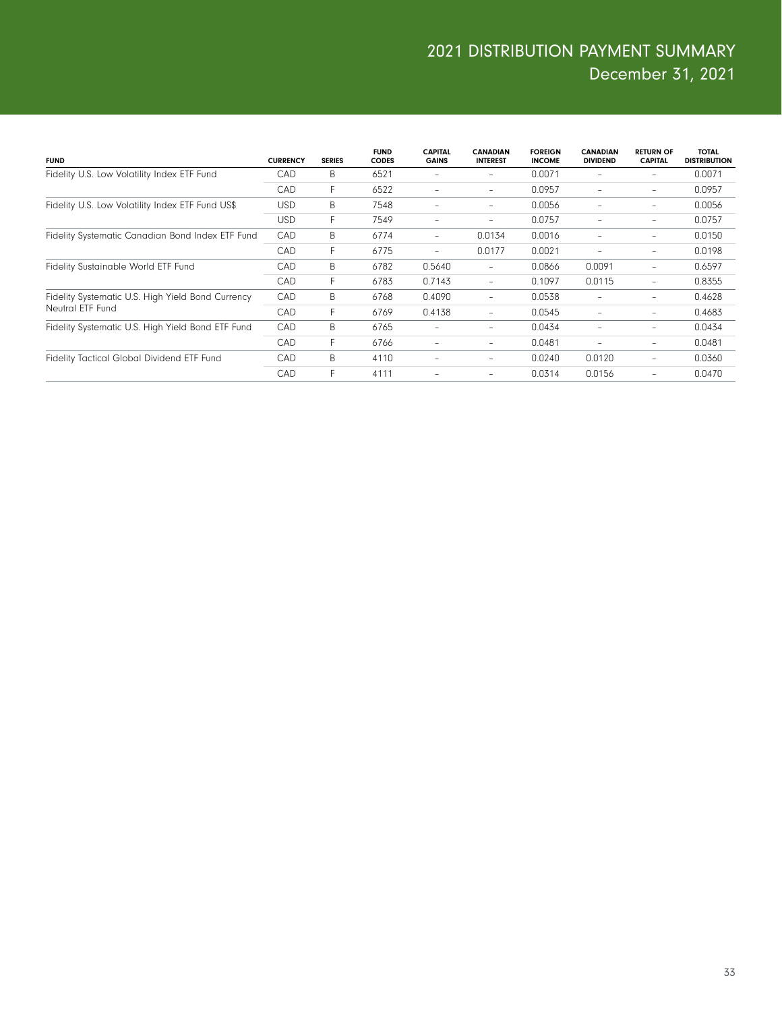| <b>FUND</b>                                       | <b>CURRENCY</b> | <b>SERIES</b> | <b>FUND</b><br><b>CODES</b> | <b>CAPITAL</b><br><b>GAINS</b> | <b>CANADIAN</b><br><b>INTEREST</b> | <b>FOREIGN</b><br><b>INCOME</b> | <b>CANADIAN</b><br><b>DIVIDEND</b> | <b>RETURN OF</b><br><b>CAPITAL</b> | <b>TOTAL</b><br><b>DISTRIBUTION</b> |
|---------------------------------------------------|-----------------|---------------|-----------------------------|--------------------------------|------------------------------------|---------------------------------|------------------------------------|------------------------------------|-------------------------------------|
| Fidelity U.S. Low Volatility Index ETF Fund       | <b>CAD</b>      | B             | 6521                        |                                | $\overline{\phantom{0}}$           | 0.0071                          |                                    |                                    | 0.0071                              |
|                                                   | <b>CAD</b>      | F             | 6522                        | $\qquad \qquad -$              | -                                  | 0.0957                          | $\overline{\phantom{0}}$           | -                                  | 0.0957                              |
| Fidelity U.S. Low Volatility Index ETF Fund US\$  | <b>USD</b>      | B             | 7548                        |                                | $\overline{\phantom{0}}$           | 0.0056                          |                                    |                                    | 0.0056                              |
|                                                   | USD             | F.            | 7549                        | $\qquad \qquad -$              | $\overline{\phantom{0}}$           | 0.0757                          | -                                  | -                                  | 0.0757                              |
| Fidelity Systematic Canadian Bond Index ETF Fund  | CAD             | B             | 6774                        | $\overline{\phantom{a}}$       | 0.0134                             | 0.0016                          | -                                  | -                                  | 0.0150                              |
|                                                   | CAD             | F.            | 6775                        | $\qquad \qquad -$              | 0.0177                             | 0.0021                          | $\overline{\phantom{0}}$           | -                                  | 0.0198                              |
| Fidelity Sustainable World ETF Fund               | CAD             | B             | 6782                        | 0.5640                         | -                                  | 0.0866                          | 0.0091                             | -                                  | 0.6597                              |
|                                                   | <b>CAD</b>      | F.            | 6783                        | 0.7143                         | $\overline{\phantom{a}}$           | 0.1097                          | 0.0115                             |                                    | 0.8355                              |
| Fidelity Systematic U.S. High Yield Bond Currency | CAD             | B             | 6768                        | 0.4090                         | $\overline{\phantom{0}}$           | 0.0538                          |                                    |                                    | 0.4628                              |
| Neutral ETF Fund                                  | <b>CAD</b>      | F             | 6769                        | 0.4138                         | -                                  | 0.0545                          | $\overline{\phantom{0}}$           | -                                  | 0.4683                              |
| Fidelity Systematic U.S. High Yield Bond ETF Fund | CAD             | B             | 6765                        | ٠                              | $\overline{\phantom{0}}$           | 0.0434                          | -                                  | -                                  | 0.0434                              |
|                                                   | CAD             | F             | 6766                        | -                              | -                                  | 0.0481                          | $\overline{\phantom{0}}$           | -                                  | 0.0481                              |
| Fidelity Tactical Global Dividend ETF Fund        | CAD             | B             | 4110                        | $\overline{\phantom{a}}$       | -                                  | 0.0240                          | 0.0120                             |                                    | 0.0360                              |
|                                                   | <b>CAD</b>      | F             | 4111                        | ٠                              | $\overline{\phantom{0}}$           | 0.0314                          | 0.0156                             |                                    | 0.0470                              |